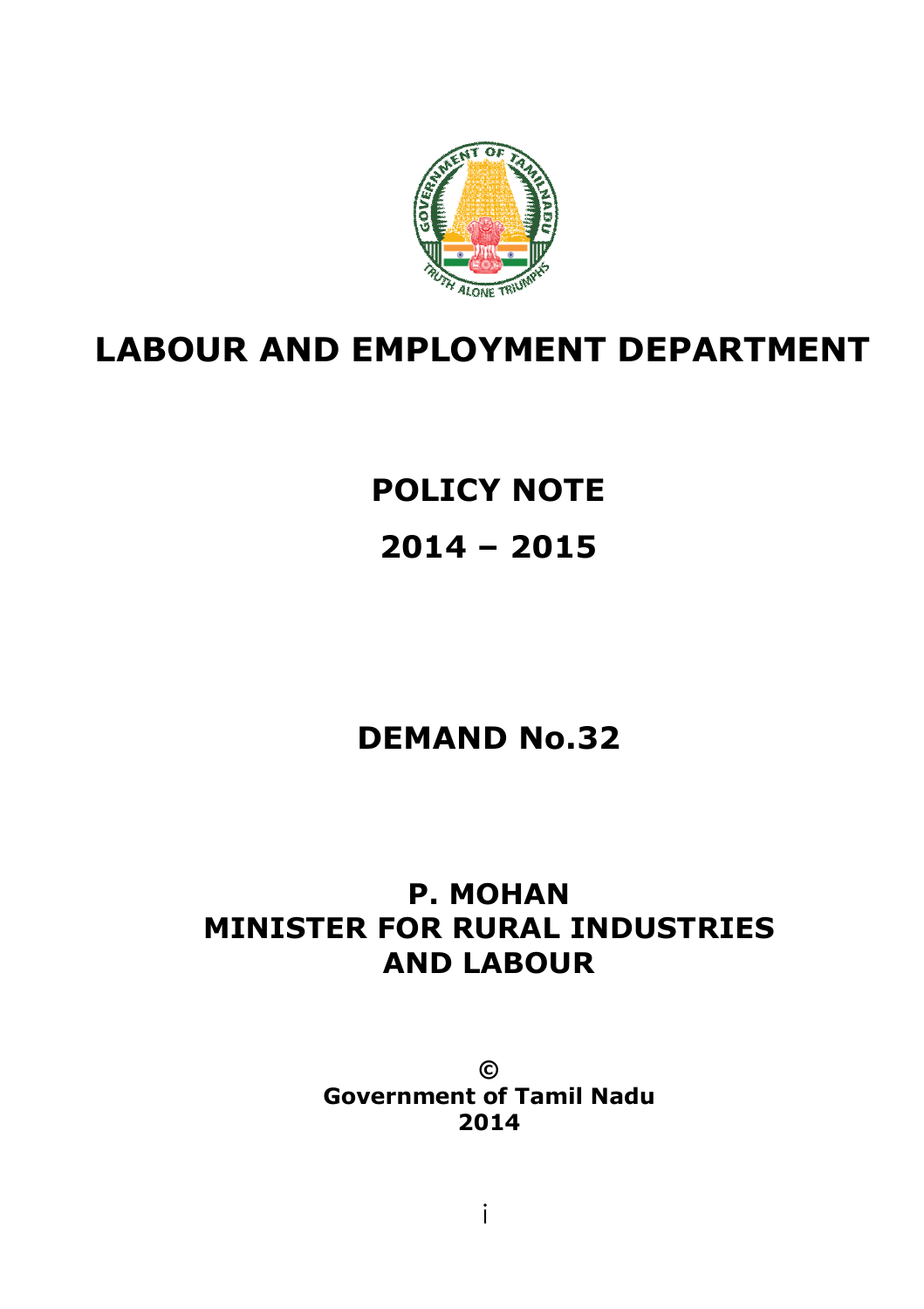

# **LABOUR AND EMPLOYMENT DEPARTMENT**

# **POLICY NOTE 2014 – 2015**

## **DEMAND No.32**

## **P. MOHAN MINISTER FOR RURAL INDUSTRIES AND LABOUR**

**© Government of Tamil Nadu 2014**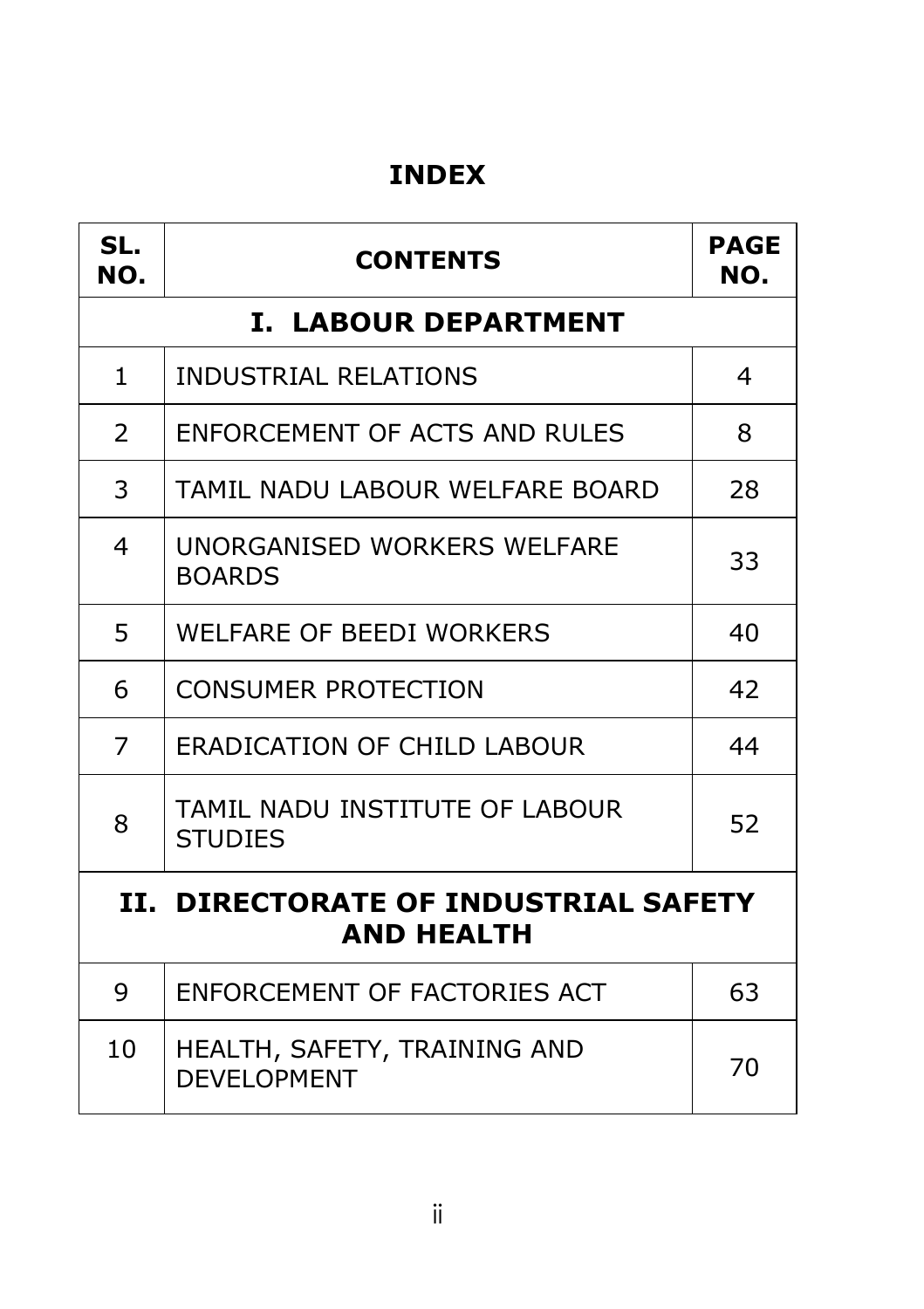## **INDEX**

| SL.<br>NO.                                                | <b>CONTENTS</b>                                    | <b>PAGE</b><br>NO. |
|-----------------------------------------------------------|----------------------------------------------------|--------------------|
| <b>I. LABOUR DEPARTMENT</b>                               |                                                    |                    |
| $\mathbf{1}$                                              | <b>INDUSTRIAL RELATIONS</b><br>4                   |                    |
| 2                                                         | ENFORCEMENT OF ACTS AND RULES<br>8                 |                    |
| 3                                                         | TAMIL NADU LABOUR WELFARE BOARD<br>28              |                    |
| 4                                                         | UNORGANISED WORKERS WELFARE<br>33<br><b>BOARDS</b> |                    |
| 5                                                         | WELFARE OF BEEDI WORKERS<br>40                     |                    |
| 6                                                         | <b>CONSUMER PROTECTION</b><br>42                   |                    |
| 7                                                         | <b>ERADICATION OF CHILD LABOUR</b>                 | 44                 |
| 8                                                         | TAMIL NADU INSTITUTE OF LABOUR<br><b>STUDIES</b>   |                    |
| II. DIRECTORATE OF INDUSTRIAL SAFETY<br><b>AND HEALTH</b> |                                                    |                    |
| 9                                                         | ENFORCEMENT OF FACTORIES ACT                       | 63                 |
| 10                                                        | HEALTH, SAFETY, TRAINING AND<br><b>DEVELOPMENT</b> | 70                 |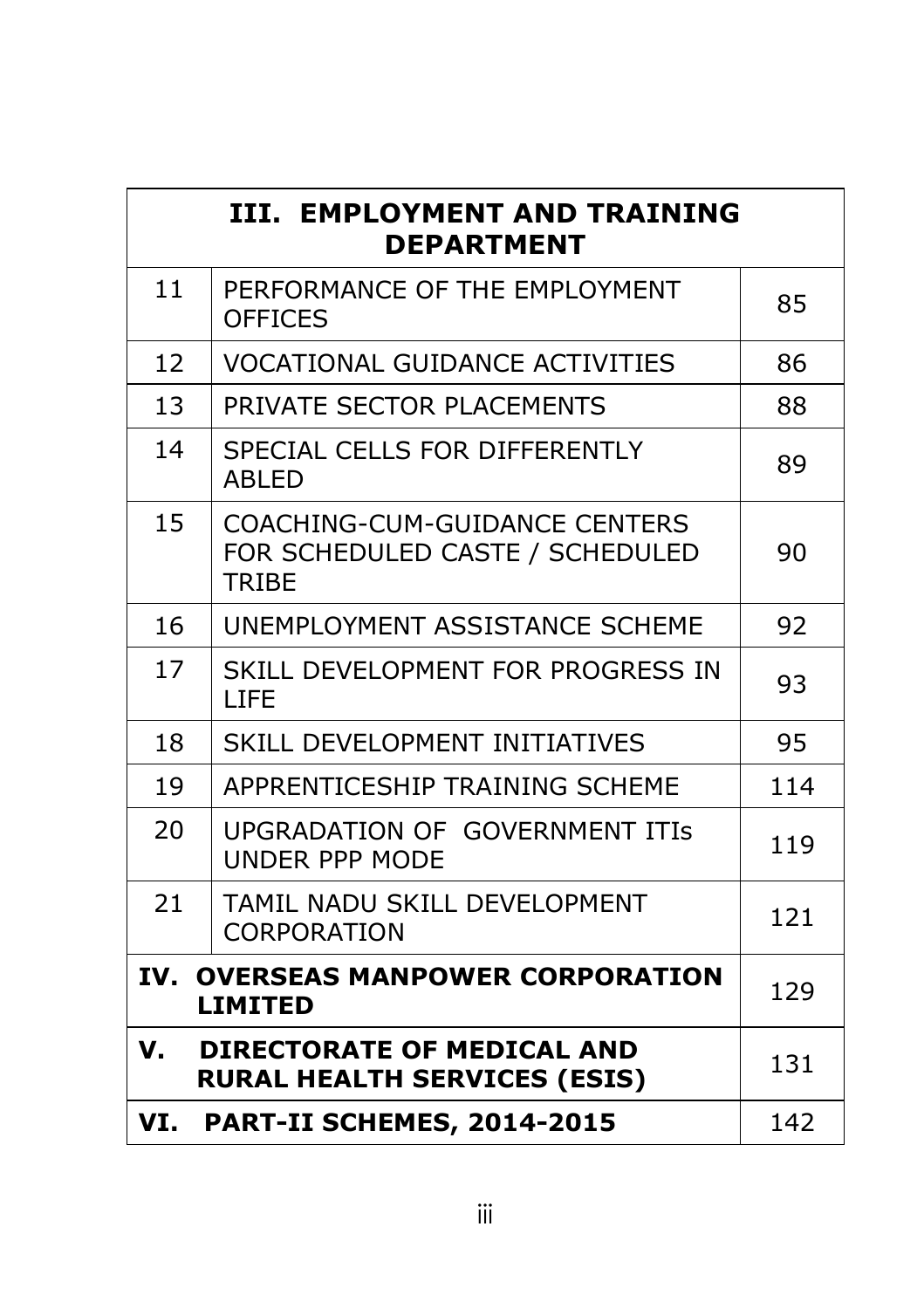| <b>III. EMPLOYMENT AND TRAINING</b><br><b>DEPARTMENT</b>             |                                                                                  |     |  |
|----------------------------------------------------------------------|----------------------------------------------------------------------------------|-----|--|
| 11                                                                   | PERFORMANCE OF THE EMPLOYMENT<br><b>OFFICES</b>                                  | 85  |  |
| 12                                                                   | <b>VOCATIONAL GUIDANCE ACTIVITIES</b>                                            | 86  |  |
| 13                                                                   | PRIVATE SECTOR PLACEMENTS                                                        | 88  |  |
| 14                                                                   | SPECIAL CELLS FOR DIFFERENTLY<br><b>ABLED</b>                                    | 89  |  |
| 15                                                                   | COACHING-CUM-GUIDANCE CENTERS<br>FOR SCHEDULED CASTE / SCHEDULED<br><b>TRIBE</b> | 90  |  |
| 16                                                                   | UNEMPLOYMENT ASSISTANCE SCHEME                                                   | 92  |  |
| 17                                                                   | SKILL DEVELOPMENT FOR PROGRESS IN<br><b>LIFE</b>                                 | 93  |  |
| 18                                                                   | SKILL DEVELOPMENT INITIATIVES                                                    | 95  |  |
| 19                                                                   | APPRENTICESHIP TRAINING SCHEME                                                   | 114 |  |
| 20                                                                   | UPGRADATION OF GOVERNMENT ITIS<br><b>UNDER PPP MODE</b>                          | 119 |  |
| 21                                                                   | TAMIL NADU SKILL DEVELOPMENT<br><b>CORPORATION</b>                               | 121 |  |
| IV.<br><b>OVERSEAS MANPOWER CORPORATION</b><br>129<br><b>LIMITED</b> |                                                                                  |     |  |
| V.                                                                   | <b>DIRECTORATE OF MEDICAL AND</b><br>131<br><b>RURAL HEALTH SERVICES (ESIS)</b>  |     |  |
| VI.                                                                  | <b>PART-II SCHEMES, 2014-2015</b>                                                | 142 |  |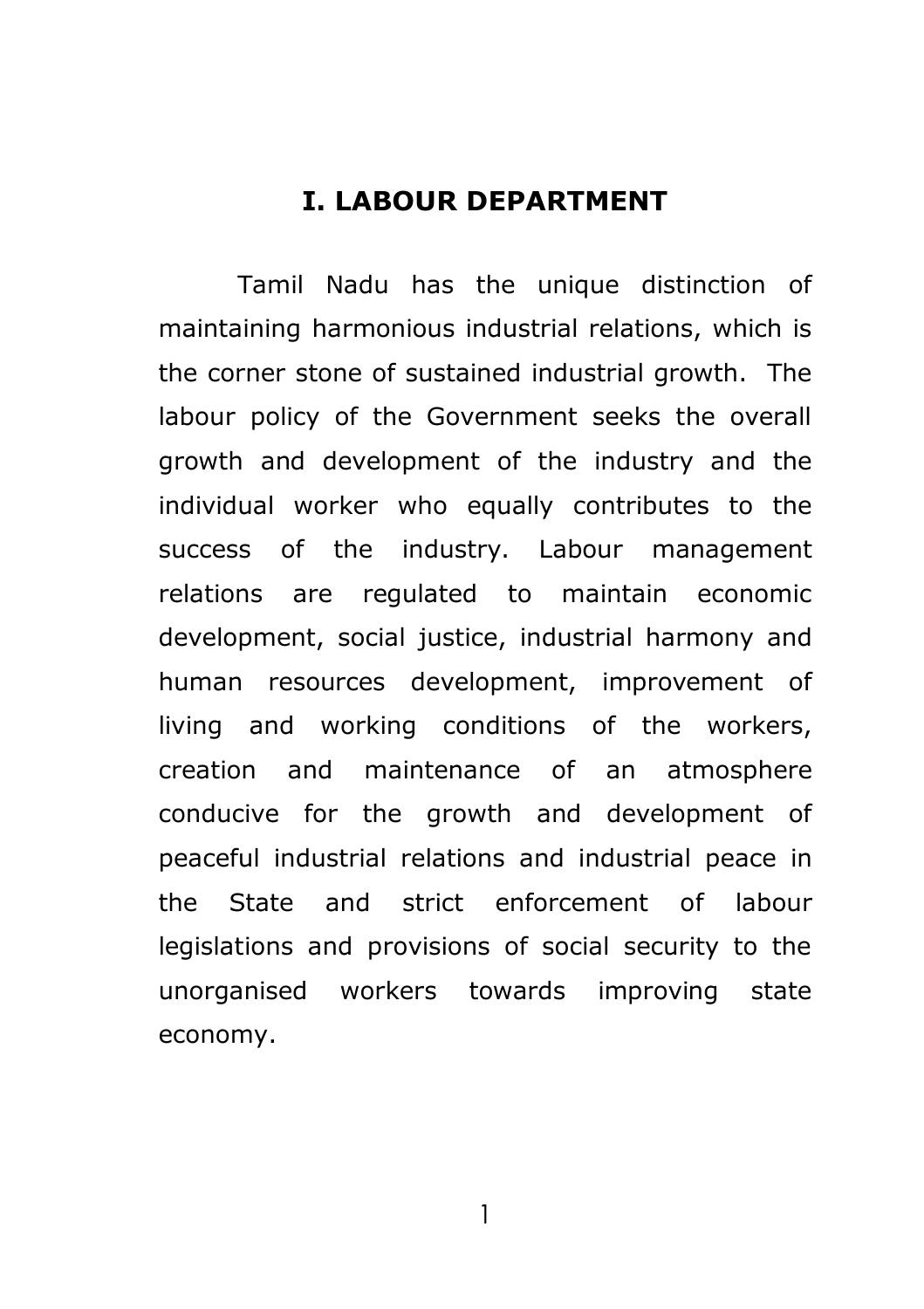## **I. LABOUR DEPARTMENT**

Tamil Nadu has the unique distinction of maintaining harmonious industrial relations, which is the corner stone of sustained industrial growth. The labour policy of the Government seeks the overall growth and development of the industry and the individual worker who equally contributes to the success of the industry. Labour management relations are regulated to maintain economic development, social justice, industrial harmony and human resources development, improvement of living and working conditions of the workers, creation and maintenance of an atmosphere conducive for the growth and development of peaceful industrial relations and industrial peace in the State and strict enforcement of labour legislations and provisions of social security to the unorganised workers towards improving state economy.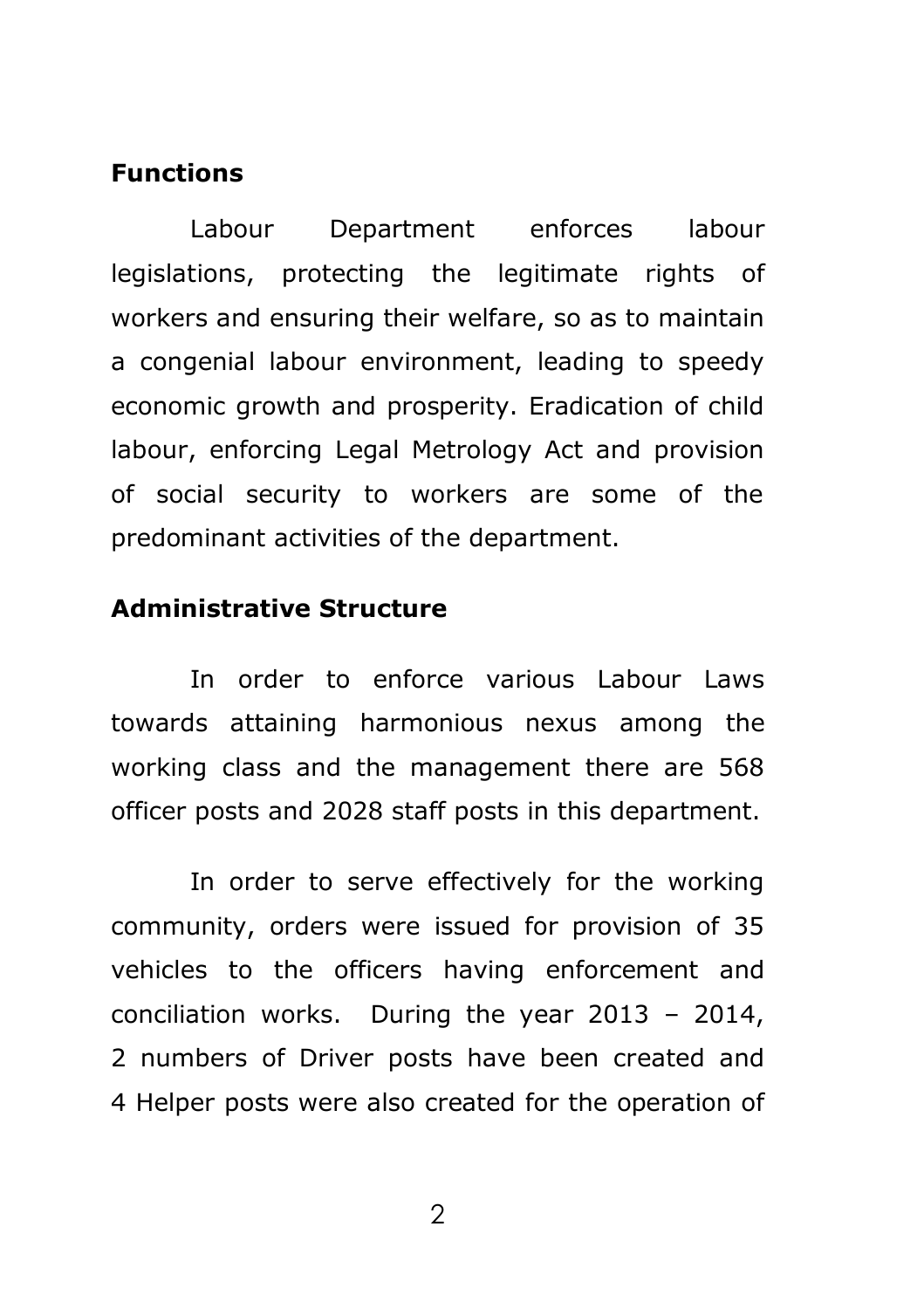#### **Functions**

Labour Department enforces labour legislations, protecting the legitimate rights of workers and ensuring their welfare, so as to maintain a congenial labour environment, leading to speedy economic growth and prosperity. Eradication of child labour, enforcing Legal Metrology Act and provision of social security to workers are some of the predominant activities of the department.

## **Administrative Structure**

In order to enforce various Labour Laws towards attaining harmonious nexus among the working class and the management there are 568 officer posts and 2028 staff posts in this department.

In order to serve effectively for the working community, orders were issued for provision of 35 vehicles to the officers having enforcement and conciliation works. During the year 2013 – 2014, 2 numbers of Driver posts have been created and 4 Helper posts were also created for the operation of

 $\mathcal{P}$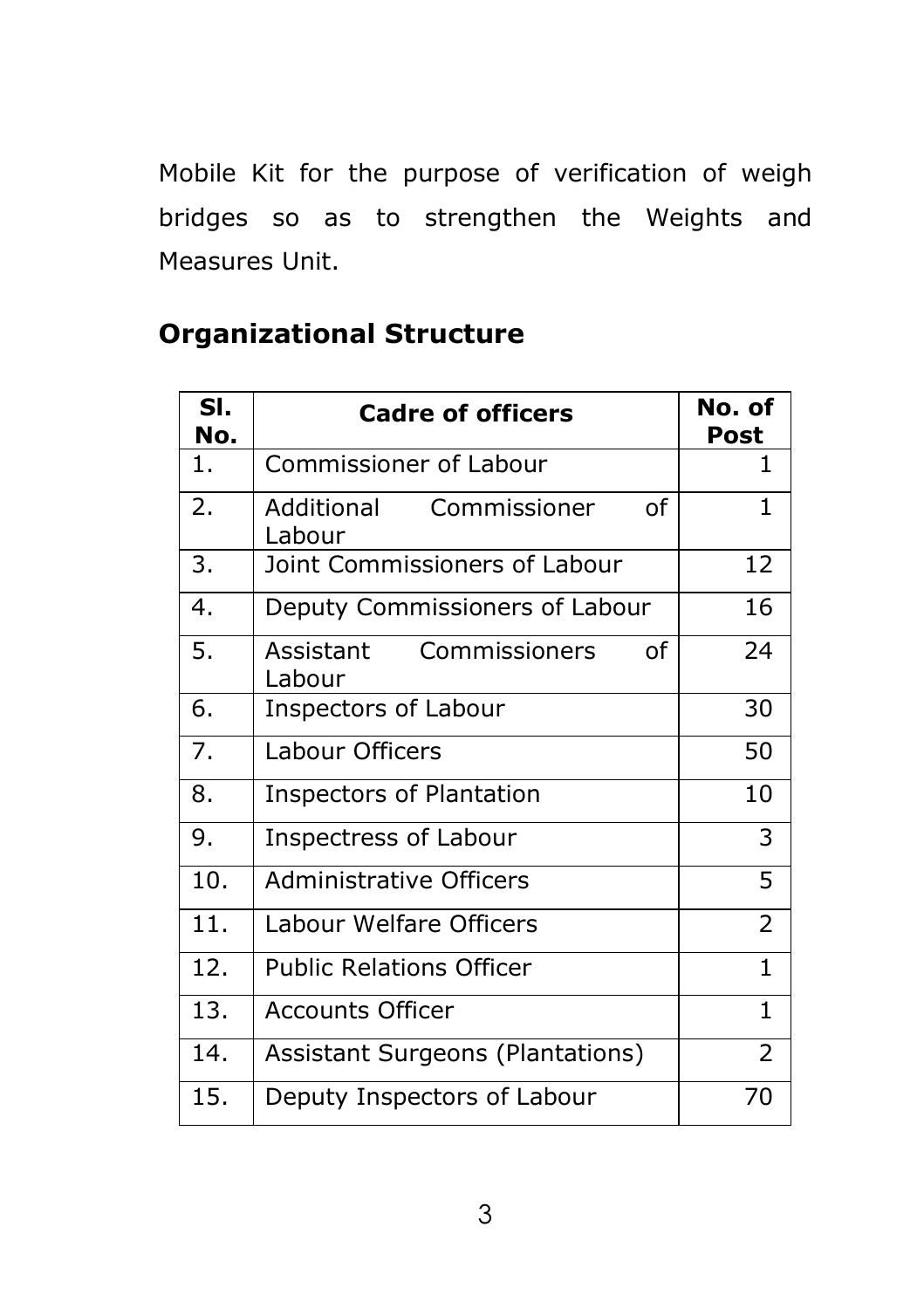Mobile Kit for the purpose of verification of weigh bridges so as to strengthen the Weights and Measures Unit.

| SI.<br>No. | <b>Cadre of officers</b>                   | No. of<br>Post |
|------------|--------------------------------------------|----------------|
| 1.         | <b>Commissioner of Labour</b>              | 1              |
| 2.         | Commissioner<br>Ωf<br>Additional<br>Labour | $\mathbf{1}$   |
| 3.         | Joint Commissioners of Labour              | 12             |
| 4.         | Deputy Commissioners of Labour             | 16             |
| 5.         | Commissioners<br>Assistant<br>Ωf<br>Labour | 24             |
| 6.         | Inspectors of Labour                       | 30             |
| 7.         | Labour Officers                            | 50             |
| 8.         | <b>Inspectors of Plantation</b>            | 10             |
| 9.         | <b>Inspectress of Labour</b>               | 3              |
| 10.        | <b>Administrative Officers</b>             | 5              |
| 11.        | Labour Welfare Officers                    |                |
| 12.        | <b>Public Relations Officer</b>            | $\mathbf{1}$   |
| 13.        | Accounts Officer                           | $\mathbf{1}$   |
| 14.        | Assistant Surgeons (Plantations)           | $\overline{2}$ |
| 15.        | Deputy Inspectors of Labour                | 70             |

## **Organizational Structure**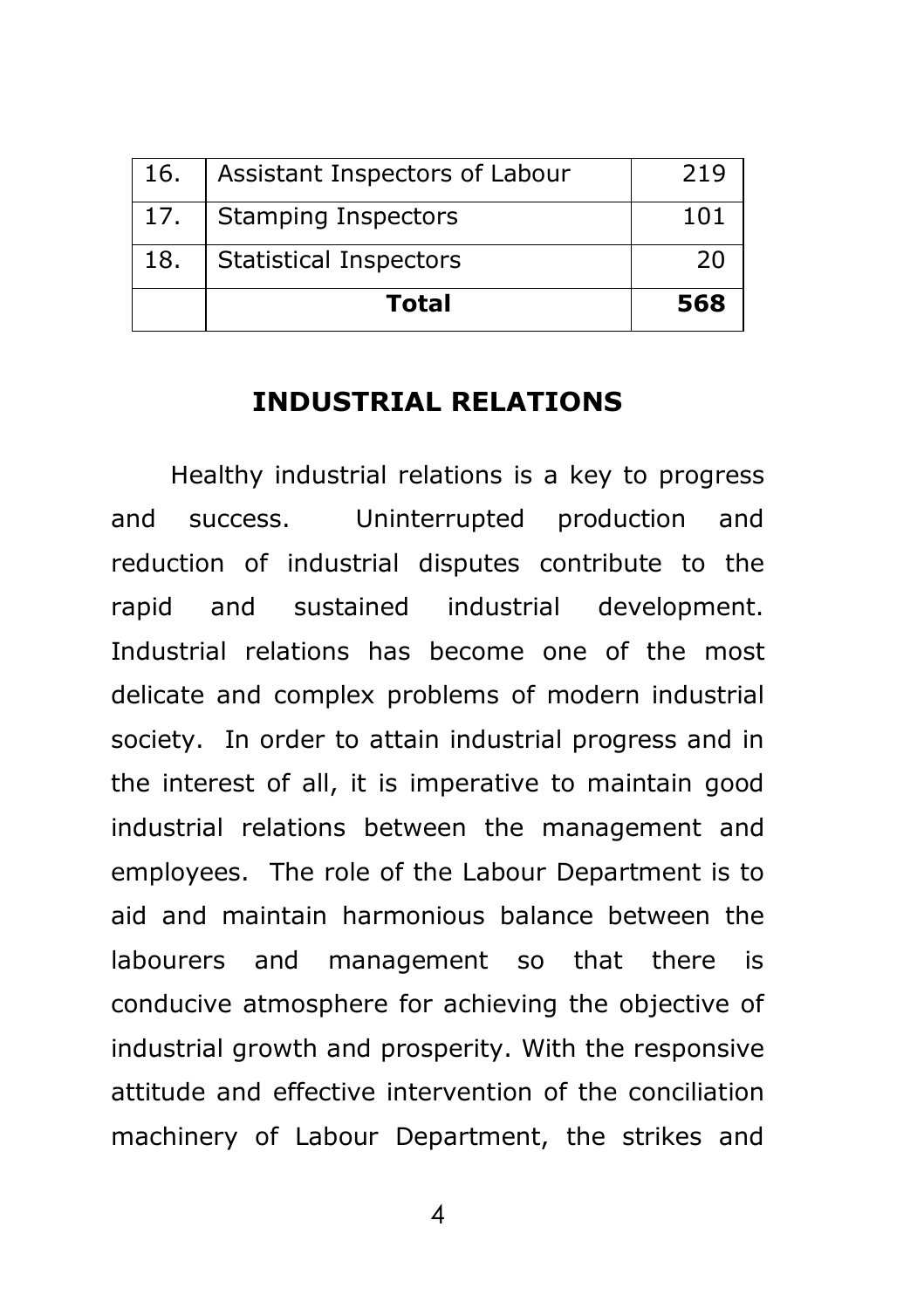|     | Total                          | 568 |
|-----|--------------------------------|-----|
| 18. | <b>Statistical Inspectors</b>  | 20  |
| 17. | <b>Stamping Inspectors</b>     | 101 |
| 16. | Assistant Inspectors of Labour | 219 |

## **INDUSTRIAL RELATIONS**

Healthy industrial relations is a key to progress and success. Uninterrupted production and reduction of industrial disputes contribute to the rapid and sustained industrial development. Industrial relations has become one of the most delicate and complex problems of modern industrial society. In order to attain industrial progress and in the interest of all, it is imperative to maintain good industrial relations between the management and employees. The role of the Labour Department is to aid and maintain harmonious balance between the labourers and management so that there is conducive atmosphere for achieving the objective of industrial growth and prosperity. With the responsive attitude and effective intervention of the conciliation machinery of Labour Department, the strikes and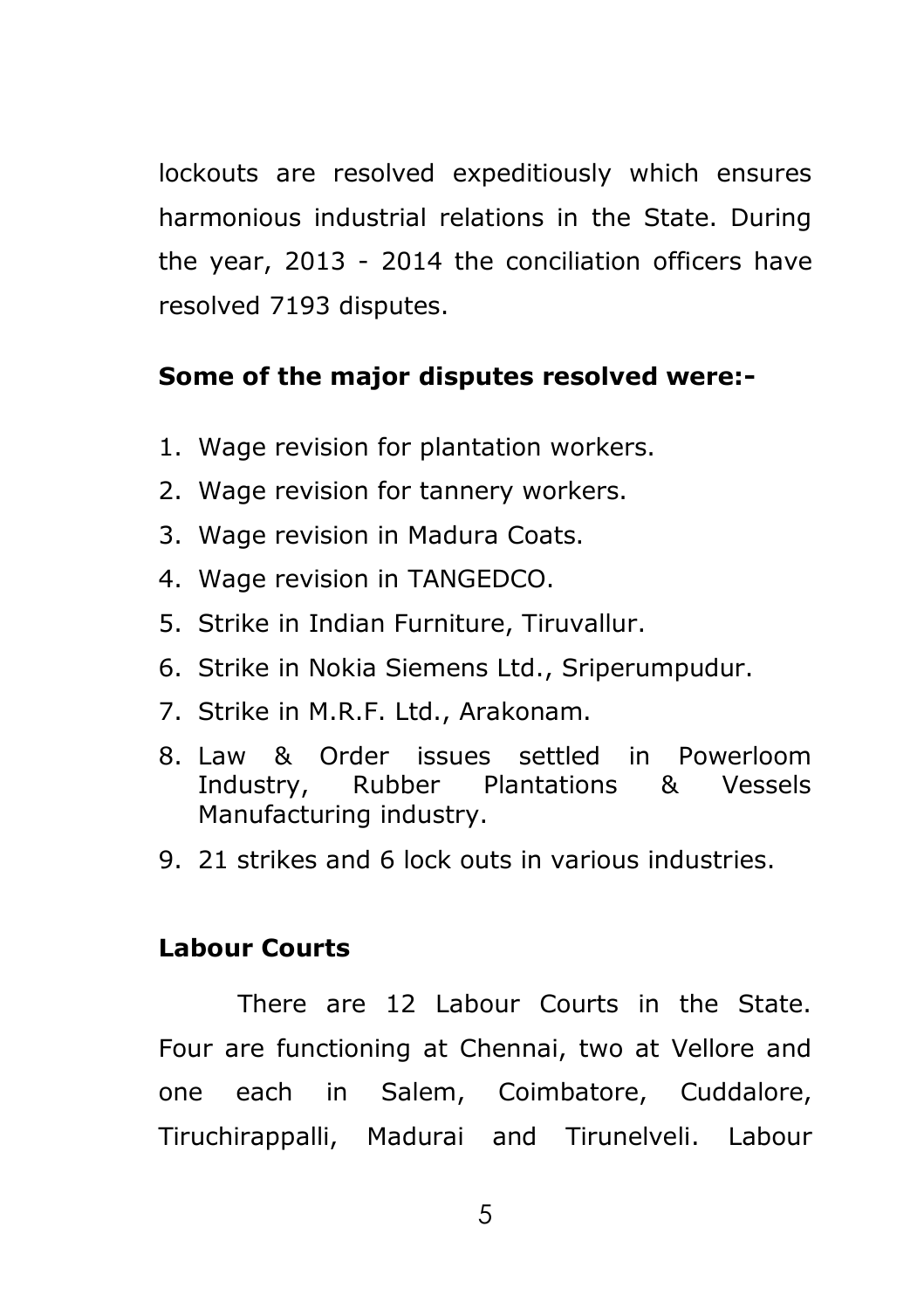lockouts are resolved expeditiously which ensures harmonious industrial relations in the State. During the year, 2013 - 2014 the conciliation officers have resolved 7193 disputes.

## **Some of the major disputes resolved were:-**

- 1. Wage revision for plantation workers.
- 2. Wage revision for tannery workers.
- 3. Wage revision in Madura Coats.
- 4. Wage revision in TANGEDCO.
- 5. Strike in Indian Furniture, Tiruvallur.
- 6. Strike in Nokia Siemens Ltd., Sriperumpudur.
- 7. Strike in M.R.F. Ltd., Arakonam.
- 8. Law & Order issues settled in Powerloom Industry, Rubber Plantations & Vessels Manufacturing industry.
- 9. 21 strikes and 6 lock outs in various industries.

#### **Labour Courts**

There are 12 Labour Courts in the State. Four are functioning at Chennai, two at Vellore and one each in Salem, Coimbatore, Cuddalore, Tiruchirappalli, Madurai and Tirunelveli. Labour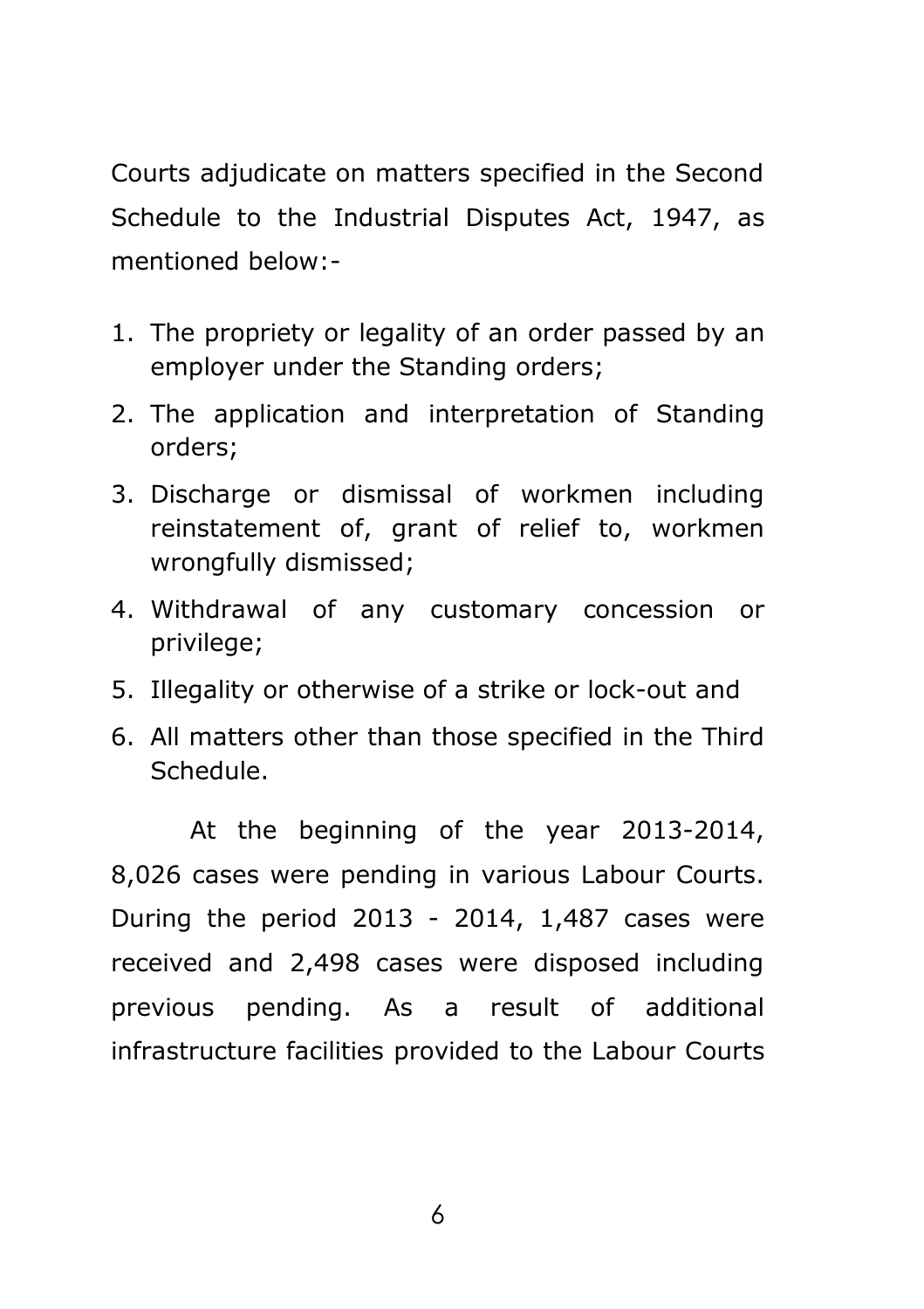Courts adjudicate on matters specified in the Second Schedule to the Industrial Disputes Act, 1947, as mentioned below:-

- 1. The propriety or legality of an order passed by an employer under the Standing orders;
- 2. The application and interpretation of Standing orders;
- 3. Discharge or dismissal of workmen including reinstatement of, grant of relief to, workmen wrongfully dismissed;
- 4. Withdrawal of any customary concession or privilege;
- 5. Illegality or otherwise of a strike or lock-out and
- 6. All matters other than those specified in the Third Schedule.

At the beginning of the year 2013-2014, 8,026 cases were pending in various Labour Courts. During the period 2013 - 2014, 1,487 cases were received and 2,498 cases were disposed including previous pending. As a result of additional infrastructure facilities provided to the Labour Courts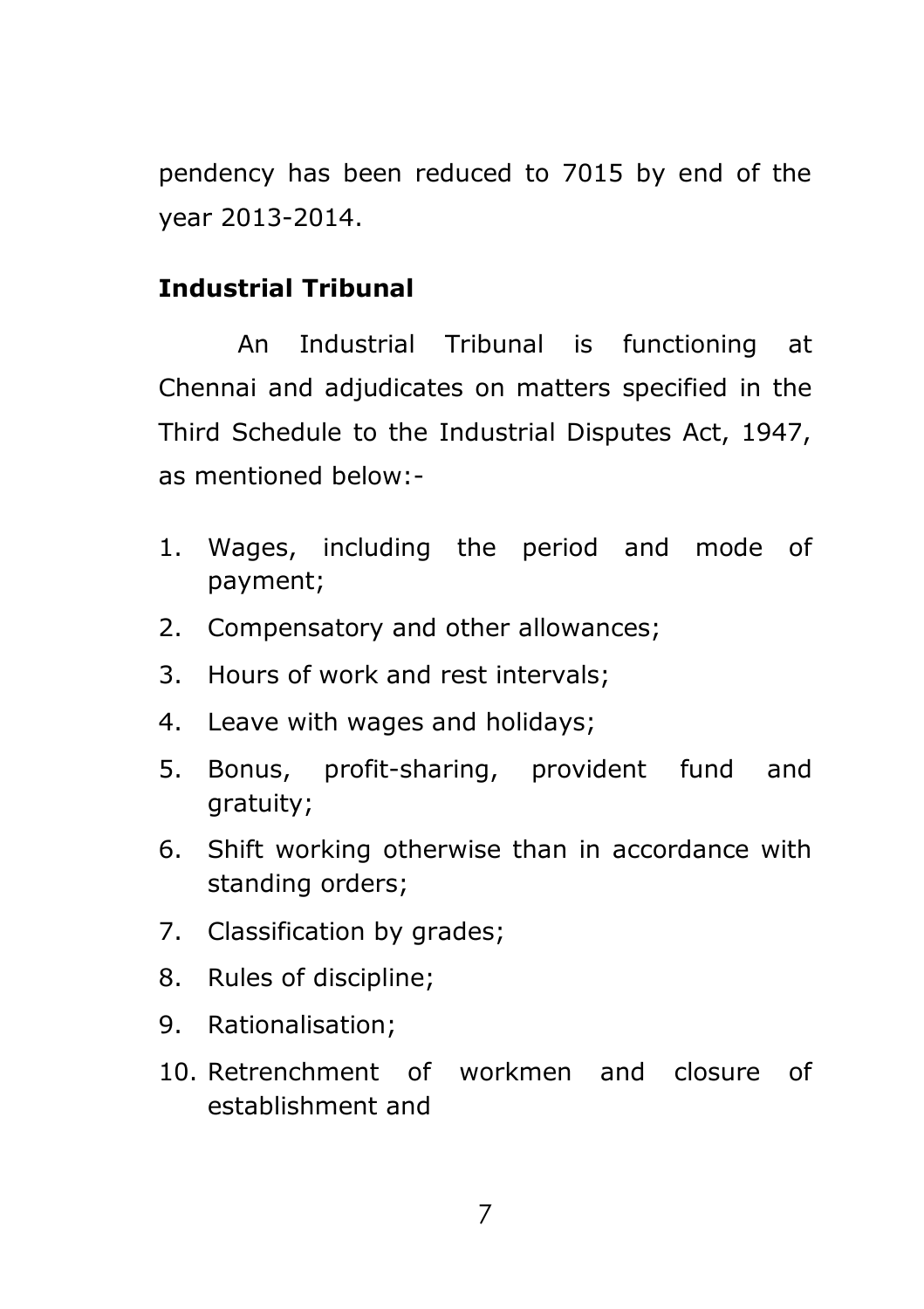pendency has been reduced to 7015 by end of the year 2013-2014.

## **Industrial Tribunal**

An Industrial Tribunal is functioning at Chennai and adjudicates on matters specified in the Third Schedule to the Industrial Disputes Act, 1947, as mentioned below:-

- 1. Wages, including the period and mode of payment;
- 2. Compensatory and other allowances;
- 3. Hours of work and rest intervals;
- 4. Leave with wages and holidays;
- 5. Bonus, profit-sharing, provident fund and gratuity;
- 6. Shift working otherwise than in accordance with standing orders;
- 7. Classification by grades;
- 8. Rules of discipline;
- 9. Rationalisation;
- 10. Retrenchment of workmen and closure of establishment and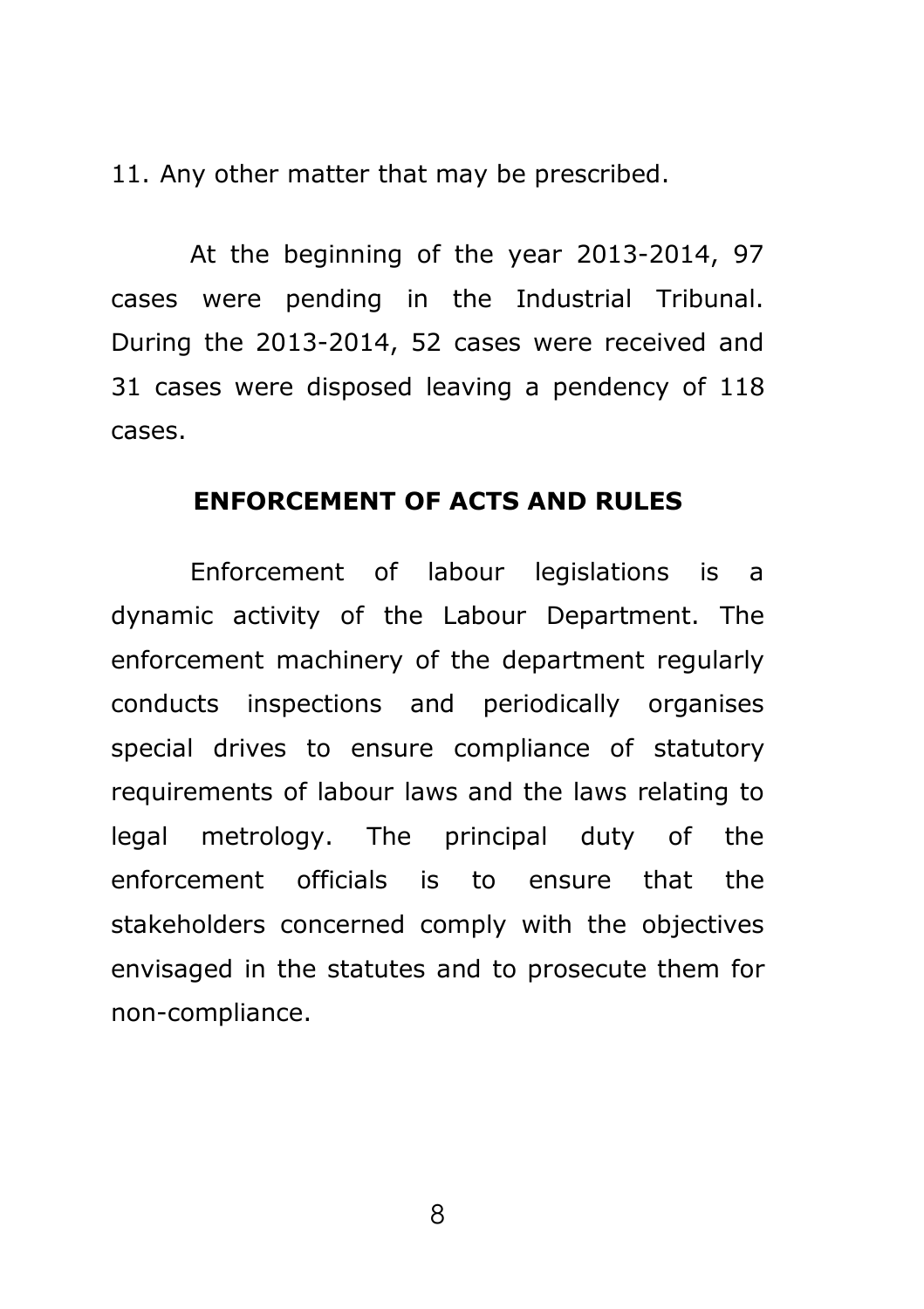11. Any other matter that may be prescribed.

At the beginning of the year 2013-2014, 97 cases were pending in the Industrial Tribunal. During the 2013-2014, 52 cases were received and 31 cases were disposed leaving a pendency of 118 cases.

#### **ENFORCEMENT OF ACTS AND RULES**

Enforcement of labour legislations is a dynamic activity of the Labour Department. The enforcement machinery of the department regularly conducts inspections and periodically organises special drives to ensure compliance of statutory requirements of labour laws and the laws relating to legal metrology. The principal duty of the enforcement officials is to ensure that the stakeholders concerned comply with the objectives envisaged in the statutes and to prosecute them for non-compliance.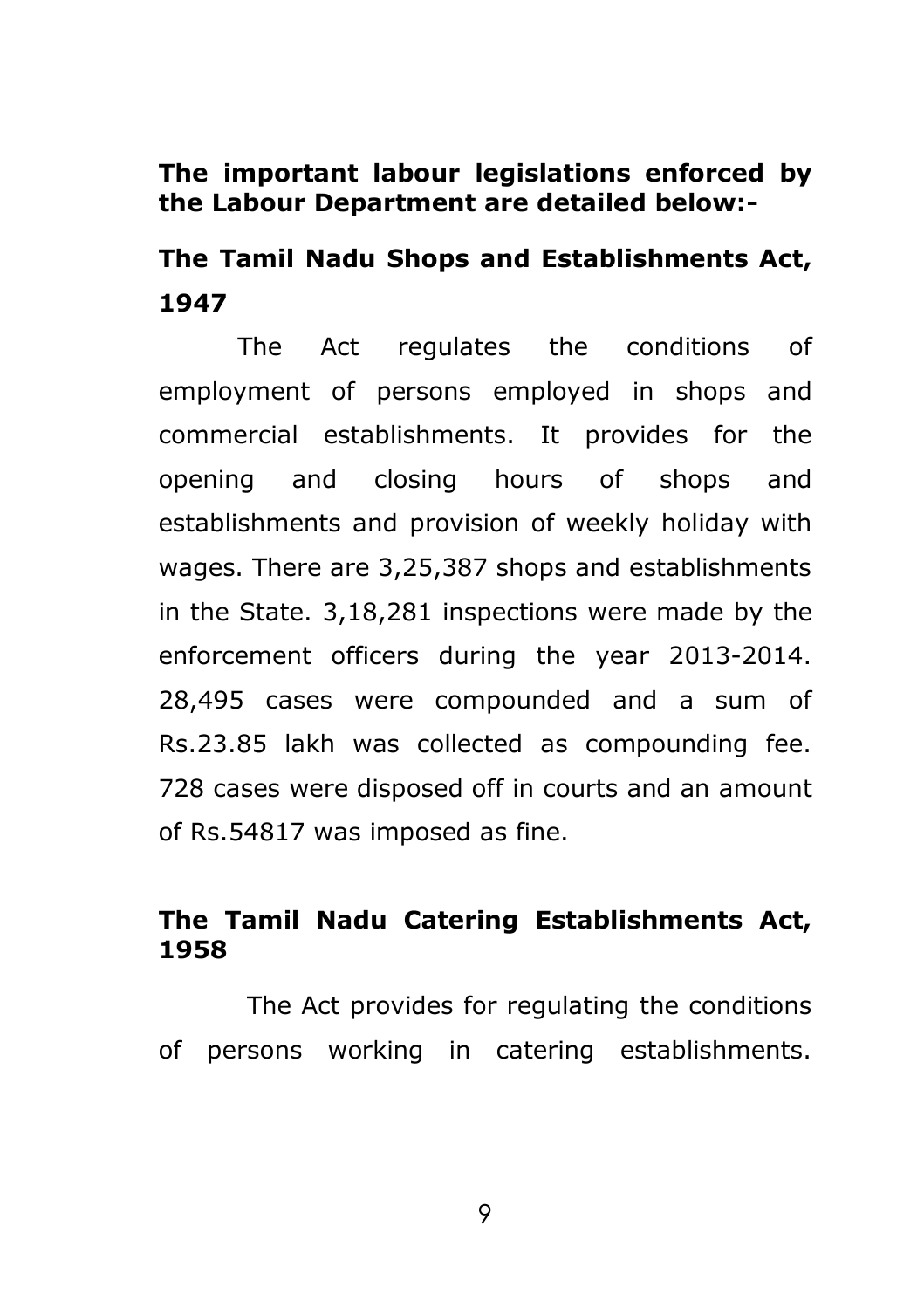#### **The important labour legislations enforced by the Labour Department are detailed below:-**

## **The Tamil Nadu Shops and Establishments Act, 1947**

The Act regulates the conditions of employment of persons employed in shops and commercial establishments. It provides for the opening and closing hours of shops and establishments and provision of weekly holiday with wages. There are 3,25,387 shops and establishments in the State. 3,18,281 inspections were made by the enforcement officers during the year 2013-2014. 28,495 cases were compounded and a sum of Rs.23.85 lakh was collected as compounding fee. 728 cases were disposed off in courts and an amount of Rs.54817 was imposed as fine.

## **The Tamil Nadu Catering Establishments Act, 1958**

The Act provides for regulating the conditions of persons working in catering establishments.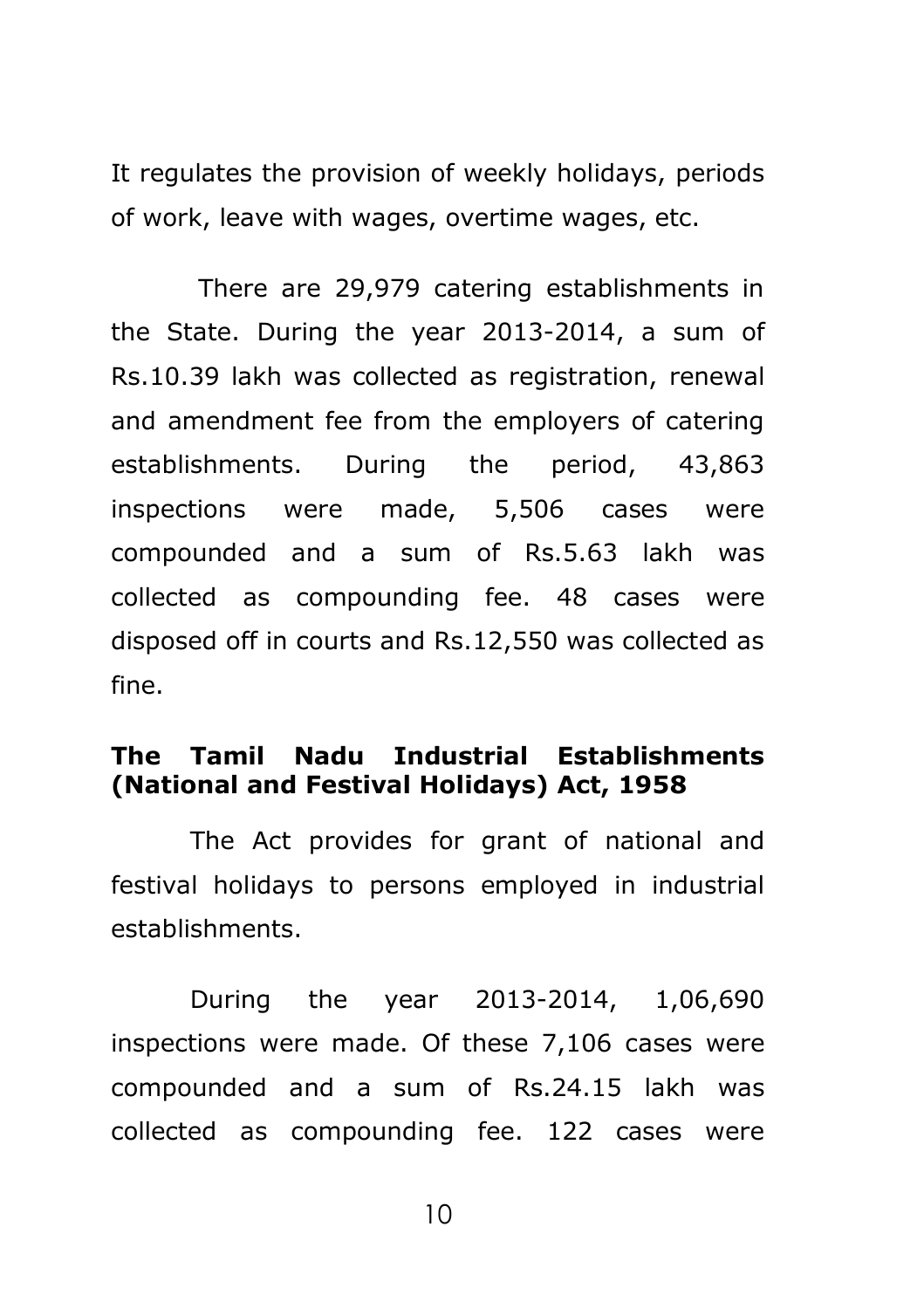It regulates the provision of weekly holidays, periods of work, leave with wages, overtime wages, etc.

There are 29,979 catering establishments in the State. During the year 2013-2014, a sum of Rs.10.39 lakh was collected as registration, renewal and amendment fee from the employers of catering establishments. During the period, 43,863 inspections were made, 5,506 cases were compounded and a sum of Rs.5.63 lakh was collected as compounding fee. 48 cases were disposed off in courts and Rs.12,550 was collected as fine.

### **The Tamil Nadu Industrial Establishments (National and Festival Holidays) Act, 1958**

The Act provides for grant of national and festival holidays to persons employed in industrial establishments.

During the year 2013-2014, 1,06,690 inspections were made. Of these 7,106 cases were compounded and a sum of Rs.24.15 lakh was collected as compounding fee. 122 cases were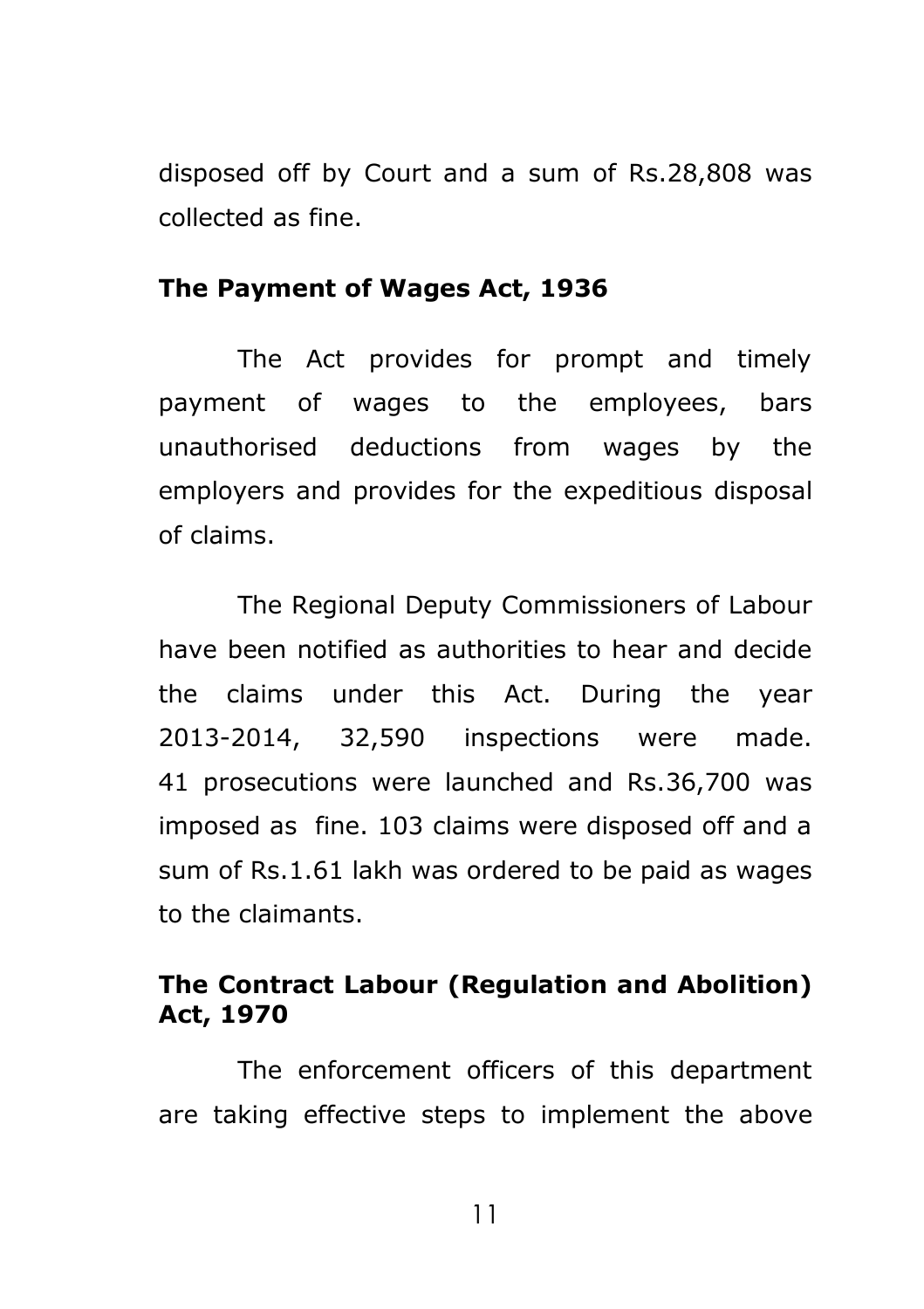disposed off by Court and a sum of Rs.28,808 was collected as fine.

#### **The Payment of Wages Act, 1936**

The Act provides for prompt and timely payment of wages to the employees, bars unauthorised deductions from wages by the employers and provides for the expeditious disposal of claims.

The Regional Deputy Commissioners of Labour have been notified as authorities to hear and decide the claims under this Act. During the year 2013-2014, 32,590 inspections were made. 41 prosecutions were launched and Rs.36,700 was imposed as fine. 103 claims were disposed off and a sum of Rs.1.61 lakh was ordered to be paid as wages to the claimants.

## **The Contract Labour (Regulation and Abolition) Act, 1970**

The enforcement officers of this department are taking effective steps to implement the above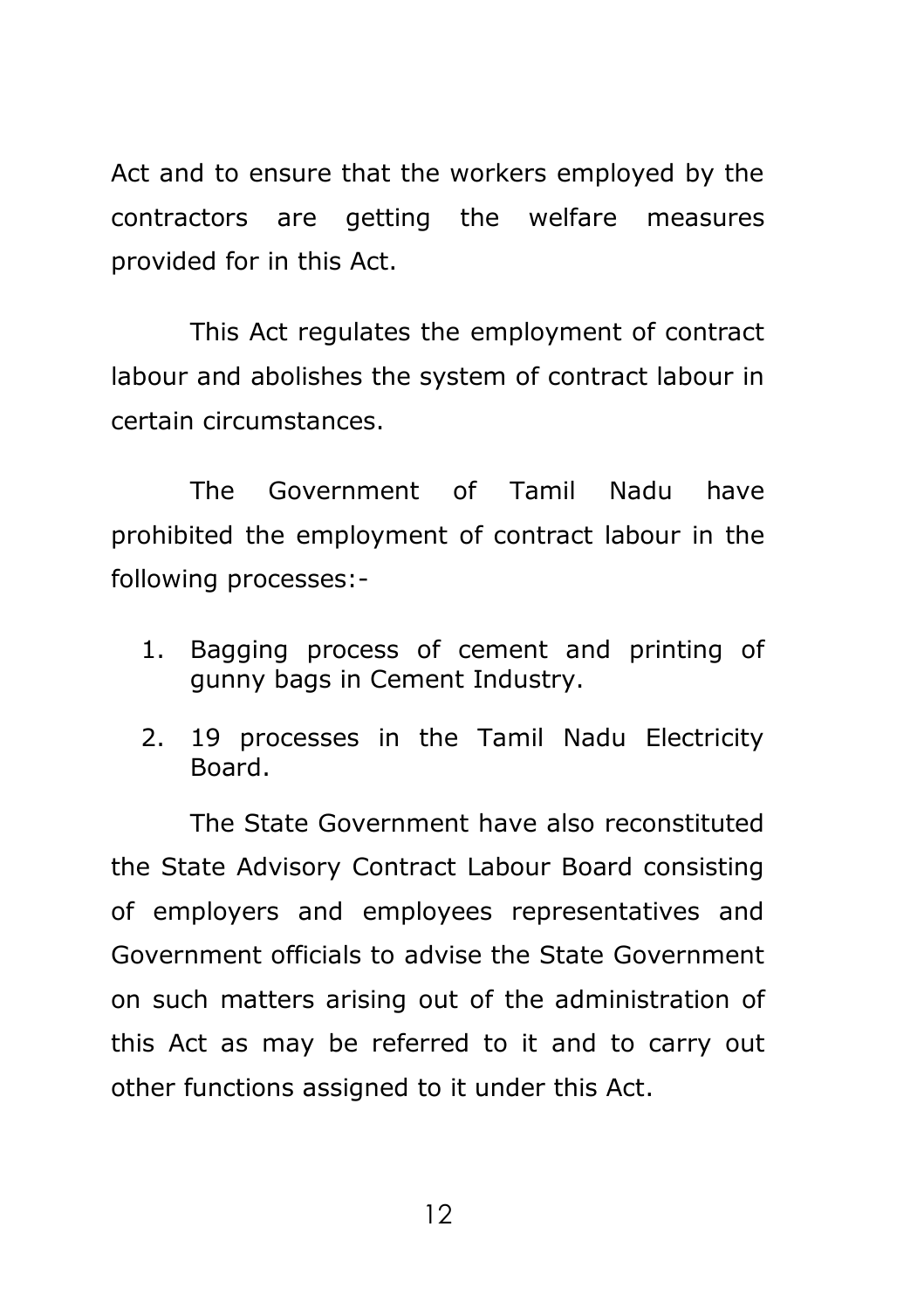Act and to ensure that the workers employed by the contractors are getting the welfare measures provided for in this Act.

This Act regulates the employment of contract labour and abolishes the system of contract labour in certain circumstances.

The Government of Tamil Nadu have prohibited the employment of contract labour in the following processes:-

- 1. Bagging process of cement and printing of gunny bags in Cement Industry.
- 2. 19 processes in the Tamil Nadu Electricity Board.

The State Government have also reconstituted the State Advisory Contract Labour Board consisting of employers and employees representatives and Government officials to advise the State Government on such matters arising out of the administration of this Act as may be referred to it and to carry out other functions assigned to it under this Act.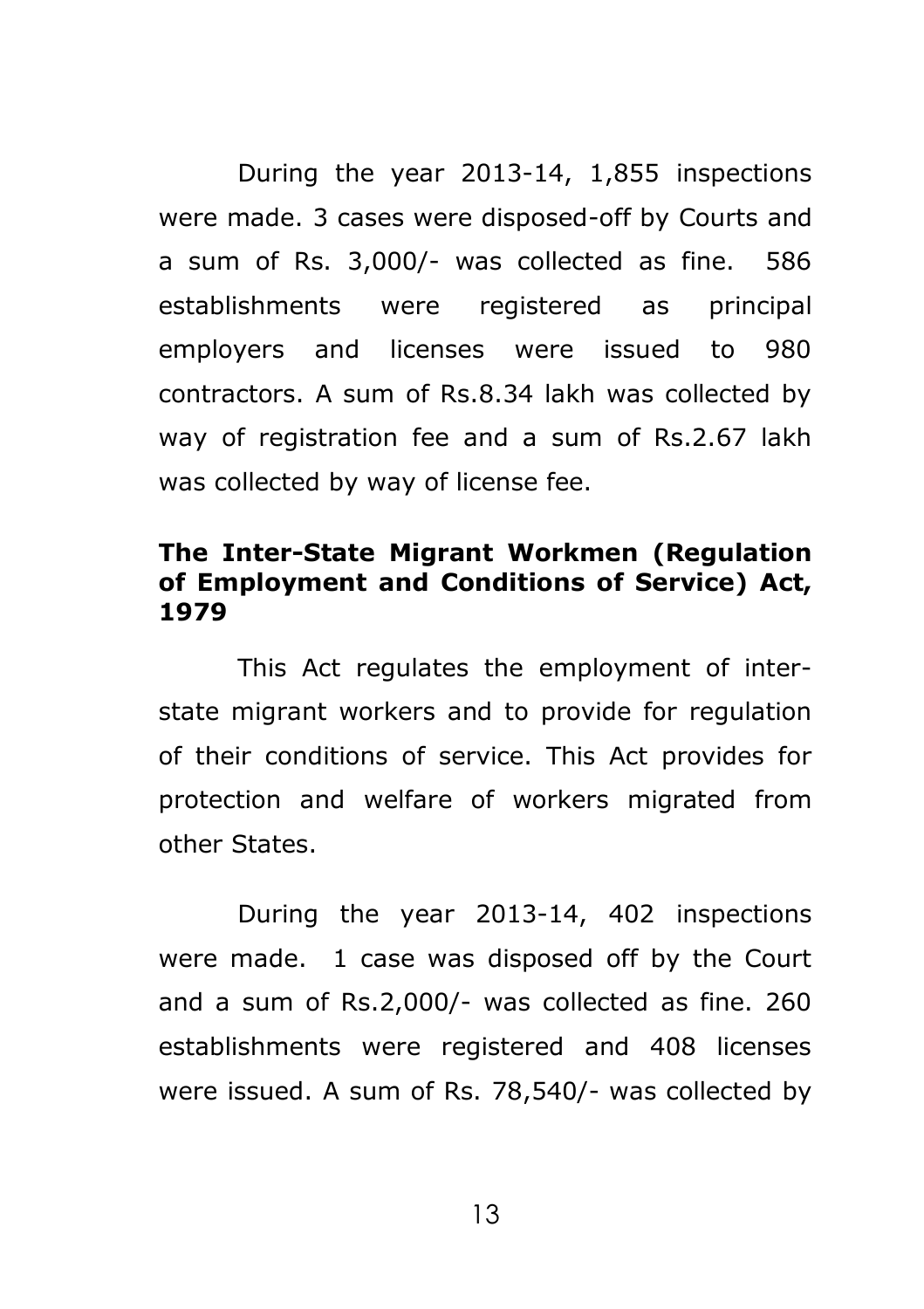During the year 2013-14, 1,855 inspections were made. 3 cases were disposed-off by Courts and a sum of Rs. 3,000/- was collected as fine. 586 establishments were registered as principal employers and licenses were issued to 980 contractors. A sum of Rs.8.34 lakh was collected by way of registration fee and a sum of Rs.2.67 lakh was collected by way of license fee.

### **The Inter-State Migrant Workmen (Regulation of Employment and Conditions of Service) Act, 1979**

This Act regulates the employment of interstate migrant workers and to provide for regulation of their conditions of service. This Act provides for protection and welfare of workers migrated from other States.

During the year 2013-14, 402 inspections were made. 1 case was disposed off by the Court and a sum of Rs.2,000/- was collected as fine. 260 establishments were registered and 408 licenses were issued. A sum of Rs. 78,540/- was collected by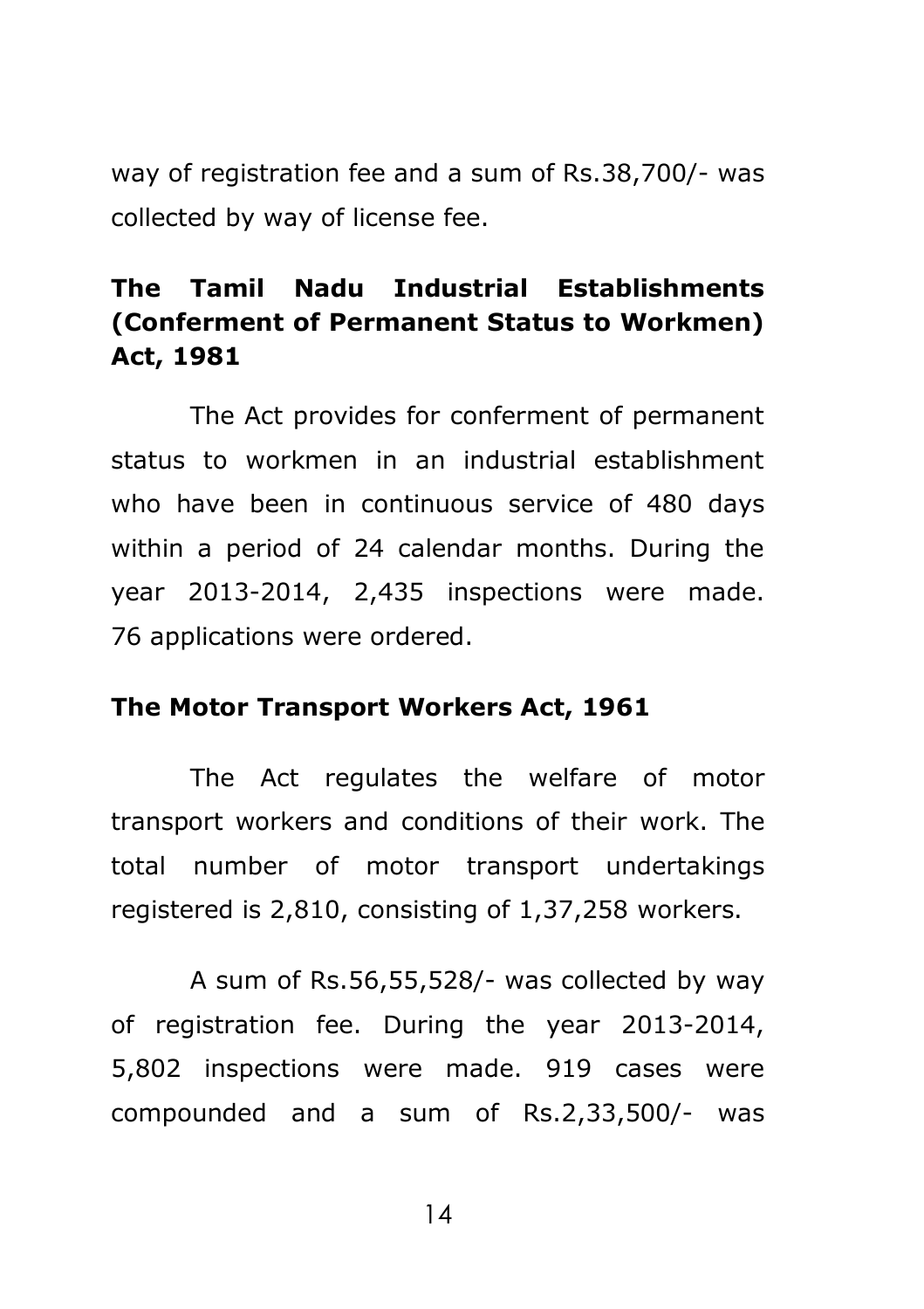way of registration fee and a sum of Rs.38,700/- was collected by way of license fee.

## **The Tamil Nadu Industrial Establishments (Conferment of Permanent Status to Workmen) Act, 1981**

The Act provides for conferment of permanent status to workmen in an industrial establishment who have been in continuous service of 480 days within a period of 24 calendar months. During the year 2013-2014, 2,435 inspections were made. 76 applications were ordered.

#### **The Motor Transport Workers Act, 1961**

The Act regulates the welfare of motor transport workers and conditions of their work. The total number of motor transport undertakings registered is 2,810, consisting of 1,37,258 workers.

A sum of Rs.56,55,528/- was collected by way of registration fee. During the year 2013-2014, 5,802 inspections were made. 919 cases were compounded and a sum of Rs.2,33,500/- was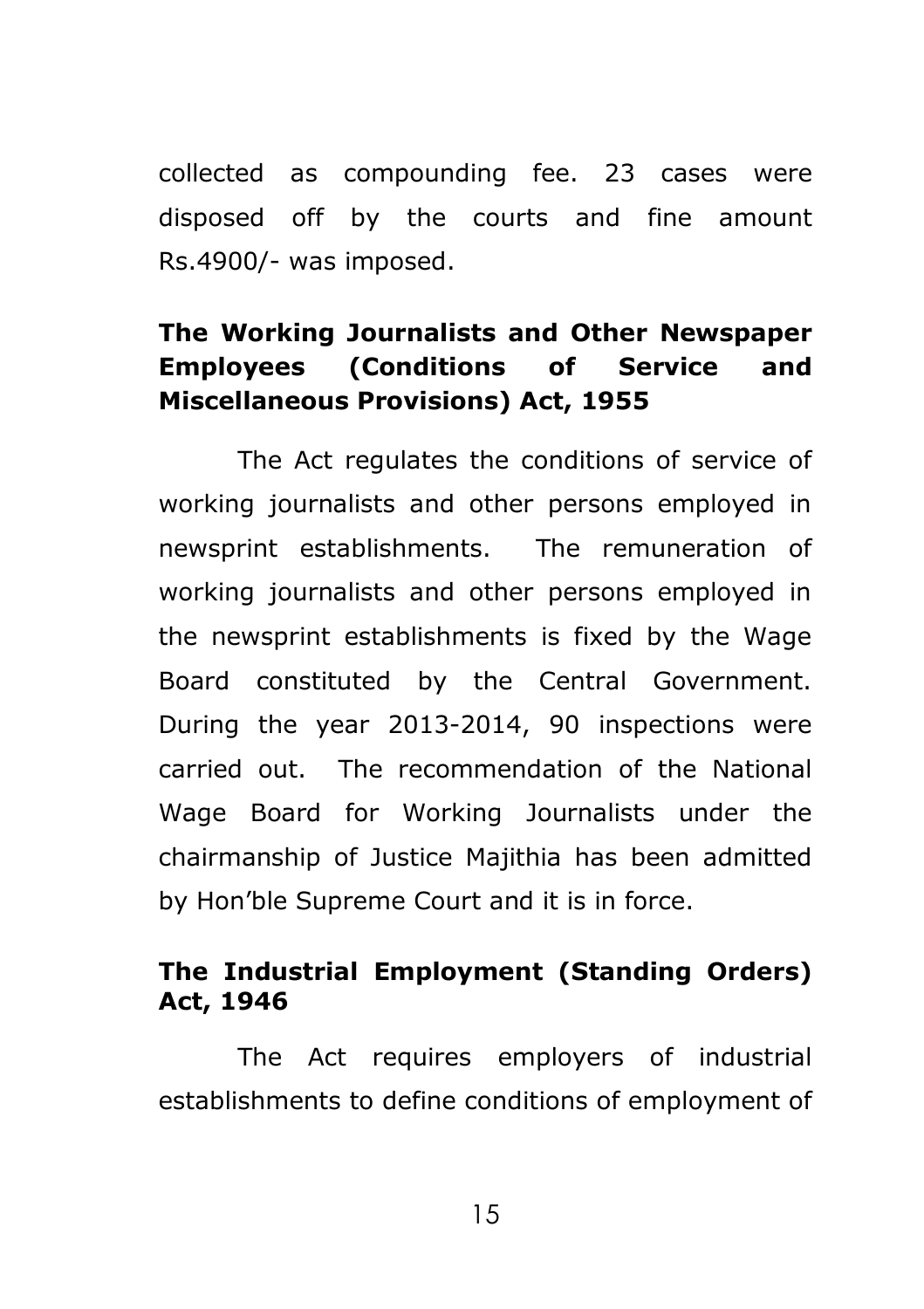collected as compounding fee. 23 cases were disposed off by the courts and fine amount Rs.4900/- was imposed.

## **The Working Journalists and Other Newspaper Employees (Conditions of Service and Miscellaneous Provisions) Act, 1955**

The Act regulates the conditions of service of working journalists and other persons employed in newsprint establishments. The remuneration of working journalists and other persons employed in the newsprint establishments is fixed by the Wage Board constituted by the Central Government. During the year 2013-2014, 90 inspections were carried out. The recommendation of the National Wage Board for Working Journalists under the chairmanship of Justice Majithia has been admitted by Hon'ble Supreme Court and it is in force.

## **The Industrial Employment (Standing Orders) Act, 1946**

The Act requires employers of industrial establishments to define conditions of employment of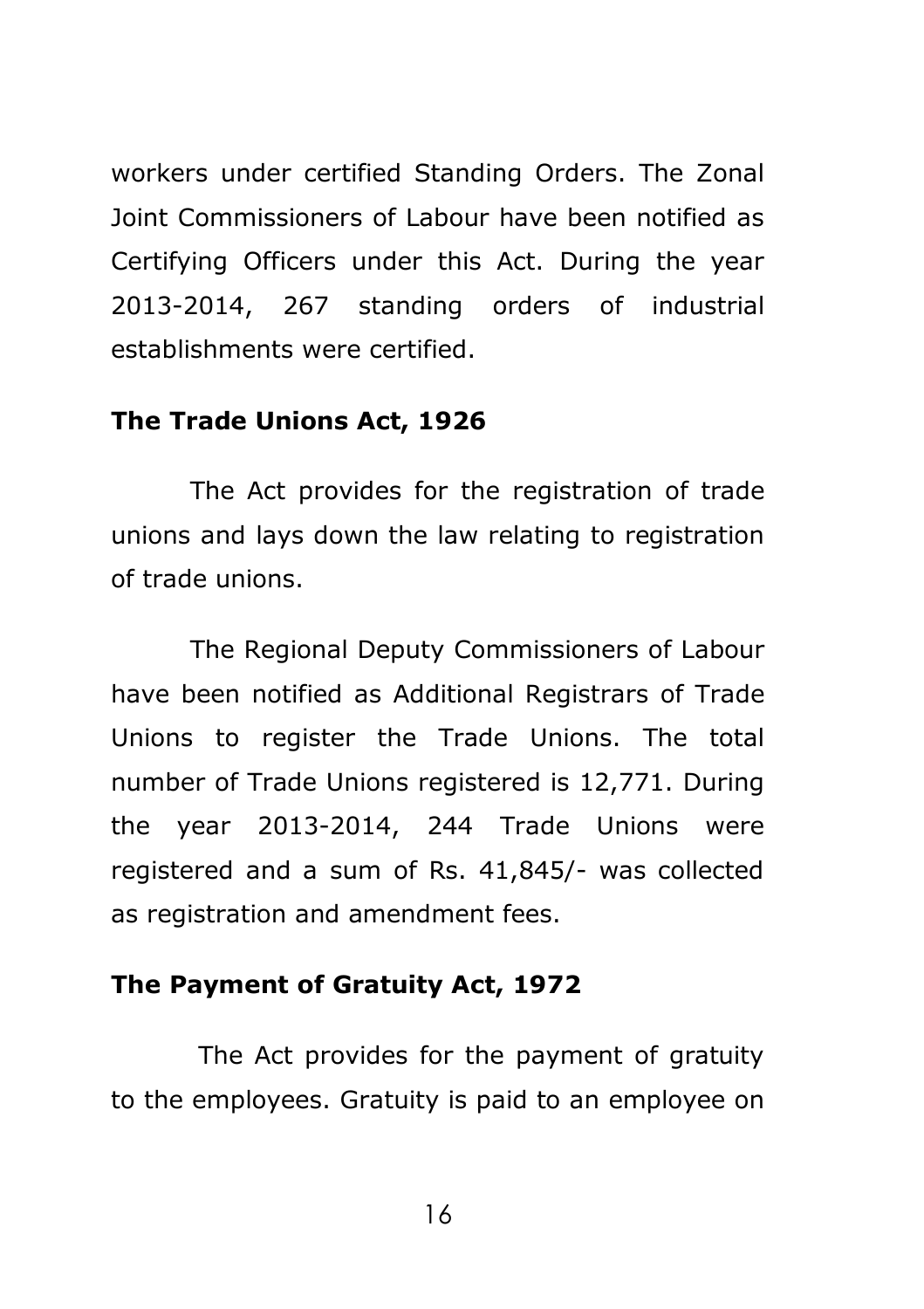workers under certified Standing Orders. The Zonal Joint Commissioners of Labour have been notified as Certifying Officers under this Act. During the year 2013-2014, 267 standing orders of industrial establishments were certified.

#### **The Trade Unions Act, 1926**

The Act provides for the registration of trade unions and lays down the law relating to registration of trade unions.

The Regional Deputy Commissioners of Labour have been notified as Additional Registrars of Trade Unions to register the Trade Unions. The total number of Trade Unions registered is 12,771. During the year 2013-2014, 244 Trade Unions were registered and a sum of Rs. 41,845/- was collected as registration and amendment fees.

### **The Payment of Gratuity Act, 1972**

The Act provides for the payment of gratuity to the employees. Gratuity is paid to an employee on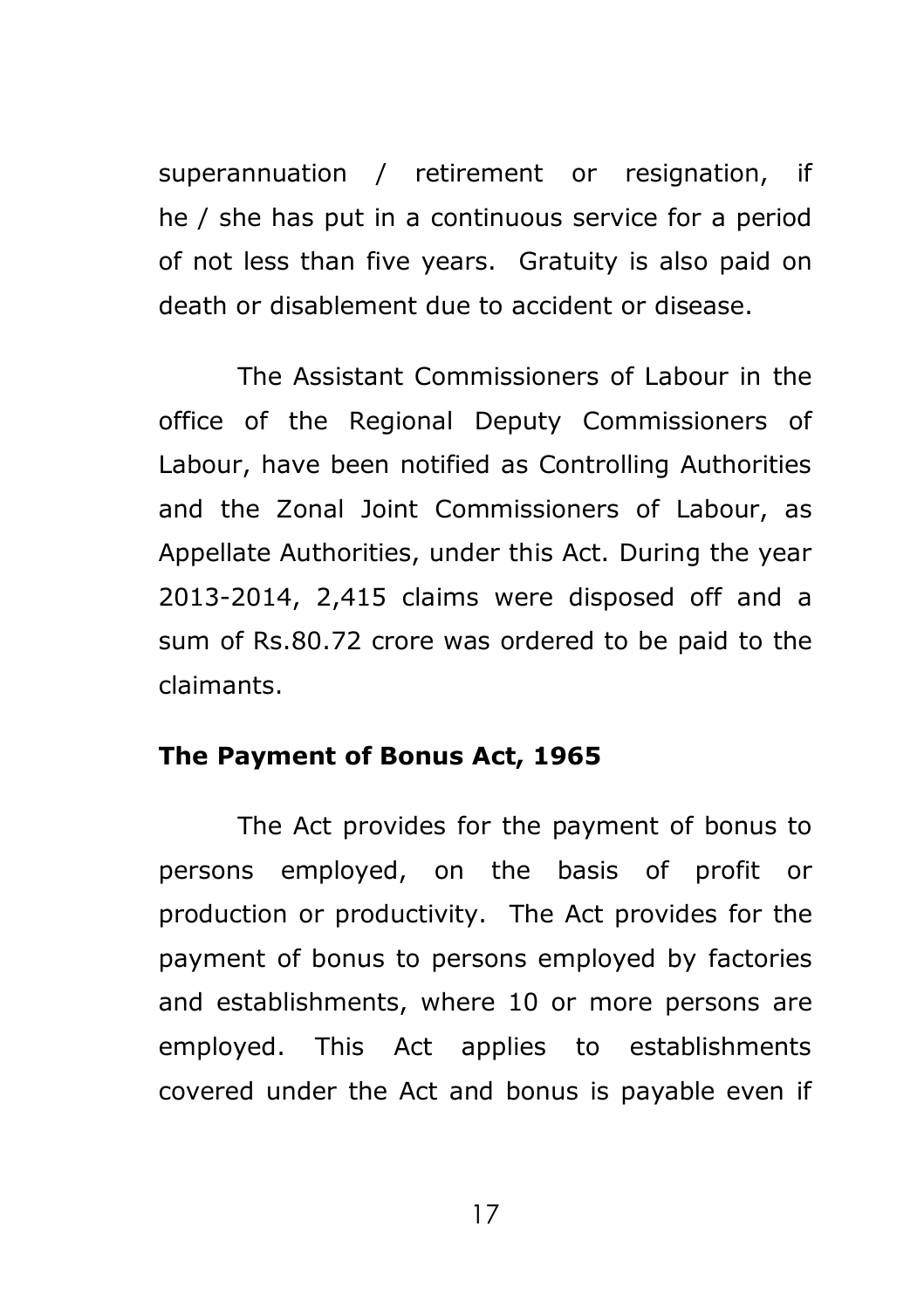superannuation / retirement or resignation, if he / she has put in a continuous service for a period of not less than five years. Gratuity is also paid on death or disablement due to accident or disease.

The Assistant Commissioners of Labour in the office of the Regional Deputy Commissioners of Labour, have been notified as Controlling Authorities and the Zonal Joint Commissioners of Labour, as Appellate Authorities, under this Act. During the year 2013-2014, 2,415 claims were disposed off and a sum of Rs.80.72 crore was ordered to be paid to the claimants.

## **The Payment of Bonus Act, 1965**

The Act provides for the payment of bonus to persons employed, on the basis of profit or production or productivity. The Act provides for the payment of bonus to persons employed by factories and establishments, where 10 or more persons are employed. This Act applies to establishments covered under the Act and bonus is payable even if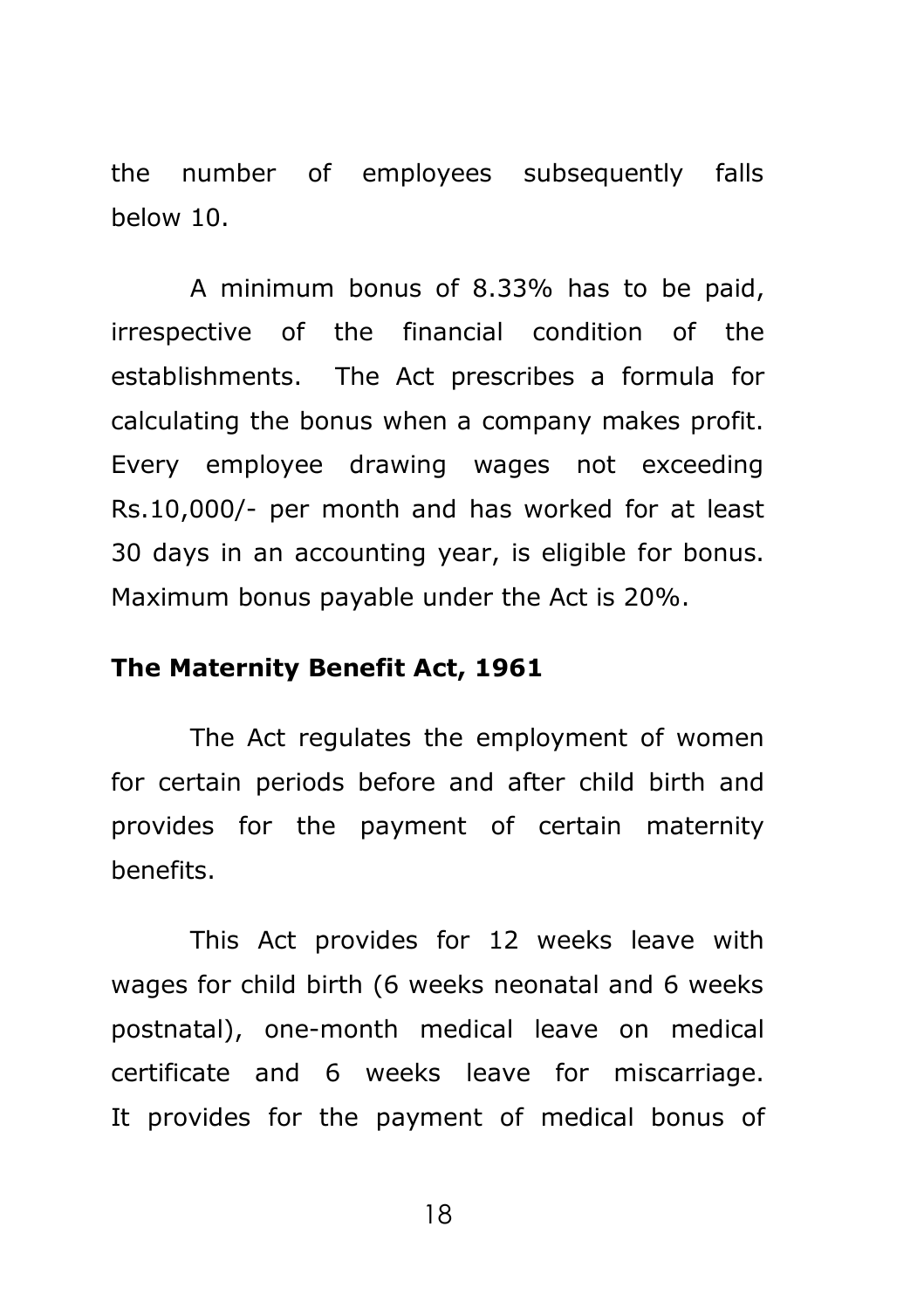the number of employees subsequently falls below 10.

A minimum bonus of 8.33% has to be paid, irrespective of the financial condition of the establishments. The Act prescribes a formula for calculating the bonus when a company makes profit. Every employee drawing wages not exceeding Rs.10,000/- per month and has worked for at least 30 days in an accounting year, is eligible for bonus. Maximum bonus payable under the Act is 20%.

## **The Maternity Benefit Act, 1961**

The Act regulates the employment of women for certain periods before and after child birth and provides for the payment of certain maternity benefits.

This Act provides for 12 weeks leave with wages for child birth (6 weeks neonatal and 6 weeks postnatal), one-month medical leave on medical certificate and 6 weeks leave for miscarriage. It provides for the payment of medical bonus of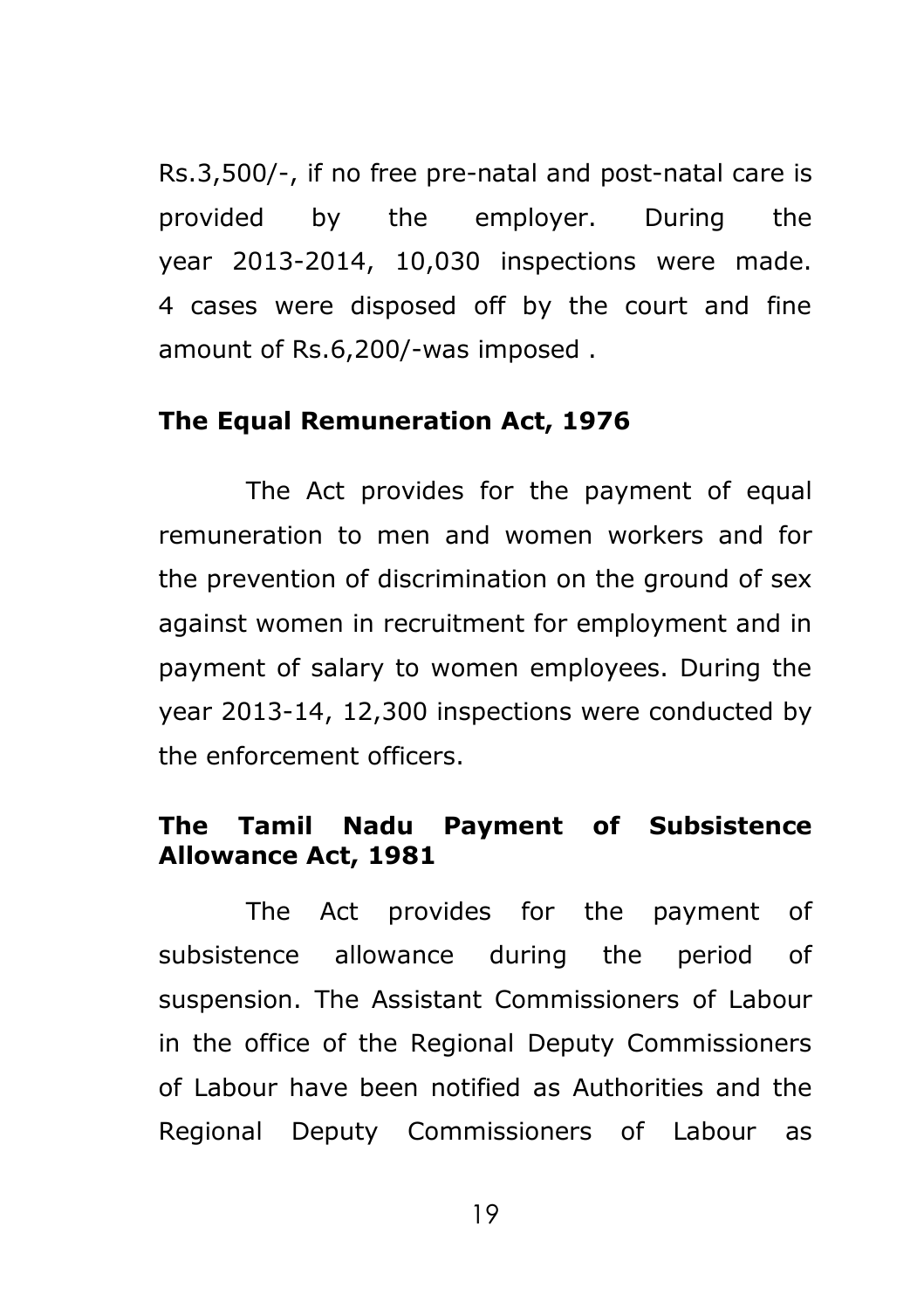Rs.3,500/-, if no free pre-natal and post-natal care is provided by the employer. During the year 2013-2014, 10,030 inspections were made. 4 cases were disposed off by the court and fine amount of Rs.6,200/-was imposed .

#### **The Equal Remuneration Act, 1976**

The Act provides for the payment of equal remuneration to men and women workers and for the prevention of discrimination on the ground of sex against women in recruitment for employment and in payment of salary to women employees. During the year 2013-14, 12,300 inspections were conducted by the enforcement officers.

## **The Tamil Nadu Payment of Subsistence Allowance Act, 1981**

The Act provides for the payment of subsistence allowance during the period of suspension. The Assistant Commissioners of Labour in the office of the Regional Deputy Commissioners of Labour have been notified as Authorities and the Regional Deputy Commissioners of Labour as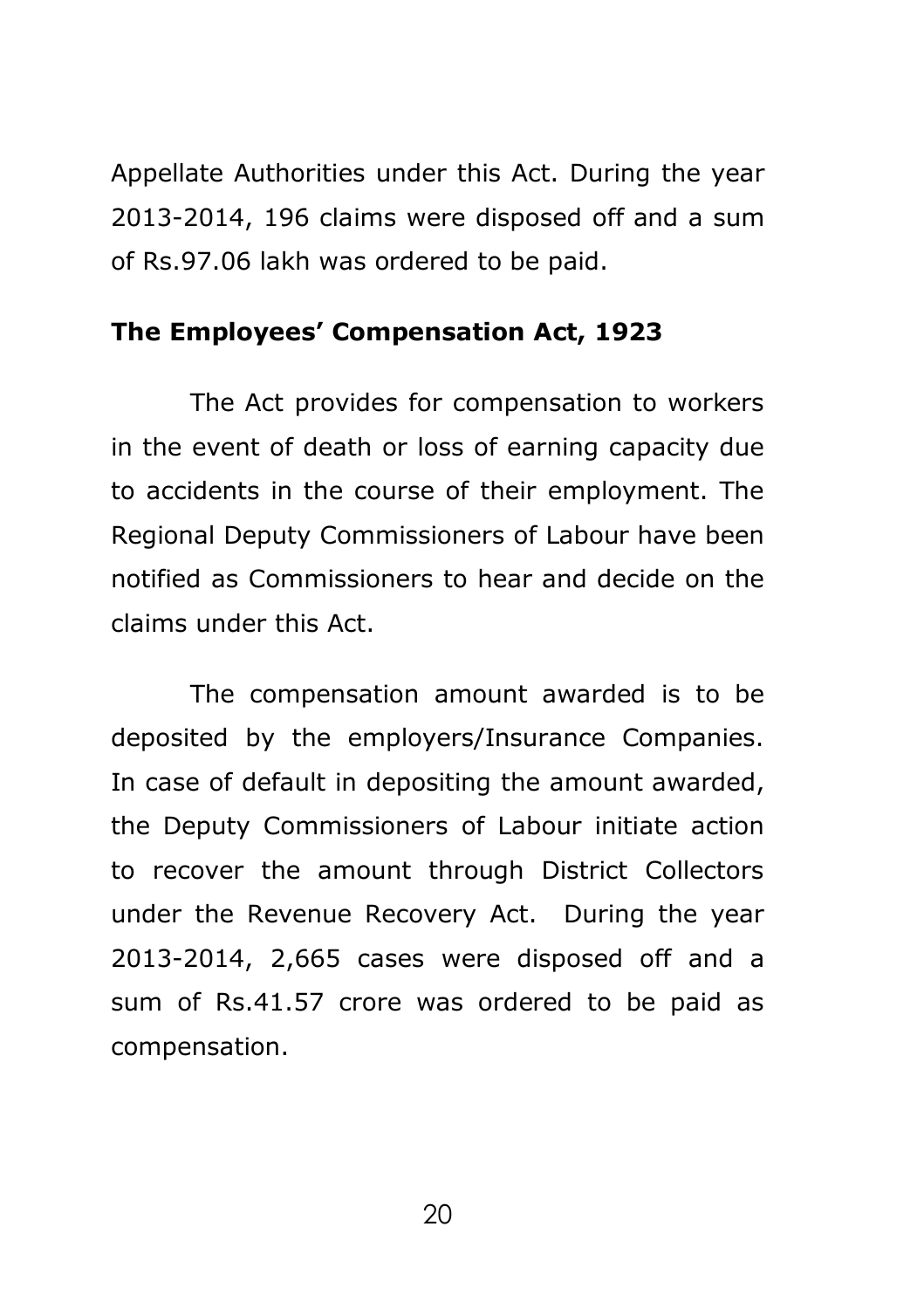Appellate Authorities under this Act. During the year 2013-2014, 196 claims were disposed off and a sum of Rs.97.06 lakh was ordered to be paid.

#### **The Employees' Compensation Act, 1923**

The Act provides for compensation to workers in the event of death or loss of earning capacity due to accidents in the course of their employment. The Regional Deputy Commissioners of Labour have been notified as Commissioners to hear and decide on the claims under this Act.

The compensation amount awarded is to be deposited by the employers/Insurance Companies. In case of default in depositing the amount awarded, the Deputy Commissioners of Labour initiate action to recover the amount through District Collectors under the Revenue Recovery Act. During the year 2013-2014, 2,665 cases were disposed off and a sum of Rs.41.57 crore was ordered to be paid as compensation.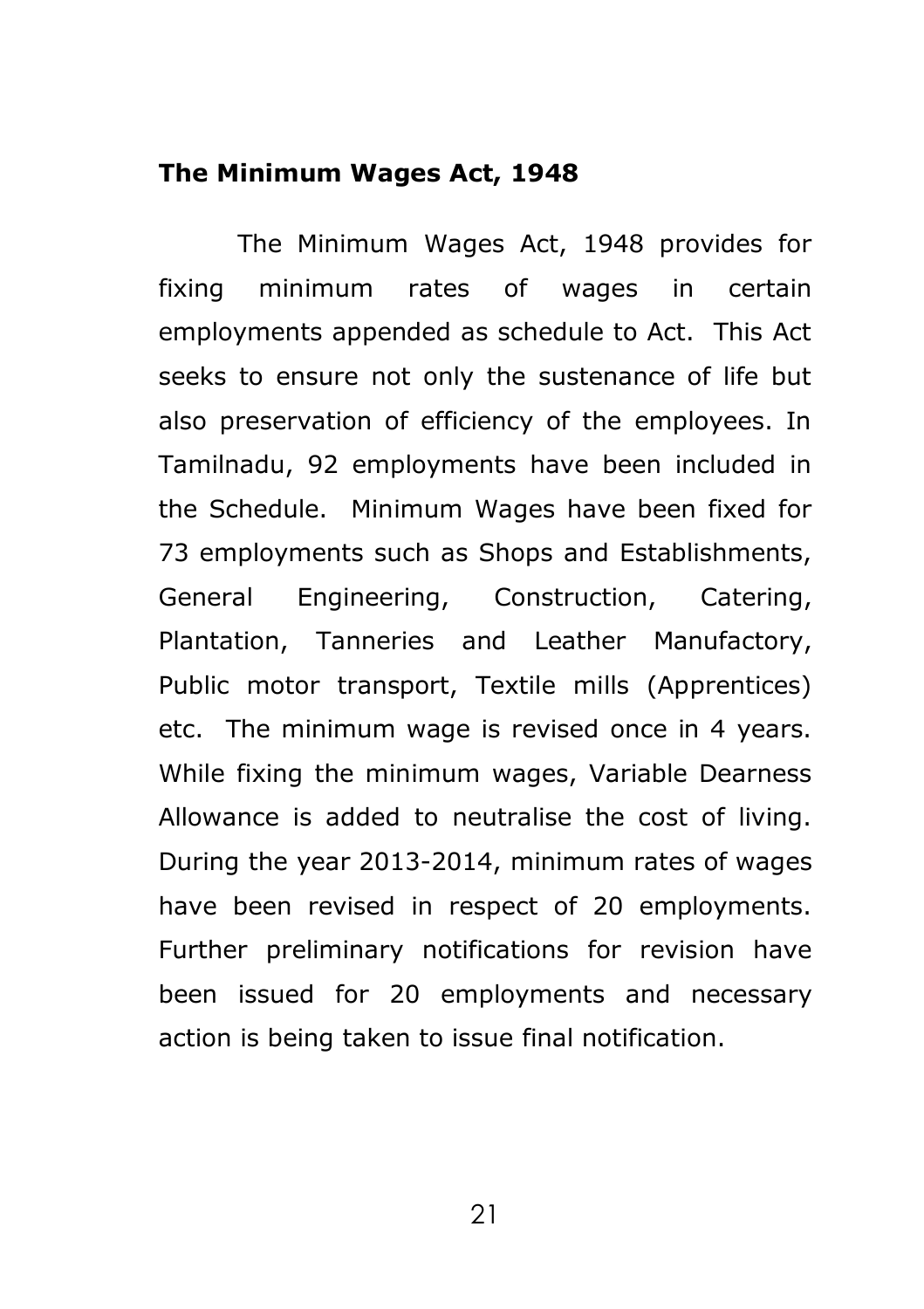#### **The Minimum Wages Act, 1948**

The Minimum Wages Act, 1948 provides for fixing minimum rates of wages in certain employments appended as schedule to Act. This Act seeks to ensure not only the sustenance of life but also preservation of efficiency of the employees. In Tamilnadu, 92 employments have been included in the Schedule. Minimum Wages have been fixed for 73 employments such as Shops and Establishments, General Engineering, Construction, Catering, Plantation, Tanneries and Leather Manufactory, Public motor transport, Textile mills (Apprentices) etc. The minimum wage is revised once in 4 years. While fixing the minimum wages, Variable Dearness Allowance is added to neutralise the cost of living. During the year 2013-2014, minimum rates of wages have been revised in respect of 20 employments. Further preliminary notifications for revision have been issued for 20 employments and necessary action is being taken to issue final notification.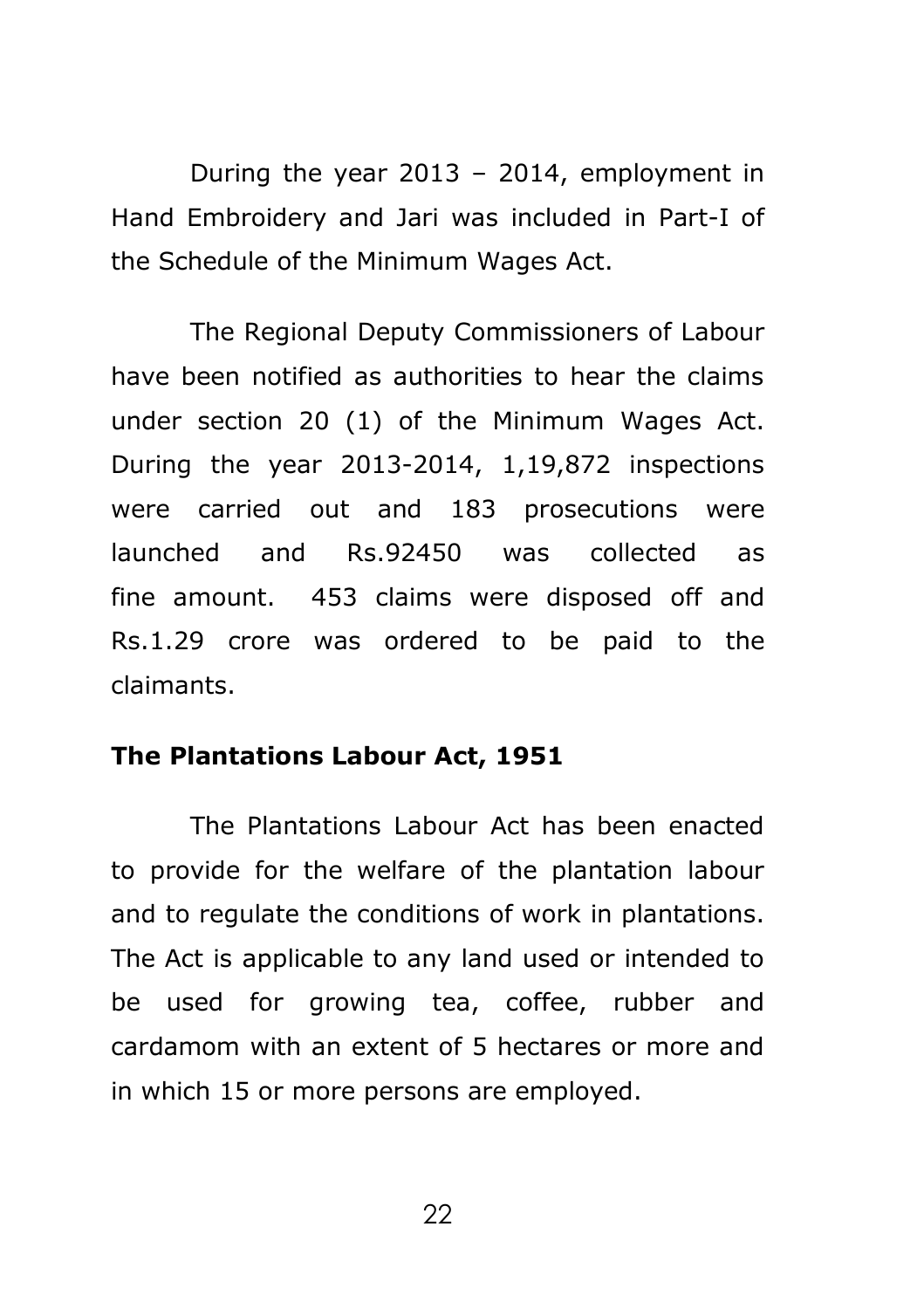During the year 2013 – 2014, employment in Hand Embroidery and Jari was included in Part-I of the Schedule of the Minimum Wages Act.

The Regional Deputy Commissioners of Labour have been notified as authorities to hear the claims under section 20 (1) of the Minimum Wages Act. During the year 2013-2014, 1,19,872 inspections were carried out and 183 prosecutions were launched and Rs.92450 was collected as fine amount. 453 claims were disposed off and Rs.1.29 crore was ordered to be paid to the claimants.

#### **The Plantations Labour Act, 1951**

The Plantations Labour Act has been enacted to provide for the welfare of the plantation labour and to regulate the conditions of work in plantations. The Act is applicable to any land used or intended to be used for growing tea, coffee, rubber and cardamom with an extent of 5 hectares or more and in which 15 or more persons are employed.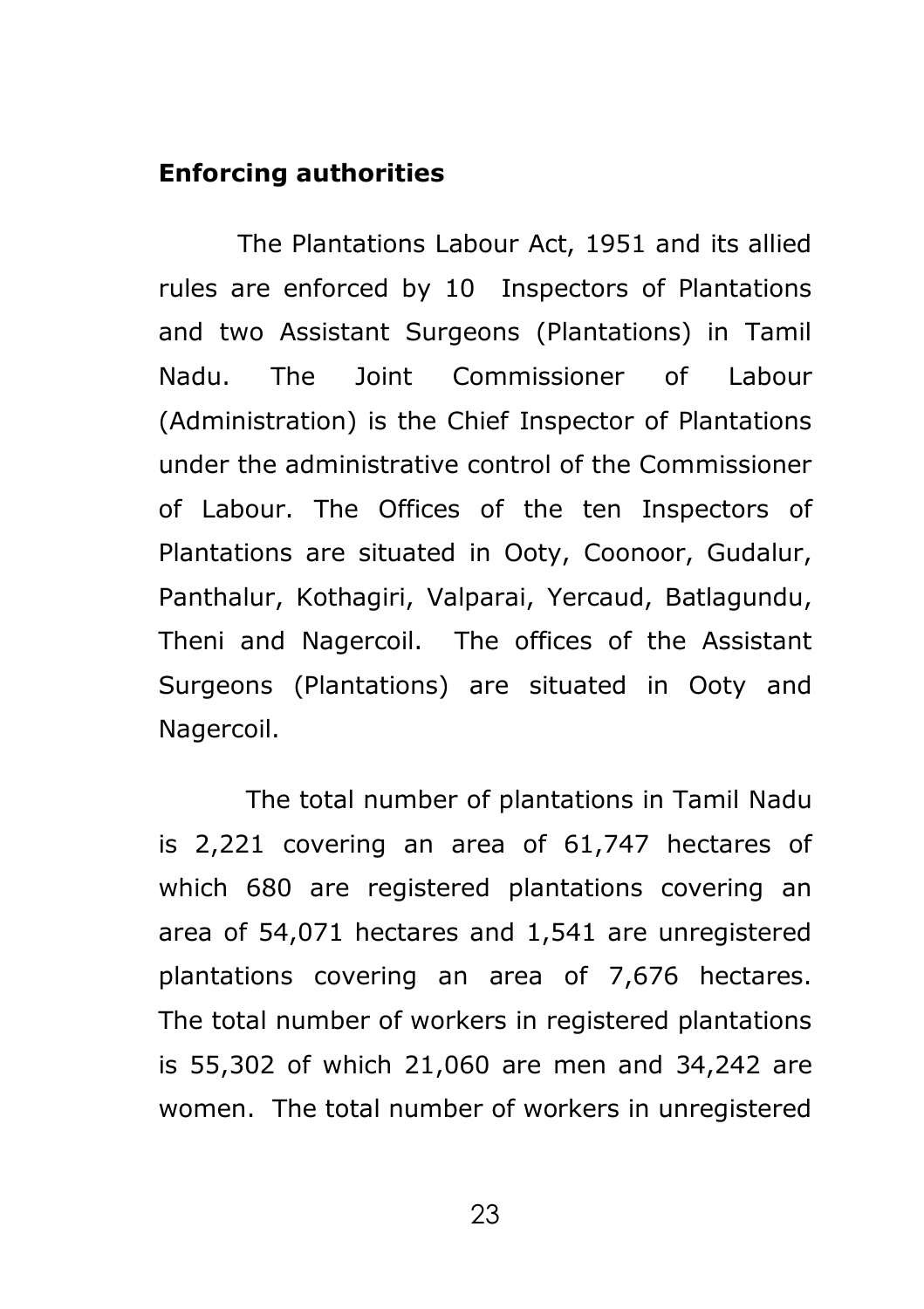#### **Enforcing authorities**

The Plantations Labour Act, 1951 and its allied rules are enforced by 10 Inspectors of Plantations and two Assistant Surgeons (Plantations) in Tamil Nadu. The Joint Commissioner of Labour (Administration) is the Chief Inspector of Plantations under the administrative control of the Commissioner of Labour. The Offices of the ten Inspectors of Plantations are situated in Ooty, Coonoor, Gudalur, Panthalur, Kothagiri, Valparai, Yercaud, Batlagundu, Theni and Nagercoil. The offices of the Assistant Surgeons (Plantations) are situated in Ooty and Nagercoil.

The total number of plantations in Tamil Nadu is 2,221 covering an area of 61,747 hectares of which 680 are registered plantations covering an area of 54,071 hectares and 1,541 are unregistered plantations covering an area of 7,676 hectares. The total number of workers in registered plantations is 55,302 of which 21,060 are men and 34,242 are women. The total number of workers in unregistered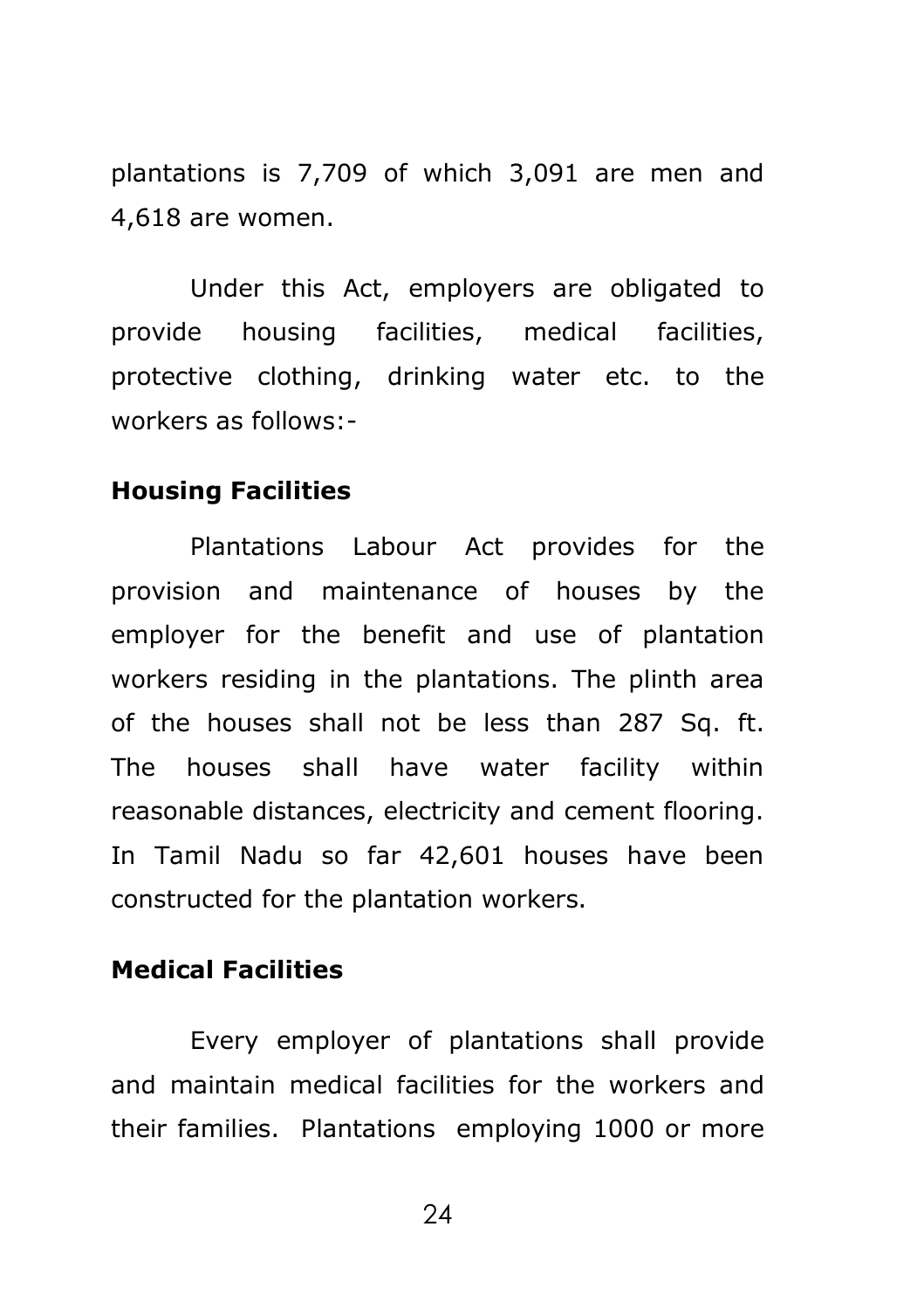plantations is 7,709 of which 3,091 are men and 4,618 are women.

 Under this Act, employers are obligated to provide housing facilities, medical facilities, protective clothing, drinking water etc. to the workers as follows:-

#### **Housing Facilities**

Plantations Labour Act provides for the provision and maintenance of houses by the employer for the benefit and use of plantation workers residing in the plantations. The plinth area of the houses shall not be less than 287 Sq. ft. The houses shall have water facility within reasonable distances, electricity and cement flooring. In Tamil Nadu so far 42,601 houses have been constructed for the plantation workers.

#### **Medical Facilities**

Every employer of plantations shall provide and maintain medical facilities for the workers and their families. Plantations employing 1000 or more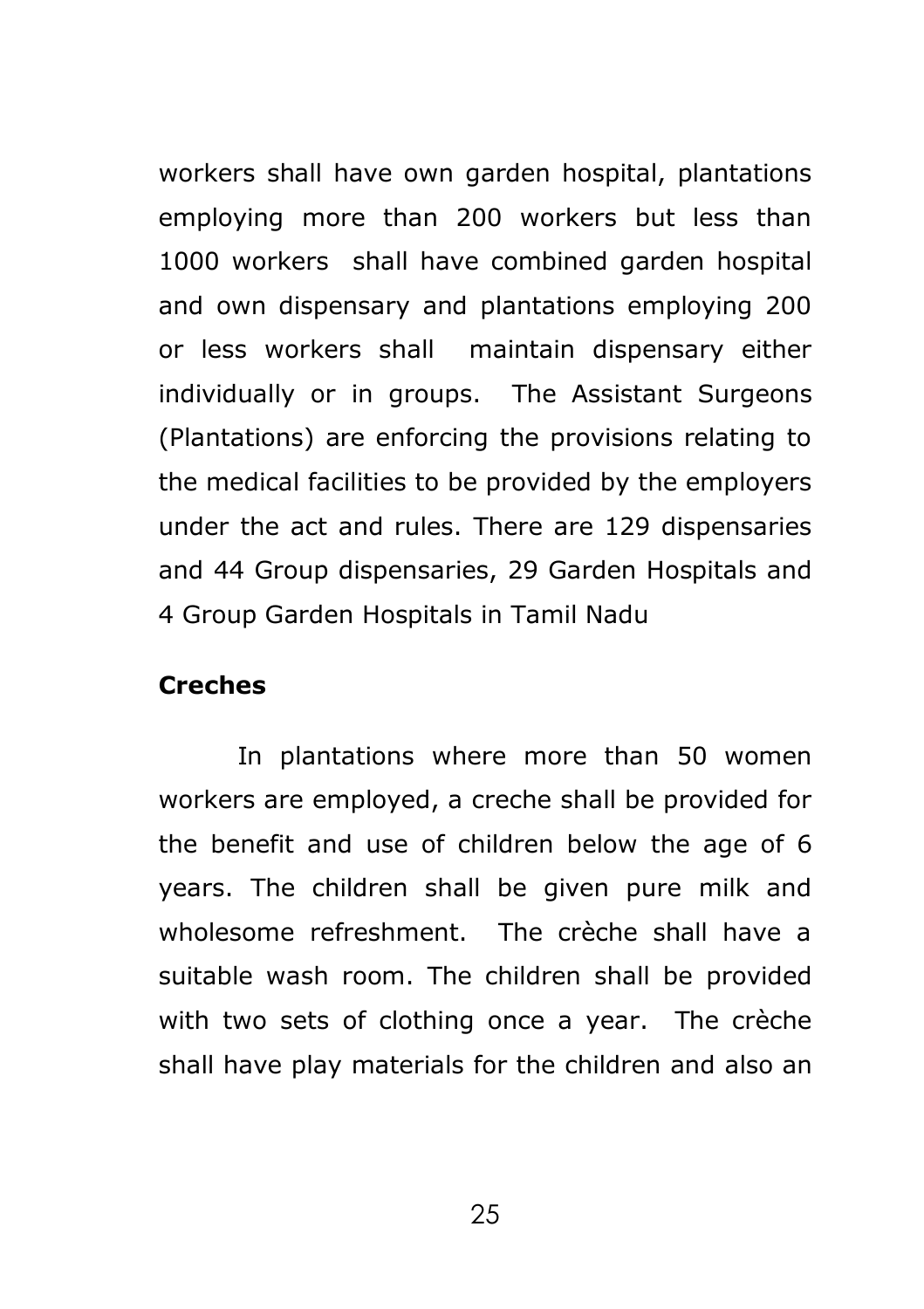workers shall have own garden hospital, plantations employing more than 200 workers but less than 1000 workers shall have combined garden hospital and own dispensary and plantations employing 200 or less workers shall maintain dispensary either individually or in groups. The Assistant Surgeons (Plantations) are enforcing the provisions relating to the medical facilities to be provided by the employers under the act and rules. There are 129 dispensaries and 44 Group dispensaries, 29 Garden Hospitals and 4 Group Garden Hospitals in Tamil Nadu

#### **Creches**

 In plantations where more than 50 women workers are employed, a creche shall be provided for the benefit and use of children below the age of 6 years. The children shall be given pure milk and wholesome refreshment. The crèche shall have a suitable wash room. The children shall be provided with two sets of clothing once a year. The crèche shall have play materials for the children and also an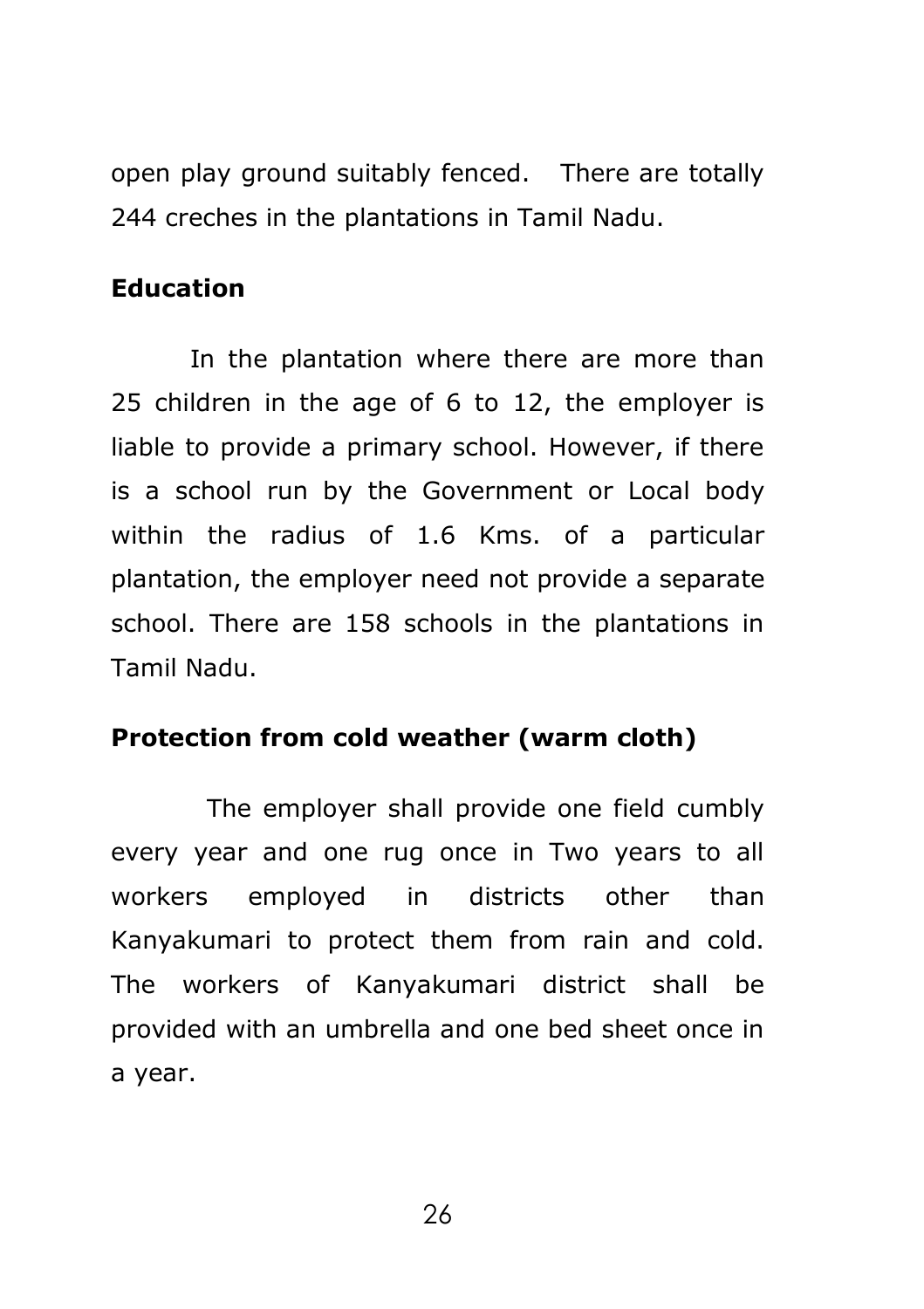open play ground suitably fenced. There are totally 244 creches in the plantations in Tamil Nadu.

## **Education**

 In the plantation where there are more than 25 children in the age of 6 to 12, the employer is liable to provide a primary school. However, if there is a school run by the Government or Local body within the radius of 1.6 Kms. of a particular plantation, the employer need not provide a separate school. There are 158 schools in the plantations in Tamil Nadu.

### **Protection from cold weather (warm cloth)**

 The employer shall provide one field cumbly every year and one rug once in Two years to all workers employed in districts other than Kanyakumari to protect them from rain and cold. The workers of Kanyakumari district shall be provided with an umbrella and one bed sheet once in a year.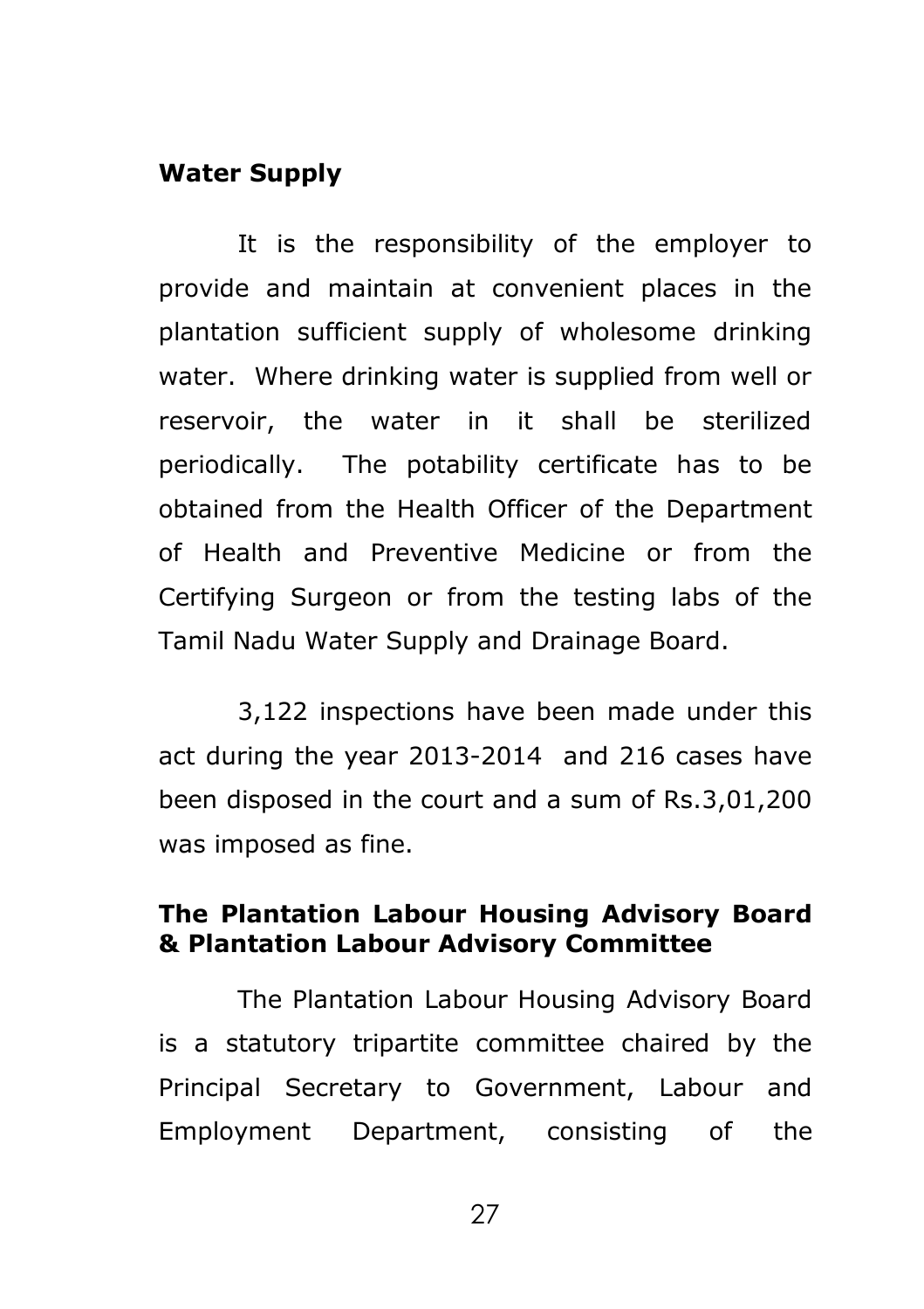#### **Water Supply**

 It is the responsibility of the employer to provide and maintain at convenient places in the plantation sufficient supply of wholesome drinking water. Where drinking water is supplied from well or reservoir, the water in it shall be sterilized periodically. The potability certificate has to be obtained from the Health Officer of the Department of Health and Preventive Medicine or from the Certifying Surgeon or from the testing labs of the Tamil Nadu Water Supply and Drainage Board.

3,122 inspections have been made under this act during the year 2013-2014 and 216 cases have been disposed in the court and a sum of Rs.3,01,200 was imposed as fine.

## **The Plantation Labour Housing Advisory Board & Plantation Labour Advisory Committee**

 The Plantation Labour Housing Advisory Board is a statutory tripartite committee chaired by the Principal Secretary to Government, Labour and Employment Department, consisting of the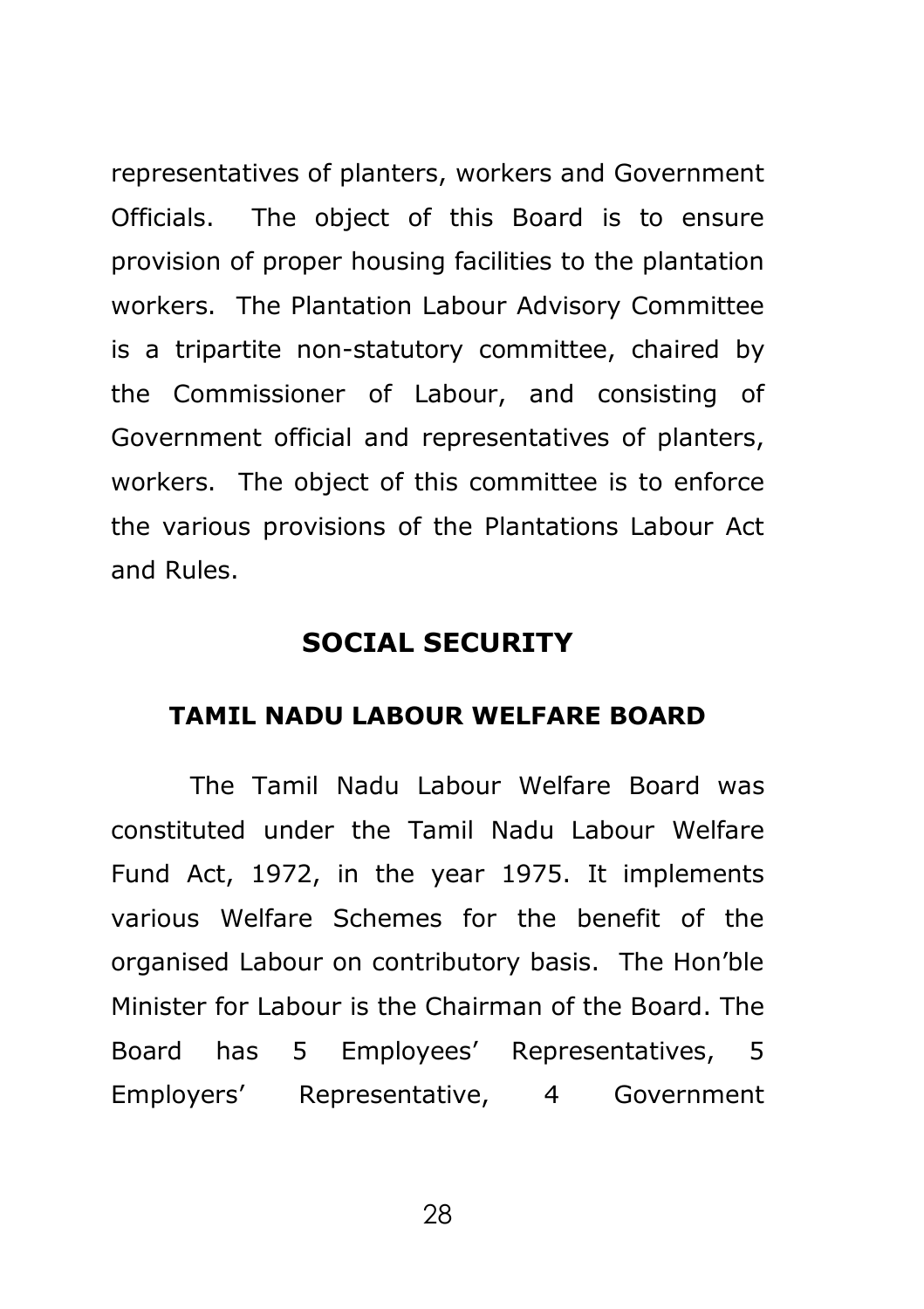representatives of planters, workers and Government Officials. The object of this Board is to ensure provision of proper housing facilities to the plantation workers. The Plantation Labour Advisory Committee is a tripartite non-statutory committee, chaired by the Commissioner of Labour, and consisting of Government official and representatives of planters, workers. The object of this committee is to enforce the various provisions of the Plantations Labour Act and Rules.

### **SOCIAL SECURITY**

#### **TAMIL NADU LABOUR WELFARE BOARD**

The Tamil Nadu Labour Welfare Board was constituted under the Tamil Nadu Labour Welfare Fund Act, 1972, in the year 1975. It implements various Welfare Schemes for the benefit of the organised Labour on contributory basis. The Hon'ble Minister for Labour is the Chairman of the Board. The Board has 5 Employees' Representatives, 5 Employers' Representative, 4 Government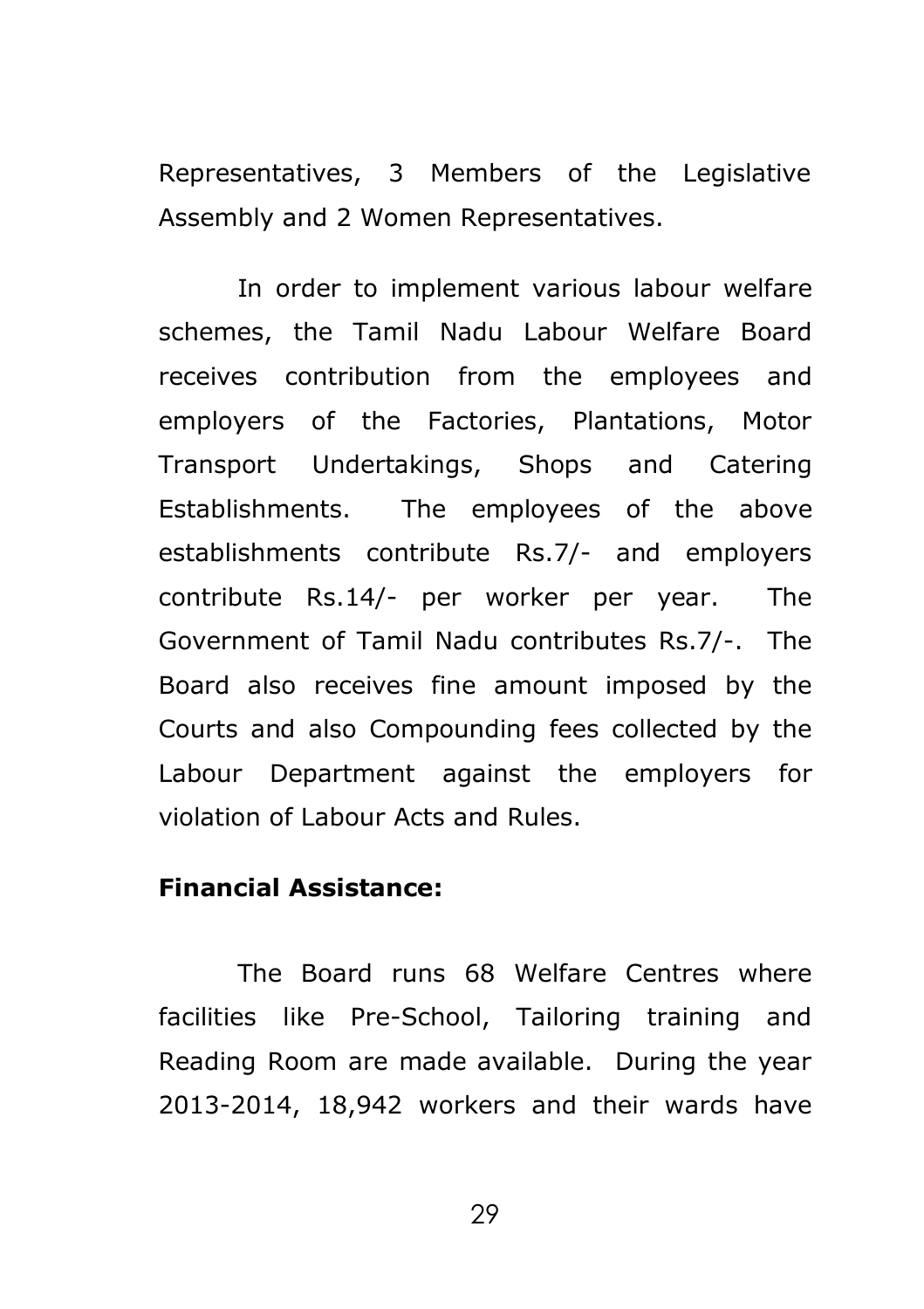Representatives, 3 Members of the Legislative Assembly and 2 Women Representatives.

 In order to implement various labour welfare schemes, the Tamil Nadu Labour Welfare Board receives contribution from the employees and employers of the Factories, Plantations, Motor Transport Undertakings, Shops and Catering Establishments. The employees of the above establishments contribute Rs.7/- and employers contribute Rs.14/- per worker per year. The Government of Tamil Nadu contributes Rs.7/-. The Board also receives fine amount imposed by the Courts and also Compounding fees collected by the Labour Department against the employers for violation of Labour Acts and Rules.

## **Financial Assistance:**

The Board runs 68 Welfare Centres where facilities like Pre-School, Tailoring training and Reading Room are made available. During the year 2013-2014, 18,942 workers and their wards have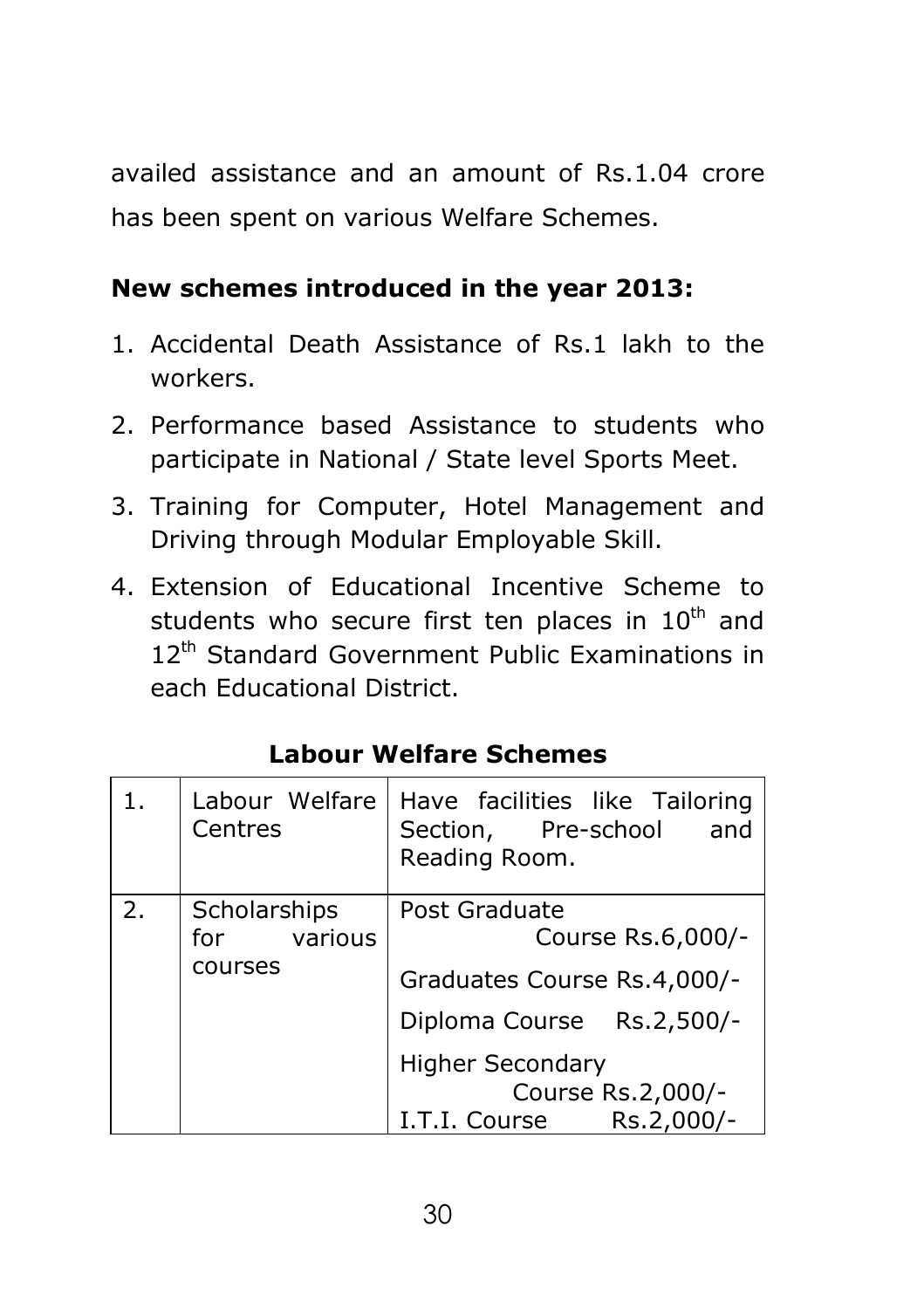availed assistance and an amount of Rs.1.04 crore has been spent on various Welfare Schemes.

## **New schemes introduced in the year 2013:**

- 1. Accidental Death Assistance of Rs.1 lakh to the workers.
- 2. Performance based Assistance to students who participate in National / State level Sports Meet.
- 3. Training for Computer, Hotel Management and Driving through Modular Employable Skill.
- 4. Extension of Educational Incentive Scheme to students who secure first ten places in  $10<sup>th</sup>$  and 12<sup>th</sup> Standard Government Public Examinations in each Educational District.

| 1. | Labour Welfare<br>Centres                 | Have facilities like Tailoring<br>Section, Pre-school<br>and<br>Reading Room.                                                                                                 |
|----|-------------------------------------------|-------------------------------------------------------------------------------------------------------------------------------------------------------------------------------|
| 2. | Scholarships<br>various<br>for<br>courses | Post Graduate<br>Course Rs.6,000/-<br>Graduates Course Rs.4,000/-<br>Diploma Course Rs.2,500/-<br><b>Higher Secondary</b><br>Course Rs.2,000/-<br>Rs.2,000/-<br>I.T.I. Course |

## **Labour Welfare Schemes**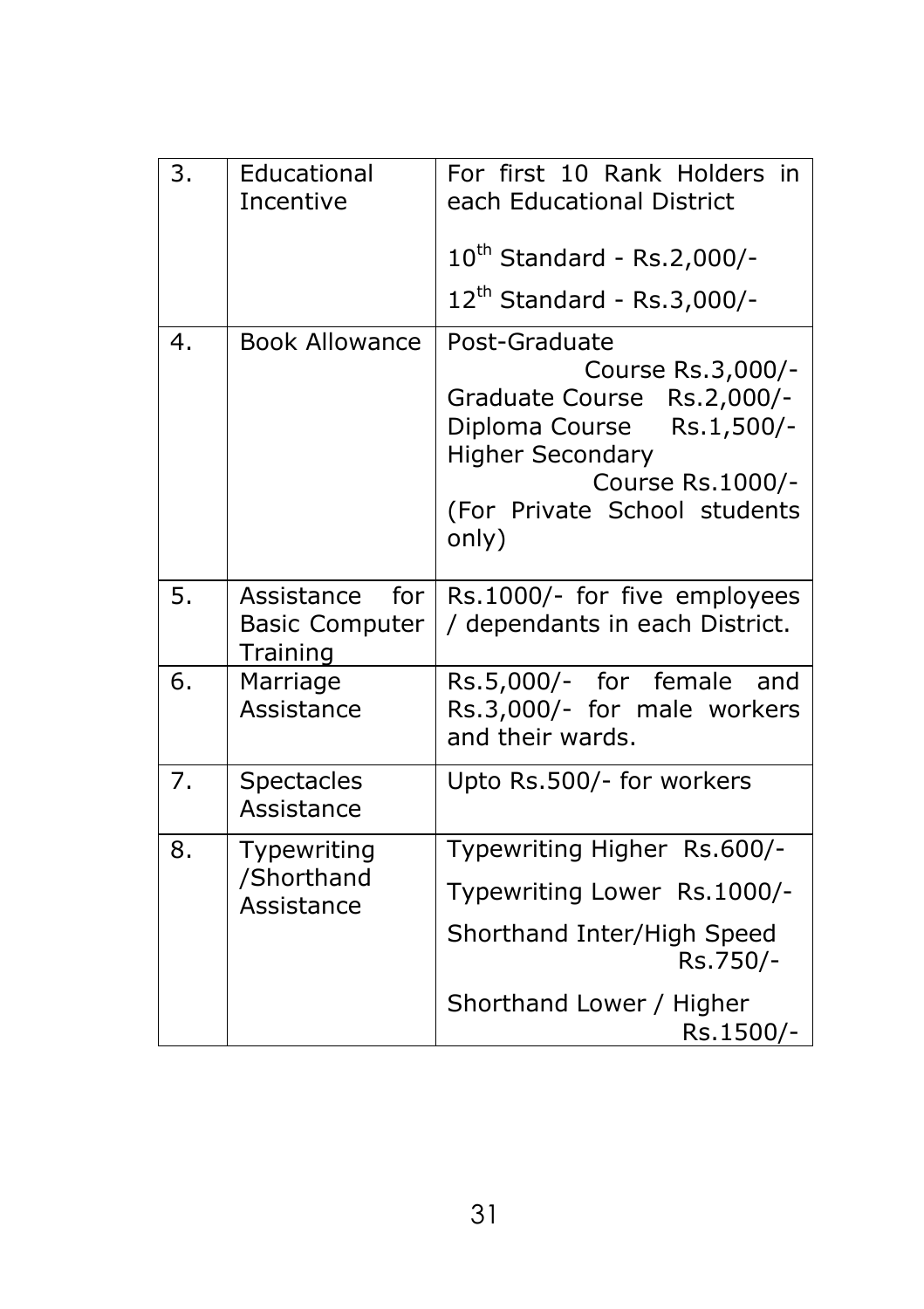| 3. | Educational<br>Incentive                               | For first 10 Rank Holders in<br>each Educational District                                                                                                                             |
|----|--------------------------------------------------------|---------------------------------------------------------------------------------------------------------------------------------------------------------------------------------------|
|    |                                                        | 10 <sup>th</sup> Standard - Rs.2,000/-                                                                                                                                                |
|    |                                                        | 12 <sup>th</sup> Standard - Rs.3,000/-                                                                                                                                                |
| 4. | <b>Book Allowance</b>                                  | Post-Graduate<br>Course Rs.3,000/-<br>Graduate Course Rs.2,000/-<br>Diploma Course Rs.1,500/-<br><b>Higher Secondary</b><br>Course Rs.1000/-<br>(For Private School students<br>only) |
| 5. | Assistance<br>for<br><b>Basic Computer</b><br>Training | Rs.1000/- for five employees<br>/ dependants in each District.                                                                                                                        |
| 6. | Marriage<br>Assistance                                 | Rs.5,000/- for female<br>and<br>Rs.3,000/- for male workers<br>and their wards.                                                                                                       |
| 7. | <b>Spectacles</b><br>Assistance                        | Upto Rs.500/- for workers                                                                                                                                                             |
| 8. | Typewriting<br>/Shorthand<br>Assistance                | Typewriting Higher Rs.600/-                                                                                                                                                           |
|    |                                                        | Typewriting Lower Rs.1000/-                                                                                                                                                           |
|    |                                                        | Shorthand Inter/High Speed<br>Rs.750/-                                                                                                                                                |
|    |                                                        | Shorthand Lower / Higher<br>Rs.1500/-                                                                                                                                                 |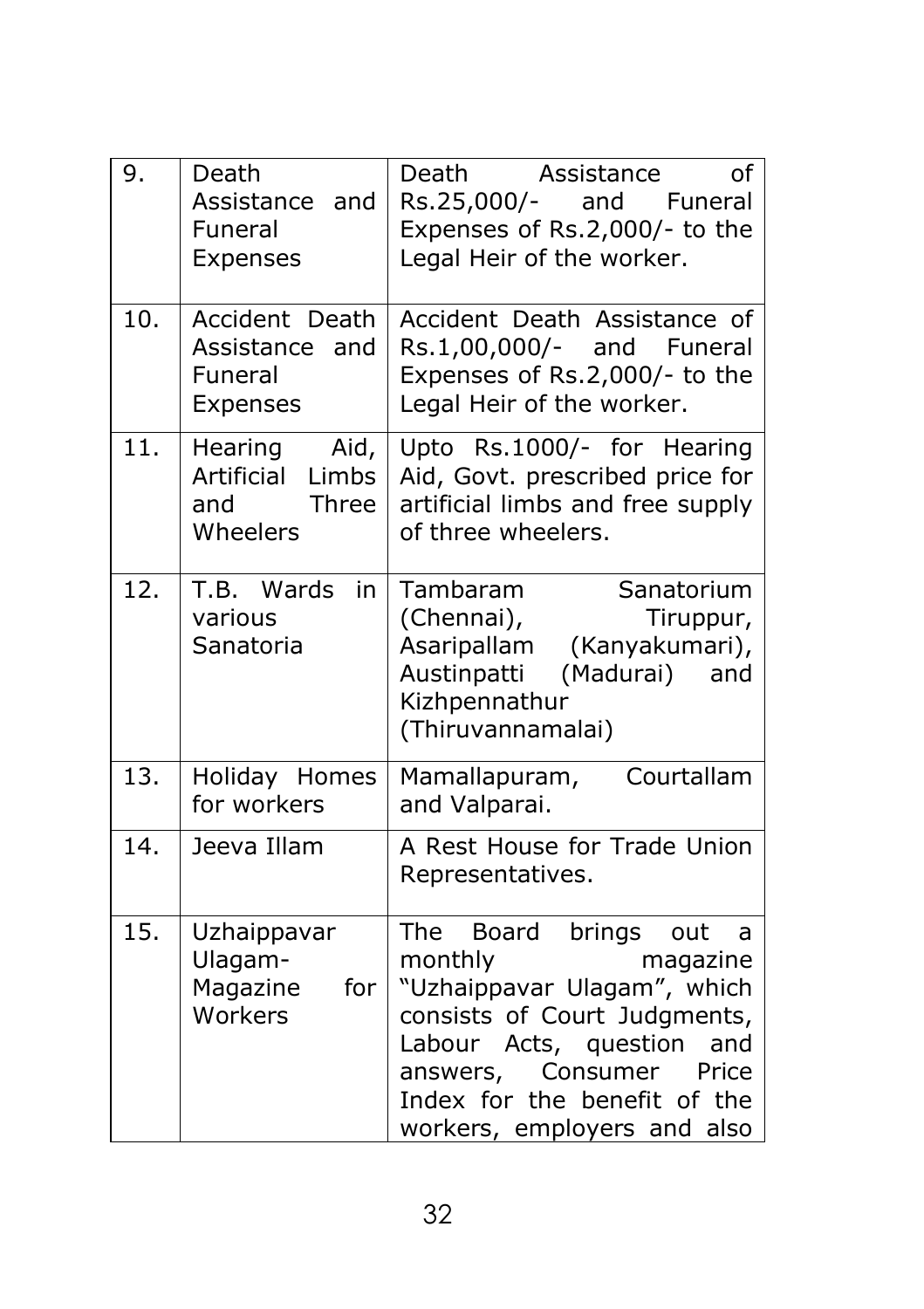| 9.  | Death<br>Assistance and<br>Funeral<br>Expenses                     | Death<br>Assistance<br>of<br>Rs.25,000/-<br>and<br>Funeral<br>Expenses of Rs.2,000/- to the<br>Legal Heir of the worker.                                                                                                                           |
|-----|--------------------------------------------------------------------|----------------------------------------------------------------------------------------------------------------------------------------------------------------------------------------------------------------------------------------------------|
| 10. | Accident Death<br>Assistance<br>and<br>Funeral<br><b>Expenses</b>  | Accident Death Assistance of<br>Rs.1,00,000/- and Funeral<br>Expenses of Rs.2,000/- to the<br>Legal Heir of the worker.                                                                                                                            |
| 11. | Hearing<br>Aid,<br>Artificial<br>Limbs<br>and<br>Three<br>Wheelers | Upto Rs.1000/- for Hearing<br>Aid, Govt. prescribed price for<br>artificial limbs and free supply<br>of three wheelers.                                                                                                                            |
| 12. | T.B. Wards<br>in<br>various<br>Sanatoria                           | Tambaram<br>Sanatorium<br>(Chennai),<br>Tiruppur,<br>Asaripallam (Kanyakumari),<br>(Madurai)<br>Austinpatti<br>and<br>Kizhpennathur<br>(Thiruvannamalai)                                                                                           |
| 13. | Holiday Homes<br>for workers                                       | Mamallapuram,<br>Courtallam<br>and Valparai.                                                                                                                                                                                                       |
| 14. | Jeeva Illam                                                        | A Rest House for Trade Union<br>Representatives.                                                                                                                                                                                                   |
| 15. | Uzhaippavar<br>Ulagam-<br>Magazine<br>for<br>Workers               | The Board brings<br>out<br>a<br>monthly<br>magazine<br>"Uzhaippavar Ulagam", which<br>consists of Court Judgments,<br>Labour Acts, question<br>and<br>Consumer<br>answers,<br>Price<br>Index for the benefit of the<br>workers, employers and also |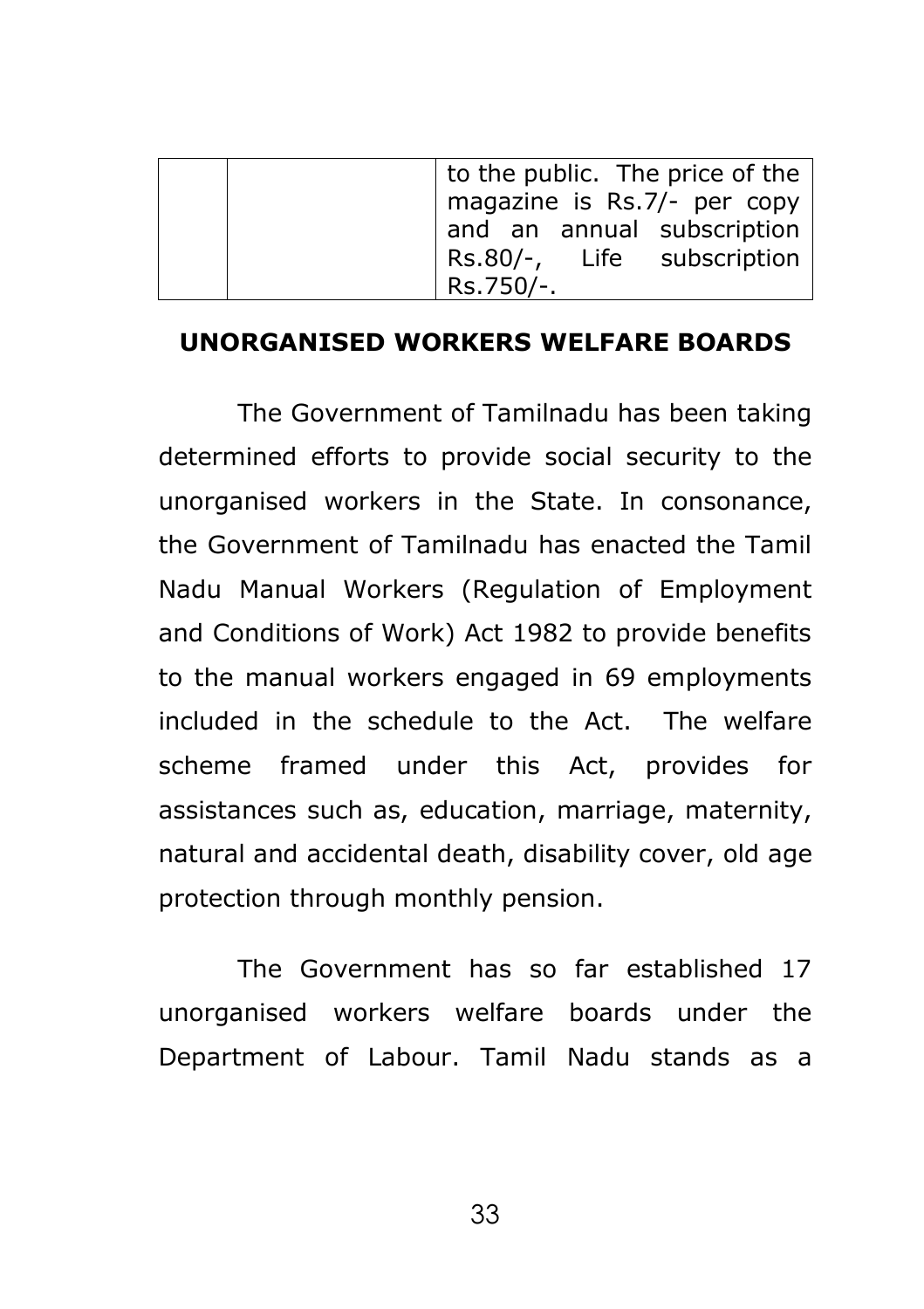|  | to the public. The price of the $ $<br>magazine is Rs.7/- per copy<br>and an annual subscription<br>Rs.80/-, Life subscription |
|--|--------------------------------------------------------------------------------------------------------------------------------|
|  | Rs.750/-.                                                                                                                      |

#### **UNORGANISED WORKERS WELFARE BOARDS**

The Government of Tamilnadu has been taking determined efforts to provide social security to the unorganised workers in the State. In consonance, the Government of Tamilnadu has enacted the Tamil Nadu Manual Workers (Regulation of Employment and Conditions of Work) Act 1982 to provide benefits to the manual workers engaged in 69 employments included in the schedule to the Act. The welfare scheme framed under this Act, provides for assistances such as, education, marriage, maternity, natural and accidental death, disability cover, old age protection through monthly pension.

The Government has so far established 17 unorganised workers welfare boards under the Department of Labour. Tamil Nadu stands as a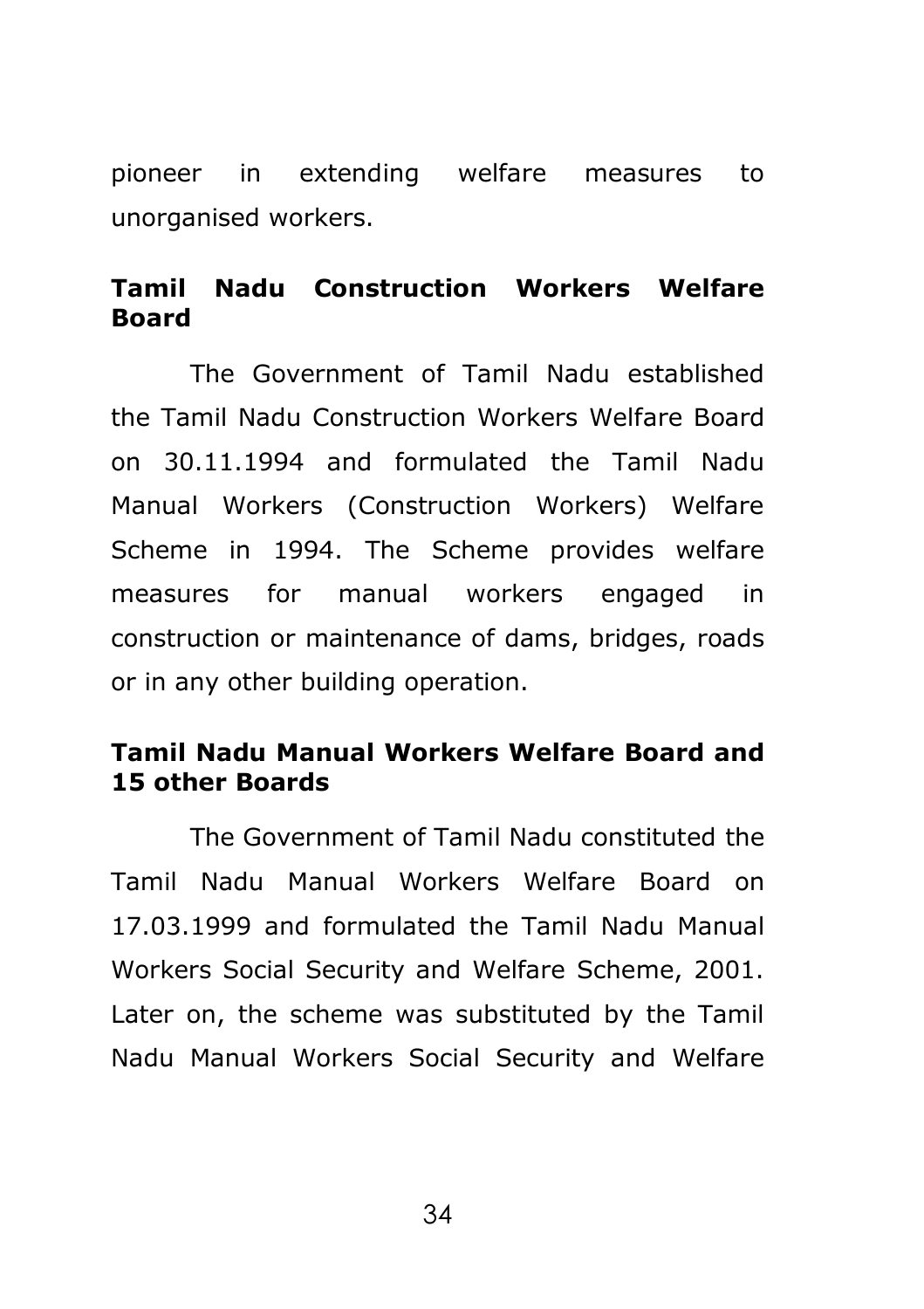pioneer in extending welfare measures to unorganised workers.

## **Tamil Nadu Construction Workers Welfare Board**

The Government of Tamil Nadu established the Tamil Nadu Construction Workers Welfare Board on 30.11.1994 and formulated the Tamil Nadu Manual Workers (Construction Workers) Welfare Scheme in 1994. The Scheme provides welfare measures for manual workers engaged in construction or maintenance of dams, bridges, roads or in any other building operation.

## **Tamil Nadu Manual Workers Welfare Board and 15 other Boards**

The Government of Tamil Nadu constituted the Tamil Nadu Manual Workers Welfare Board on 17.03.1999 and formulated the Tamil Nadu Manual Workers Social Security and Welfare Scheme, 2001. Later on, the scheme was substituted by the Tamil Nadu Manual Workers Social Security and Welfare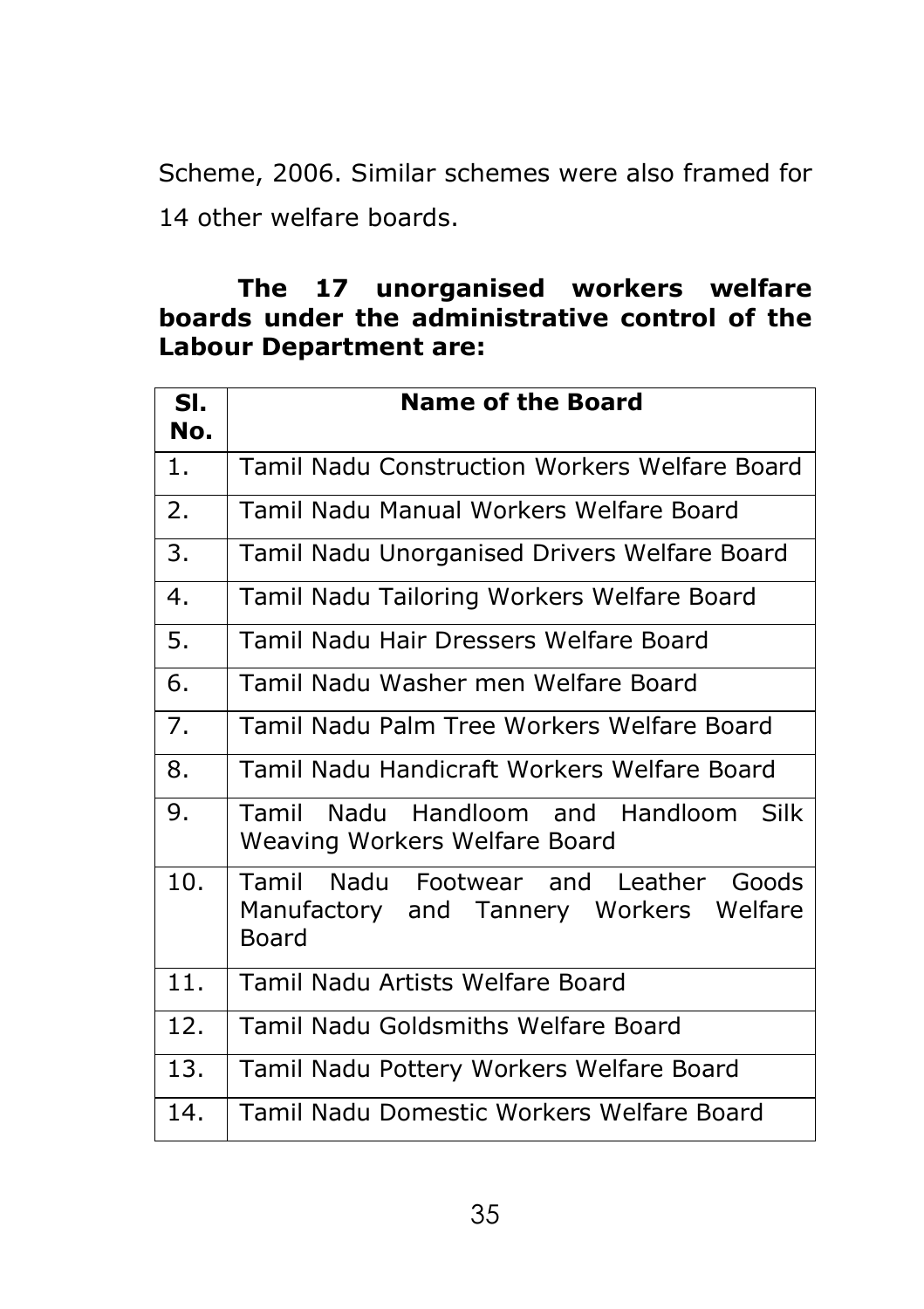Scheme, 2006. Similar schemes were also framed for 14 other welfare boards.

## **The 17 unorganised workers welfare boards under the administrative control of the Labour Department are:**

| SI.<br>No. | <b>Name of the Board</b>                                                                  |  |  |  |
|------------|-------------------------------------------------------------------------------------------|--|--|--|
| 1.         | Tamil Nadu Construction Workers Welfare Board                                             |  |  |  |
| 2.         | Tamil Nadu Manual Workers Welfare Board                                                   |  |  |  |
| 3.         | Tamil Nadu Unorganised Drivers Welfare Board                                              |  |  |  |
| 4.         | Tamil Nadu Tailoring Workers Welfare Board                                                |  |  |  |
| 5.         | Tamil Nadu Hair Dressers Welfare Board                                                    |  |  |  |
| 6.         | Tamil Nadu Washer men Welfare Board                                                       |  |  |  |
| 7.         | Tamil Nadu Palm Tree Workers Welfare Board                                                |  |  |  |
| 8.         | Tamil Nadu Handicraft Workers Welfare Board                                               |  |  |  |
| 9.         | Tamil Nadu Handloom and Handloom Silk<br>Weaving Workers Welfare Board                    |  |  |  |
| 10.        | Tamil Nadu Footwear and Leather Goods<br>Manufactory and Tannery Workers Welfare<br>Board |  |  |  |
| 11.        | Tamil Nadu Artists Welfare Board                                                          |  |  |  |
| 12.        | <b>Tamil Nadu Goldsmiths Welfare Board</b>                                                |  |  |  |
| 13.        | Tamil Nadu Pottery Workers Welfare Board                                                  |  |  |  |
| 14.        | Tamil Nadu Domestic Workers Welfare Board                                                 |  |  |  |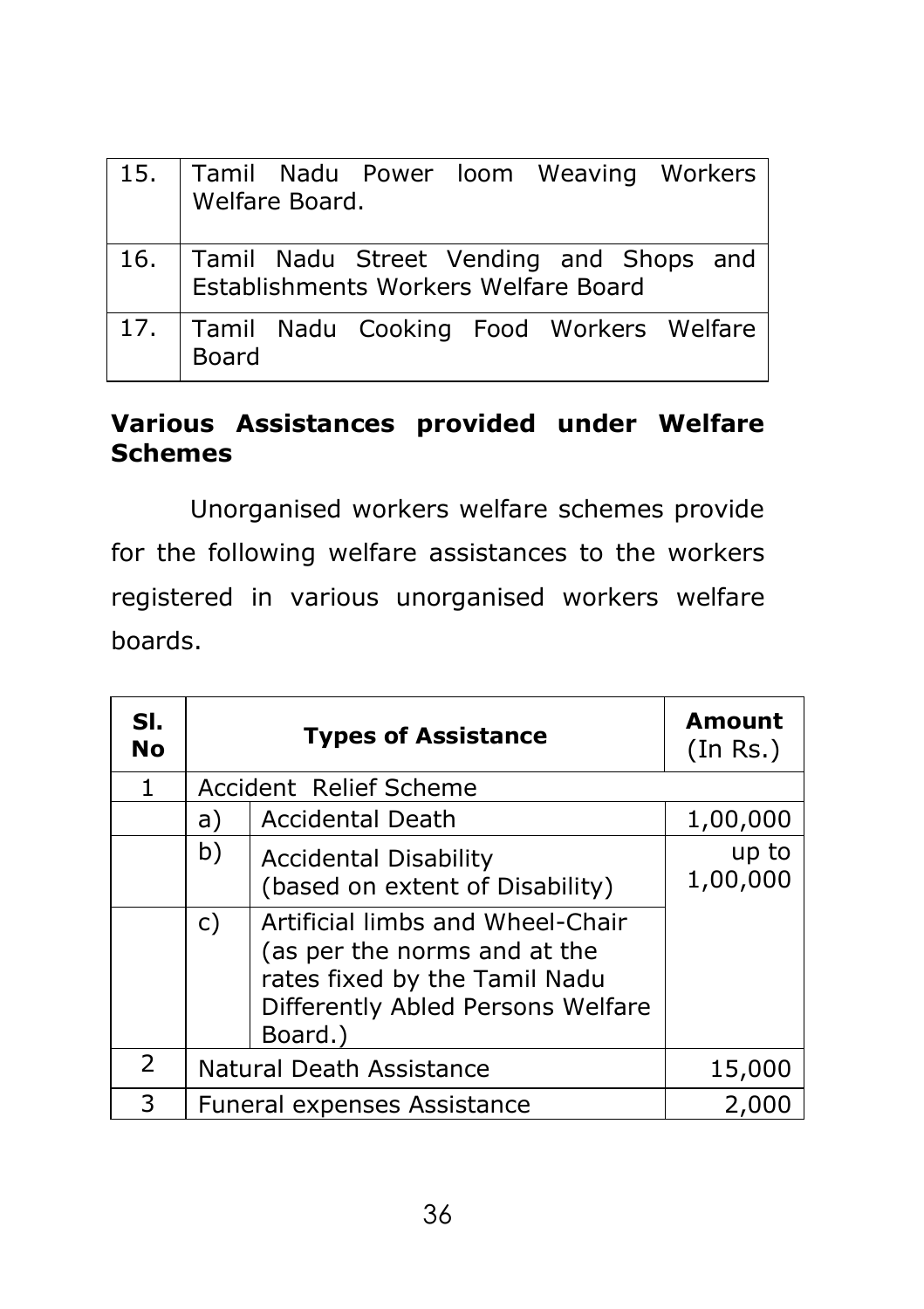| 15. Tamil Nadu Power Ioom Weaving Workers<br>Welfare Board.                               |
|-------------------------------------------------------------------------------------------|
| 16.   Tamil Nadu Street Vending and Shops and  <br>  Establishments Workers Welfare Board |
| 17. Tamil Nadu Cooking Food Workers Welfare<br><b>Board</b>                               |

# **Various Assistances provided under Welfare Schemes**

Unorganised workers welfare schemes provide for the following welfare assistances to the workers registered in various unorganised workers welfare boards.

| SI.<br><b>No</b> | <b>Types of Assistance</b>           |                                                                                                                                                   | <b>Amount</b><br>(In Rs.) |  |  |
|------------------|--------------------------------------|---------------------------------------------------------------------------------------------------------------------------------------------------|---------------------------|--|--|
| 1.               |                                      | Accident Relief Scheme                                                                                                                            |                           |  |  |
|                  | a)                                   | Accidental Death                                                                                                                                  | 1,00,000                  |  |  |
|                  | b)                                   | <b>Accidental Disability</b><br>(based on extent of Disability)                                                                                   | up to<br>1,00,000         |  |  |
|                  | $\mathsf{C}$                         | Artificial limbs and Wheel-Chair<br>(as per the norms and at the<br>rates fixed by the Tamil Nadu<br>Differently Abled Persons Welfare<br>Board.) |                           |  |  |
| 2                | Natural Death Assistance             |                                                                                                                                                   | 15,000                    |  |  |
| 3                | Funeral expenses Assistance<br>2,000 |                                                                                                                                                   |                           |  |  |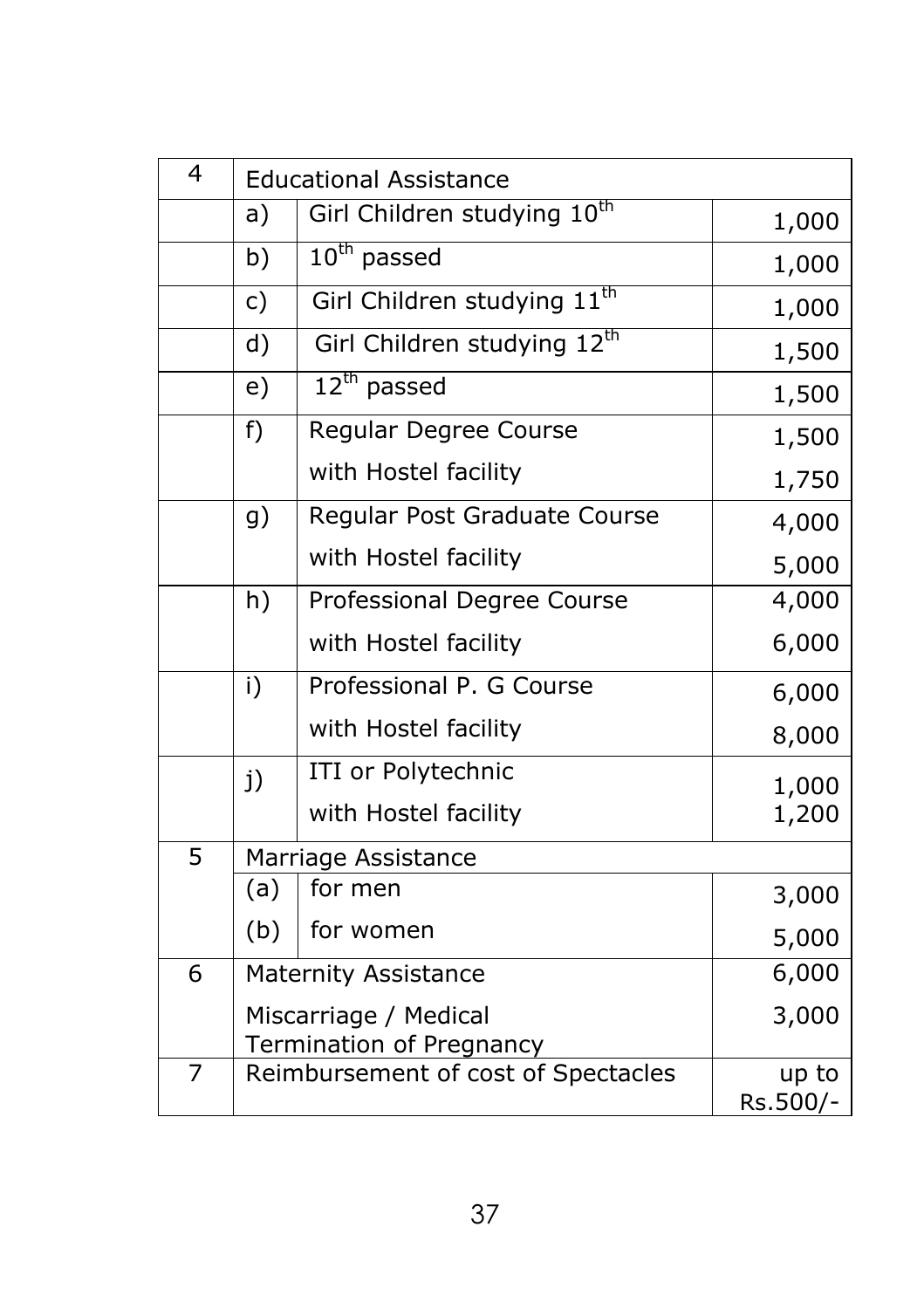| 4 | <b>Educational Assistance</b> |                                                                 |          |
|---|-------------------------------|-----------------------------------------------------------------|----------|
|   | a)                            | Girl Children studying 10 <sup>th</sup>                         | 1,000    |
|   | b)                            | $10^{th}$ passed                                                | 1,000    |
|   | c)                            | Girl Children studying 11 <sup>th</sup>                         | 1,000    |
|   | d)                            | Girl Children studying 12th                                     | 1,500    |
|   | e)                            | $12^{\text{th}}$ passed                                         | 1,500    |
|   | f)                            | Regular Degree Course                                           | 1,500    |
|   |                               | with Hostel facility                                            | 1,750    |
|   | g)                            | Regular Post Graduate Course                                    | 4,000    |
|   |                               | with Hostel facility                                            | 5,000    |
|   | h)                            | Professional Degree Course                                      | 4,000    |
|   |                               | with Hostel facility                                            | 6,000    |
|   | i)                            | Professional P. G Course                                        | 6,000    |
|   |                               | with Hostel facility                                            | 8,000    |
|   | j)                            | ITI or Polytechnic                                              | 1,000    |
|   |                               | with Hostel facility                                            | 1,200    |
| 5 | Marriage Assistance           |                                                                 |          |
|   | (a)                           | for men                                                         | 3,000    |
|   | (b)                           | for women                                                       | 5,000    |
| 6 |                               | 6,000<br><b>Maternity Assistance</b>                            |          |
|   | Miscarriage / Medical         |                                                                 | 3,000    |
| 7 |                               | Termination of Pregnancy<br>Reimbursement of cost of Spectacles | up to    |
|   |                               |                                                                 | Rs.500/- |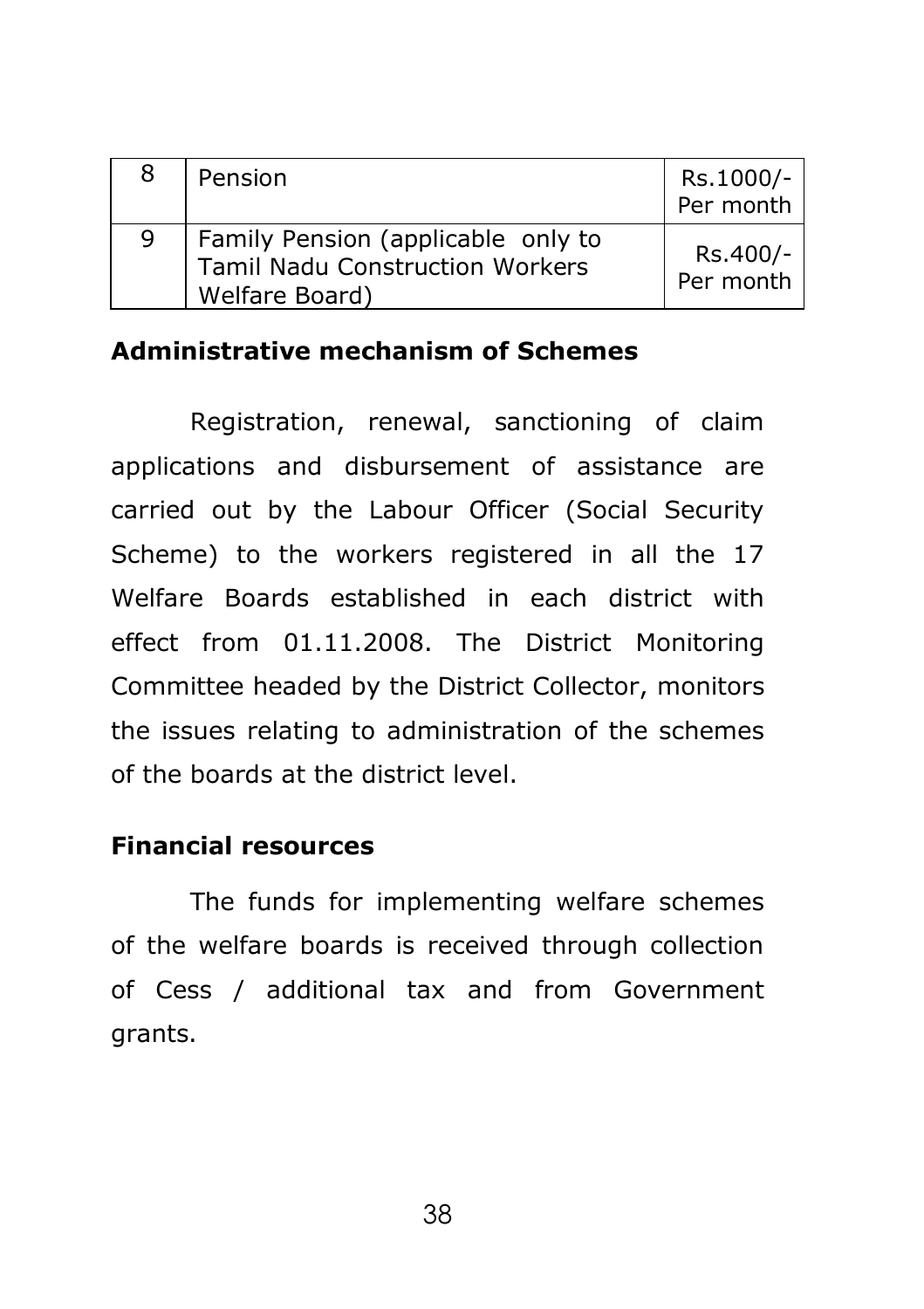| 8 | Pension                                                                                 | Rs.1000/-<br>Per month |
|---|-----------------------------------------------------------------------------------------|------------------------|
| Q | Family Pension (applicable only to<br>Tamil Nadu Construction Workers<br>Welfare Board) | Rs.400/-<br>Per month  |

### **Administrative mechanism of Schemes**

Registration, renewal, sanctioning of claim applications and disbursement of assistance are carried out by the Labour Officer (Social Security Scheme) to the workers registered in all the 17 Welfare Boards established in each district with effect from 01.11.2008. The District Monitoring Committee headed by the District Collector, monitors the issues relating to administration of the schemes of the boards at the district level.

### **Financial resources**

The funds for implementing welfare schemes of the welfare boards is received through collection of Cess / additional tax and from Government grants.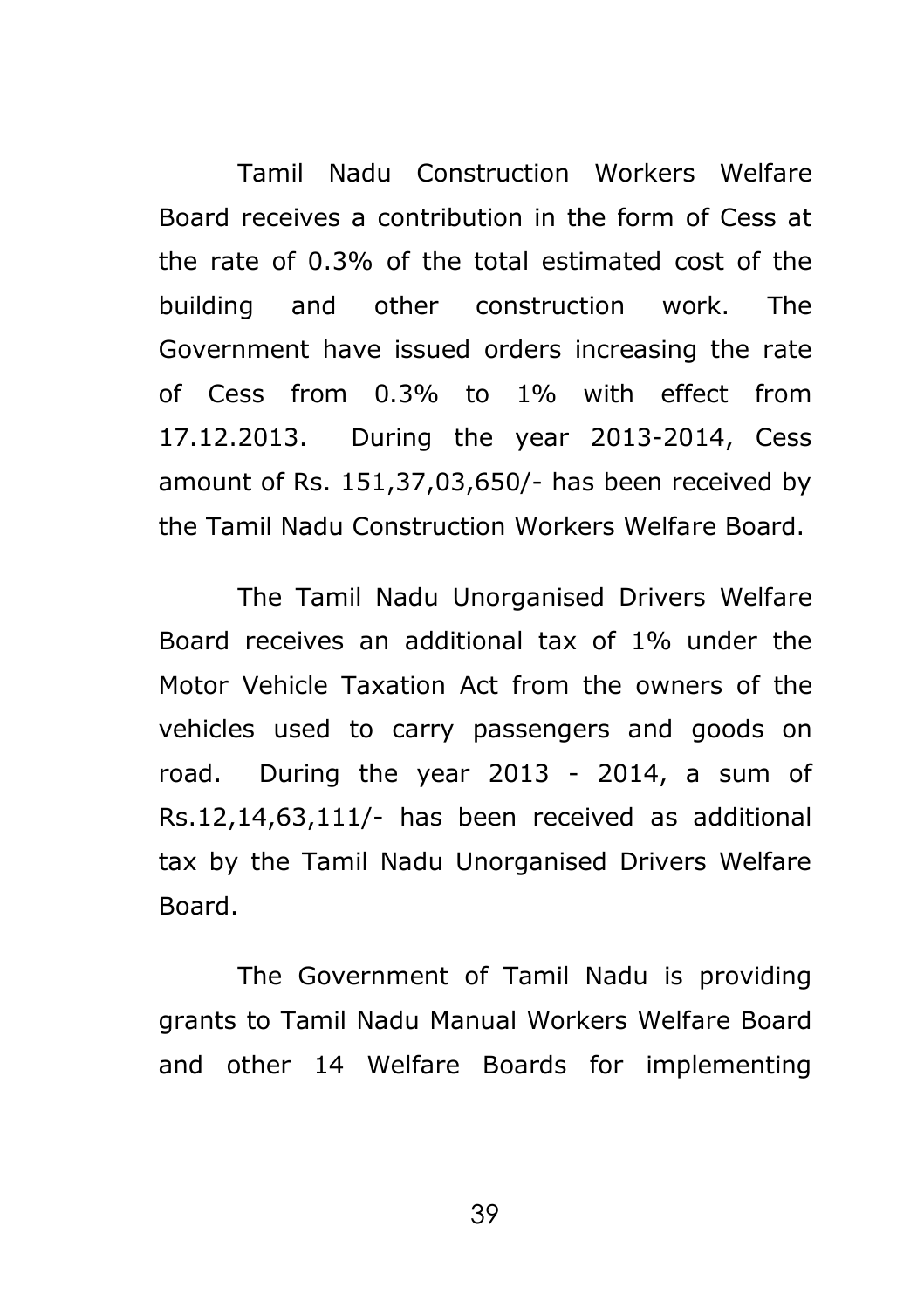Tamil Nadu Construction Workers Welfare Board receives a contribution in the form of Cess at the rate of 0.3% of the total estimated cost of the building and other construction work. The Government have issued orders increasing the rate of Cess from 0.3% to 1% with effect from 17.12.2013. During the year 2013-2014, Cess amount of Rs. 151,37,03,650/- has been received by the Tamil Nadu Construction Workers Welfare Board.

The Tamil Nadu Unorganised Drivers Welfare Board receives an additional tax of 1% under the Motor Vehicle Taxation Act from the owners of the vehicles used to carry passengers and goods on road. During the year 2013 - 2014, a sum of Rs.12,14,63,111/- has been received as additional tax by the Tamil Nadu Unorganised Drivers Welfare Board.

The Government of Tamil Nadu is providing grants to Tamil Nadu Manual Workers Welfare Board and other 14 Welfare Boards for implementing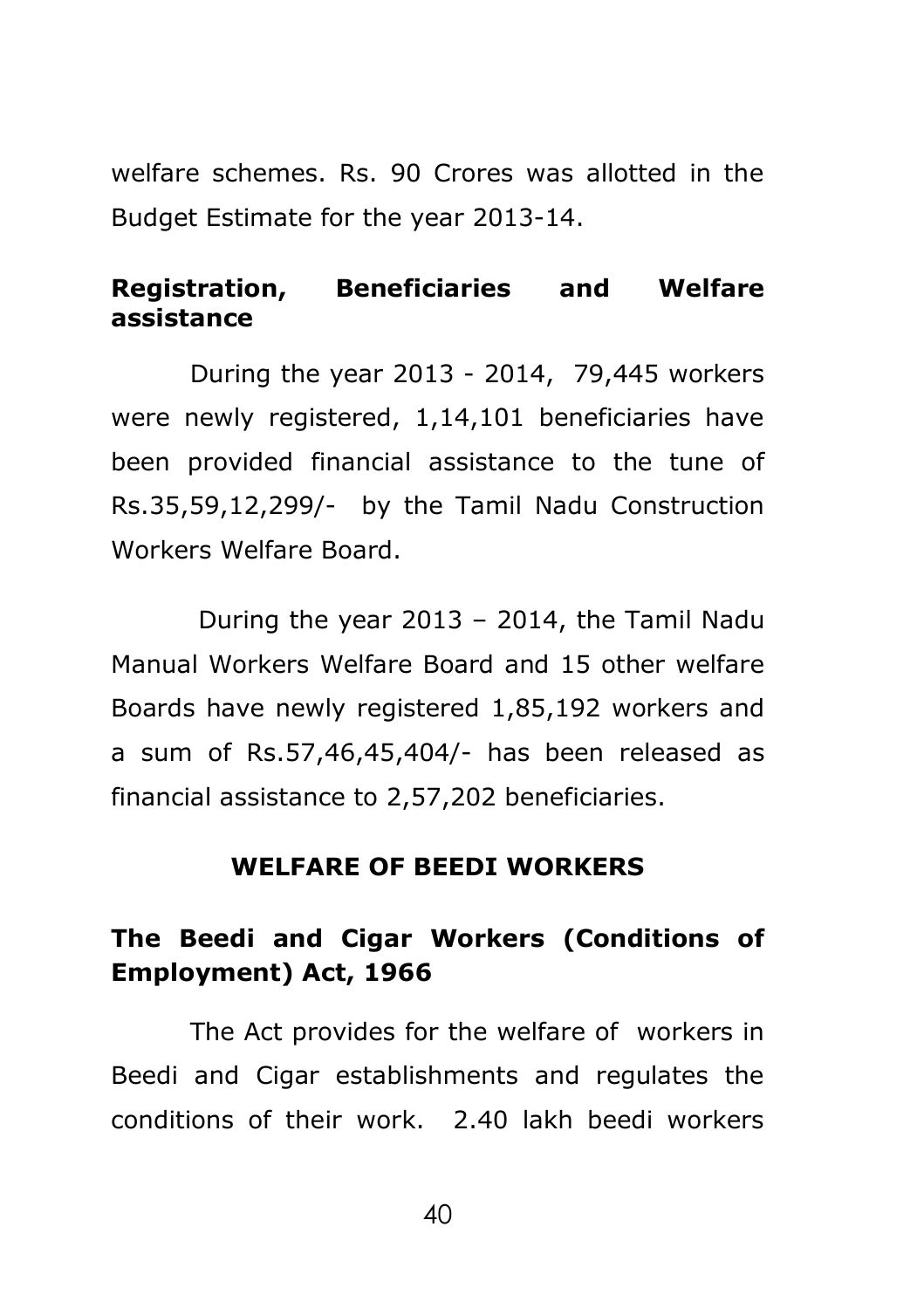welfare schemes. Rs. 90 Crores was allotted in the Budget Estimate for the year 2013-14.

# **Registration, Beneficiaries and Welfare assistance**

During the year 2013 - 2014, 79,445 workers were newly registered, 1,14,101 beneficiaries have been provided financial assistance to the tune of Rs.35,59,12,299/- by the Tamil Nadu Construction Workers Welfare Board.

During the year 2013 – 2014, the Tamil Nadu Manual Workers Welfare Board and 15 other welfare Boards have newly registered 1,85,192 workers and a sum of Rs.57,46,45,404/- has been released as financial assistance to 2,57,202 beneficiaries.

#### **WELFARE OF BEEDI WORKERS**

# **The Beedi and Cigar Workers (Conditions of Employment) Act, 1966**

The Act provides for the welfare of workers in Beedi and Cigar establishments and regulates the conditions of their work. 2.40 lakh beedi workers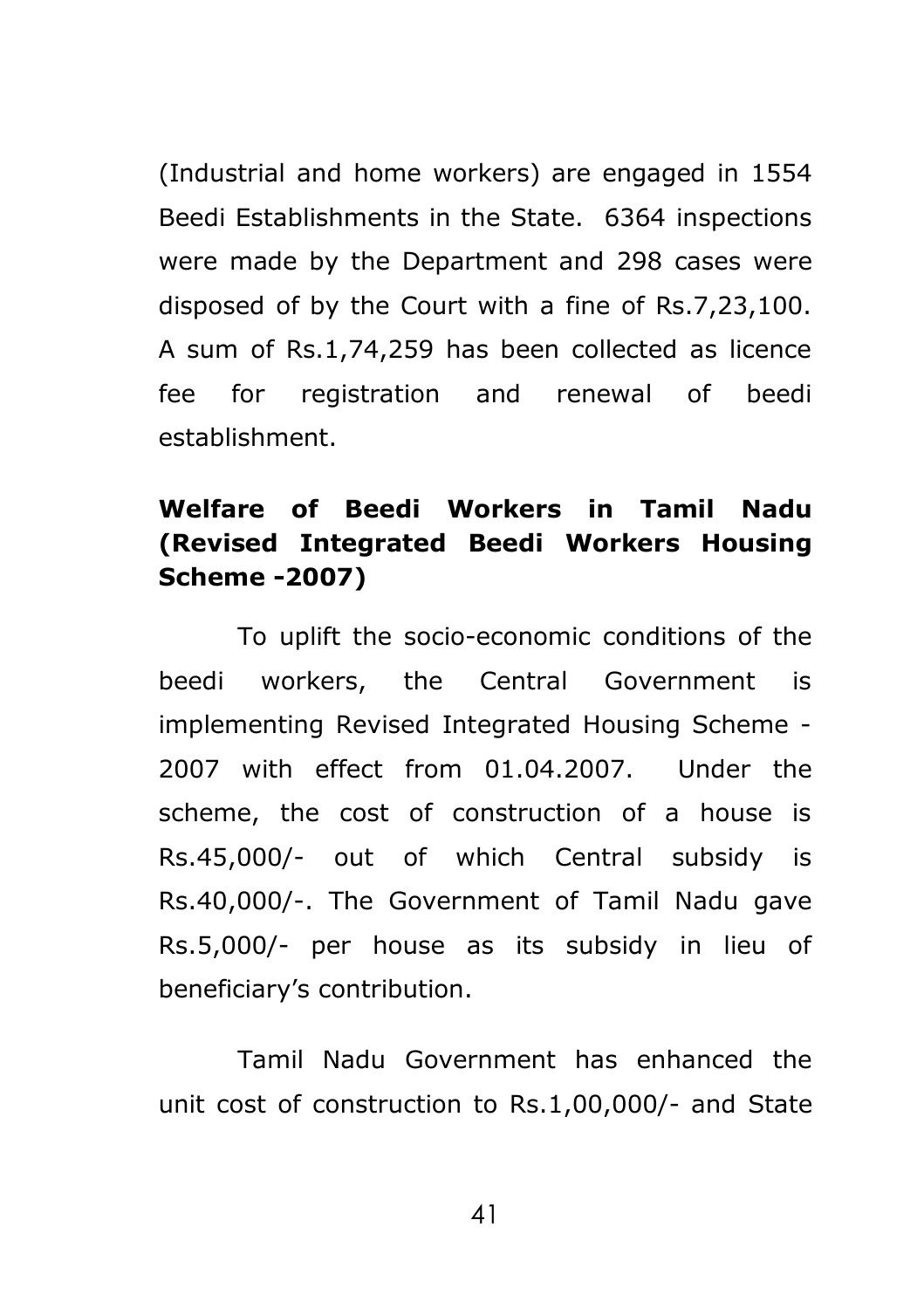(Industrial and home workers) are engaged in 1554 Beedi Establishments in the State. 6364 inspections were made by the Department and 298 cases were disposed of by the Court with a fine of Rs.7,23,100. A sum of Rs.1,74,259 has been collected as licence fee for registration and renewal of beedi establishment.

# **Welfare of Beedi Workers in Tamil Nadu (Revised Integrated Beedi Workers Housing Scheme -2007)**

To uplift the socio-economic conditions of the beedi workers, the Central Government is implementing Revised Integrated Housing Scheme - 2007 with effect from 01.04.2007. Under the scheme, the cost of construction of a house is Rs.45,000/- out of which Central subsidy is Rs.40,000/-. The Government of Tamil Nadu gave Rs.5,000/- per house as its subsidy in lieu of beneficiary's contribution.

Tamil Nadu Government has enhanced the unit cost of construction to Rs.1,00,000/- and State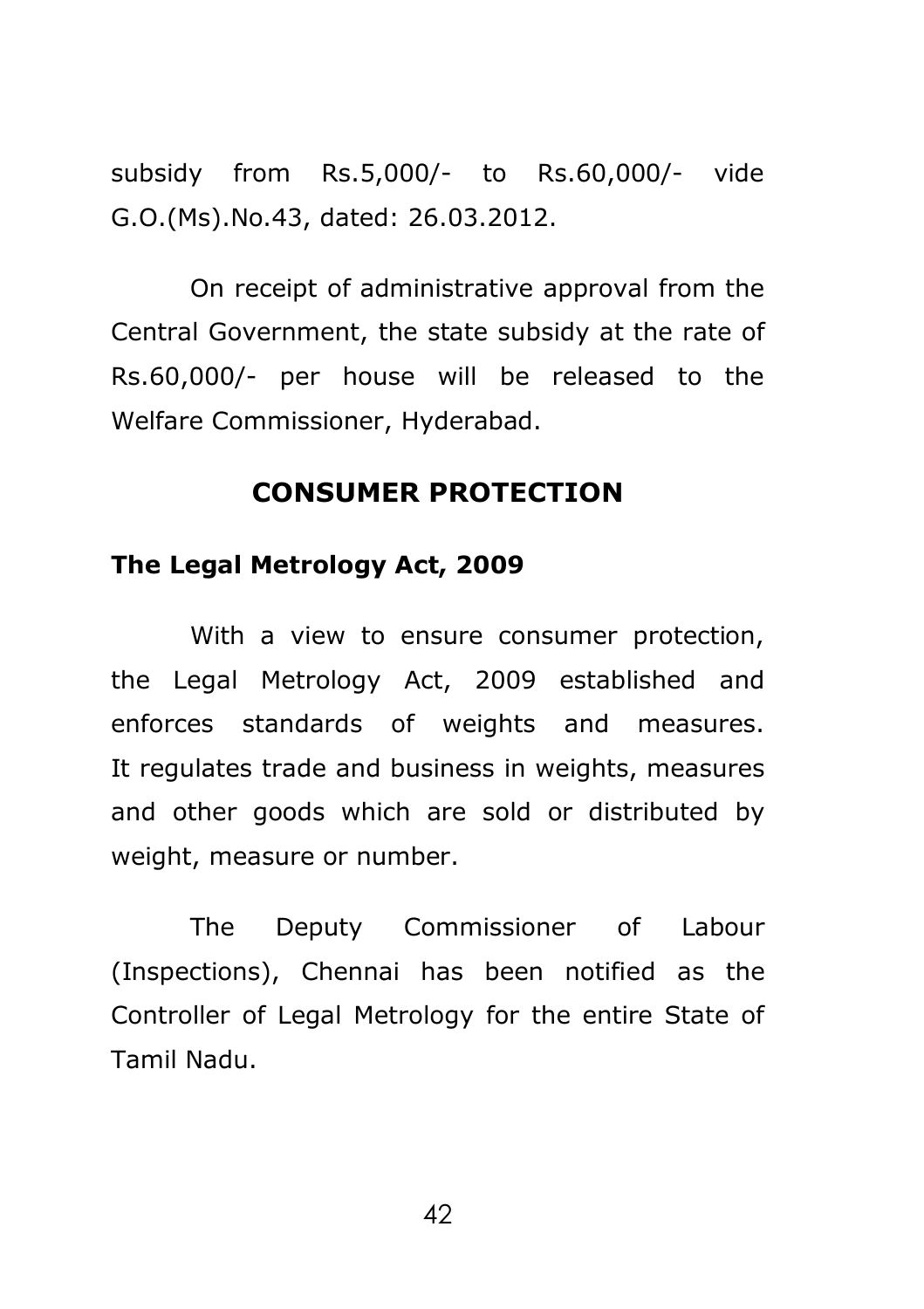subsidy from Rs.5,000/- to Rs.60,000/- vide G.O.(Ms).No.43, dated: 26.03.2012.

On receipt of administrative approval from the Central Government, the state subsidy at the rate of Rs.60,000/- per house will be released to the Welfare Commissioner, Hyderabad.

## **CONSUMER PROTECTION**

### **The Legal Metrology Act, 2009**

With a view to ensure consumer protection, the Legal Metrology Act, 2009 established and enforces standards of weights and measures. It regulates trade and business in weights, measures and other goods which are sold or distributed by weight, measure or number.

The Deputy Commissioner of Labour (Inspections), Chennai has been notified as the Controller of Legal Metrology for the entire State of Tamil Nadu.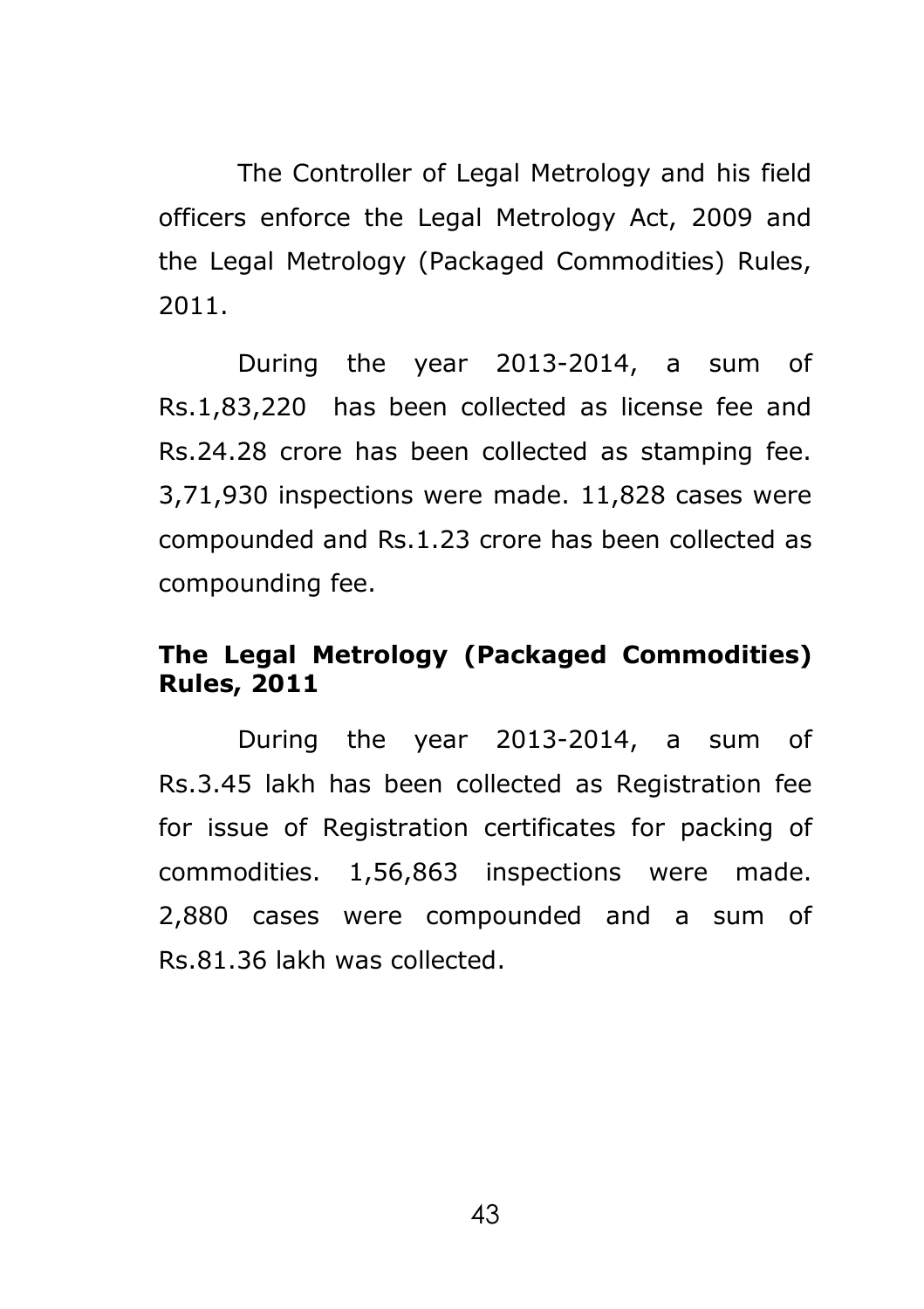The Controller of Legal Metrology and his field officers enforce the Legal Metrology Act, 2009 and the Legal Metrology (Packaged Commodities) Rules, 2011.

During the year 2013-2014, a sum of Rs.1,83,220 has been collected as license fee and Rs.24.28 crore has been collected as stamping fee. 3,71,930 inspections were made. 11,828 cases were compounded and Rs.1.23 crore has been collected as compounding fee.

## **The Legal Metrology (Packaged Commodities) Rules, 2011**

During the year 2013-2014, a sum of Rs.3.45 lakh has been collected as Registration fee for issue of Registration certificates for packing of commodities. 1,56,863 inspections were made. 2,880 cases were compounded and a sum of Rs.81.36 lakh was collected.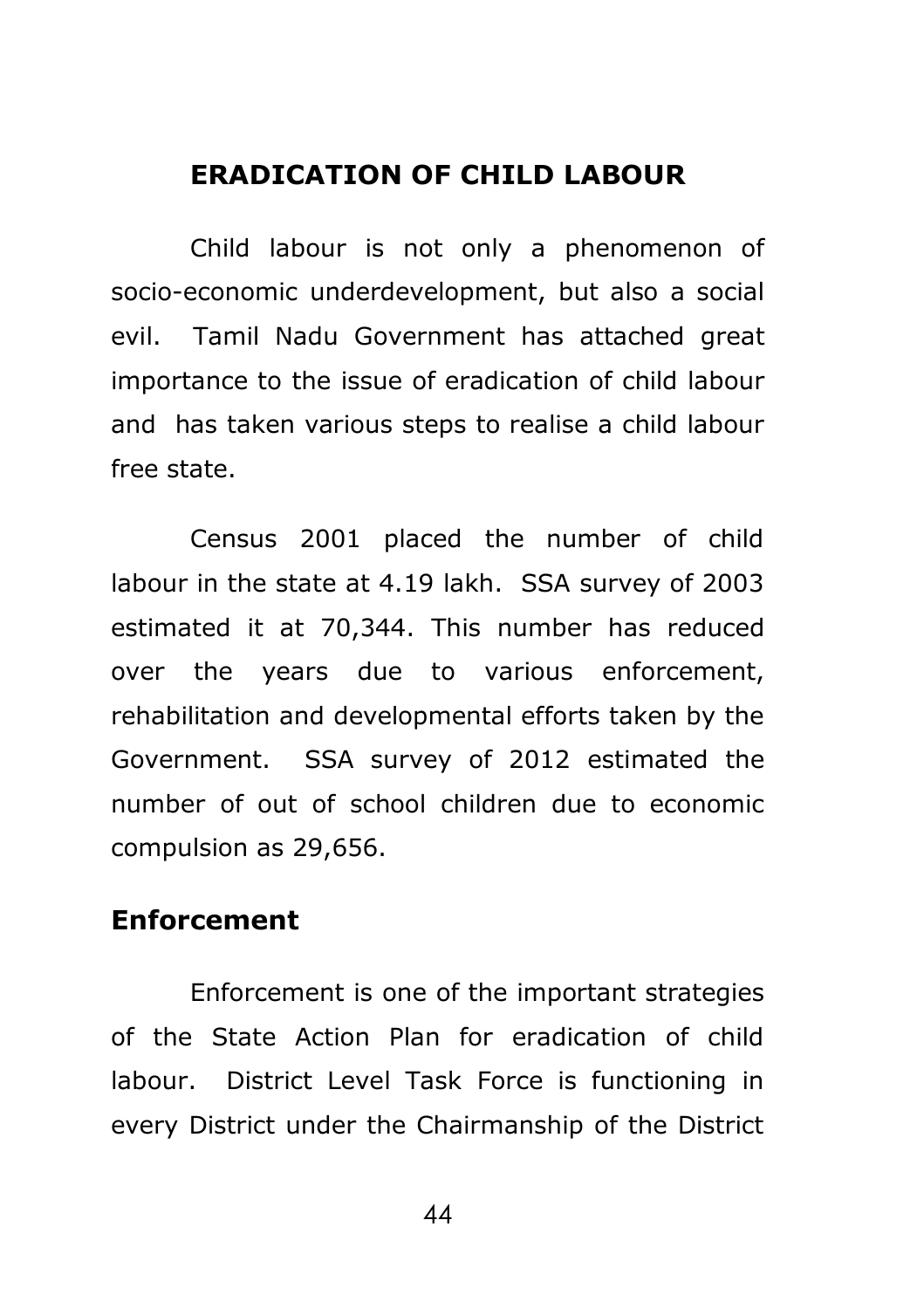### **ERADICATION OF CHILD LABOUR**

Child labour is not only a phenomenon of socio-economic underdevelopment, but also a social evil. Tamil Nadu Government has attached great importance to the issue of eradication of child labour and has taken various steps to realise a child labour free state.

Census 2001 placed the number of child labour in the state at 4.19 lakh.SSA survey of 2003 estimated it at 70,344. This number has reduced over the years due to various enforcement, rehabilitation and developmental efforts taken by the Government. SSA survey of 2012 estimated the number of out of school children due to economic compulsion as 29,656.

# **Enforcement**

Enforcement is one of the important strategies of the State Action Plan for eradication of child labour. District Level Task Force is functioning in every District under the Chairmanship of the District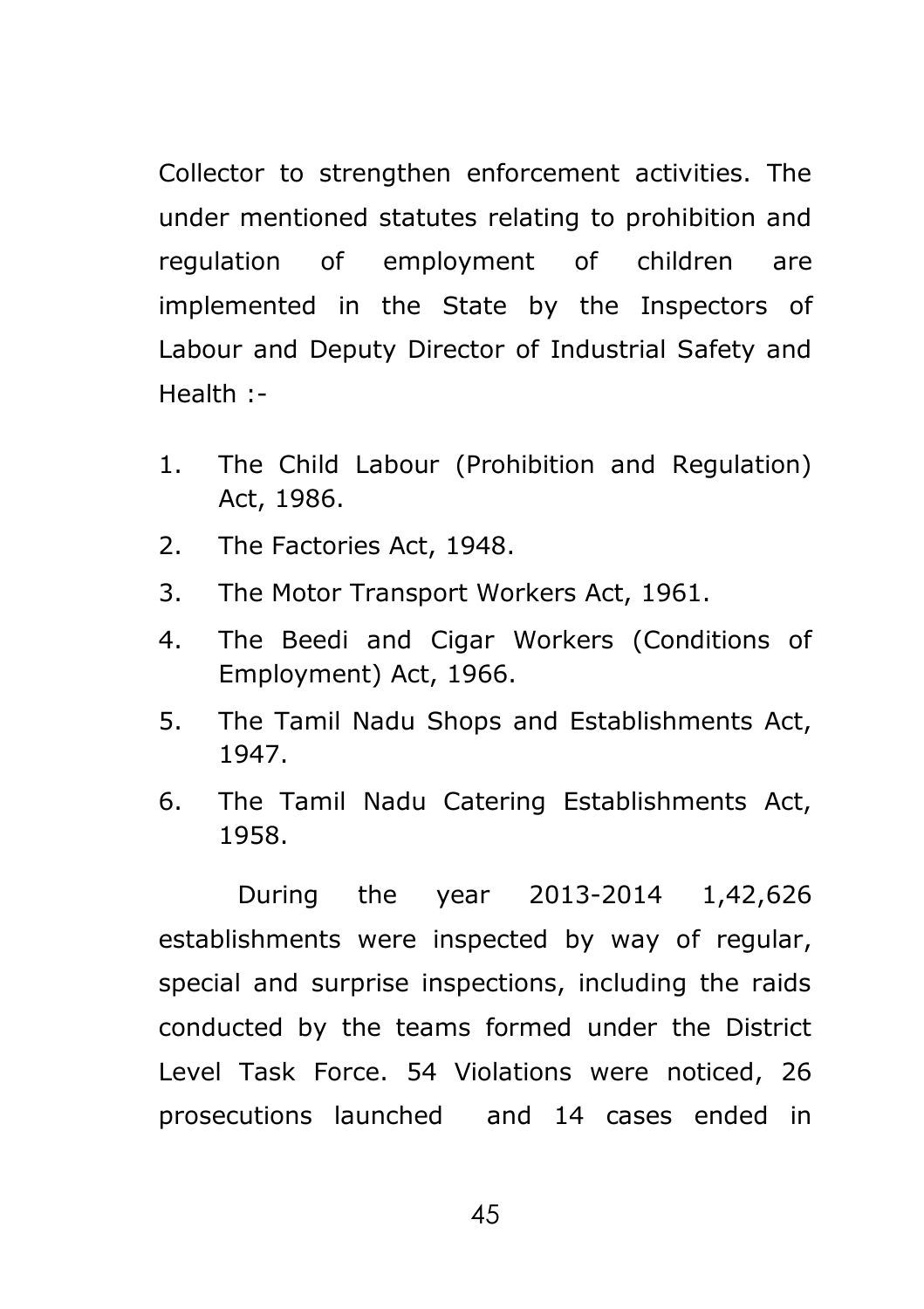Collector to strengthen enforcement activities. The under mentioned statutes relating to prohibition and regulation of employment of children are implemented in the State by the Inspectors of Labour and Deputy Director of Industrial Safety and Health :-

- 1. The Child Labour (Prohibition and Regulation) Act, 1986.
- 2. The Factories Act, 1948.
- 3. The Motor Transport Workers Act, 1961.
- 4. The Beedi and Cigar Workers (Conditions of Employment) Act, 1966.
- 5. The Tamil Nadu Shops and Establishments Act, 1947.
- 6. The Tamil Nadu Catering Establishments Act, 1958.

During the year 2013-2014 1,42,626 establishments were inspected by way of regular, special and surprise inspections, including the raids conducted by the teams formed under the District Level Task Force. 54 Violations were noticed, 26 prosecutions launched and 14 cases ended in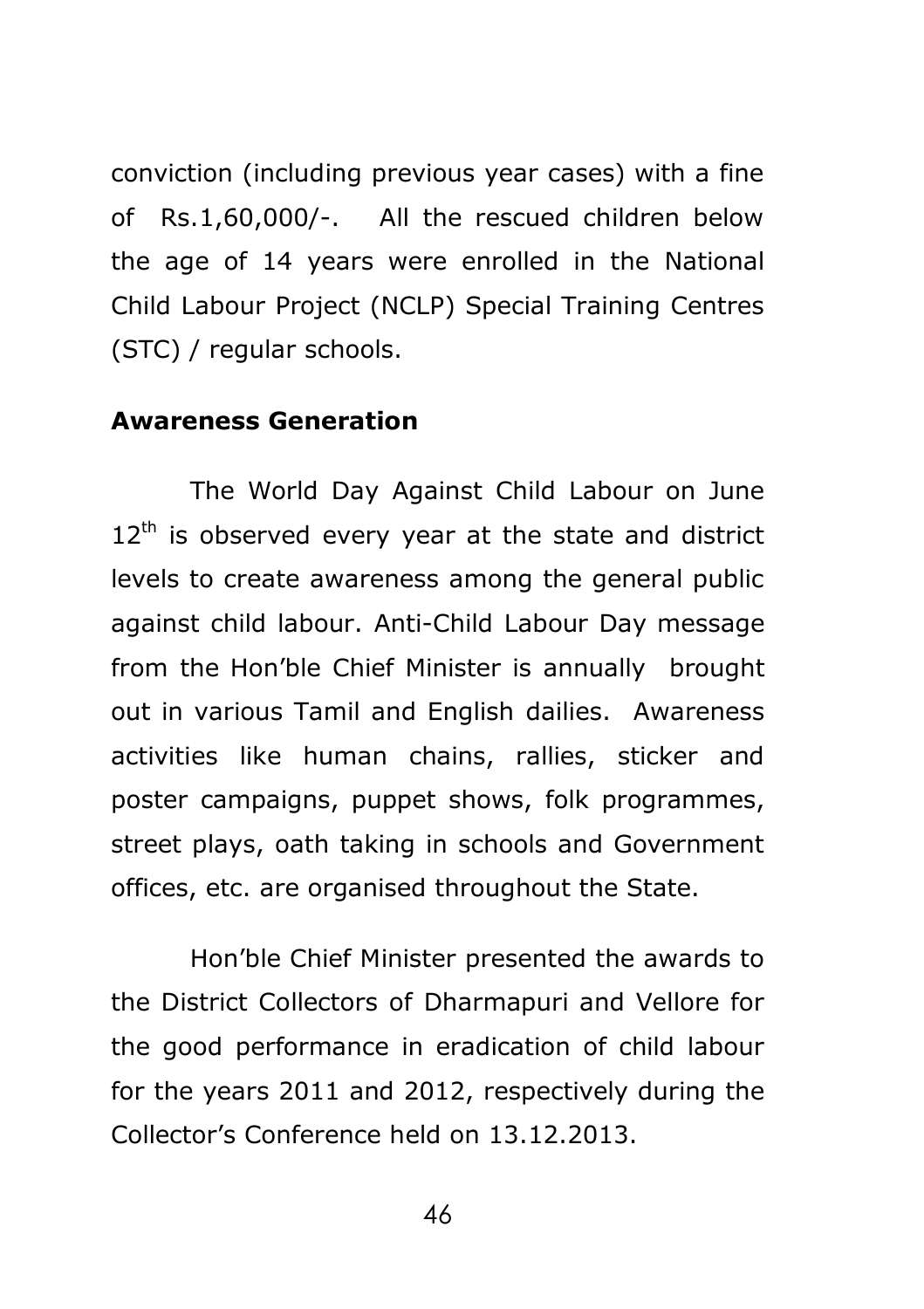conviction (including previous year cases) with a fine of Rs.1,60,000/-. All the rescued children below the age of 14 years were enrolled in the National Child Labour Project (NCLP) Special Training Centres (STC) / regular schools.

### **Awareness Generation**

The World Day Against Child Labour on June  $12<sup>th</sup>$  is observed every year at the state and district levels to create awareness among the general public against child labour. Anti-Child Labour Day message from the Hon'ble Chief Minister is annually brought out in various Tamil and English dailies. Awareness activities like human chains, rallies, sticker and poster campaigns, puppet shows, folk programmes, street plays, oath taking in schools and Government offices, etc. are organised throughout the State.

Hon'ble Chief Minister presented the awards to the District Collectors of Dharmapuri and Vellore for the good performance in eradication of child labour for the years 2011 and 2012, respectively during the Collector's Conference held on 13.12.2013.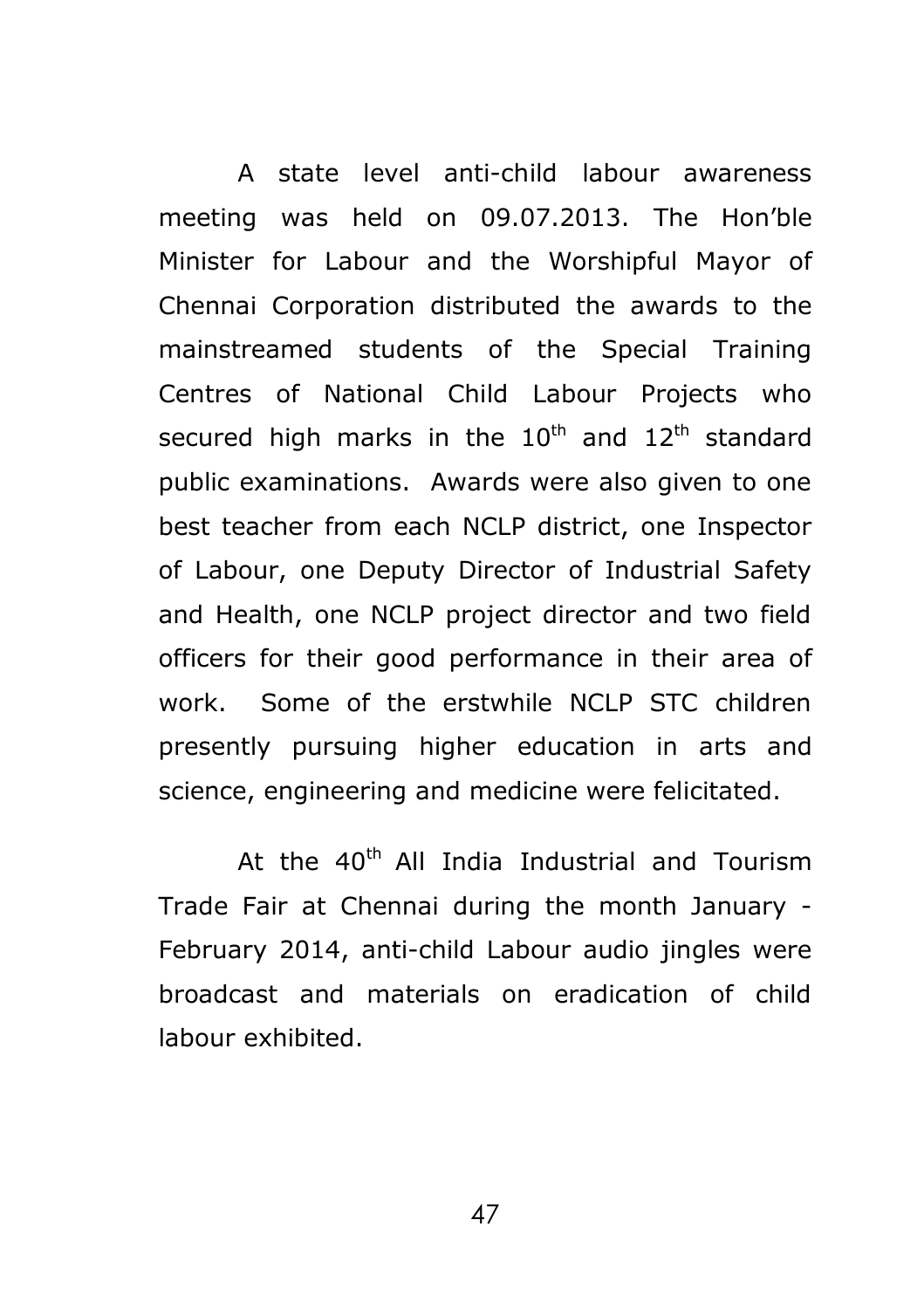A state level anti-child labour awareness meeting was held on 09.07.2013. The Hon'ble Minister for Labour and the Worshipful Mayor of Chennai Corporation distributed the awards to the mainstreamed students of the Special Training Centres of National Child Labour Projects who secured high marks in the  $10^{th}$  and  $12^{th}$  standard public examinations. Awards were also given to one best teacher from each NCLP district, one Inspector of Labour, one Deputy Director of Industrial Safety and Health, one NCLP project director and two field officers for their good performance in their area of work. Some of the erstwhile NCLP STC children presently pursuing higher education in arts and science, engineering and medicine were felicitated.

At the  $40<sup>th</sup>$  All India Industrial and Tourism Trade Fair at Chennai during the month January - February 2014, anti-child Labour audio jingles were broadcast and materials on eradication of child labour exhibited.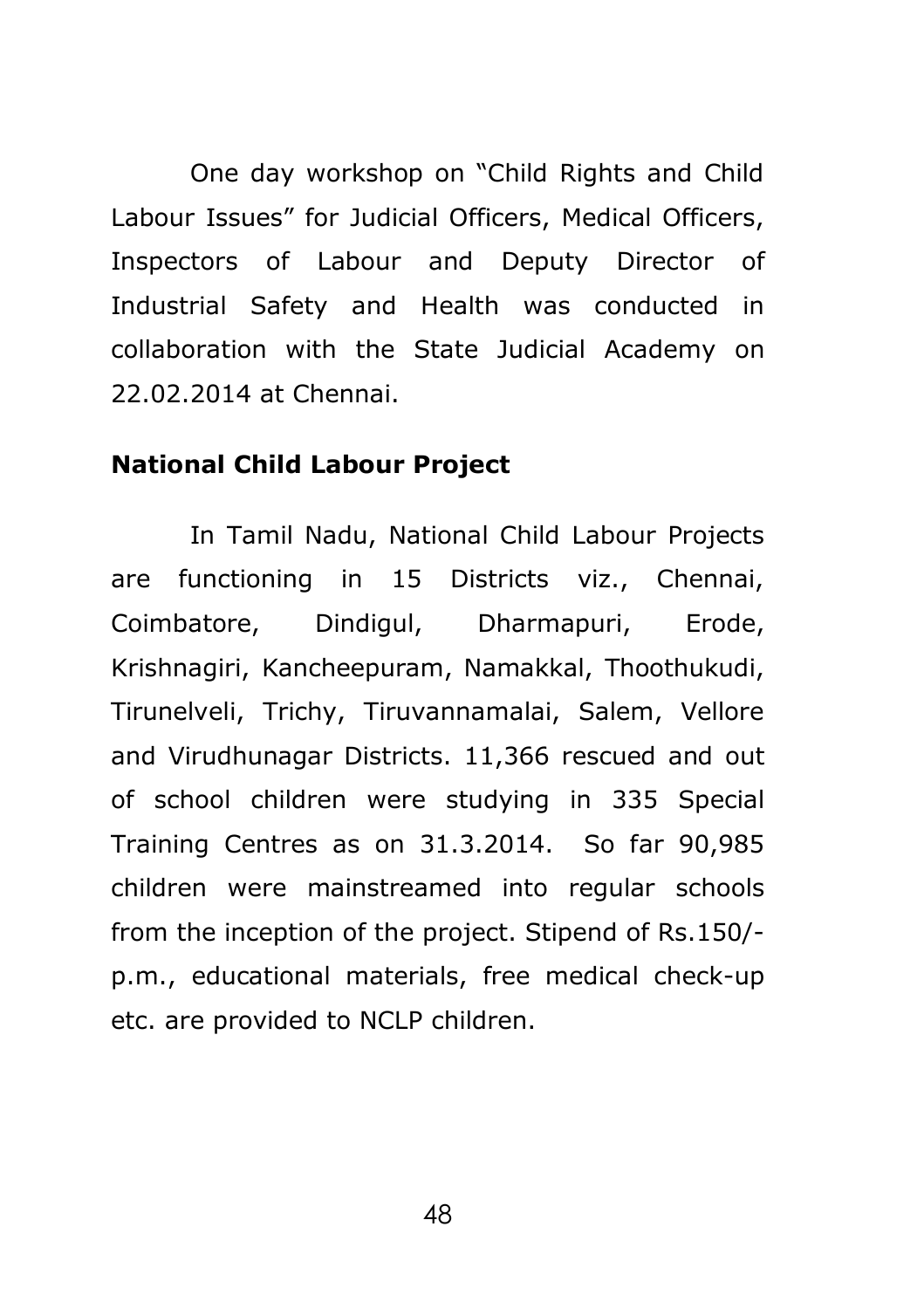One day workshop on "Child Rights and Child Labour Issues" for Judicial Officers, Medical Officers, Inspectors of Labour and Deputy Director of Industrial Safety and Health was conducted in collaboration with the State Judicial Academy on 22.02.2014 at Chennai.

### **National Child Labour Project**

In Tamil Nadu, National Child Labour Projects are functioning in 15 Districts viz., Chennai, Coimbatore, Dindigul, Dharmapuri, Erode, Krishnagiri, Kancheepuram, Namakkal, Thoothukudi, Tirunelveli, Trichy, Tiruvannamalai, Salem, Vellore and Virudhunagar Districts. 11,366 rescued and out of school children were studying in 335 Special Training Centres as on 31.3.2014. So far 90,985 children were mainstreamed into regular schools from the inception of the project. Stipend of Rs.150/ p.m., educational materials, free medical check-up etc. are provided to NCLP children.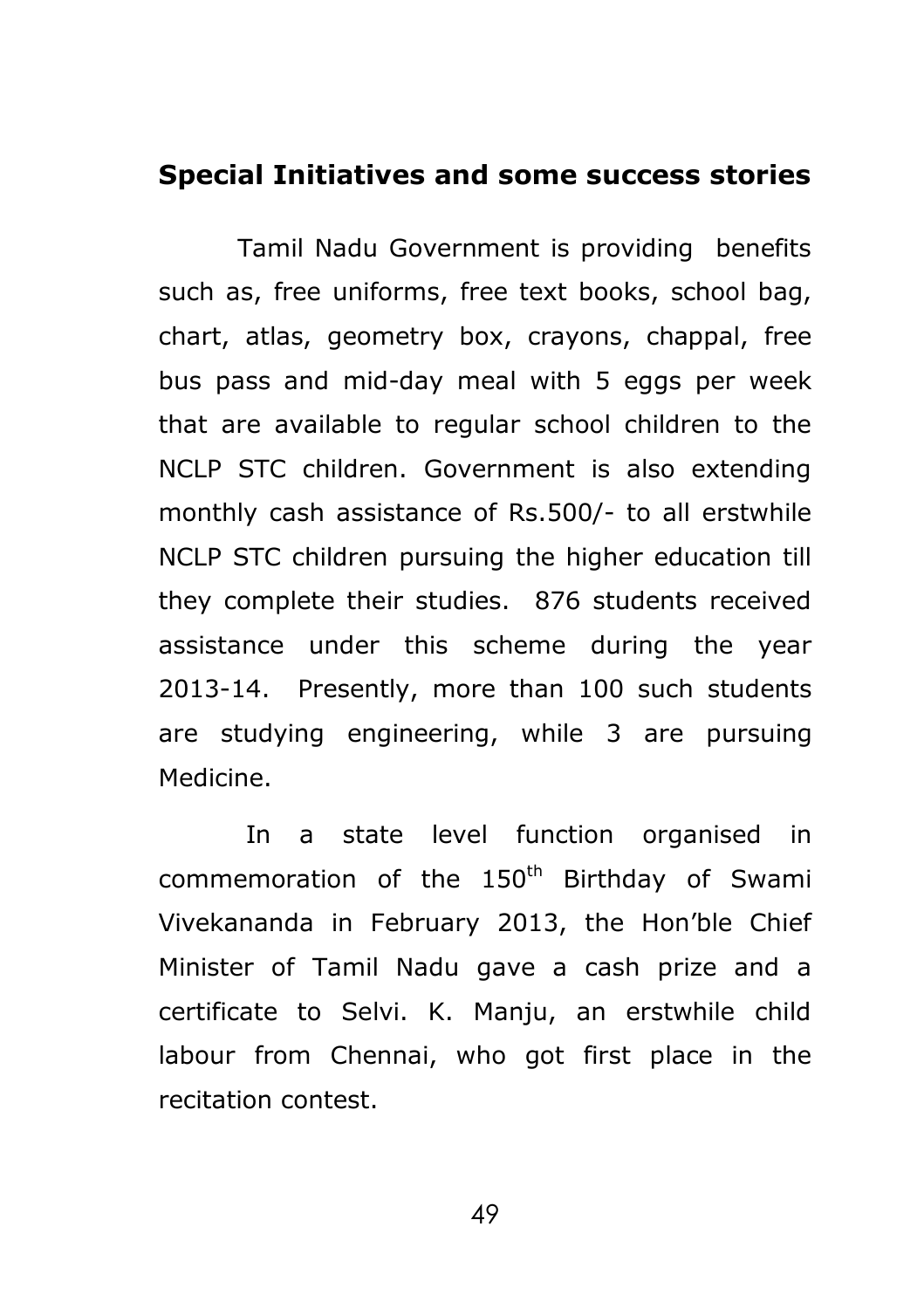### **Special Initiatives and some success stories**

Tamil Nadu Government is providing benefits such as, free uniforms, free text books, school bag, chart, atlas, geometry box, crayons, chappal, free bus pass and mid-day meal with 5 eggs per week that are available to regular school children to the NCLP STC children. Government is also extending monthly cash assistance of Rs.500/- to all erstwhile NCLP STC children pursuing the higher education till they complete their studies. 876 students received assistance under this scheme during the year 2013-14. Presently, more than 100 such students are studying engineering, while 3 are pursuing Medicine.

In a state level function organised in commemoration of the  $150<sup>th</sup>$  Birthday of Swami Vivekananda in February 2013, the Hon'ble Chief Minister of Tamil Nadu gave a cash prize and a certificate to Selvi. K. Manju, an erstwhile child labour from Chennai, who got first place in the recitation contest.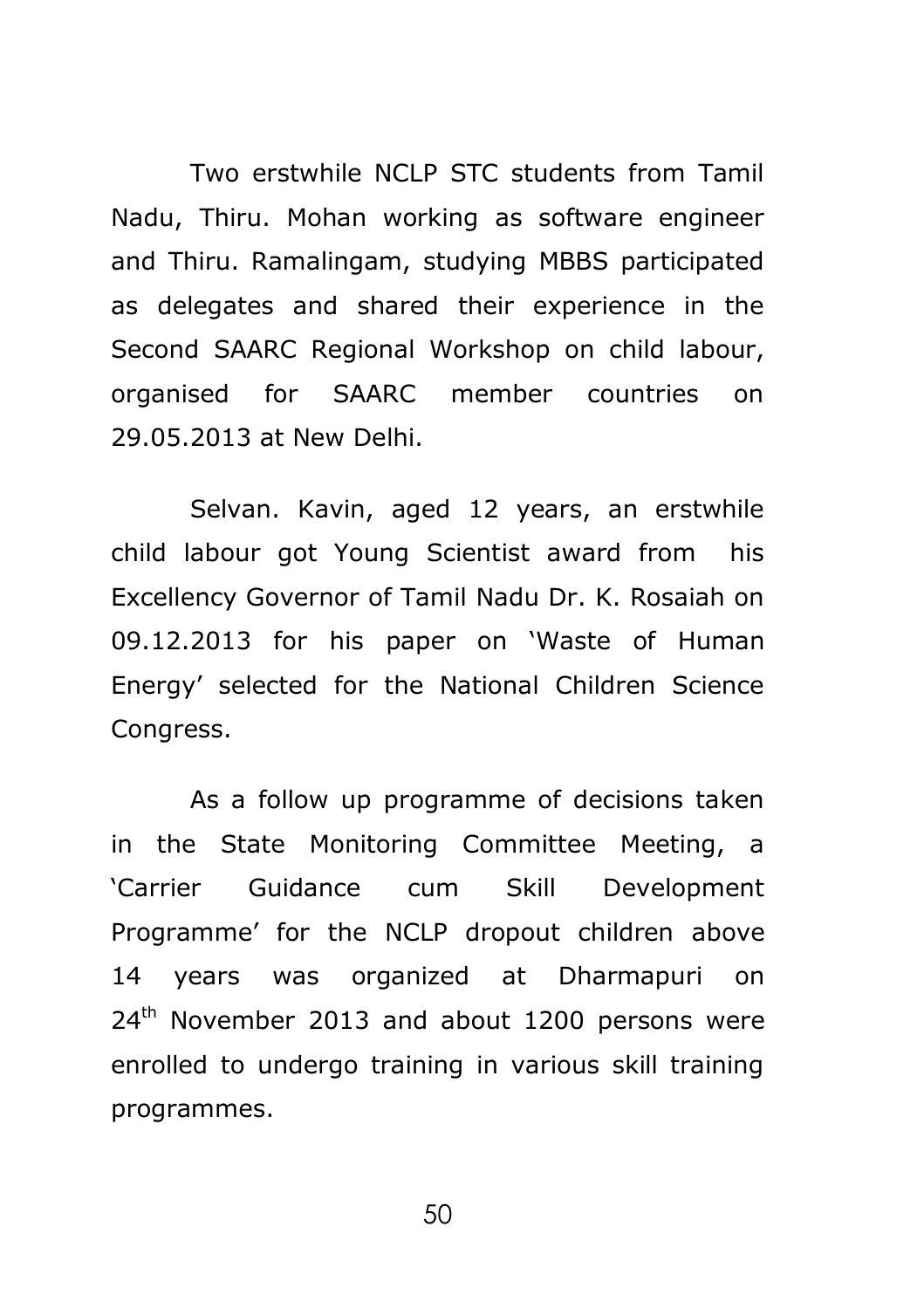Two erstwhile NCLP STC students from Tamil Nadu, Thiru. Mohan working as software engineer and Thiru. Ramalingam, studying MBBS participated as delegates and shared their experience in the Second SAARC Regional Workshop on child labour, organised for SAARC member countries on 29.05.2013 at New Delhi.

Selvan. Kavin, aged 12 years, an erstwhile child labour got Young Scientist award from his Excellency Governor of Tamil Nadu Dr. K. Rosaiah on 09.12.2013 for his paper on 'Waste of Human Energy' selected for the National Children Science Congress.

As a follow up programme of decisions taken in the State Monitoring Committee Meeting, a 'Carrier Guidance cum Skill Development Programme' for the NCLP dropout children above 14 years was organized at Dharmapuri on  $24<sup>th</sup>$  November 2013 and about 1200 persons were enrolled to undergo training in various skill training programmes.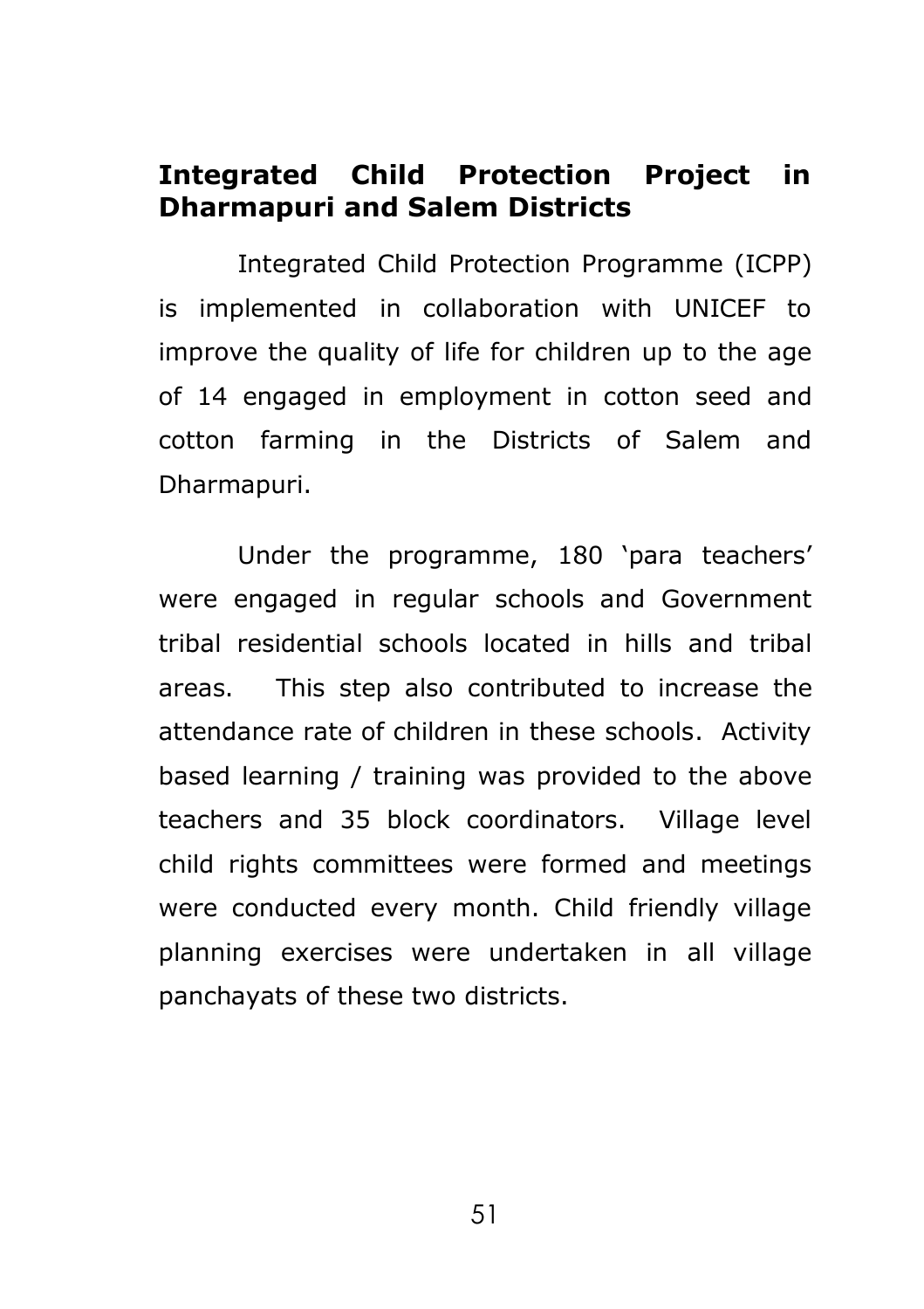# **Integrated Child Protection Project in Dharmapuri and Salem Districts**

Integrated Child Protection Programme (ICPP) is implemented in collaboration with UNICEF to improve the quality of life for children up to the age of 14 engaged in employment in cotton seed and cotton farming in the Districts of Salem and Dharmapuri.

Under the programme, 180 'para teachers' were engaged in regular schools and Government tribal residential schools located in hills and tribal areas. This step also contributed to increase the attendance rate of children in these schools. Activity based learning / training was provided to the above teachers and 35 block coordinators. Village level child rights committees were formed and meetings were conducted every month. Child friendly village planning exercises were undertaken in all village panchayats of these two districts.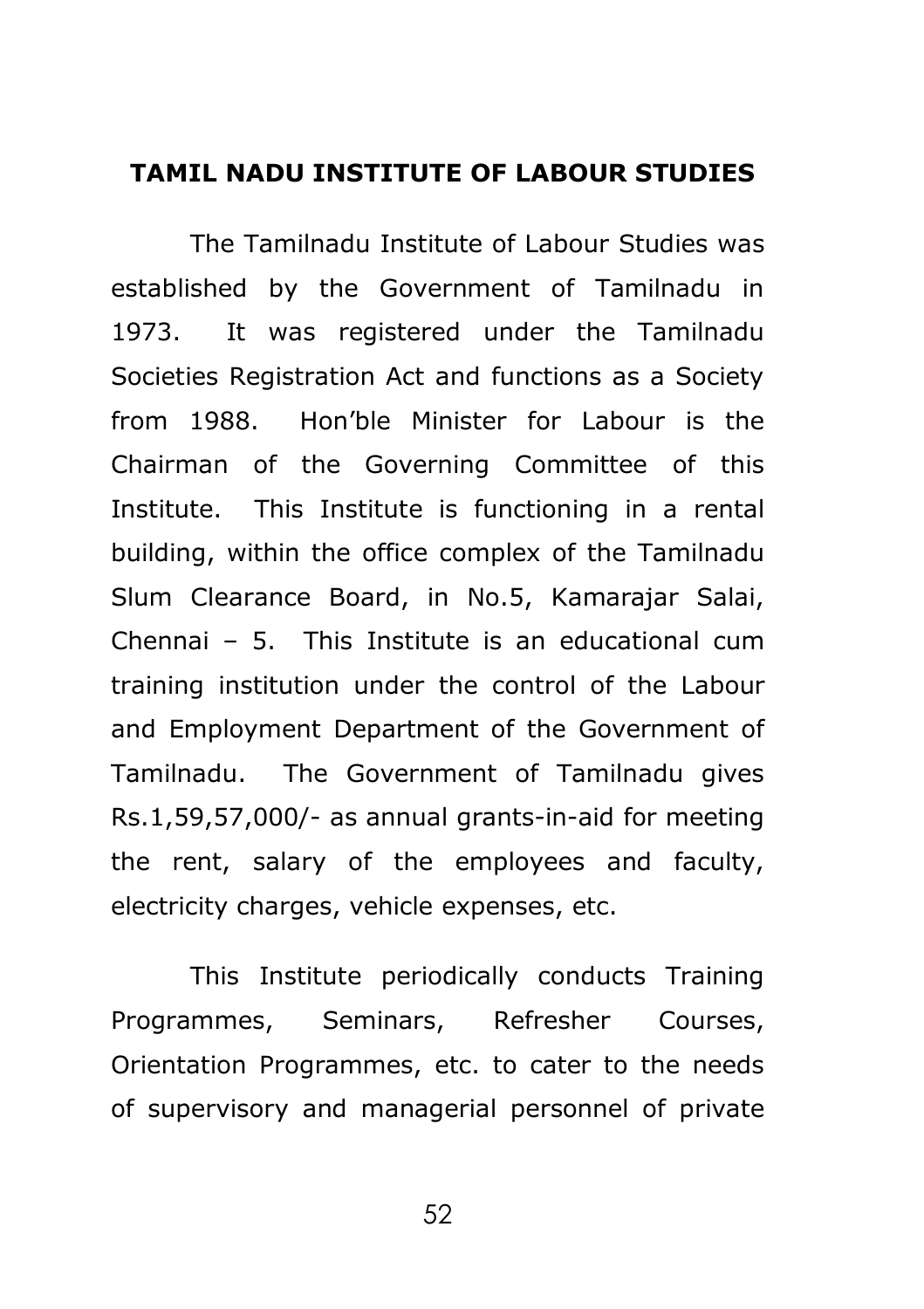#### **TAMIL NADU INSTITUTE OF LABOUR STUDIES**

The Tamilnadu Institute of Labour Studies was established by the Government of Tamilnadu in 1973. It was registered under the Tamilnadu Societies Registration Act and functions as a Society from 1988. Hon'ble Minister for Labour is the Chairman of the Governing Committee of this Institute. This Institute is functioning in a rental building, within the office complex of the Tamilnadu Slum Clearance Board, in No.5, Kamarajar Salai, Chennai – 5. This Institute is an educational cum training institution under the control of the Labour and Employment Department of the Government of Tamilnadu. The Government of Tamilnadu gives Rs.1,59,57,000/- as annual grants-in-aid for meeting the rent, salary of the employees and faculty, electricity charges, vehicle expenses, etc.

This Institute periodically conducts Training Programmes, Seminars, Refresher Courses, Orientation Programmes, etc. to cater to the needs of supervisory and managerial personnel of private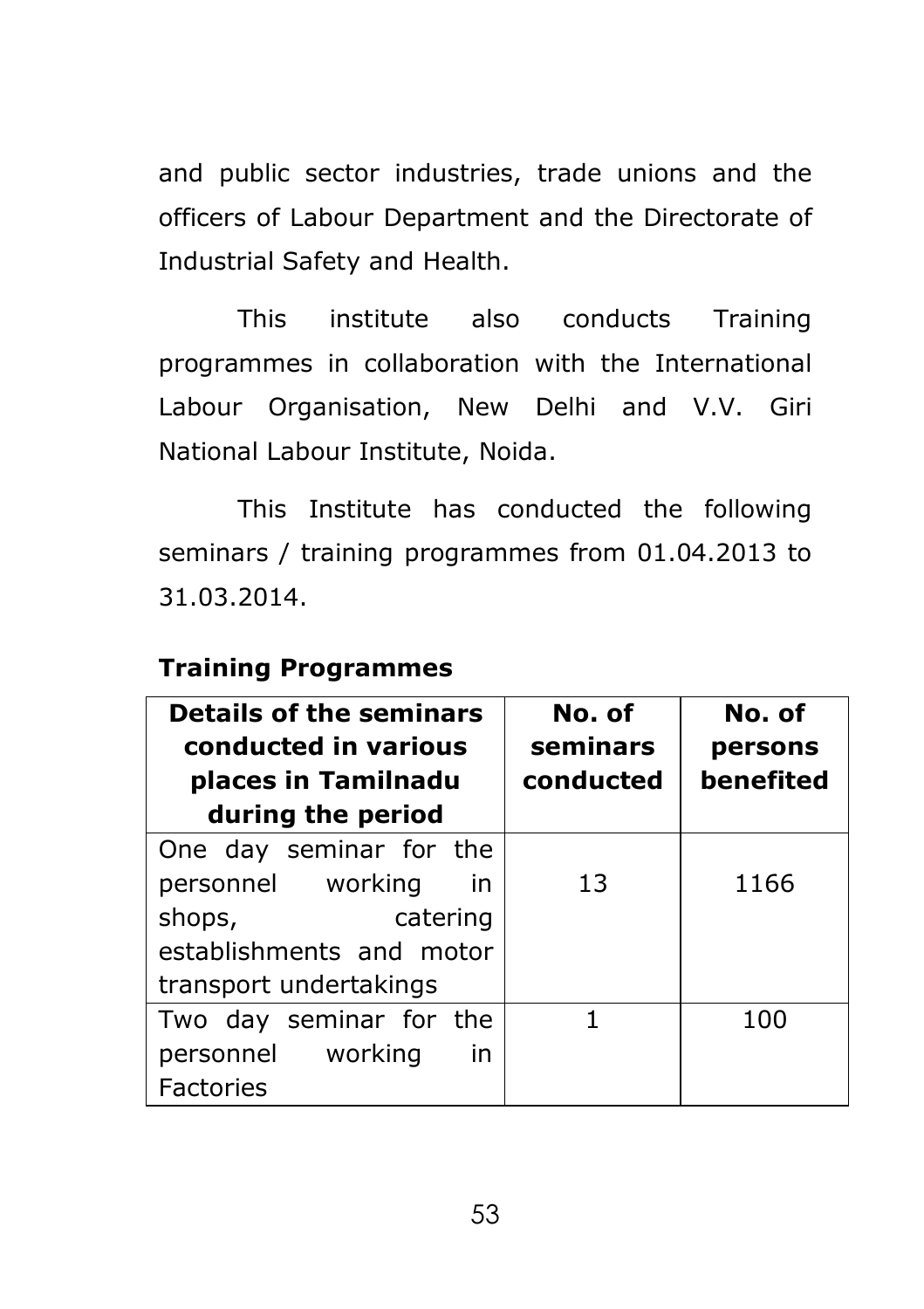and public sector industries, trade unions and the officers of Labour Department and the Directorate of Industrial Safety and Health.

This institute also conducts Training programmes in collaboration with the International Labour Organisation, New Delhi and V.V. Giri National Labour Institute, Noida.

This Institute has conducted the following seminars / training programmes from 01.04.2013 to 31.03.2014.

### **Training Programmes**

| <b>Details of the seminars</b><br>conducted in various<br>places in Tamilnadu<br>during the period | No. of<br>seminars<br>conducted | No. of<br>persons<br>benefited |
|----------------------------------------------------------------------------------------------------|---------------------------------|--------------------------------|
| One day seminar for the                                                                            |                                 |                                |
| personnel working<br>in                                                                            | 13                              | 1166                           |
| shops,<br>catering                                                                                 |                                 |                                |
| establishments and motor                                                                           |                                 |                                |
| transport undertakings                                                                             |                                 |                                |
| Two day seminar for the                                                                            |                                 | 100                            |
| personnel working<br>in                                                                            |                                 |                                |
| <b>Factories</b>                                                                                   |                                 |                                |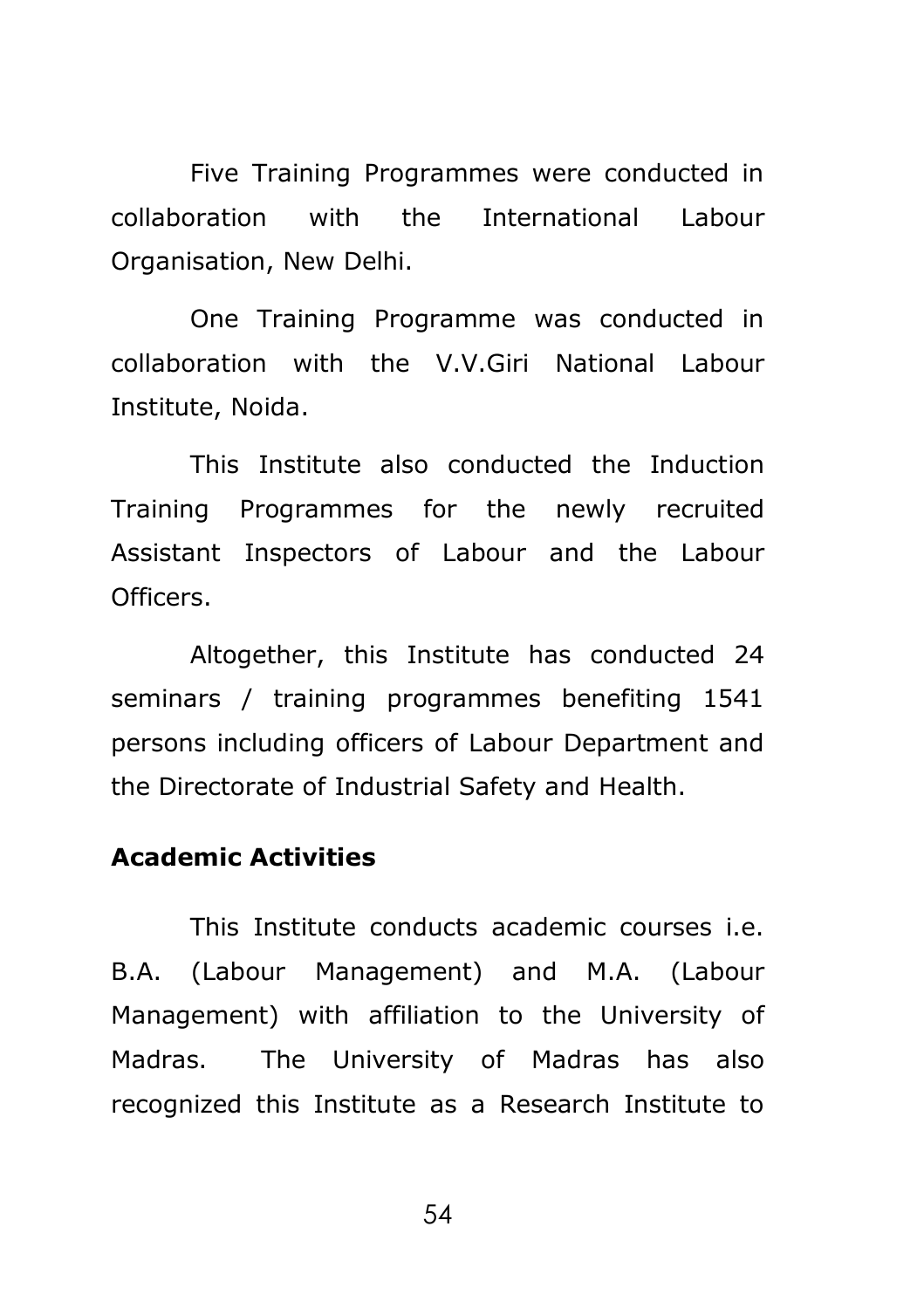Five Training Programmes were conducted in collaboration with the International Labour Organisation, New Delhi.

One Training Programme was conducted in collaboration with the V.V.Giri National Labour Institute, Noida.

This Institute also conducted the Induction Training Programmes for the newly recruited Assistant Inspectors of Labour and the Labour Officers.

Altogether, this Institute has conducted 24 seminars / training programmes benefiting 1541 persons including officers of Labour Department and the Directorate of Industrial Safety and Health.

### **Academic Activities**

This Institute conducts academic courses i.e. B.A. (Labour Management) and M.A. (Labour Management) with affiliation to the University of Madras. The University of Madras has also recognized this Institute as a Research Institute to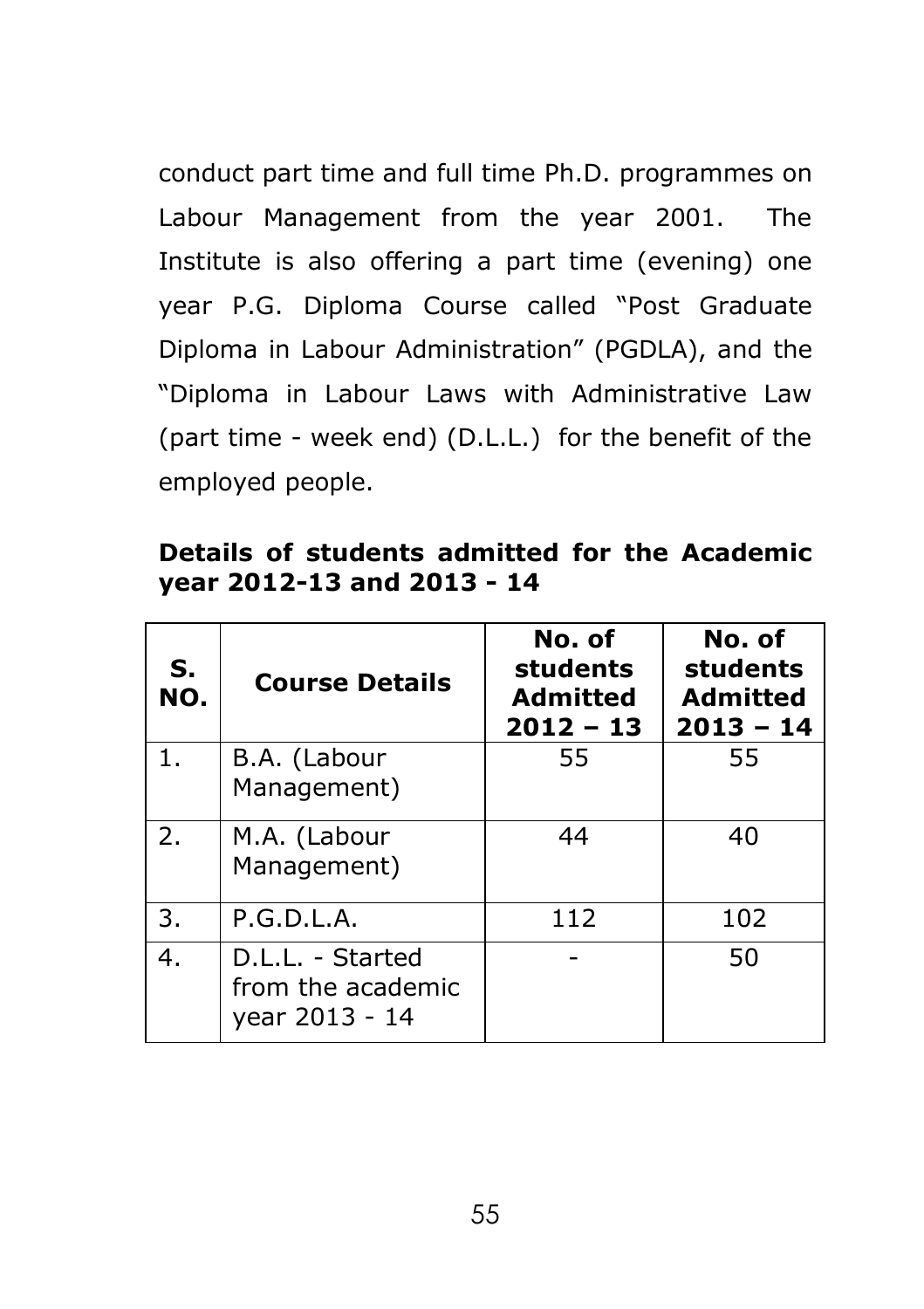conduct part time and full time Ph.D. programmes on Labour Management from the year 2001. The Institute is also offering a part time (evening) one year P.G. Diploma Course called "Post Graduate Diploma in Labour Administration" (PGDLA), and the "Diploma in Labour Laws with Administrative Law (part time - week end) (D.L.L.) for the benefit of the employed people.

**Details of students admitted for the Academic year 2012-13 and 2013 - 14**

| S.<br>NO. | <b>Course Details</b>                                   | No. of<br>students<br><b>Admitted</b><br>$2012 - 13$ | No. of<br>students<br><b>Admitted</b><br>$2013 - 14$ |
|-----------|---------------------------------------------------------|------------------------------------------------------|------------------------------------------------------|
| 1.        | B.A. (Labour<br>Management)                             | 55                                                   | 55                                                   |
| 2.        | M.A. (Labour<br>Management)                             | 44                                                   | 40                                                   |
| 3.        | P.G.D.L.A.                                              | 112                                                  | 102                                                  |
| 4.        | D.L.L. - Started<br>from the academic<br>year 2013 - 14 |                                                      | 50                                                   |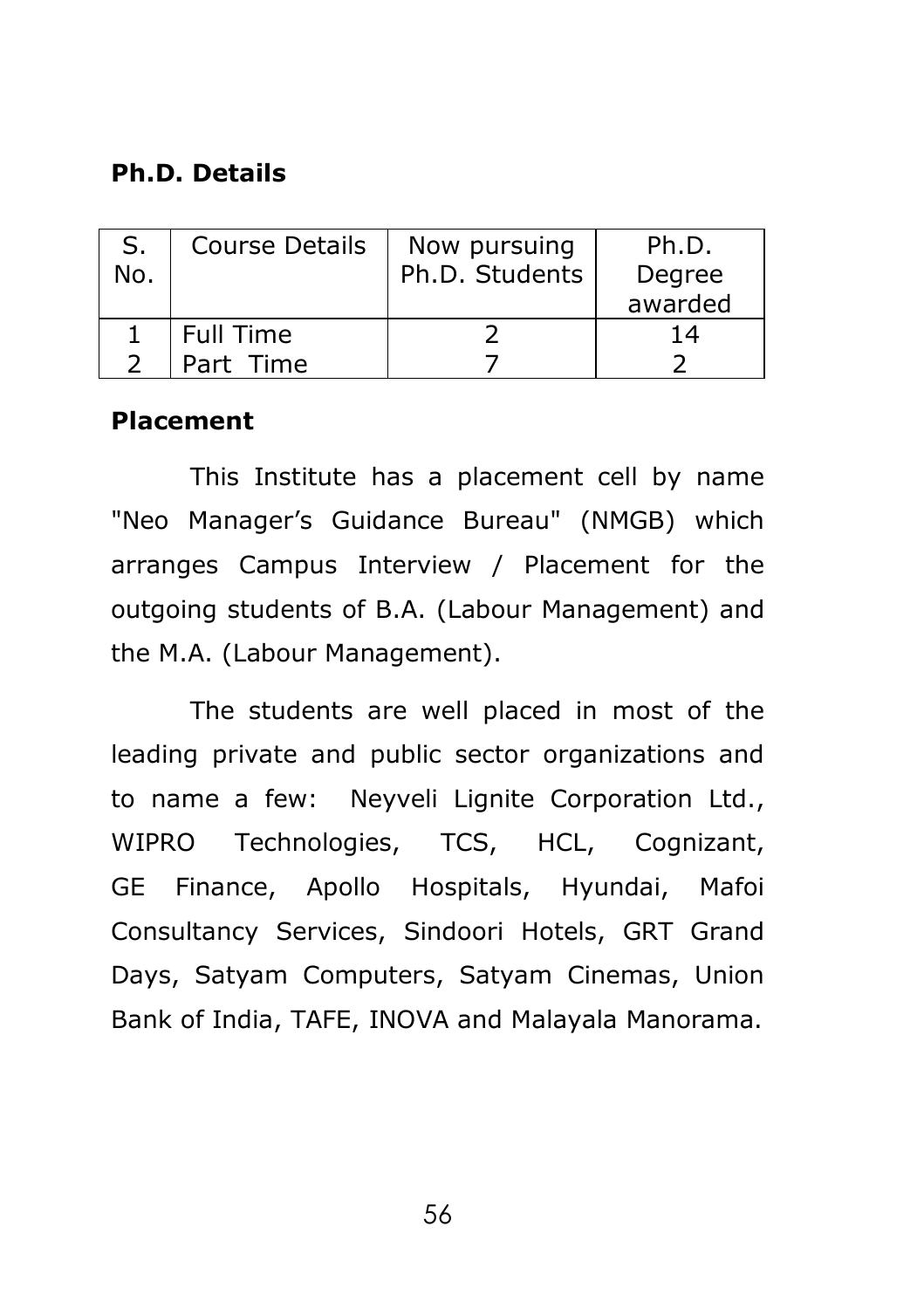### **Ph.D. Details**

| No. | <b>Course Details</b> | Now pursuing<br>Ph.D. Students | Ph.D.<br>Degree<br>awarded |
|-----|-----------------------|--------------------------------|----------------------------|
|     | Full Time             |                                | 14                         |
|     | Part Time             |                                |                            |

#### **Placement**

This Institute has a placement cell by name "Neo Manager's Guidance Bureau" (NMGB) which arranges Campus Interview / Placement for the outgoing students of B.A. (Labour Management) and the M.A. (Labour Management).

The students are well placed in most of the leading private and public sector organizations and to name a few: Neyveli Lignite Corporation Ltd., WIPRO Technologies, TCS, HCL, Cognizant, GE Finance, Apollo Hospitals, Hyundai, Mafoi Consultancy Services, Sindoori Hotels, GRT Grand Days, Satyam Computers, Satyam Cinemas, Union Bank of India, TAFE, INOVA and Malayala Manorama.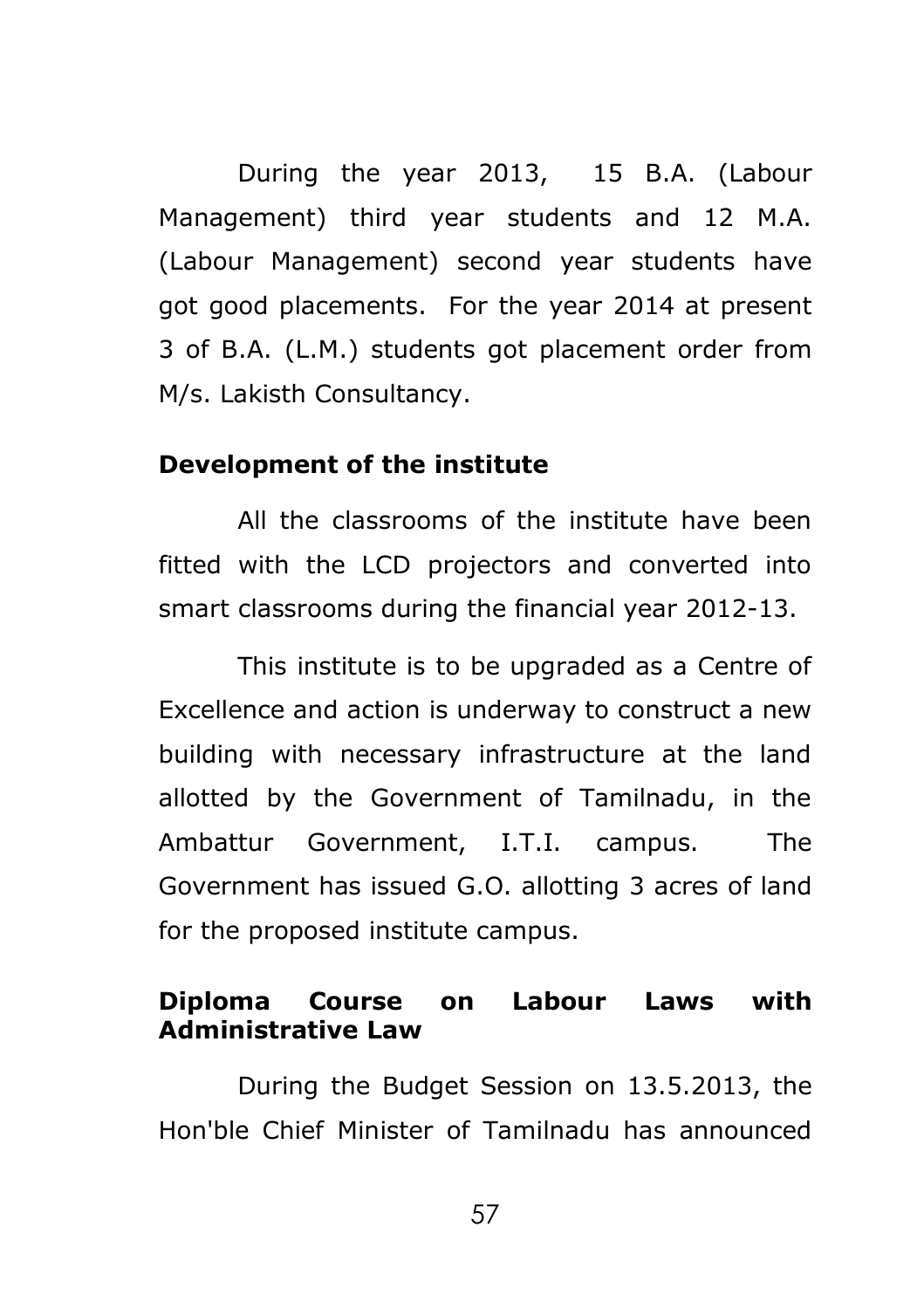During the year 2013, 15 B.A. (Labour Management) third year students and 12 M.A. (Labour Management) second year students have got good placements. For the year 2014 at present 3 of B.A. (L.M.) students got placement order from M/s. Lakisth Consultancy.

#### **Development of the institute**

All the classrooms of the institute have been fitted with the LCD projectors and converted into smart classrooms during the financial year 2012-13.

This institute is to be upgraded as a Centre of Excellence and action is underway to construct a new building with necessary infrastructure at the land allotted by the Government of Tamilnadu, in the Ambattur Government, I.T.I. campus. The Government has issued G.O. allotting 3 acres of land for the proposed institute campus.

#### **Diploma Course on Labour Laws with Administrative Law**

During the Budget Session on 13.5.2013, the Hon'ble Chief Minister of Tamilnadu has announced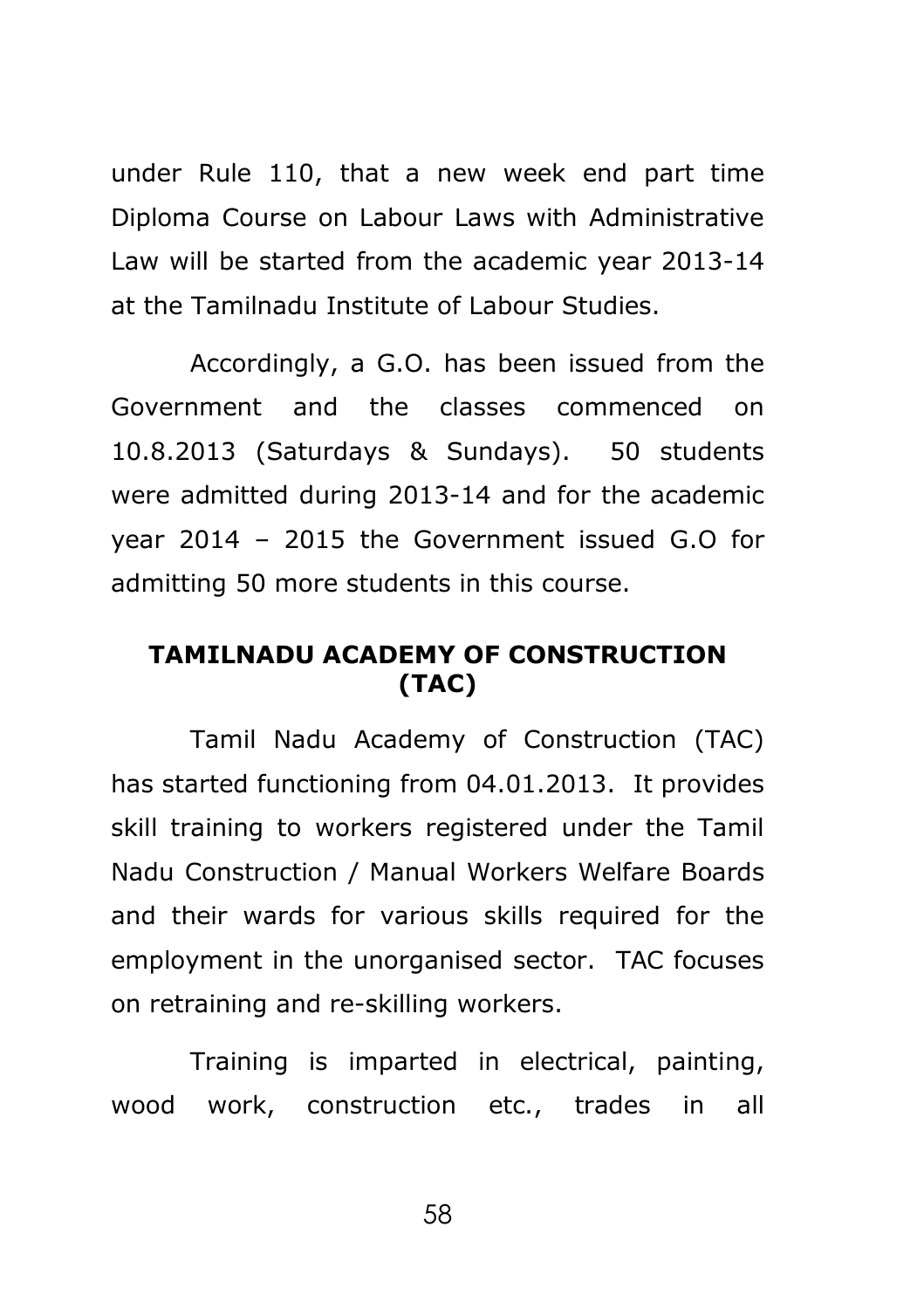under Rule 110, that a new week end part time Diploma Course on Labour Laws with Administrative Law will be started from the academic year 2013-14 at the Tamilnadu Institute of Labour Studies.

Accordingly, a G.O. has been issued from the Government and the classes commenced on 10.8.2013 (Saturdays & Sundays). 50 students were admitted during 2013-14 and for the academic year 2014 – 2015 the Government issued G.O for admitting 50 more students in this course.

### **TAMILNADU ACADEMY OF CONSTRUCTION (TAC)**

Tamil Nadu Academy of Construction (TAC) has started functioning from 04.01.2013. It provides skill training to workers registered under the Tamil Nadu Construction / Manual Workers Welfare Boards and their wards for various skills required for the employment in the unorganised sector. TAC focuses on retraining and re-skilling workers.

Training is imparted in electrical, painting, wood work, construction etc., trades in all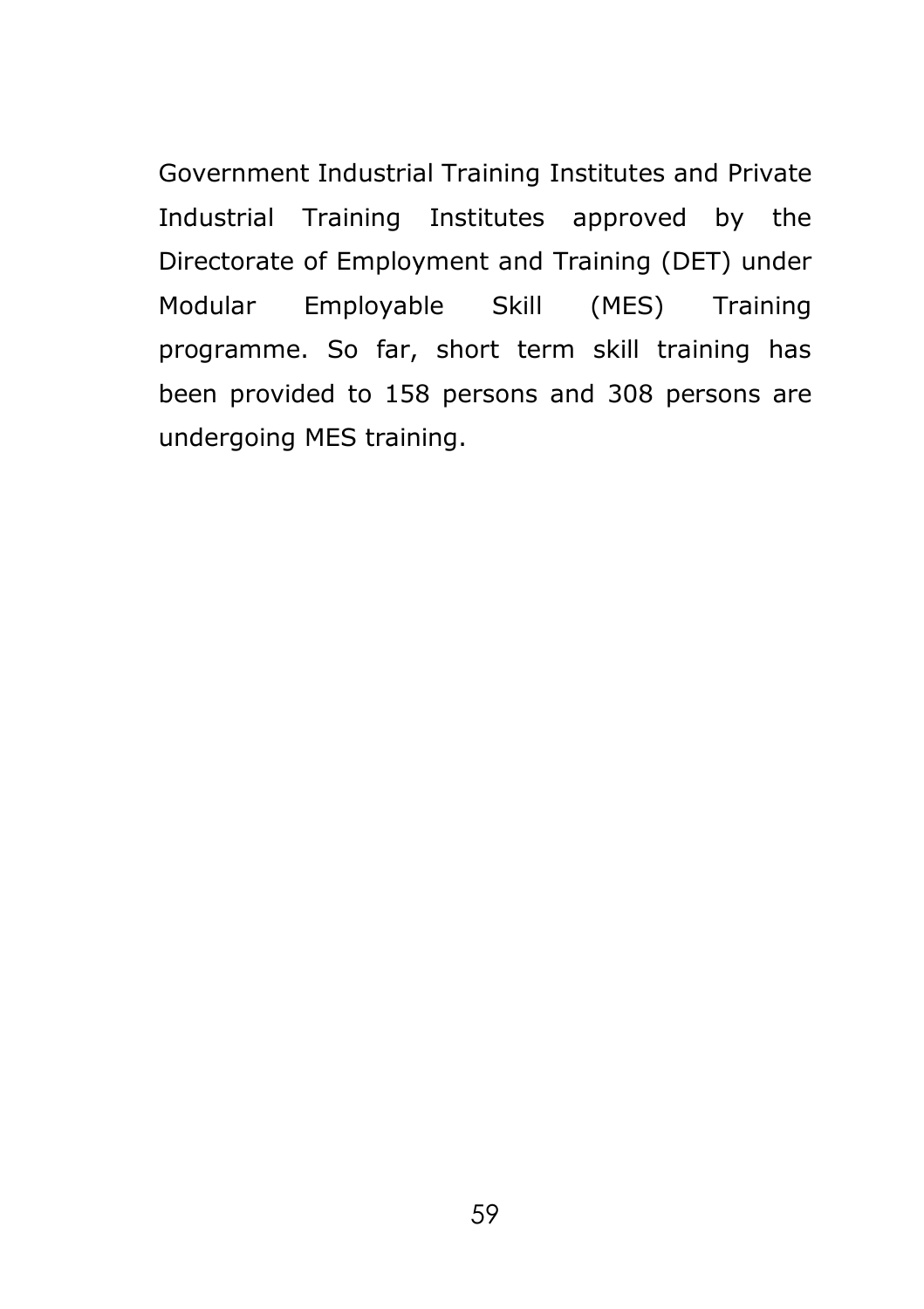Government Industrial Training Institutes and Private Industrial Training Institutes approved by the Directorate of Employment and Training (DET) under Modular Employable Skill (MES) Training programme. So far, short term skill training has been provided to 158 persons and 308 persons are undergoing MES training.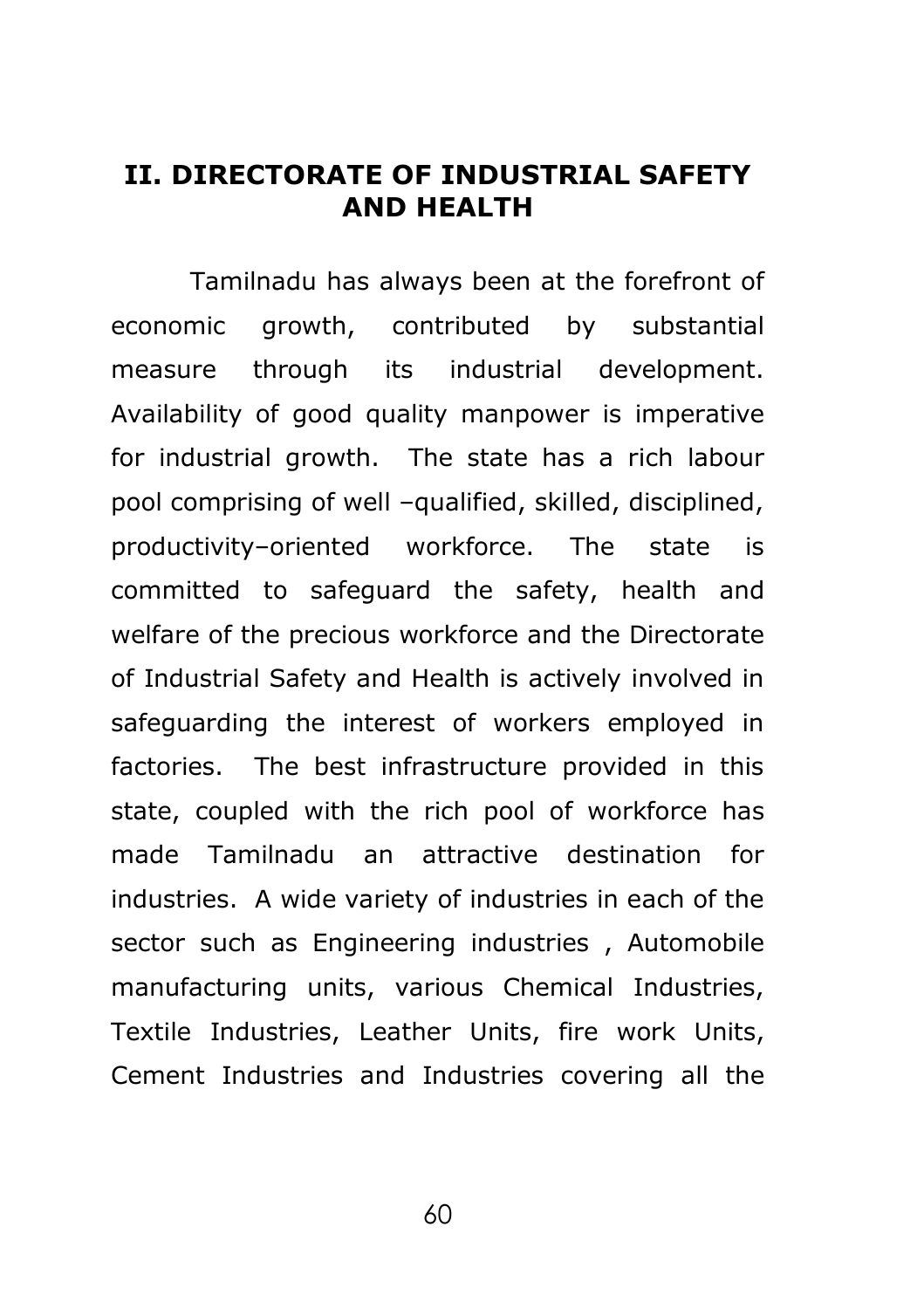### **II. DIRECTORATE OF INDUSTRIAL SAFETY AND HEALTH**

Tamilnadu has always been at the forefront of economic growth, contributed by substantial measure through its industrial development. Availability of good quality manpower is imperative for industrial growth. The state has a rich labour pool comprising of well –qualified, skilled, disciplined, productivity–oriented workforce. The state is committed to safeguard the safety, health and welfare of the precious workforce and the Directorate of Industrial Safety and Health is actively involved in safeguarding the interest of workers employed in factories. The best infrastructure provided in this state, coupled with the rich pool of workforce has made Tamilnadu an attractive destination for industries. A wide variety of industries in each of the sector such as Engineering industries , Automobile manufacturing units, various Chemical Industries, Textile Industries, Leather Units, fire work Units, Cement Industries and Industries covering all the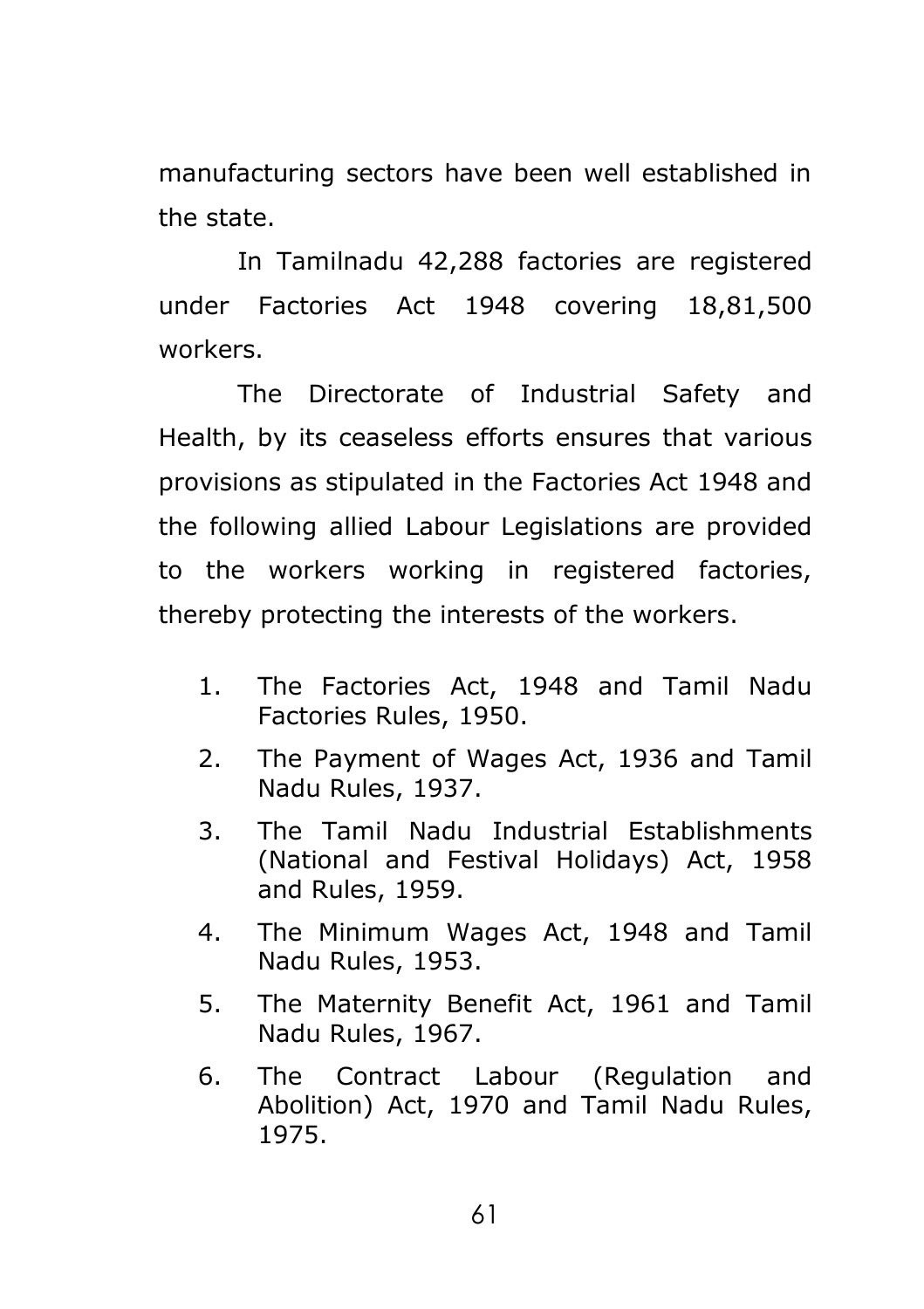manufacturing sectors have been well established in the state.

In Tamilnadu 42,288 factories are registered under Factories Act 1948 covering 18,81,500 workers.

The Directorate of Industrial Safety and Health, by its ceaseless efforts ensures that various provisions as stipulated in the Factories Act 1948 and the following allied Labour Legislations are provided to the workers working in registered factories, thereby protecting the interests of the workers.

- 1. The Factories Act, 1948 and Tamil Nadu Factories Rules, 1950.
- 2. The Payment of Wages Act, 1936 and Tamil Nadu Rules, 1937.
- 3. The Tamil Nadu Industrial Establishments (National and Festival Holidays) Act, 1958 and Rules, 1959.
- 4. The Minimum Wages Act, 1948 and Tamil Nadu Rules, 1953.
- 5. The Maternity Benefit Act, 1961 and Tamil Nadu Rules, 1967.
- 6. The Contract Labour (Regulation and Abolition) Act, 1970 and Tamil Nadu Rules, 1975.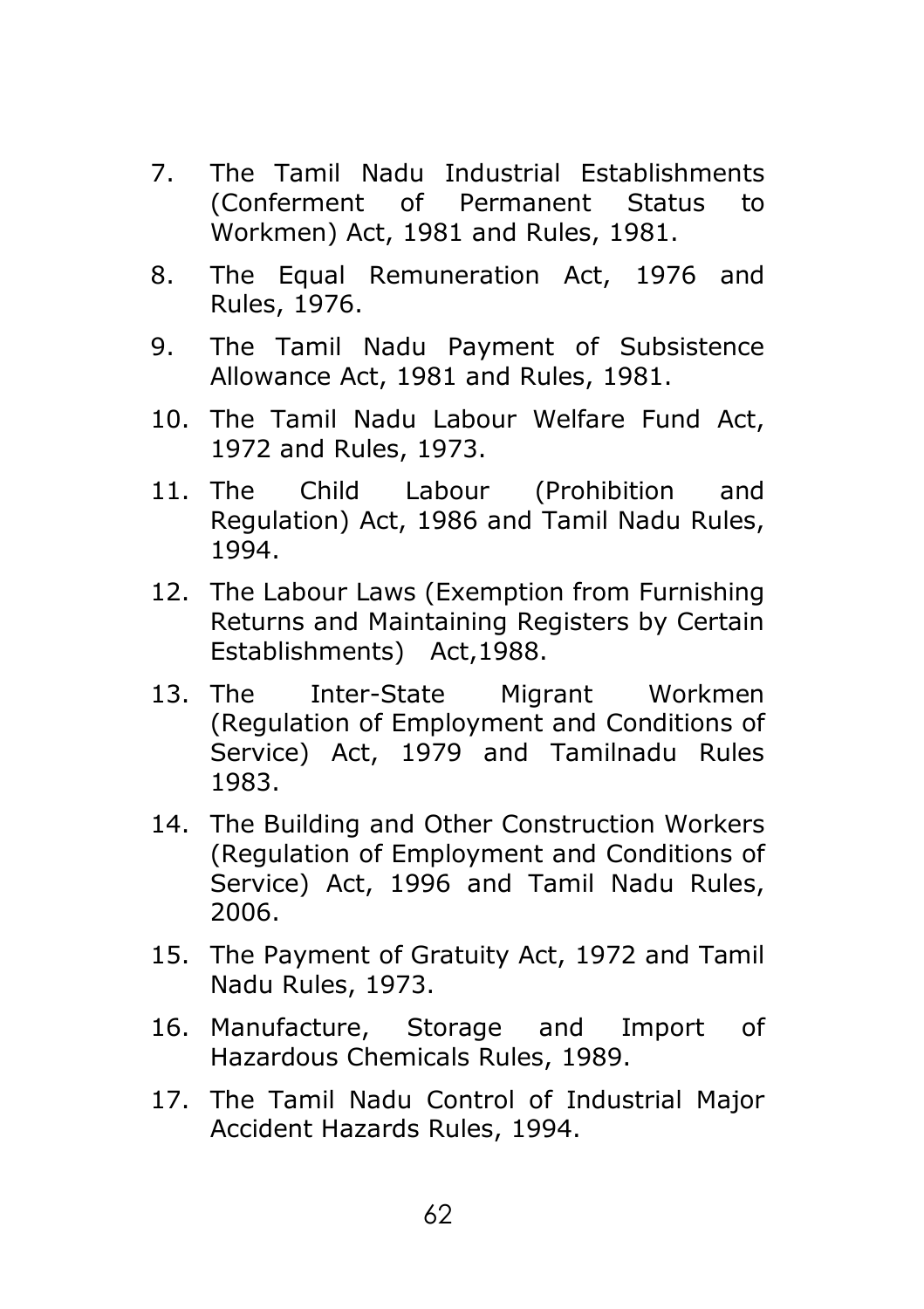- 7. The Tamil Nadu Industrial Establishments (Conferment of Permanent Status to Workmen) Act, 1981 and Rules, 1981.
- 8. The Equal Remuneration Act, 1976 and Rules, 1976.
- 9. The Tamil Nadu Payment of Subsistence Allowance Act, 1981 and Rules, 1981.
- 10. The Tamil Nadu Labour Welfare Fund Act, 1972 and Rules, 1973.
- 11. The Child Labour (Prohibition and Regulation) Act, 1986 and Tamil Nadu Rules, 1994.
- 12. The Labour Laws (Exemption from Furnishing Returns and Maintaining Registers by Certain Establishments) Act,1988.
- 13. The Inter-State Migrant Workmen (Regulation of Employment and Conditions of Service) Act, 1979 and Tamilnadu Rules 1983.
- 14. The Building and Other Construction Workers (Regulation of Employment and Conditions of Service) Act, 1996 and Tamil Nadu Rules, 2006.
- 15. The Payment of Gratuity Act, 1972 and Tamil Nadu Rules, 1973.
- 16. Manufacture, Storage and Import of Hazardous Chemicals Rules, 1989.
- 17. The Tamil Nadu Control of Industrial Major Accident Hazards Rules, 1994.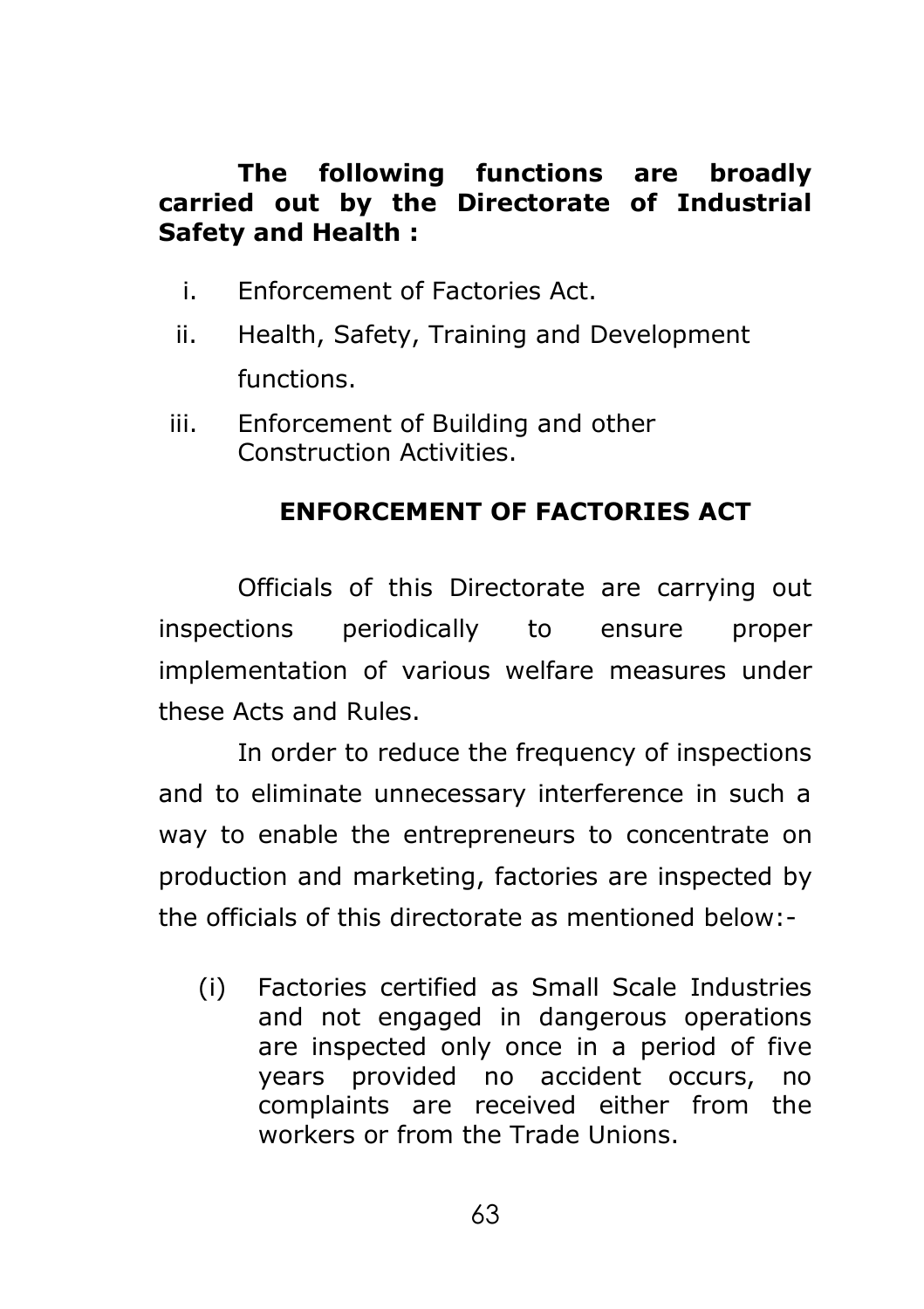### **The following functions are broadly carried out by the Directorate of Industrial Safety and Health :**

- i. Enforcement of Factories Act.
- ii. Health, Safety, Training and Development functions.
- iii. Enforcement of Building and other Construction Activities.

# **ENFORCEMENT OF FACTORIES ACT**

Officials of this Directorate are carrying out inspections periodically to ensure proper implementation of various welfare measures under these Acts and Rules.

In order to reduce the frequency of inspections and to eliminate unnecessary interference in such a way to enable the entrepreneurs to concentrate on production and marketing, factories are inspected by the officials of this directorate as mentioned below:-

(i) Factories certified as Small Scale Industries and not engaged in dangerous operations are inspected only once in a period of five years provided no accident occurs, no complaints are received either from the workers or from the Trade Unions.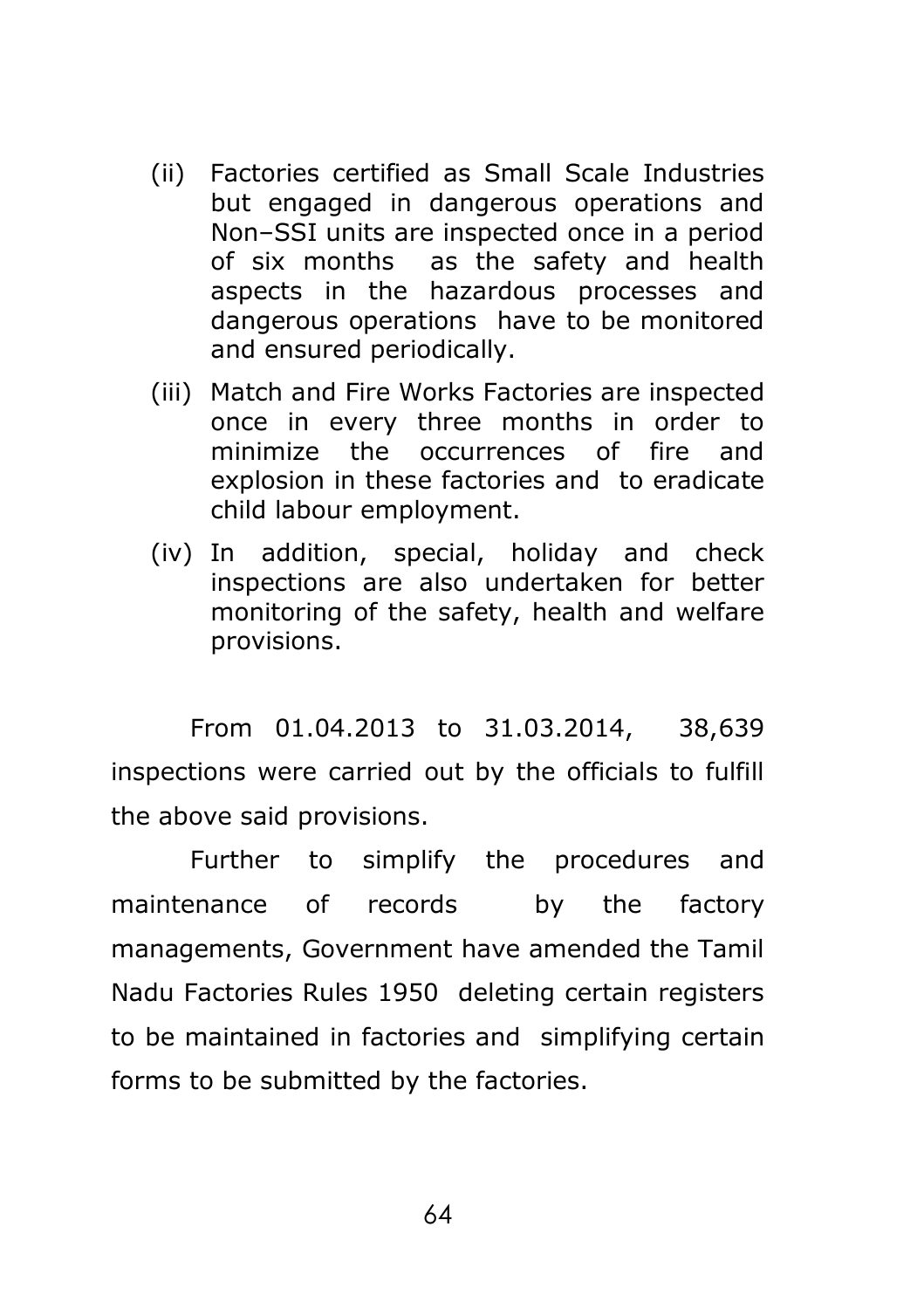- (ii) Factories certified as Small Scale Industries but engaged in dangerous operations and Non–SSI units are inspected once in a period of six months as the safety and health aspects in the hazardous processes and dangerous operations have to be monitored and ensured periodically.
- (iii) Match and Fire Works Factories are inspected once in every three months in order to minimize the occurrences of fire and explosion in these factories and to eradicate child labour employment.
- (iv) In addition, special, holiday and check inspections are also undertaken for better monitoring of the safety, health and welfare provisions.

From 01.04.2013 to 31.03.2014, 38,639 inspections were carried out by the officials to fulfill the above said provisions.

Further to simplify the procedures and maintenance of records by the factory managements, Government have amended the Tamil Nadu Factories Rules 1950 deleting certain registers to be maintained in factories and simplifying certain forms to be submitted by the factories.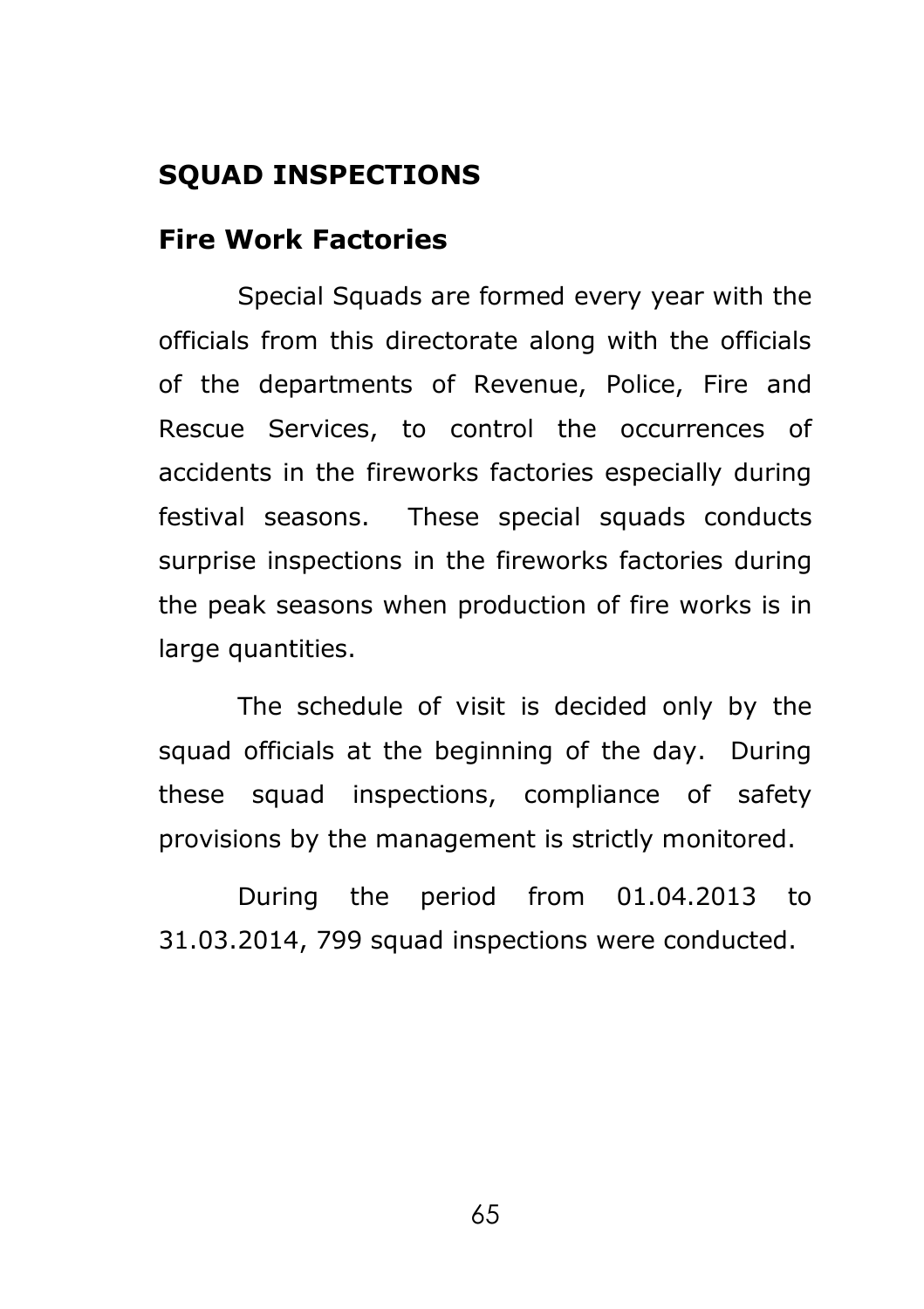# **SQUAD INSPECTIONS**

### **Fire Work Factories**

Special Squads are formed every year with the officials from this directorate along with the officials of the departments of Revenue, Police, Fire and Rescue Services, to control the occurrences of accidents in the fireworks factories especially during festival seasons. These special squads conducts surprise inspections in the fireworks factories during the peak seasons when production of fire works is in large quantities.

The schedule of visit is decided only by the squad officials at the beginning of the day. During these squad inspections, compliance of safety provisions by the management is strictly monitored.

During the period from 01.04.2013 to 31.03.2014, 799 squad inspections were conducted.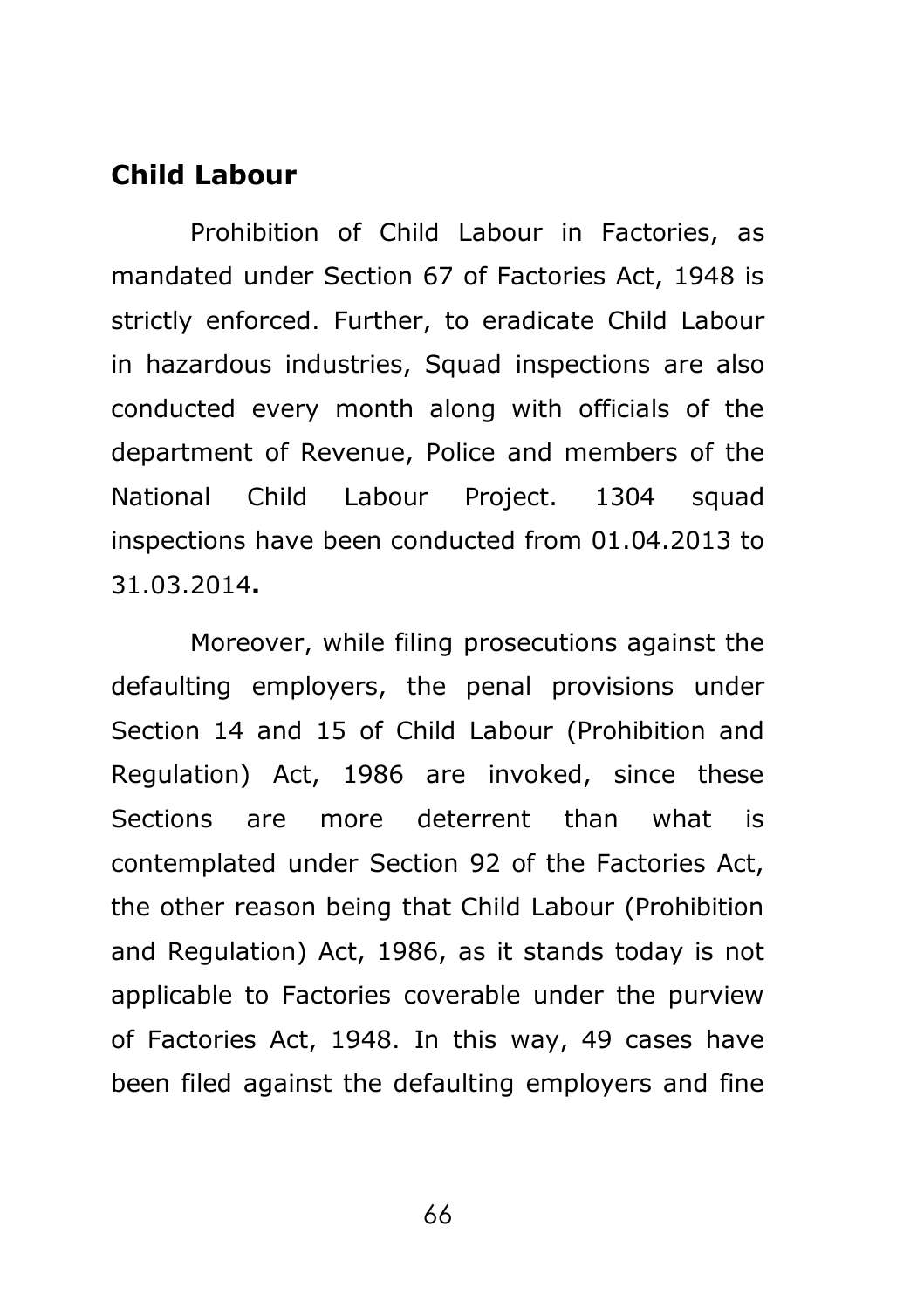### **Child Labour**

Prohibition of Child Labour in Factories, as mandated under Section 67 of Factories Act, 1948 is strictly enforced. Further, to eradicate Child Labour in hazardous industries, Squad inspections are also conducted every month along with officials of the department of Revenue, Police and members of the National Child Labour Project, 1304 squad inspections have been conducted from 01.04.2013 to 31.03.2014**.**

Moreover, while filing prosecutions against the defaulting employers, the penal provisions under Section 14 and 15 of Child Labour (Prohibition and Regulation) Act, 1986 are invoked, since these Sections are more deterrent than what is contemplated under Section 92 of the Factories Act, the other reason being that Child Labour (Prohibition and Regulation) Act, 1986, as it stands today is not applicable to Factories coverable under the purview of Factories Act, 1948. In this way, 49 cases have been filed against the defaulting employers and fine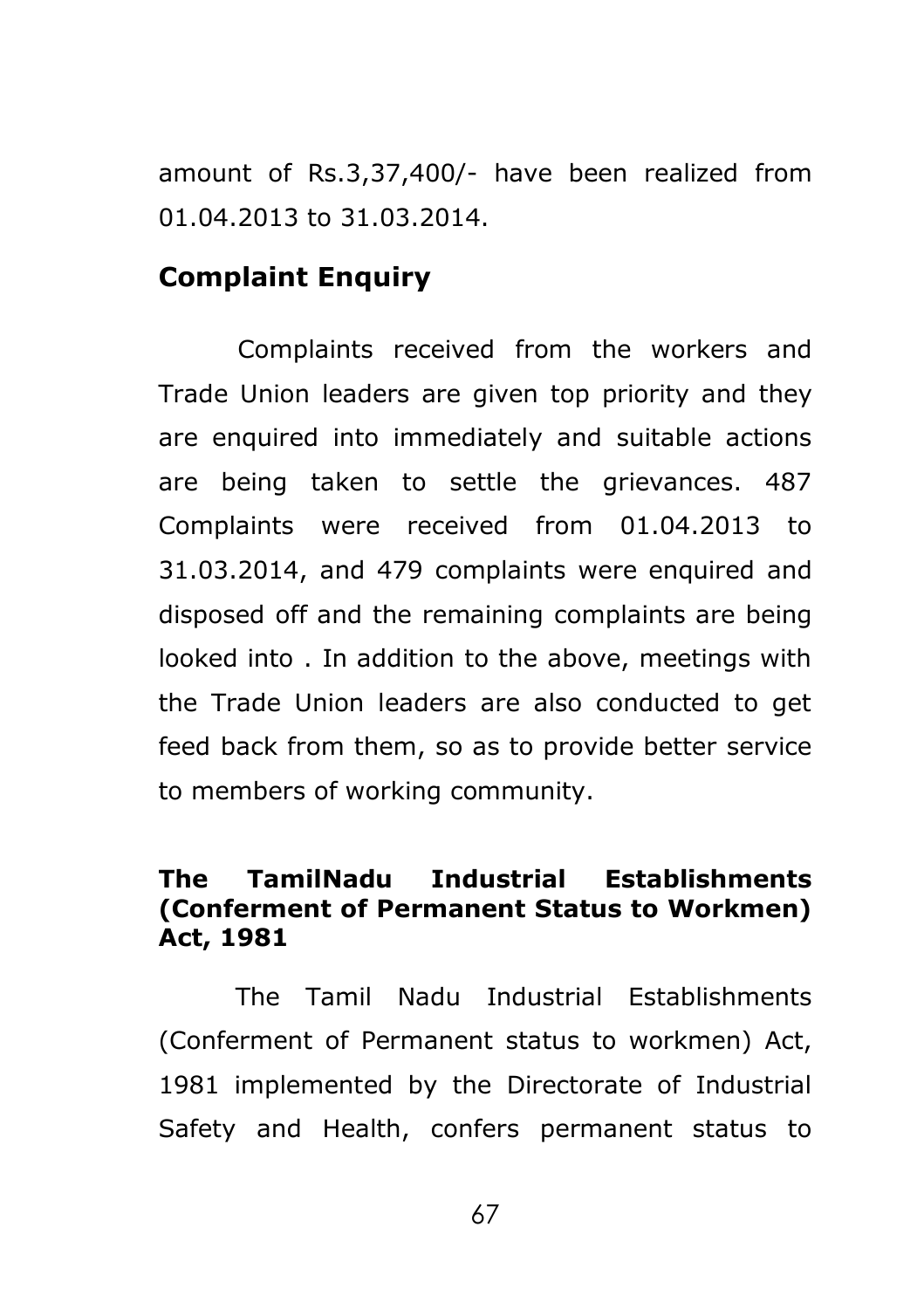amount of Rs.3,37,400/- have been realized from 01.04.2013 to 31.03.2014.

### **Complaint Enquiry**

Complaints received from the workers and Trade Union leaders are given top priority and they are enquired into immediately and suitable actions are being taken to settle the grievances. 487 Complaints were received from 01.04.2013 to 31.03.2014, and 479 complaints were enquired and disposed off and the remaining complaints are being looked into . In addition to the above, meetings with the Trade Union leaders are also conducted to get feed back from them, so as to provide better service to members of working community.

### **The TamilNadu Industrial Establishments (Conferment of Permanent Status to Workmen) Act, 1981**

The Tamil Nadu Industrial Establishments (Conferment of Permanent status to workmen) Act, 1981 implemented by the Directorate of Industrial Safety and Health, confers permanent status to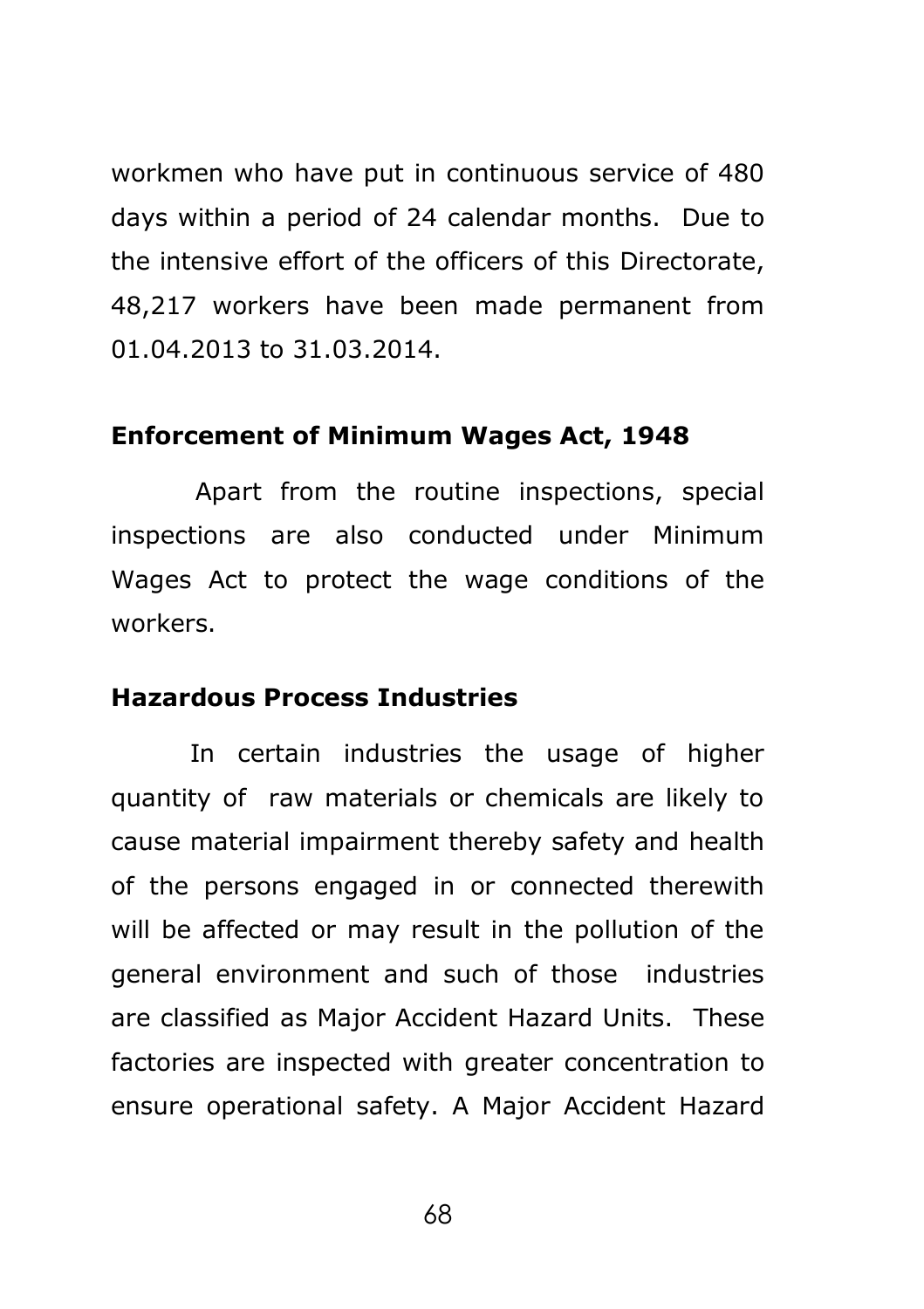workmen who have put in continuous service of 480 days within a period of 24 calendar months. Due to the intensive effort of the officers of this Directorate, 48,217 workers have been made permanent from 01.04.2013 to 31.03.2014.

#### **Enforcement of Minimum Wages Act, 1948**

 Apart from the routine inspections, special inspections are also conducted under Minimum Wages Act to protect the wage conditions of the workers.

### **Hazardous Process Industries**

In certain industries the usage of higher quantity of raw materials or chemicals are likely to cause material impairment thereby safety and health of the persons engaged in or connected therewith will be affected or may result in the pollution of the general environment and such of those industries are classified as Major Accident Hazard Units. These factories are inspected with greater concentration to ensure operational safety. A Major Accident Hazard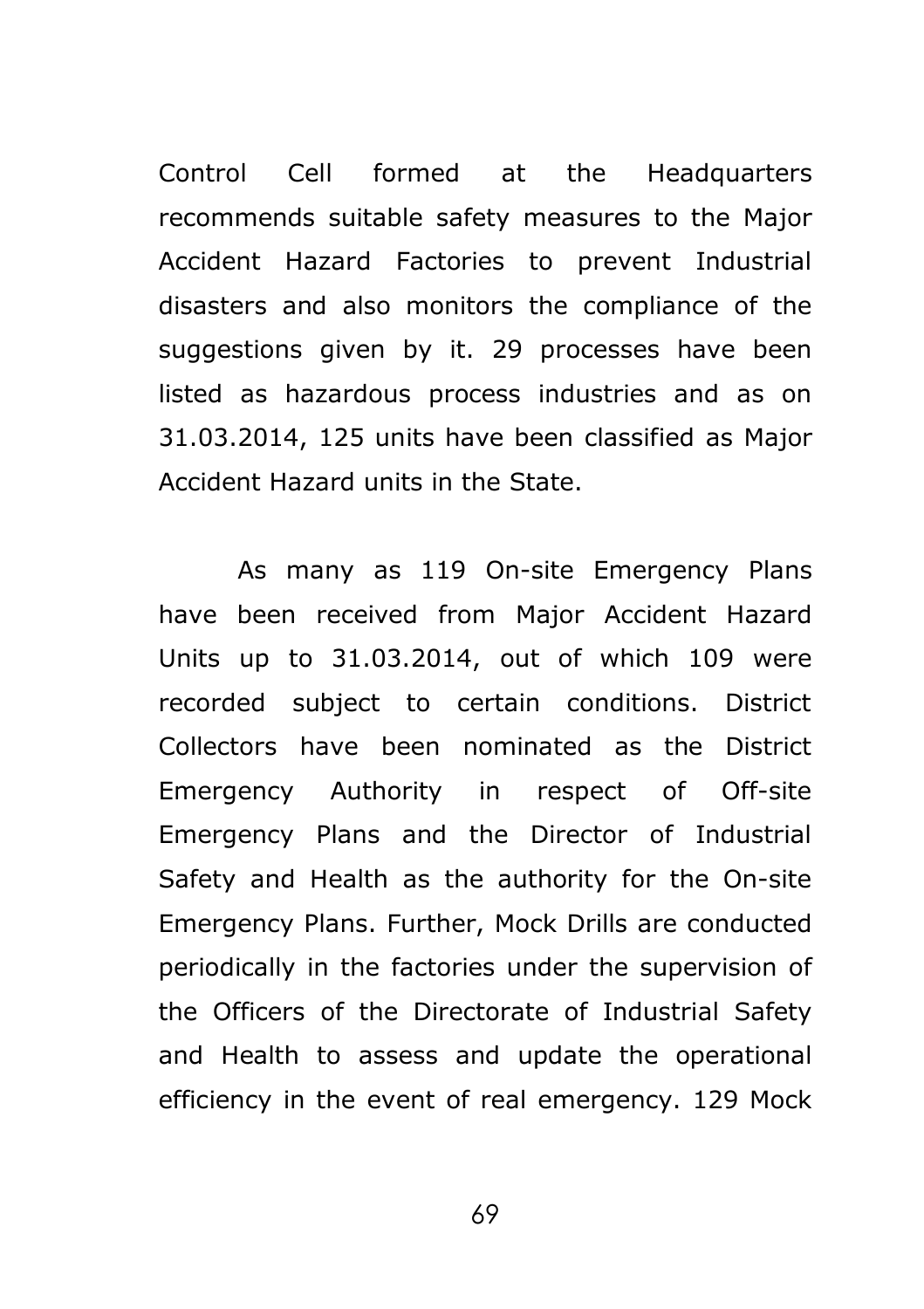Control Cell formed at the Headquarters recommends suitable safety measures to the Major Accident Hazard Factories to prevent Industrial disasters and also monitors the compliance of the suggestions given by it. 29 processes have been listed as hazardous process industries and as on 31.03.2014, 125 units have been classified as Major Accident Hazard units in the State.

As many as 119 On-site Emergency Plans have been received from Major Accident Hazard Units up to 31.03.2014, out of which 109 were recorded subject to certain conditions. District Collectors have been nominated as the District Emergency Authority in respect of Off-site Emergency Plans and the Director of Industrial Safety and Health as the authority for the On-site Emergency Plans. Further, Mock Drills are conducted periodically in the factories under the supervision of the Officers of the Directorate of Industrial Safety and Health to assess and update the operational efficiency in the event of real emergency. 129 Mock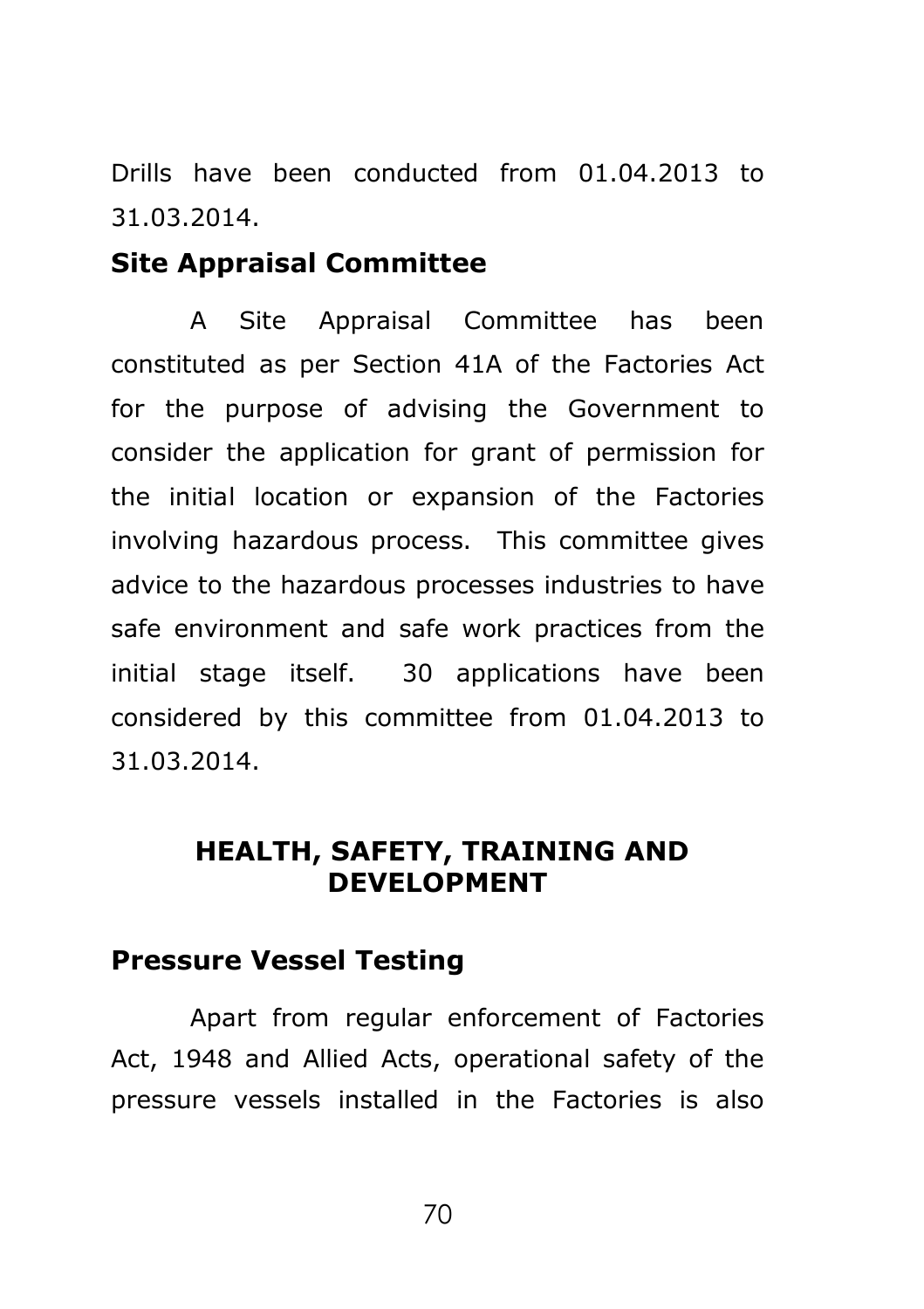Drills have been conducted from 01.04.2013 to 31.03.2014.

### **Site Appraisal Committee**

A Site Appraisal Committee has been constituted as per Section 41A of the Factories Act for the purpose of advising the Government to consider the application for grant of permission for the initial location or expansion of the Factories involving hazardous process. This committee gives advice to the hazardous processes industries to have safe environment and safe work practices from the initial stage itself. 30 applications have been considered by this committee from 01.04.2013 to 31.03.2014.

## **HEALTH, SAFETY, TRAINING AND DEVELOPMENT**

## **Pressure Vessel Testing**

Apart from regular enforcement of Factories Act, 1948 and Allied Acts, operational safety of the pressure vessels installed in the Factories is also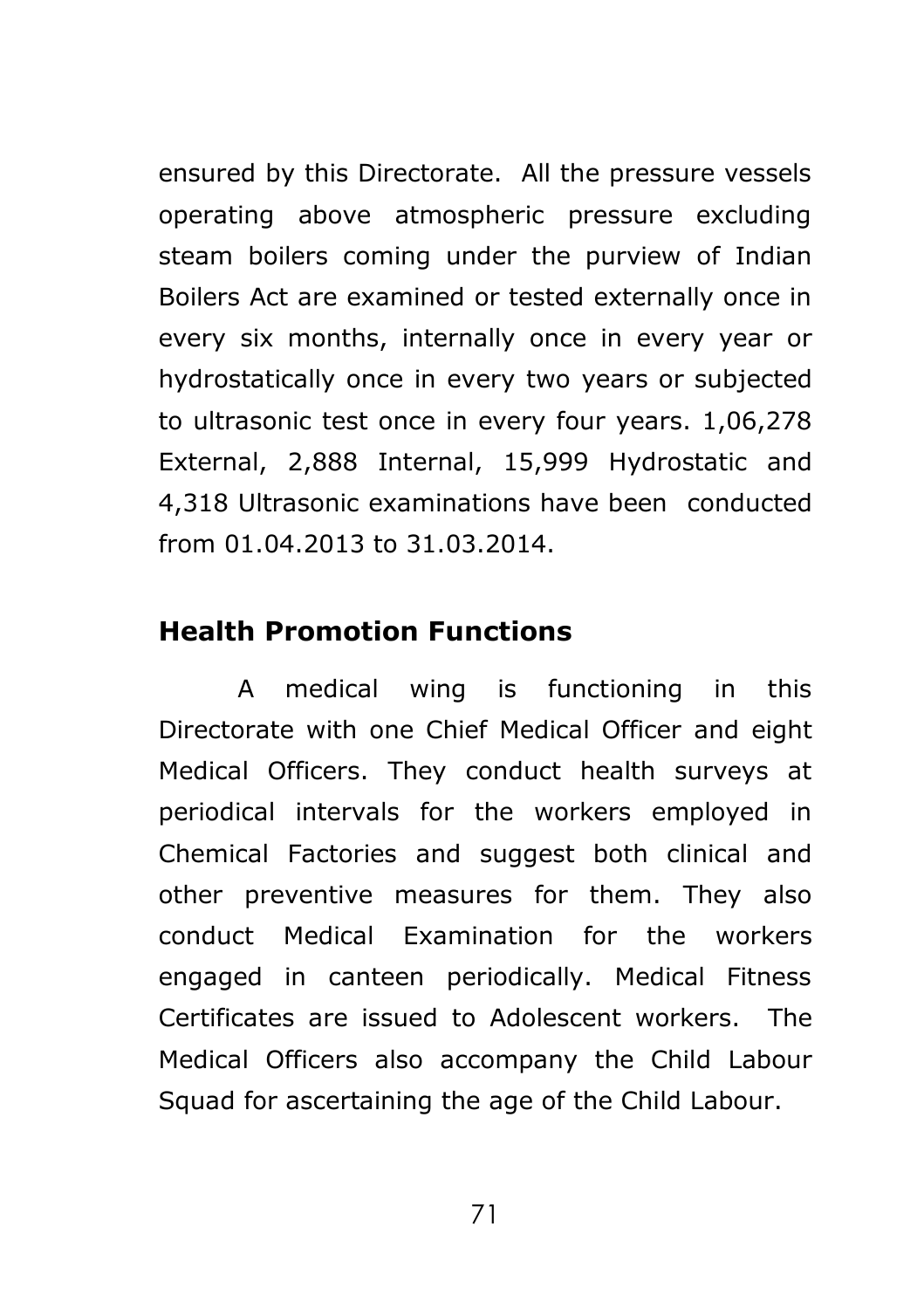ensured by this Directorate. All the pressure vessels operating above atmospheric pressure excluding steam boilers coming under the purview of Indian Boilers Act are examined or tested externally once in every six months, internally once in every year or hydrostatically once in every two years or subjected to ultrasonic test once in every four years. 1,06,278 External, 2,888 Internal, 15,999 Hydrostatic and 4,318 Ultrasonic examinations have been conducted from 01.04.2013 to 31.03.2014.

## **Health Promotion Functions**

A medical wing is functioning in this Directorate with one Chief Medical Officer and eight Medical Officers. They conduct health surveys at periodical intervals for the workers employed in Chemical Factories and suggest both clinical and other preventive measures for them. They also conduct Medical Examination for the workers engaged in canteen periodically. Medical Fitness Certificates are issued to Adolescent workers. The Medical Officers also accompany the Child Labour Squad for ascertaining the age of the Child Labour.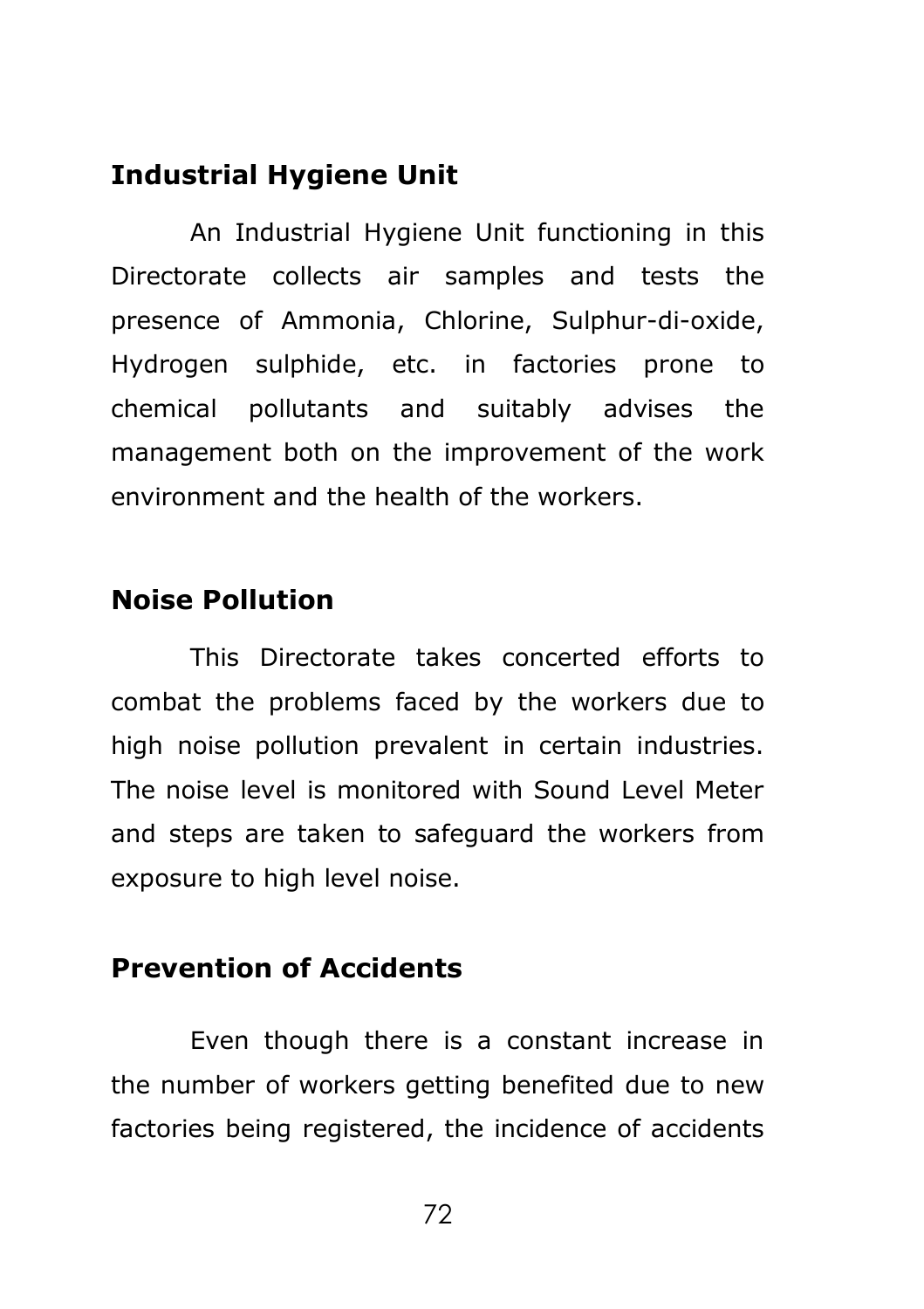## **Industrial Hygiene Unit**

An Industrial Hygiene Unit functioning in this Directorate collects air samples and tests the presence of Ammonia, Chlorine, Sulphur-di-oxide, Hydrogen sulphide, etc. in factories prone to chemical pollutants and suitably advises the management both on the improvement of the work environment and the health of the workers.

## **Noise Pollution**

This Directorate takes concerted efforts to combat the problems faced by the workers due to high noise pollution prevalent in certain industries. The noise level is monitored with Sound Level Meter and steps are taken to safeguard the workers from exposure to high level noise.

## **Prevention of Accidents**

Even though there is a constant increase in the number of workers getting benefited due to new factories being registered, the incidence of accidents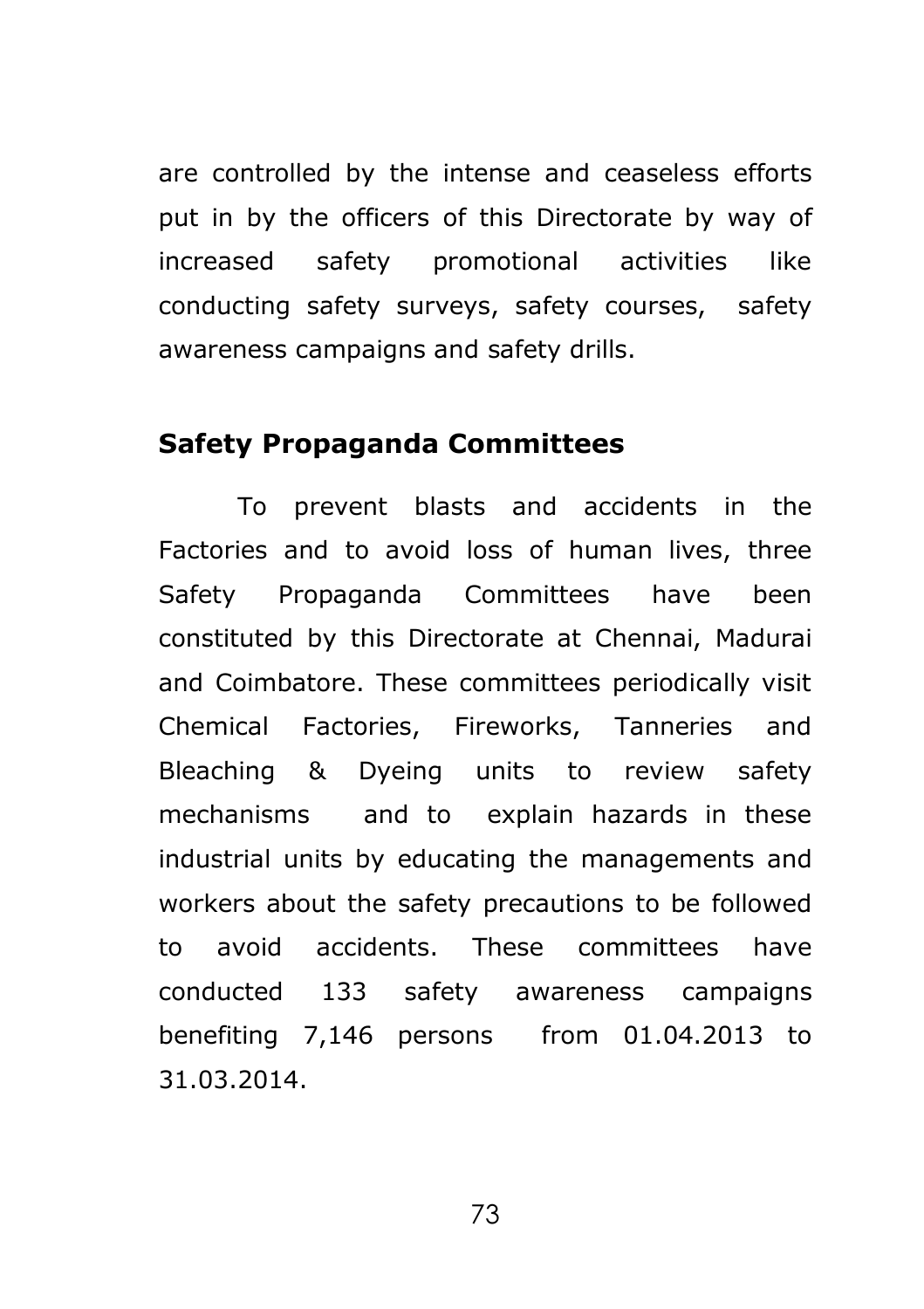are controlled by the intense and ceaseless efforts put in by the officers of this Directorate by way of increased safety promotional activities like conducting safety surveys, safety courses, safety awareness campaigns and safety drills.

## **Safety Propaganda Committees**

To prevent blasts and accidents in the Factories and to avoid loss of human lives, three Safety Propaganda Committees have been constituted by this Directorate at Chennai, Madurai and Coimbatore. These committees periodically visit Chemical Factories, Fireworks, Tanneries and Bleaching & Dyeing units to review safety mechanisms and to explain hazards in these industrial units by educating the managements and workers about the safety precautions to be followed to avoid accidents. These committees have conducted 133 safety awareness campaigns benefiting 7,146 persons from 01.04.2013 to 31.03.2014.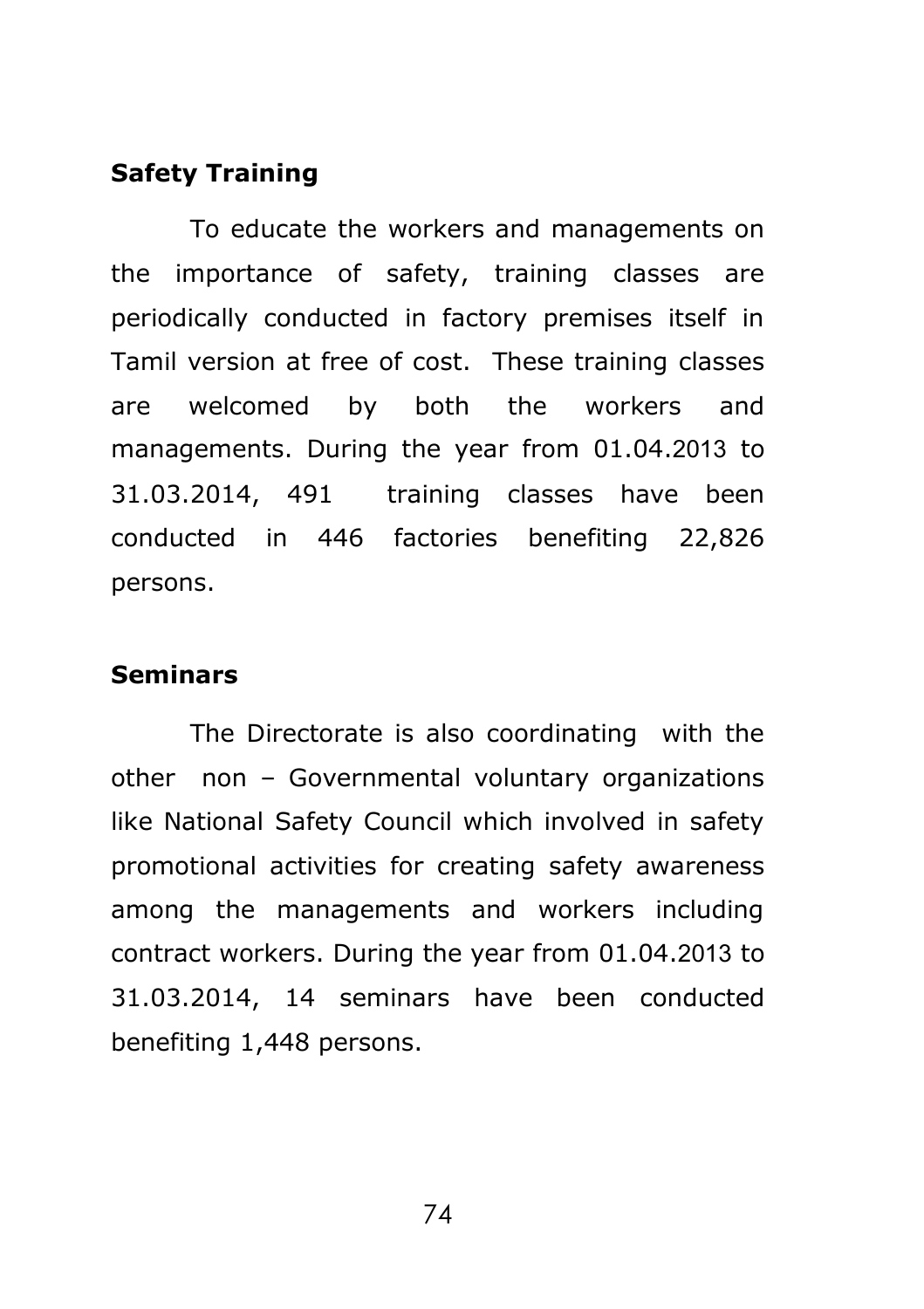### **Safety Training**

To educate the workers and managements on the importance of safety, training classes are periodically conducted in factory premises itself in Tamil version at free of cost. These training classes are welcomed by both the workers and managements. During the year from 01.04.2013 to 31.03.2014, 491 training classes have been conducted in 446 factories benefiting 22,826 persons.

#### **Seminars**

The Directorate is also coordinating with the other non – Governmental voluntary organizations like National Safety Council which involved in safety promotional activities for creating safety awareness among the managements and workers including contract workers. During the year from 01.04.2013 to 31.03.2014, 14 seminars have been conducted benefiting 1,448 persons.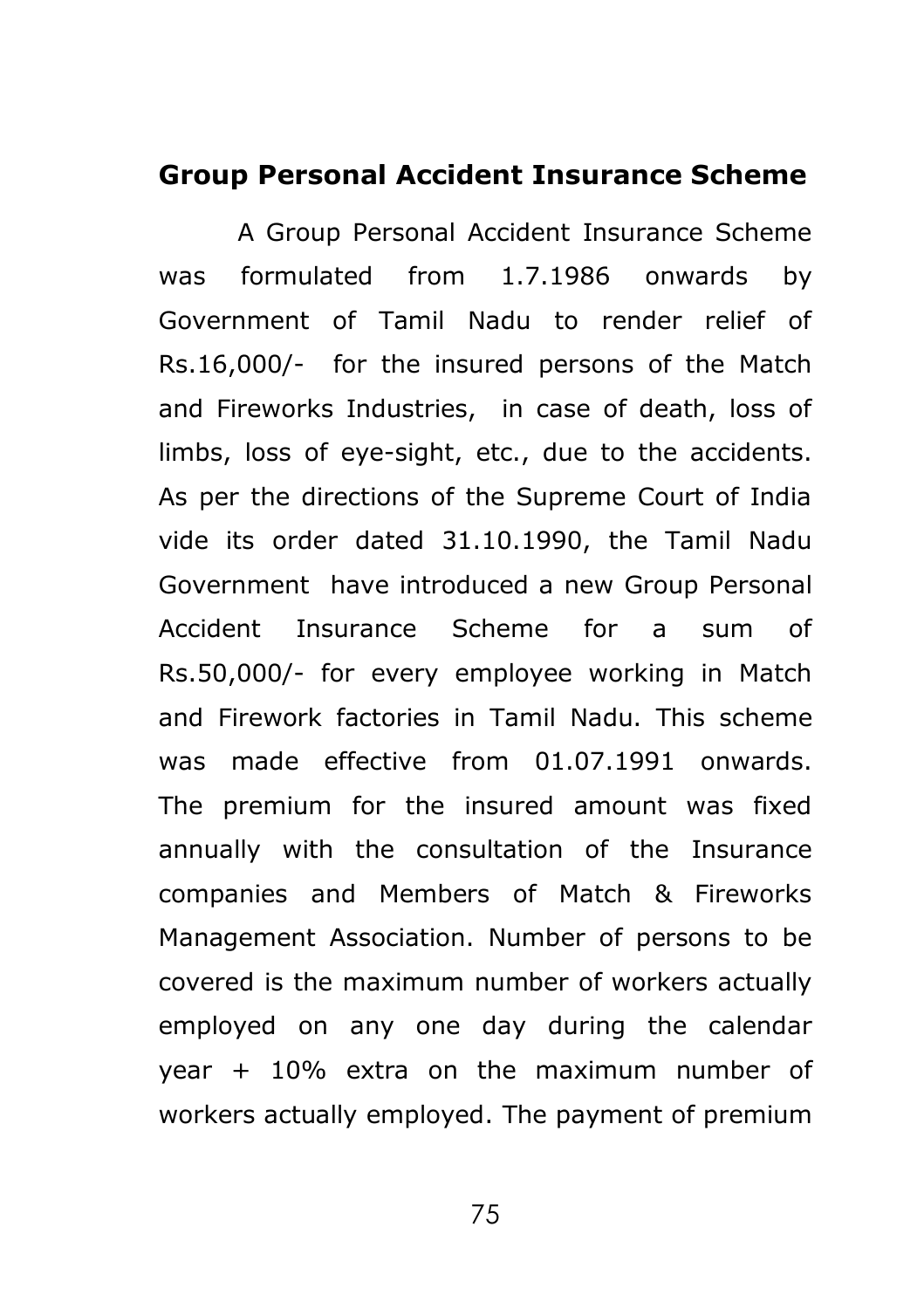### **Group Personal Accident Insurance Scheme**

A Group Personal Accident Insurance Scheme was formulated from 1.7.1986 onwards by Government of Tamil Nadu to render relief of Rs.16,000/- for the insured persons of the Match and Fireworks Industries, in case of death, loss of limbs, loss of eye-sight, etc., due to the accidents. As per the directions of the Supreme Court of India vide its order dated 31.10.1990, the Tamil Nadu Government have introduced a new Group Personal Accident Insurance Scheme for a sum of Rs.50,000/- for every employee working in Match and Firework factories in Tamil Nadu. This scheme was made effective from 01.07.1991 onwards. The premium for the insured amount was fixed annually with the consultation of the Insurance companies and Members of Match & Fireworks Management Association. Number of persons to be covered is the maximum number of workers actually employed on any one day during the calendar year + 10% extra on the maximum number of workers actually employed. The payment of premium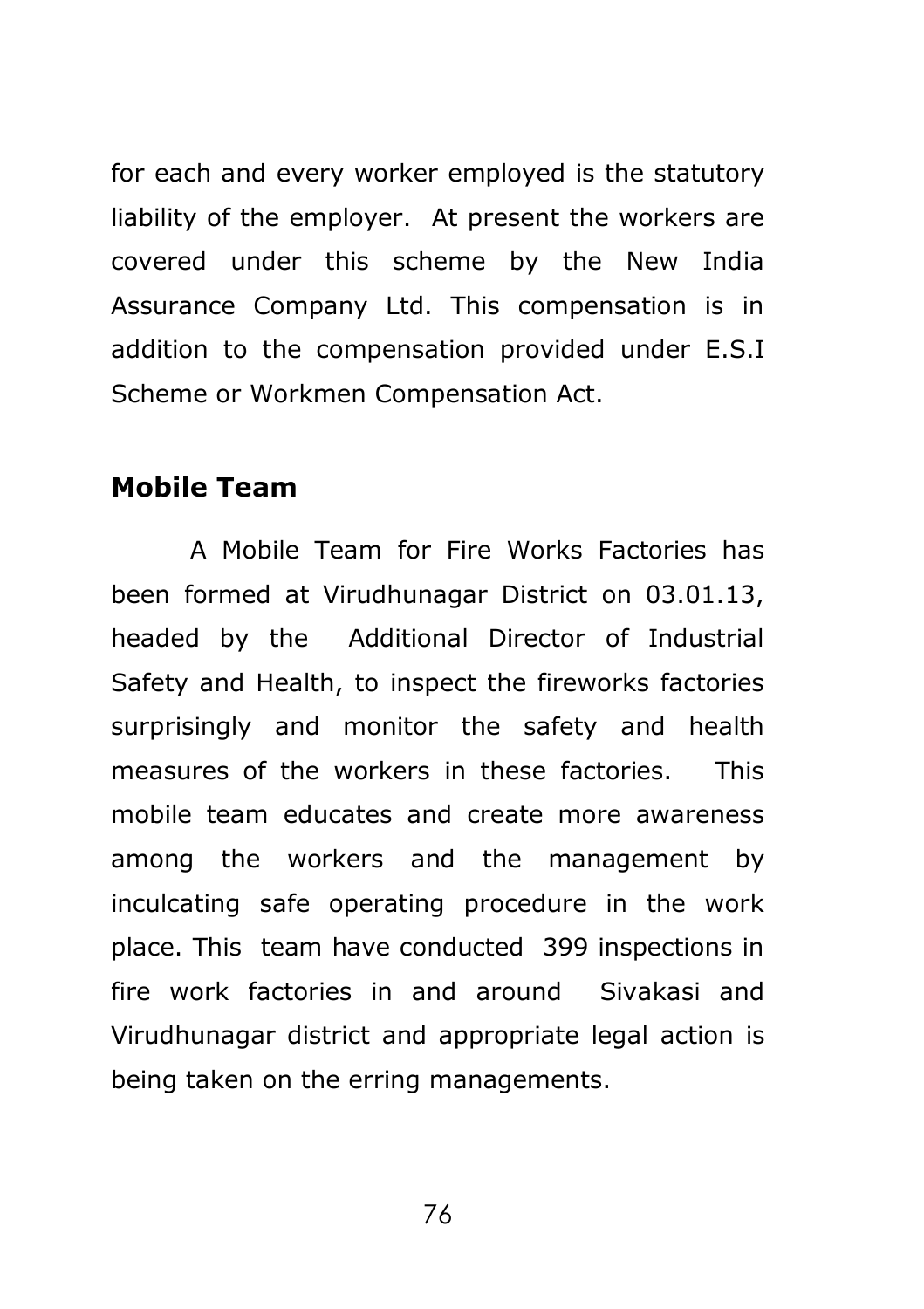for each and every worker employed is the statutory liability of the employer. At present the workers are covered under this scheme by the New India Assurance Company Ltd. This compensation is in addition to the compensation provided under E.S.I Scheme or Workmen Compensation Act.

### **Mobile Team**

A Mobile Team for Fire Works Factories has been formed at Virudhunagar District on 03.01.13, headed by the Additional Director of Industrial Safety and Health, to inspect the fireworks factories surprisingly and monitor the safety and health measures of the workers in these factories. This mobile team educates and create more awareness among the workers and the management by inculcating safe operating procedure in the work place. This team have conducted 399 inspections in fire work factories in and around Sivakasi and Virudhunagar district and appropriate legal action is being taken on the erring managements.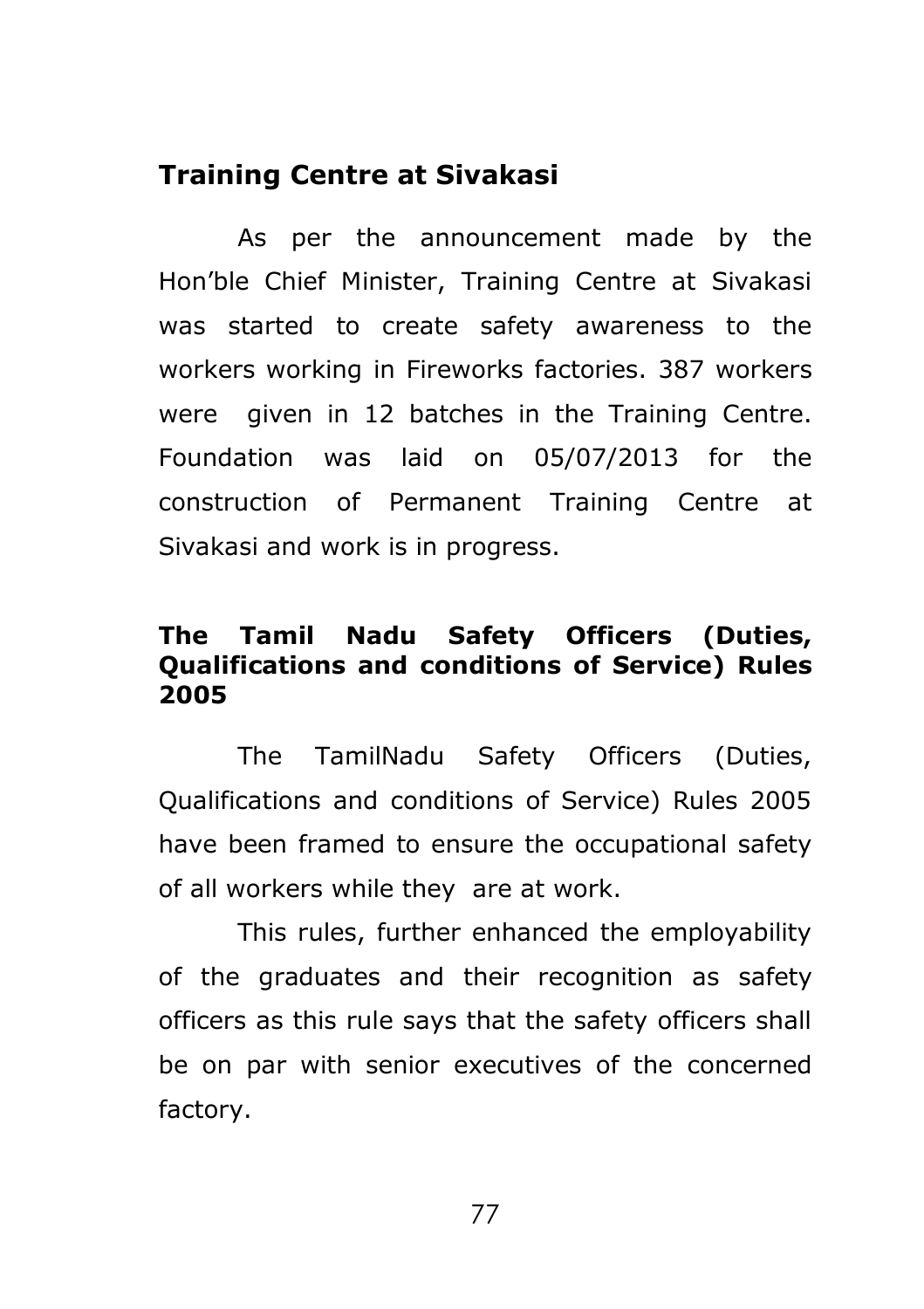## **Training Centre at Sivakasi**

As per the announcement made by the Hon'ble Chief Minister, Training Centre at Sivakasi was started to create safety awareness to the workers working in Fireworks factories. 387 workers were given in 12 batches in the Training Centre. Foundation was laid on 05/07/2013 for the construction of Permanent Training Centre at Sivakasi and work is in progress.

## **The Tamil Nadu Safety Officers (Duties, Qualifications and conditions of Service) Rules 2005**

The TamilNadu Safety Officers (Duties, Qualifications and conditions of Service) Rules 2005 have been framed to ensure the occupational safety of all workers while they are at work.

This rules, further enhanced the employability of the graduates and their recognition as safety officers as this rule says that the safety officers shall be on par with senior executives of the concerned factory.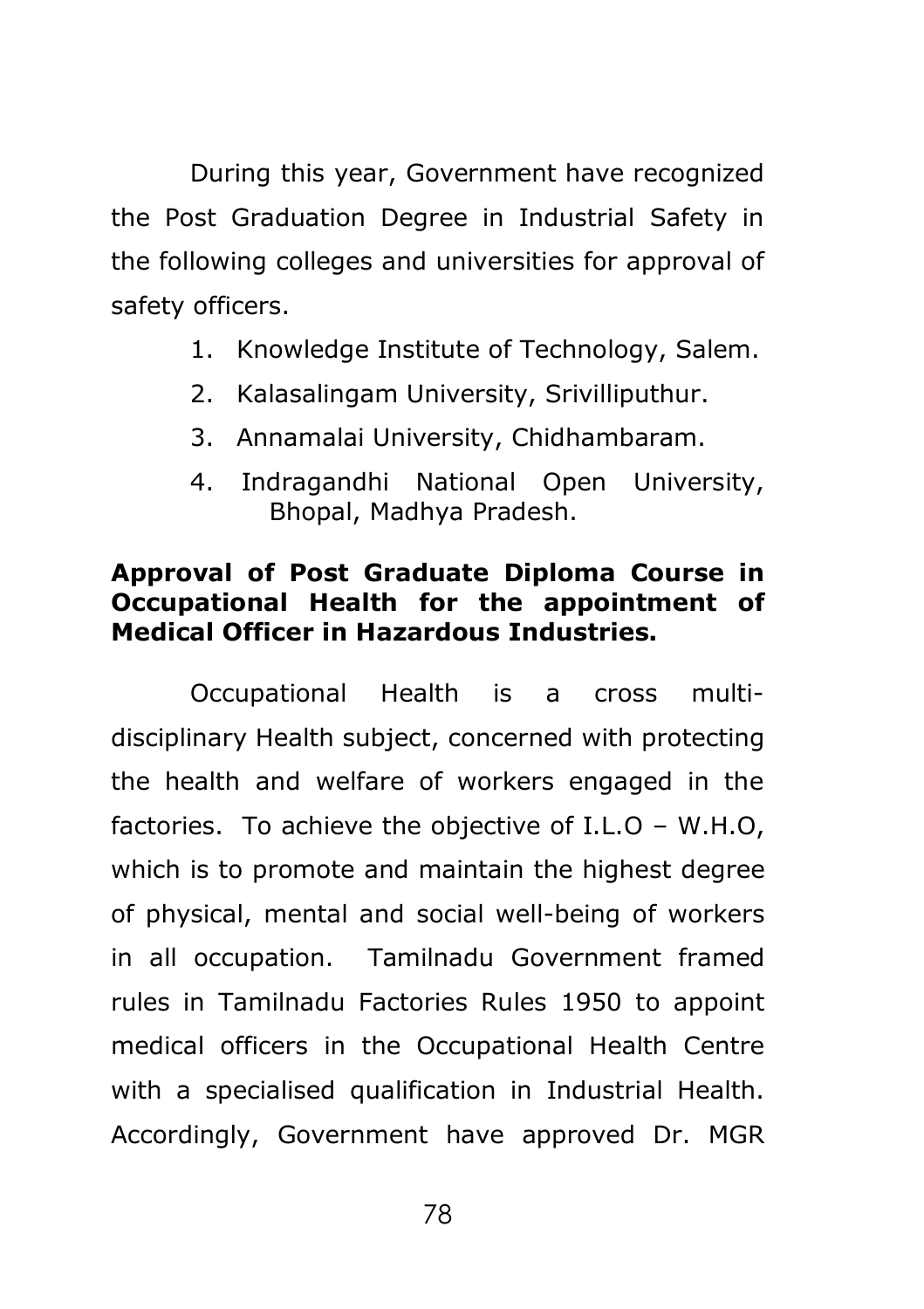During this year, Government have recognized the Post Graduation Degree in Industrial Safety in the following colleges and universities for approval of safety officers.

- 1. Knowledge Institute of Technology, Salem.
- 2. Kalasalingam University, Srivilliputhur.
- 3. Annamalai University, Chidhambaram.
- 4. Indragandhi National Open University, Bhopal, Madhya Pradesh.

## **Approval of Post Graduate Diploma Course in Occupational Health for the appointment of Medical Officer in Hazardous Industries.**

Occupational Health is a cross multidisciplinary Health subject, concerned with protecting the health and welfare of workers engaged in the factories. To achieve the objective of I.L.O – W.H.O, which is to promote and maintain the highest degree of physical, mental and social well-being of workers in all occupation. Tamilnadu Government framed rules in Tamilnadu Factories Rules 1950 to appoint medical officers in the Occupational Health Centre with a specialised qualification in Industrial Health. Accordingly, Government have approved Dr. MGR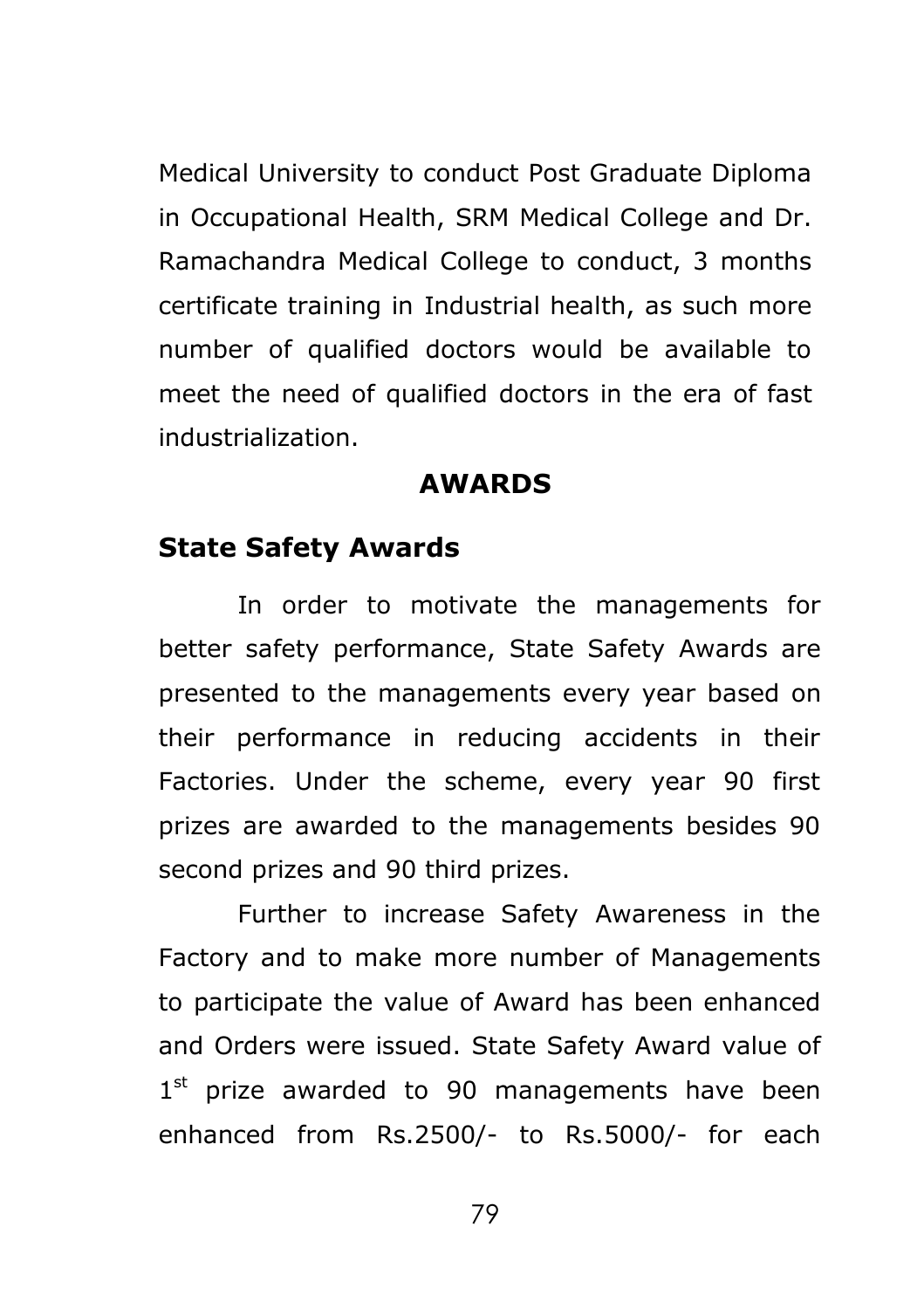Medical University to conduct Post Graduate Diploma in Occupational Health, SRM Medical College and Dr. Ramachandra Medical College to conduct, 3 months certificate training in Industrial health, as such more number of qualified doctors would be available to meet the need of qualified doctors in the era of fast industrialization.

## **AWARDS**

## **State Safety Awards**

In order to motivate the managements for better safety performance, State Safety Awards are presented to the managements every year based on their performance in reducing accidents in their Factories. Under the scheme, every year 90 first prizes are awarded to the managements besides 90 second prizes and 90 third prizes.

Further to increase Safety Awareness in the Factory and to make more number of Managements to participate the value of Award has been enhanced and Orders were issued. State Safety Award value of 1<sup>st</sup> prize awarded to 90 managements have been enhanced from Rs.2500/- to Rs.5000/- for each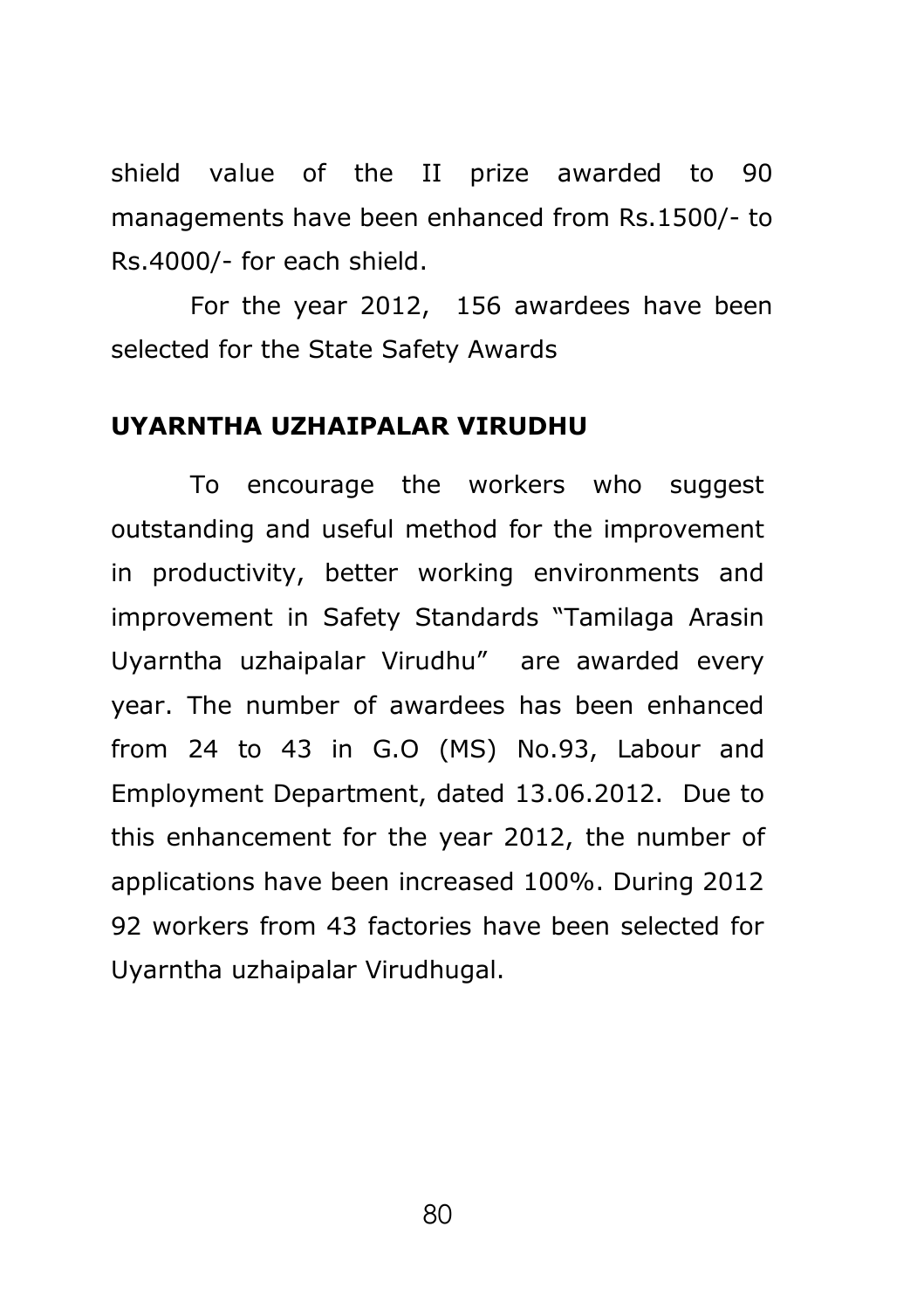shield value of the II prize awarded to 90 managements have been enhanced from Rs.1500/- to Rs.4000/- for each shield.

For the year 2012, 156 awardees have been selected for the State Safety Awards

## **UYARNTHA UZHAIPALAR VIRUDHU**

To encourage the workers who suggest outstanding and useful method for the improvement in productivity, better working environments and improvement in Safety Standards "Tamilaga Arasin Uyarntha uzhaipalar Virudhu" are awarded every year. The number of awardees has been enhanced from 24 to 43 in G.O (MS) No.93, Labour and Employment Department, dated 13.06.2012. Due to this enhancement for the year 2012, the number of applications have been increased 100%. During 2012 92 workers from 43 factories have been selected for Uyarntha uzhaipalar Virudhugal.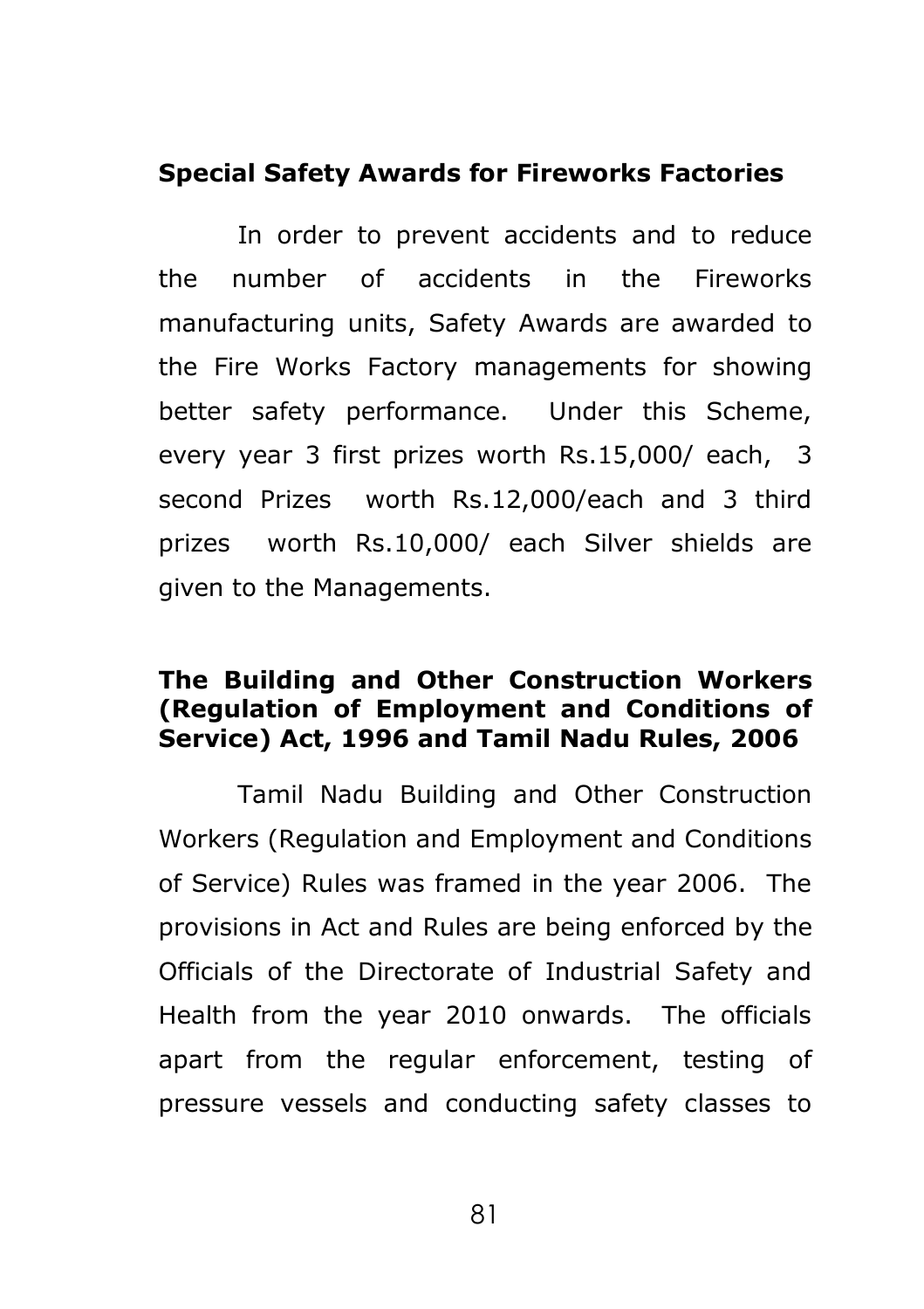### **Special Safety Awards for Fireworks Factories**

In order to prevent accidents and to reduce the number of accidents in the Fireworks manufacturing units, Safety Awards are awarded to the Fire Works Factory managements for showing better safety performance. Under this Scheme, every year 3 first prizes worth Rs.15,000/ each, 3 second Prizes worth Rs.12,000/each and 3 third prizes worth Rs.10,000/ each Silver shields are given to the Managements.

## **The Building and Other Construction Workers (Regulation of Employment and Conditions of Service) Act, 1996 and Tamil Nadu Rules, 2006**

Tamil Nadu Building and Other Construction Workers (Regulation and Employment and Conditions of Service) Rules was framed in the year 2006. The provisions in Act and Rules are being enforced by the Officials of the Directorate of Industrial Safety and Health from the year 2010 onwards. The officials apart from the regular enforcement, testing of pressure vessels and conducting safety classes to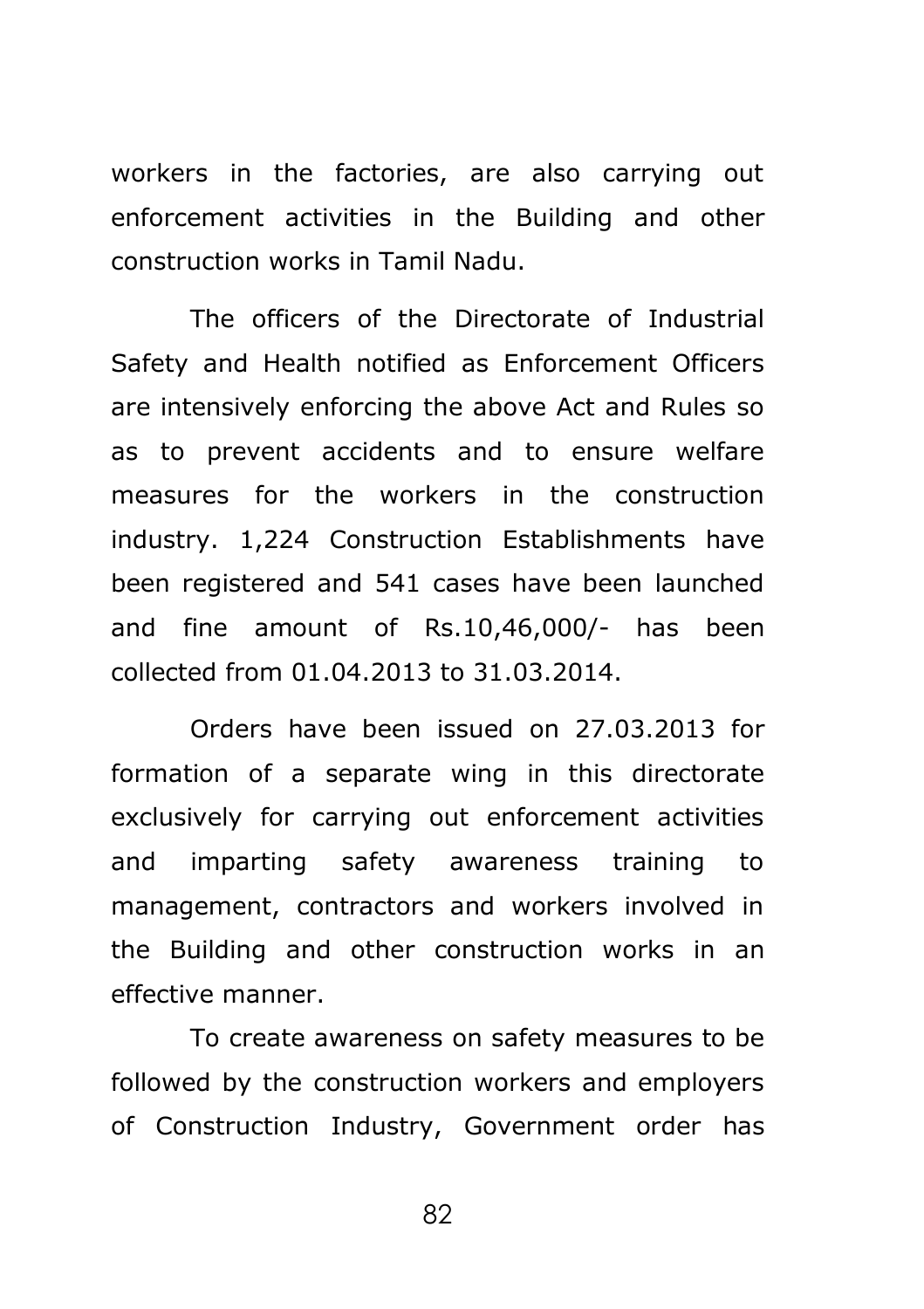workers in the factories, are also carrying out enforcement activities in the Building and other construction works in Tamil Nadu.

The officers of the Directorate of Industrial Safety and Health notified as Enforcement Officers are intensively enforcing the above Act and Rules so as to prevent accidents and to ensure welfare measures for the workers in the construction industry. 1,224 Construction Establishments have been registered and 541 cases have been launched and fine amount of Rs.10,46,000/- has been collected from 01.04.2013 to 31.03.2014.

Orders have been issued on 27.03.2013 for formation of a separate wing in this directorate exclusively for carrying out enforcement activities and imparting safety awareness training to management, contractors and workers involved in the Building and other construction works in an effective manner.

To create awareness on safety measures to be followed by the construction workers and employers of Construction Industry, Government order has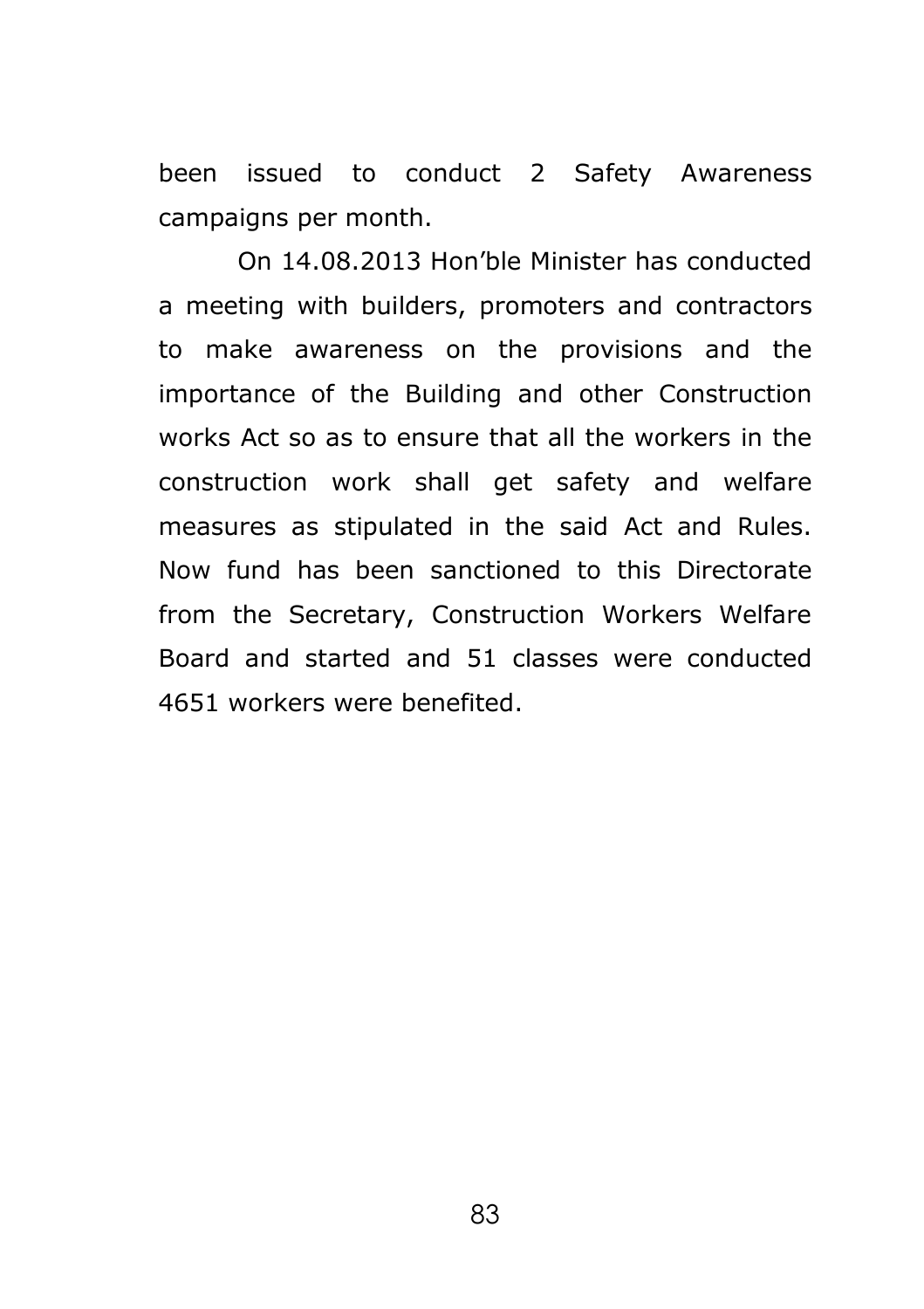been issued to conduct 2 Safety Awareness campaigns per month.

On 14.08.2013 Hon'ble Minister has conducted a meeting with builders, promoters and contractors to make awareness on the provisions and the importance of the Building and other Construction works Act so as to ensure that all the workers in the construction work shall get safety and welfare measures as stipulated in the said Act and Rules. Now fund has been sanctioned to this Directorate from the Secretary, Construction Workers Welfare Board and started and 51 classes were conducted 4651 workers were benefited.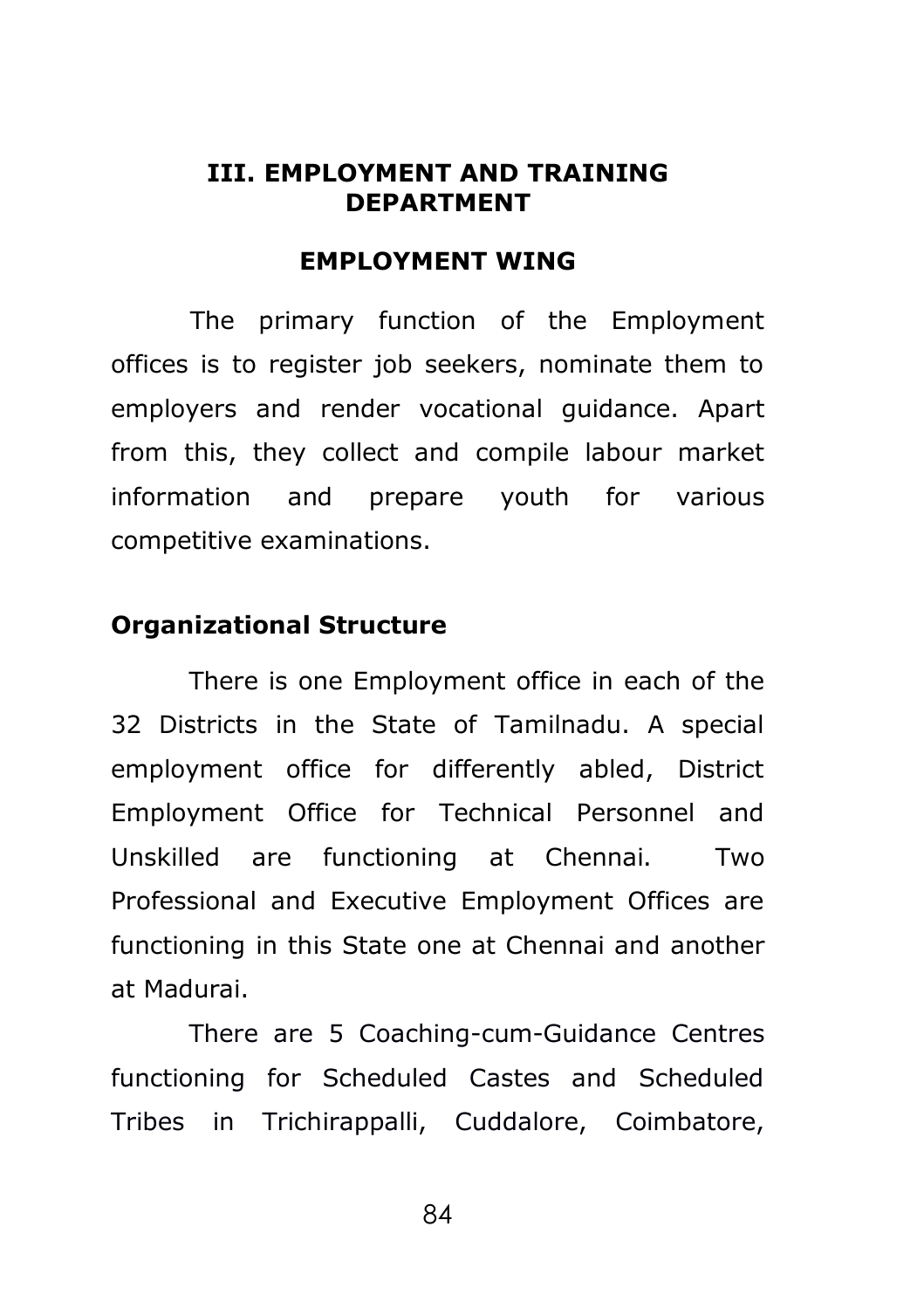#### **III. EMPLOYMENT AND TRAINING DEPARTMENT**

#### **EMPLOYMENT WING**

The primary function of the Employment offices is to register job seekers, nominate them to employers and render vocational guidance. Apart from this, they collect and compile labour market information and prepare youth for various competitive examinations.

### **Organizational Structure**

There is one Employment office in each of the 32 Districts in the State of Tamilnadu. A special employment office for differently abled, District Employment Office for Technical Personnel and Unskilled are functioning at Chennai. Two Professional and Executive Employment Offices are functioning in this State one at Chennai and another at Madurai.

There are 5 Coaching-cum-Guidance Centres functioning for Scheduled Castes and Scheduled Tribes in Trichirappalli, Cuddalore, Coimbatore,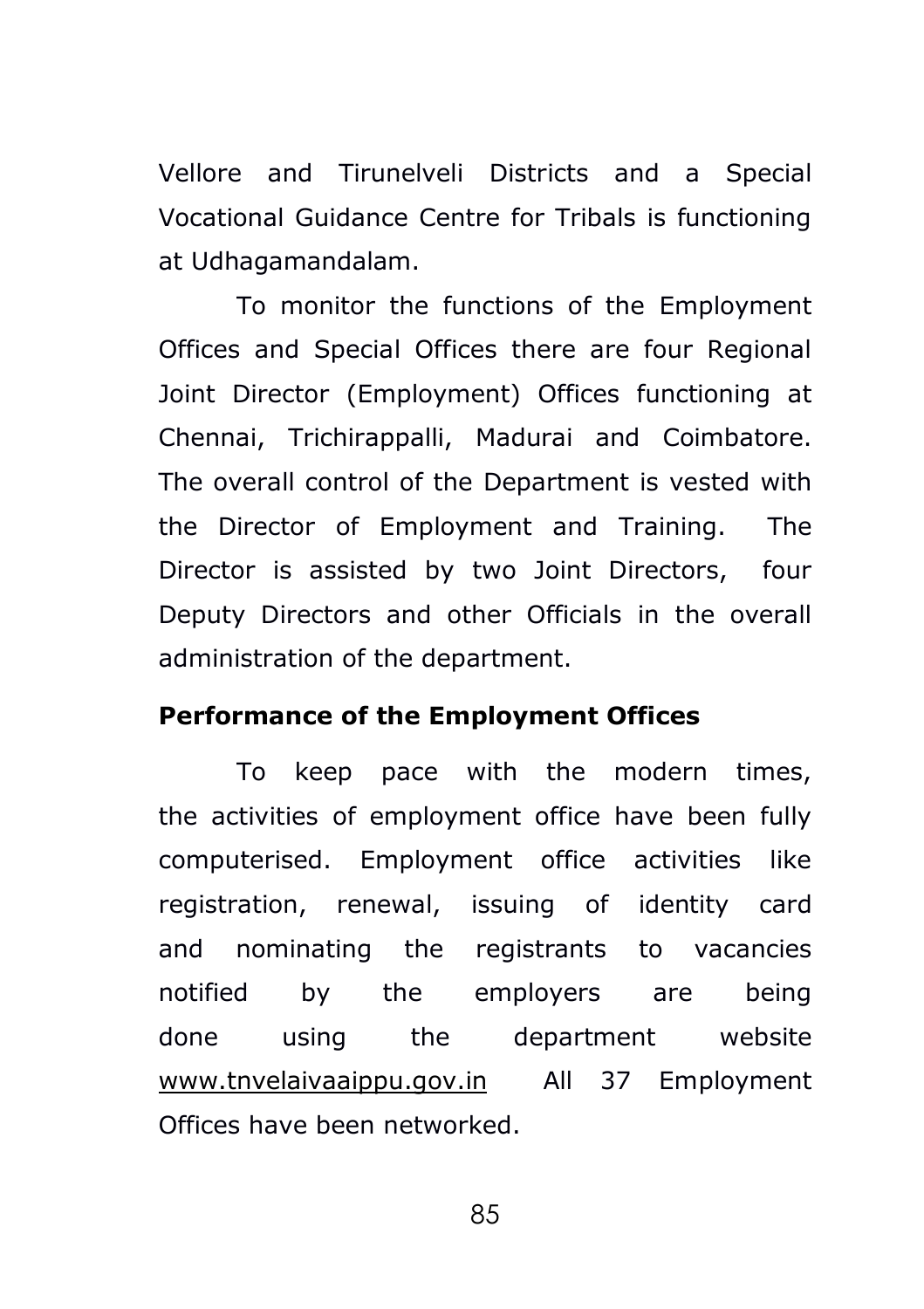Vellore and Tirunelveli Districts and a Special Vocational Guidance Centre for Tribals is functioning at Udhagamandalam.

To monitor the functions of the Employment Offices and Special Offices there are four Regional Joint Director (Employment) Offices functioning at Chennai, Trichirappalli, Madurai and Coimbatore. The overall control of the Department is vested with the Director of Employment and Training. The Director is assisted by two Joint Directors, four Deputy Directors and other Officials in the overall administration of the department.

#### **Performance of the Employment Offices**

To keep pace with the modern times, the activities of employment office have been fully computerised. Employment office activities like registration, renewal, issuing of identity card and nominating the registrants to vacancies notified by the employers are being done using the department website www.tnvelaivaaippu.gov.in All 37 Employment Offices have been networked.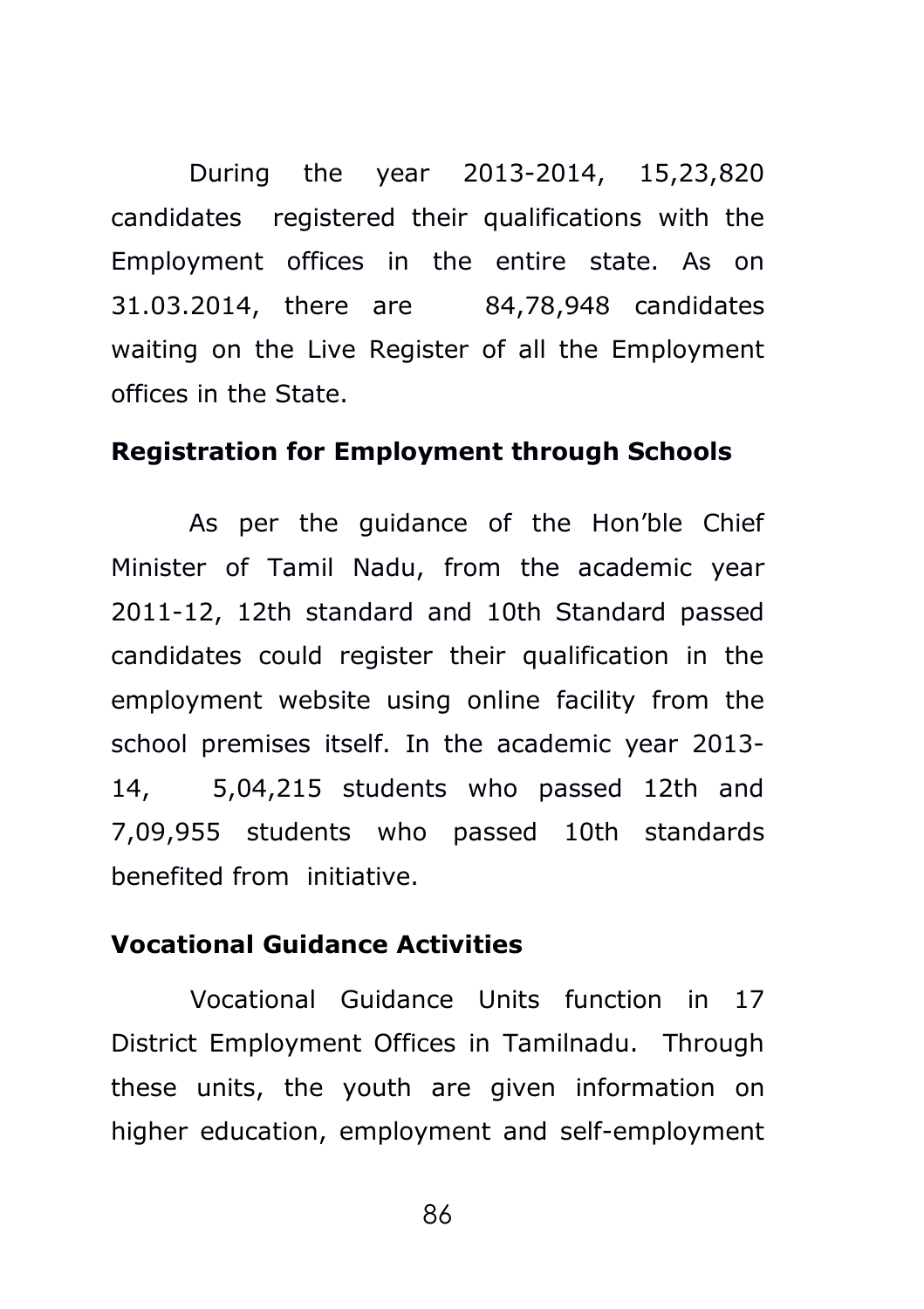During the year 2013-2014, 15,23,820 candidates registered their qualifications with the Employment offices in the entire state. As on 31.03.2014, there are 84,78,948 candidates waiting on the Live Register of all the Employment offices in the State.

#### **Registration for Employment through Schools**

As per the guidance of the Hon'ble Chief Minister of Tamil Nadu, from the academic year 2011-12, 12th standard and 10th Standard passed candidates could register their qualification in the employment website using online facility from the school premises itself. In the academic year 2013- 14, 5,04,215 students who passed 12th and 7,09,955 students who passed 10th standards benefited from initiative.

#### **Vocational Guidance Activities**

Vocational Guidance Units function in 17 District Employment Offices in Tamilnadu. Through these units, the youth are given information on higher education, employment and self-employment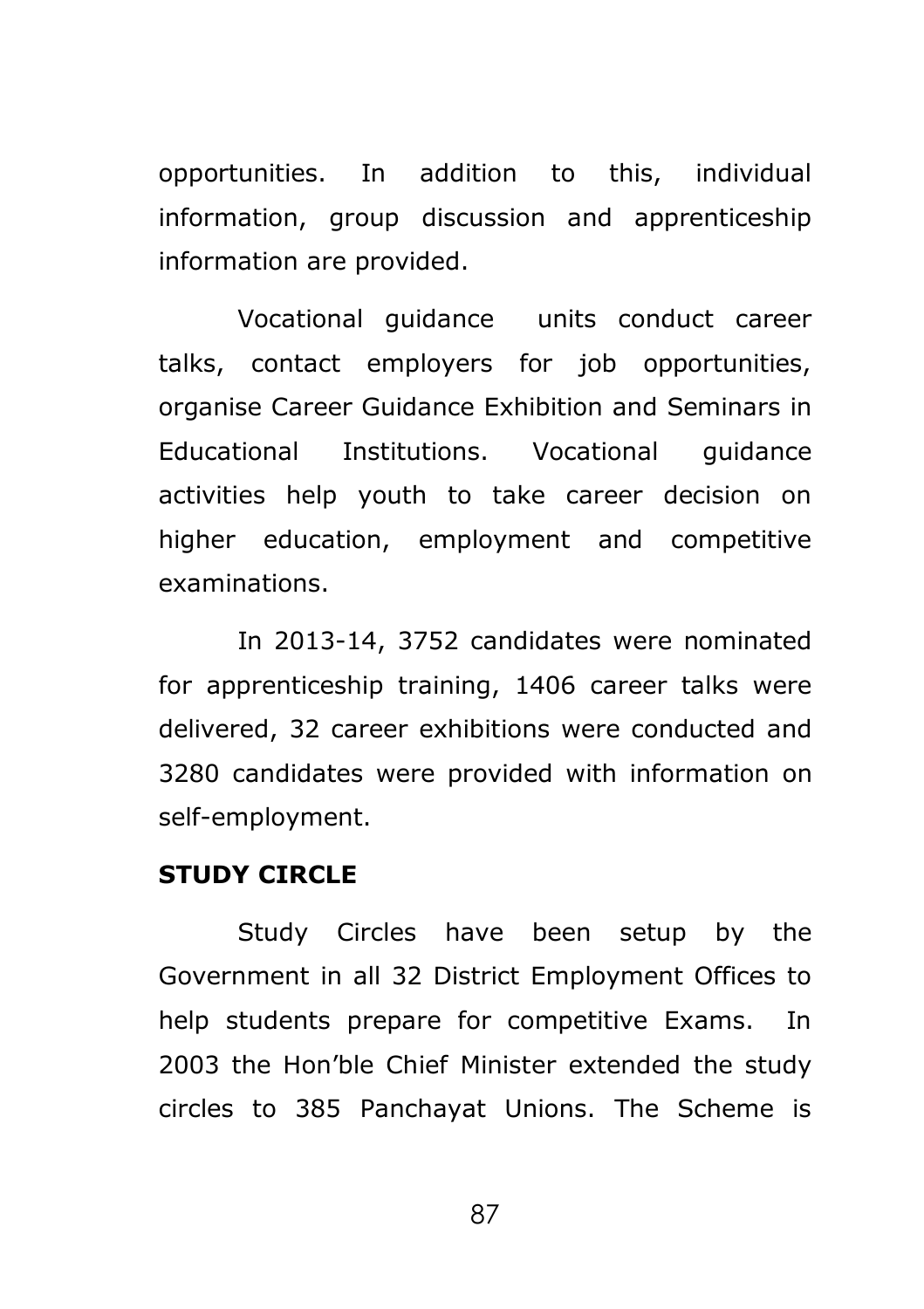opportunities. In addition to this, individual information, group discussion and apprenticeship information are provided.

Vocational guidance units conduct career talks, contact employers for job opportunities, organise Career Guidance Exhibition and Seminars in Educational Institutions. Vocational guidance activities help youth to take career decision on higher education, employment and competitive examinations.

In 2013-14, 3752 candidates were nominated for apprenticeship training, 1406 career talks were delivered, 32 career exhibitions were conducted and 3280 candidates were provided with information on self-employment.

### **STUDY CIRCLE**

Study Circles have been setup by the Government in all 32 District Employment Offices to help students prepare for competitive Exams. In 2003 the Hon'ble Chief Minister extended the study circles to 385 Panchayat Unions. The Scheme is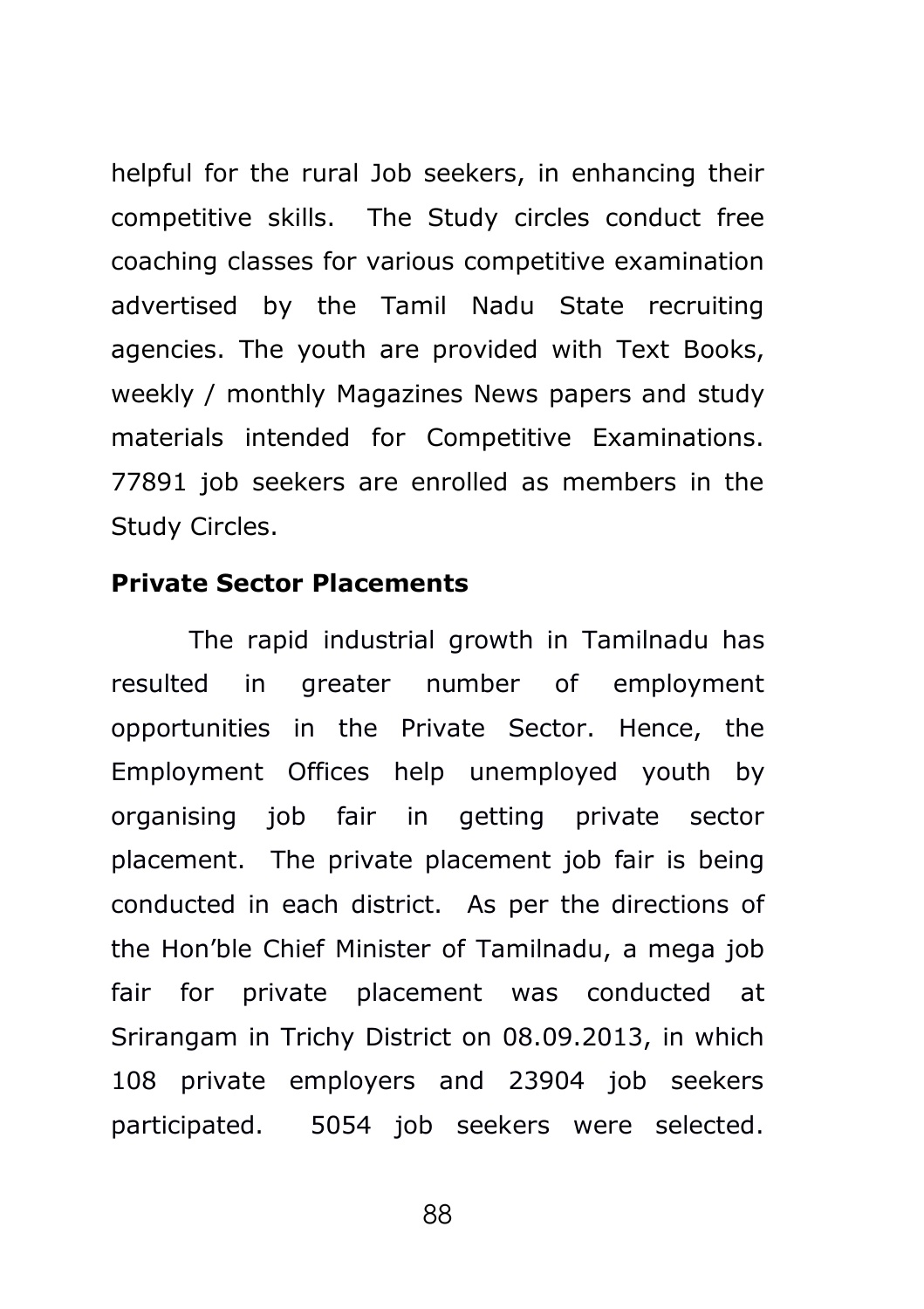helpful for the rural Job seekers, in enhancing their competitive skills. The Study circles conduct free coaching classes for various competitive examination advertised by the Tamil Nadu State recruiting agencies. The youth are provided with Text Books, weekly / monthly Magazines News papers and study materials intended for Competitive Examinations. 77891 job seekers are enrolled as members in the Study Circles.

#### **Private Sector Placements**

The rapid industrial growth in Tamilnadu has resulted in greater number of employment opportunities in the Private Sector. Hence, the Employment Offices help unemployed youth by organising job fair in getting private sector placement. The private placement job fair is being conducted in each district. As per the directions of the Hon'ble Chief Minister of Tamilnadu, a mega job fair for private placement was conducted at Srirangam in Trichy District on 08.09.2013, in which 108 private employers and 23904 job seekers participated. 5054 job seekers were selected.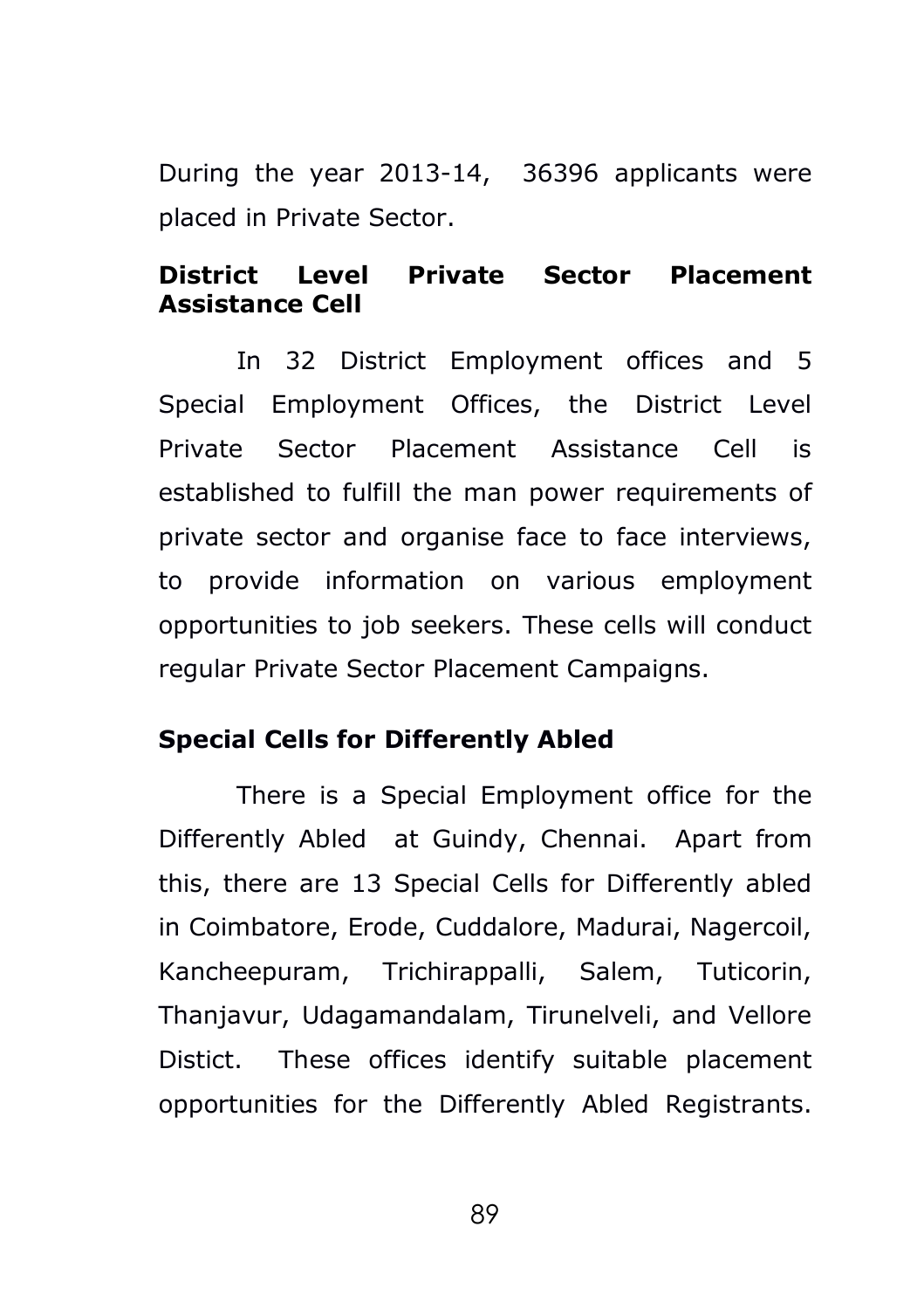During the year 2013-14, 36396 applicants were placed in Private Sector.

## **District Level Private Sector Placement Assistance Cell**

In 32 District Employment offices and 5 Special Employment Offices, the District Level Private Sector Placement Assistance Cell is established to fulfill the man power requirements of private sector and organise face to face interviews, to provide information on various employment opportunities to job seekers. These cells will conduct regular Private Sector Placement Campaigns.

## **Special Cells for Differently Abled**

There is a Special Employment office for the Differently Abled at Guindy, Chennai. Apart from this, there are 13 Special Cells for Differently abled in Coimbatore, Erode, Cuddalore, Madurai, Nagercoil, Kancheepuram, Trichirappalli, Salem, Tuticorin, Thanjavur, Udagamandalam, Tirunelveli, and Vellore Distict. These offices identify suitable placement opportunities for the Differently Abled Registrants.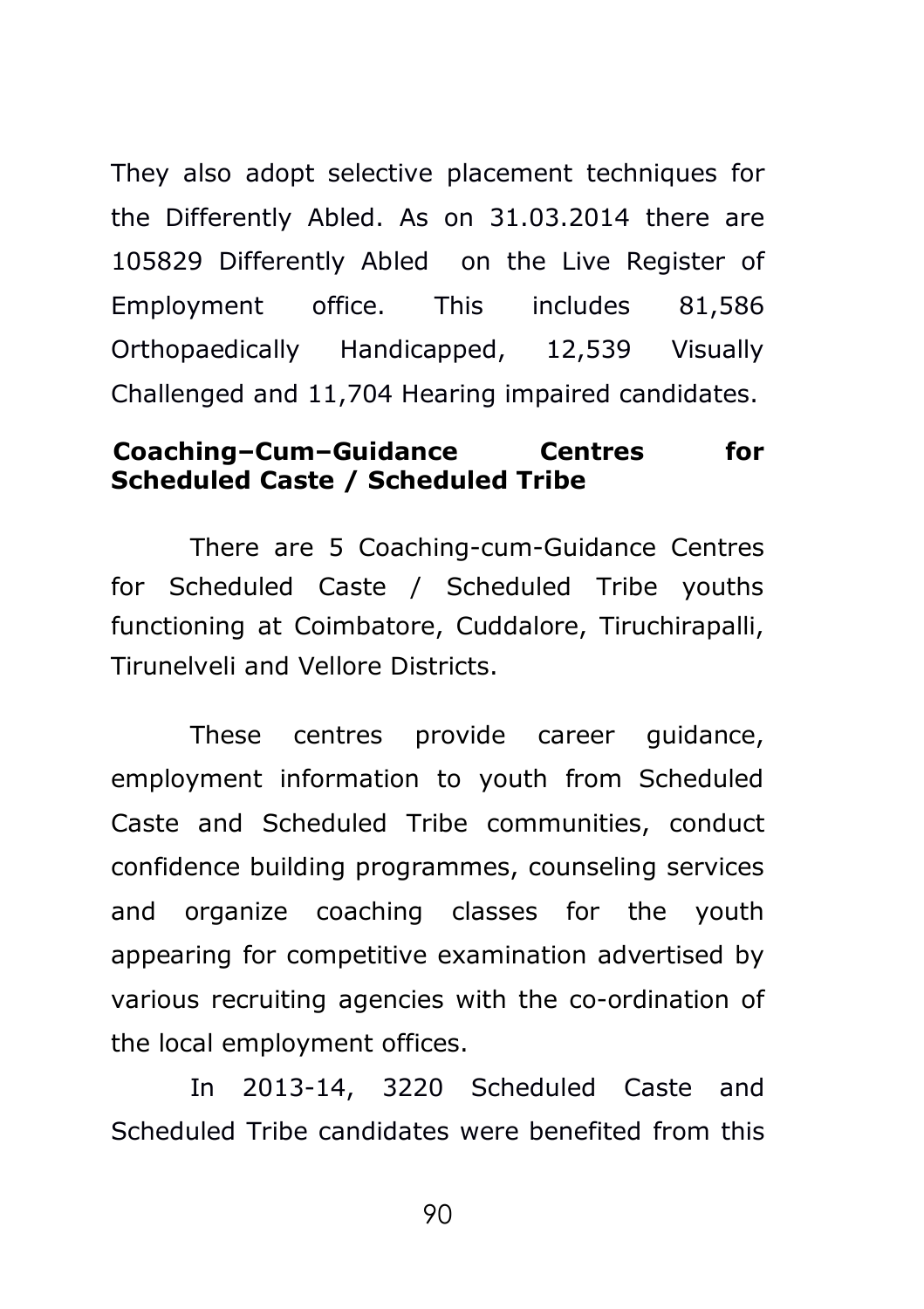They also adopt selective placement techniques for the Differently Abled. As on 31.03.2014 there are 105829 Differently Abled on the Live Register of Employment office. This includes 81,586 Orthopaedically Handicapped, 12,539 Visually Challenged and 11,704 Hearing impaired candidates.

### **Coaching–Cum–Guidance Centres for Scheduled Caste / Scheduled Tribe**

There are 5 Coaching-cum-Guidance Centres for Scheduled Caste / Scheduled Tribe youths functioning at Coimbatore, Cuddalore, Tiruchirapalli, Tirunelveli and Vellore Districts.

These centres provide career guidance, employment information to youth from Scheduled Caste and Scheduled Tribe communities, conduct confidence building programmes, counseling services and organize coaching classes for the youth appearing for competitive examination advertised by various recruiting agencies with the co-ordination of the local employment offices.

In 2013-14, 3220 Scheduled Caste and Scheduled Tribe candidates were benefited from this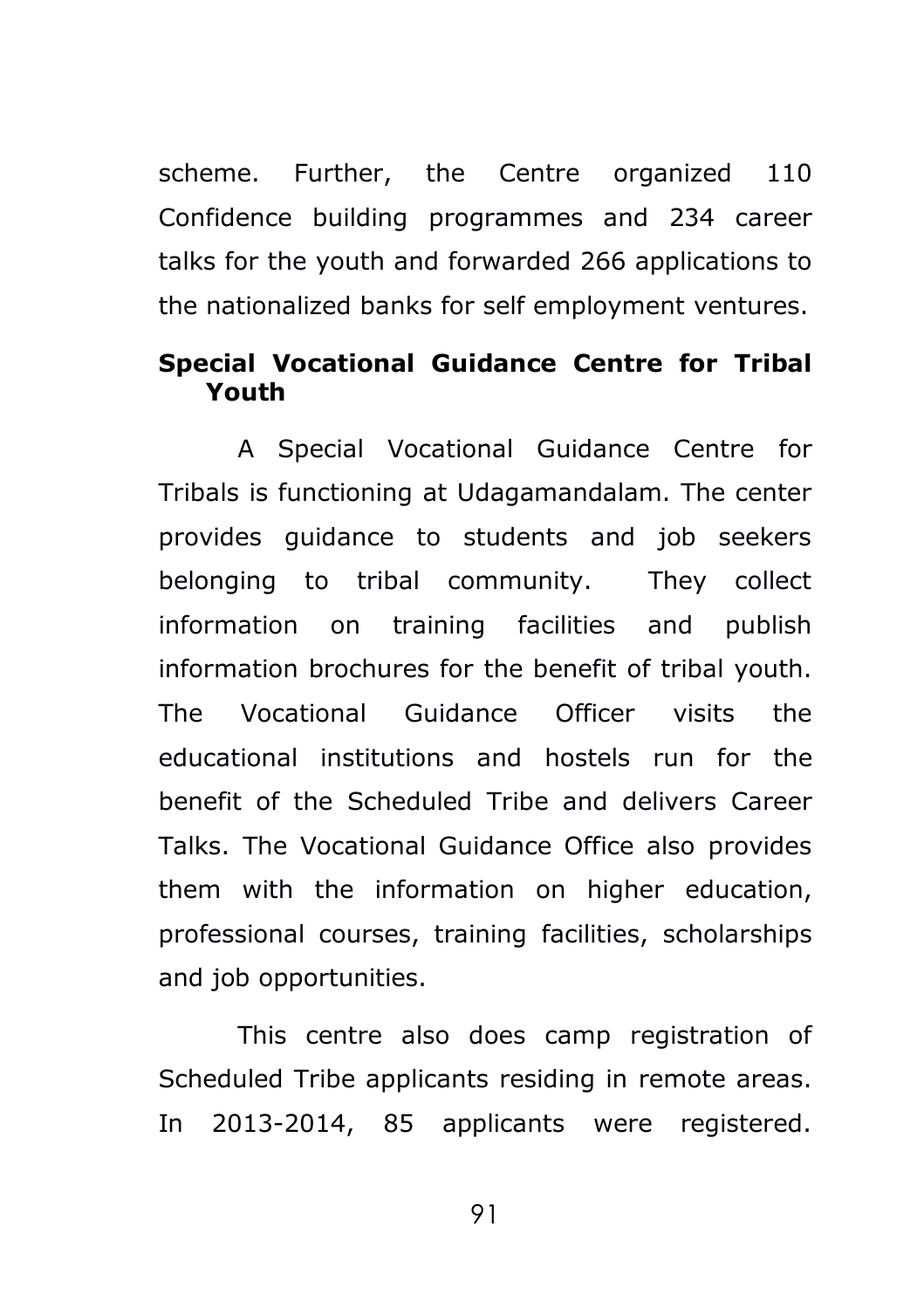scheme. Further, the Centre organized 110 Confidence building programmes and 234 career talks for the youth and forwarded 266 applications to the nationalized banks for self employment ventures.

## **Special Vocational Guidance Centre for Tribal Youth**

A Special Vocational Guidance Centre for Tribals is functioning at Udagamandalam. The center provides guidance to students and job seekers belonging to tribal community. They collect information on training facilities and publish information brochures for the benefit of tribal youth. The Vocational Guidance Officer visits the educational institutions and hostels run for the benefit of the Scheduled Tribe and delivers Career Talks. The Vocational Guidance Office also provides them with the information on higher education, professional courses, training facilities, scholarships and job opportunities.

This centre also does camp registration of Scheduled Tribe applicants residing in remote areas. In 2013-2014, 85 applicants were registered.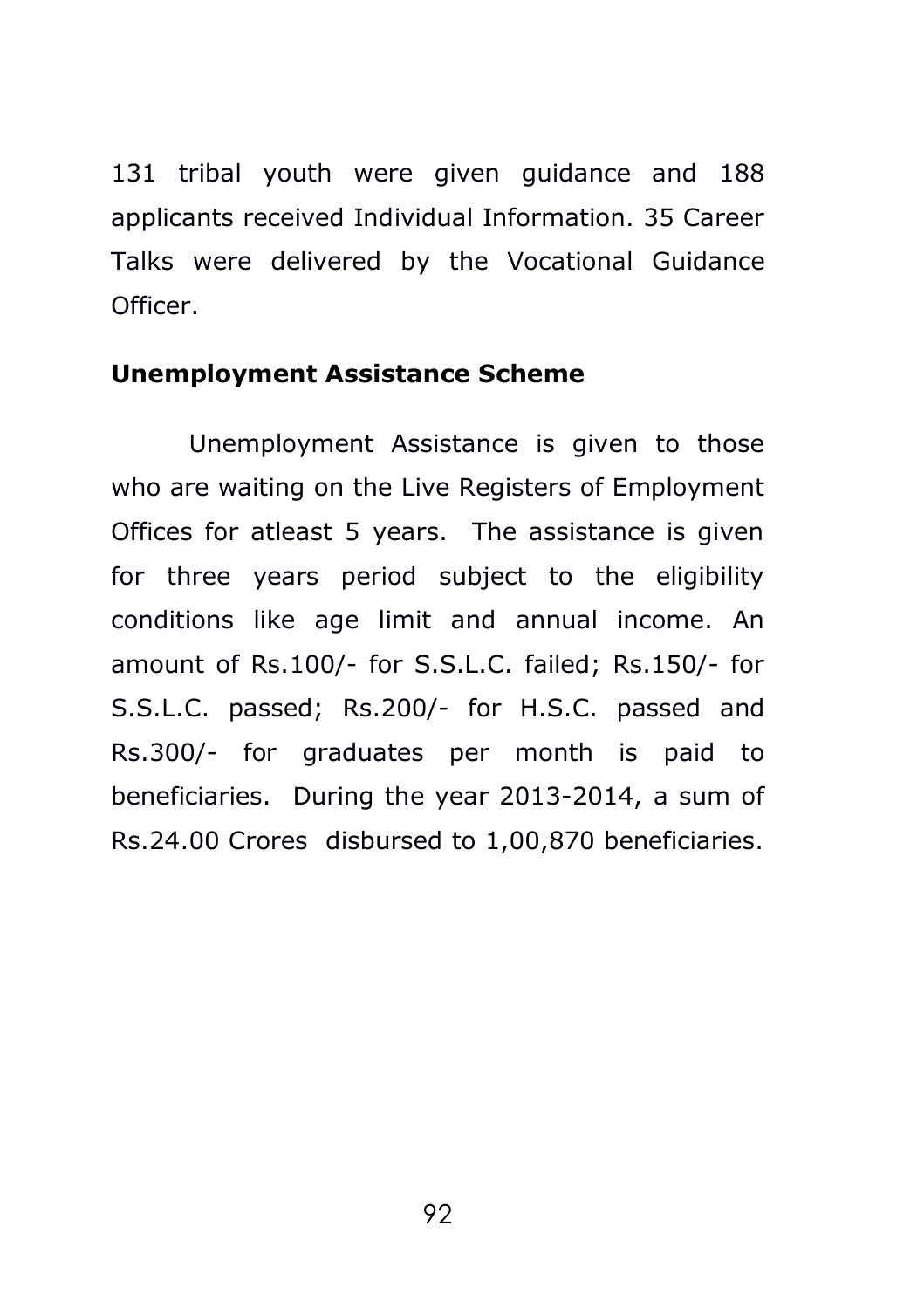131 tribal youth were given guidance and 188 applicants received Individual Information. 35 Career Talks were delivered by the Vocational Guidance Officer.

## **Unemployment Assistance Scheme**

Unemployment Assistance is given to those who are waiting on the Live Registers of Employment Offices for atleast 5 years. The assistance is given for three years period subject to the eligibility conditions like age limit and annual income. An amount of Rs.100/- for S.S.L.C. failed; Rs.150/- for S.S.L.C. passed; Rs.200/- for H.S.C. passed and Rs.300/- for graduates per month is paid to beneficiaries. During the year 2013-2014, a sum of Rs.24.00 Crores disbursed to 1,00,870 beneficiaries.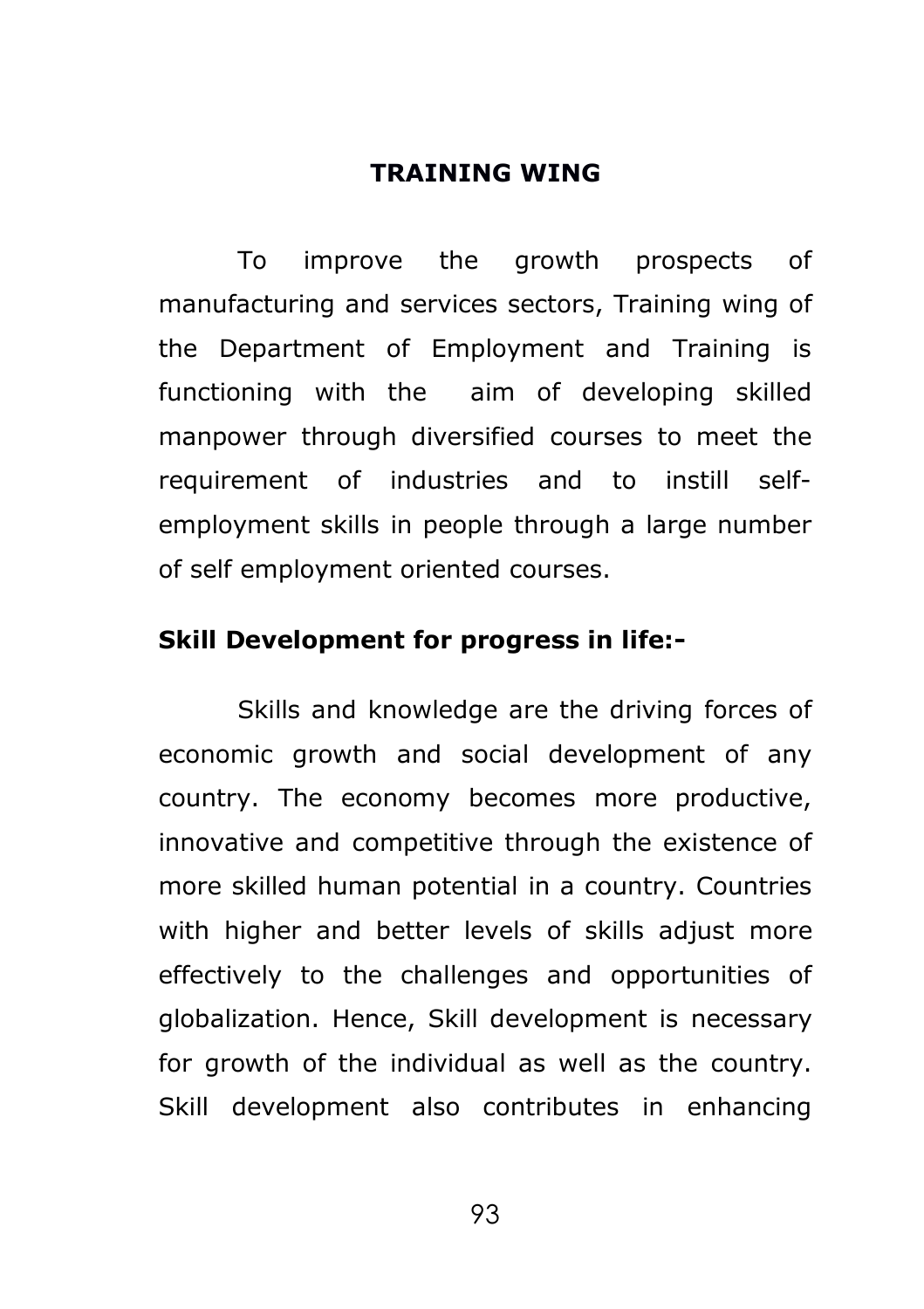#### **TRAINING WING**

To improve the growth prospects of manufacturing and services sectors, Training wing of the Department of Employment and Training is functioning with the aim of developing skilled manpower through diversified courses to meet the requirement of industries and to instill selfemployment skills in people through a large number of self employment oriented courses.

#### **Skill Development for progress in life:-**

Skills and knowledge are the driving forces of economic growth and social development of any country. The economy becomes more productive, innovative and competitive through the existence of more skilled human potential in a country. Countries with higher and better levels of skills adjust more effectively to the challenges and opportunities of globalization. Hence, Skill development is necessary for growth of the individual as well as the country. Skill development also contributes in enhancing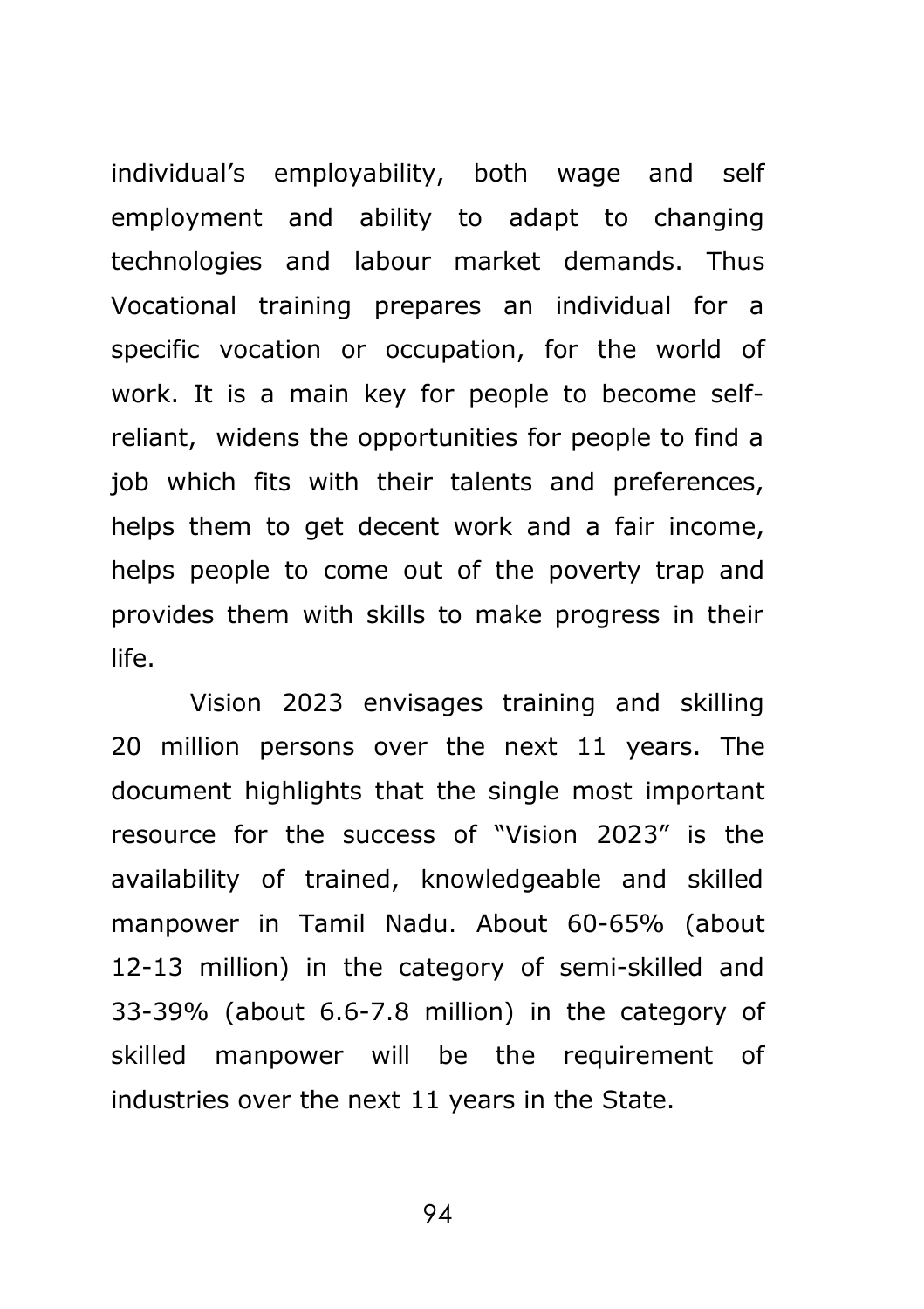individual's employability, both wage and self employment and ability to adapt to changing technologies and labour market demands. Thus Vocational training prepares an individual for a specific vocation or occupation, for the world of work. It is a main key for people to become selfreliant, widens the opportunities for people to find a job which fits with their talents and preferences, helps them to get decent work and a fair income, helps people to come out of the poverty trap and provides them with skills to make progress in their life.

Vision 2023 envisages training and skilling 20 million persons over the next 11 years. The document highlights that the single most important resource for the success of "Vision 2023" is the availability of trained, knowledgeable and skilled manpower in Tamil Nadu. About 60-65% (about 12-13 million) in the category of semi-skilled and 33-39% (about 6.6-7.8 million) in the category of skilled manpower will be the requirement of industries over the next 11 years in the State.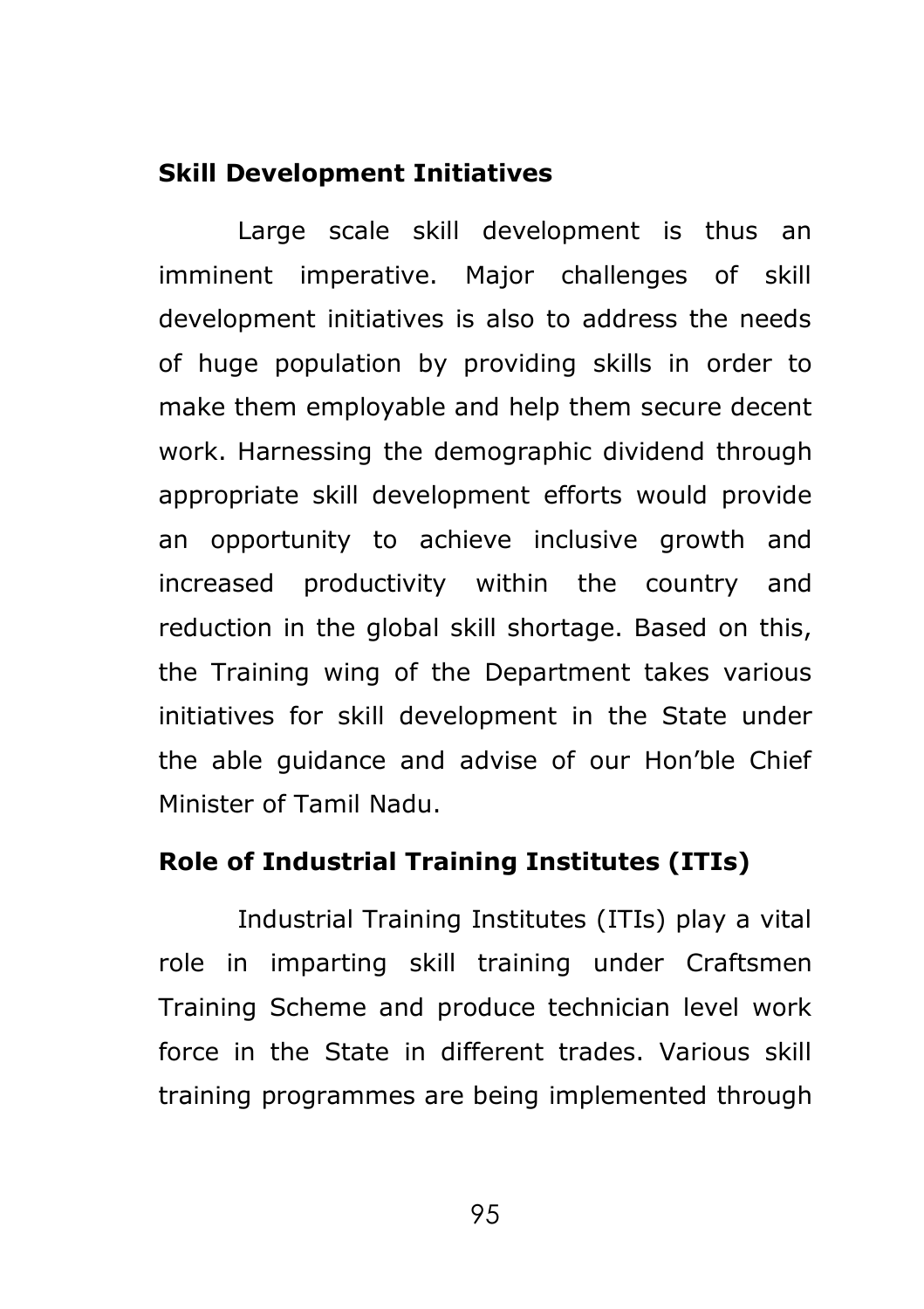### **Skill Development Initiatives**

Large scale skill development is thus an imminent imperative. Major challenges of skill development initiatives is also to address the needs of huge population by providing skills in order to make them employable and help them secure decent work. Harnessing the demographic dividend through appropriate skill development efforts would provide an opportunity to achieve inclusive growth and increased productivity within the country and reduction in the global skill shortage. Based on this, the Training wing of the Department takes various initiatives for skill development in the State under the able guidance and advise of our Hon'ble Chief Minister of Tamil Nadu.

### **Role of Industrial Training Institutes (ITIs)**

Industrial Training Institutes (ITIs) play a vital role in imparting skill training under Craftsmen Training Scheme and produce technician level work force in the State in different trades. Various skill training programmes are being implemented through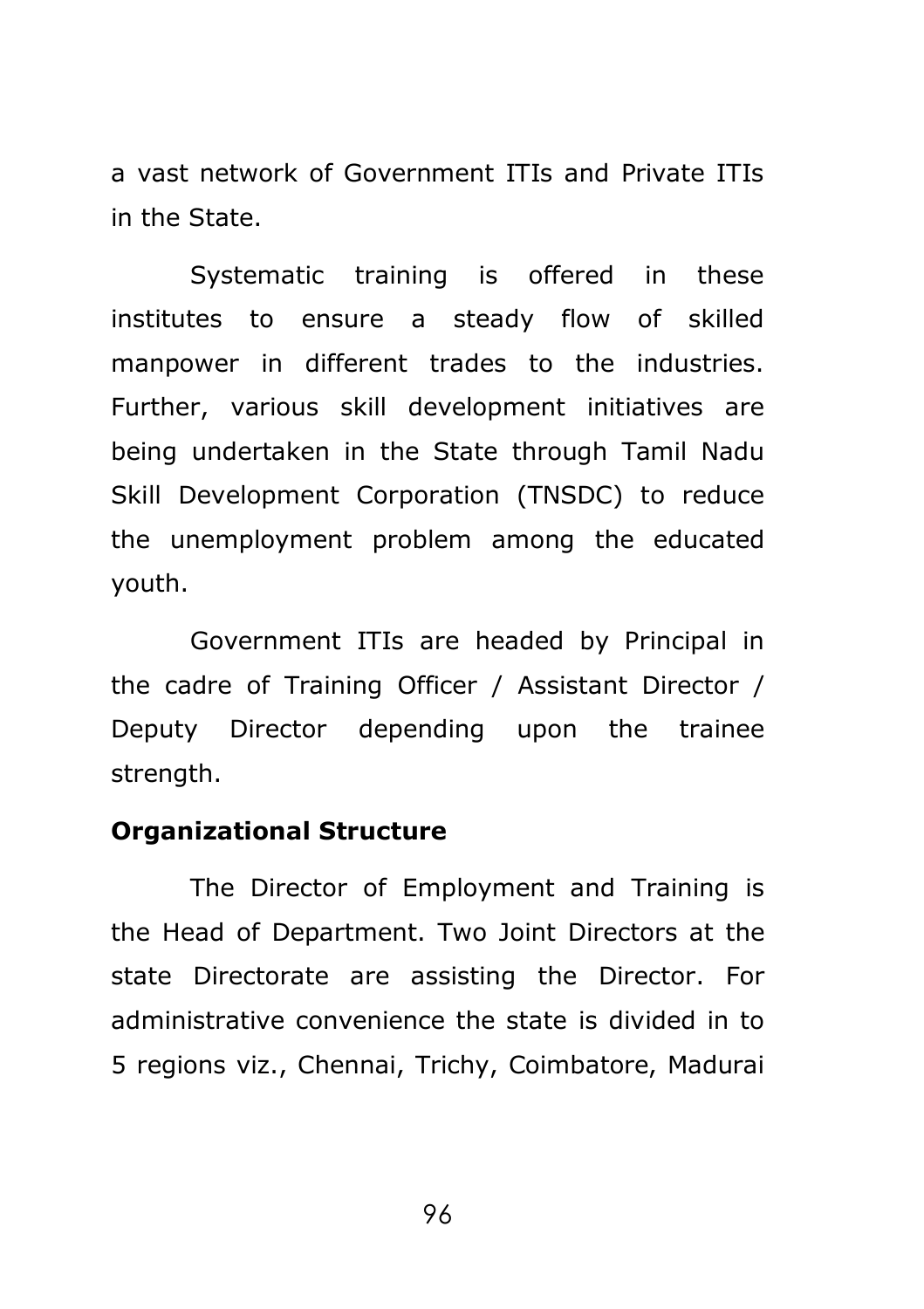a vast network of Government ITIs and Private ITIs in the State.

Systematic training is offered in these institutes to ensure a steady flow of skilled manpower in different trades to the industries. Further, various skill development initiatives are being undertaken in the State through Tamil Nadu Skill Development Corporation (TNSDC) to reduce the unemployment problem among the educated youth.

Government ITIs are headed by Principal in the cadre of Training Officer / Assistant Director / Deputy Director depending upon the trainee strength.

#### **Organizational Structure**

The Director of Employment and Training is the Head of Department. Two Joint Directors at the state Directorate are assisting the Director. For administrative convenience the state is divided in to 5 regions viz., Chennai, Trichy, Coimbatore, Madurai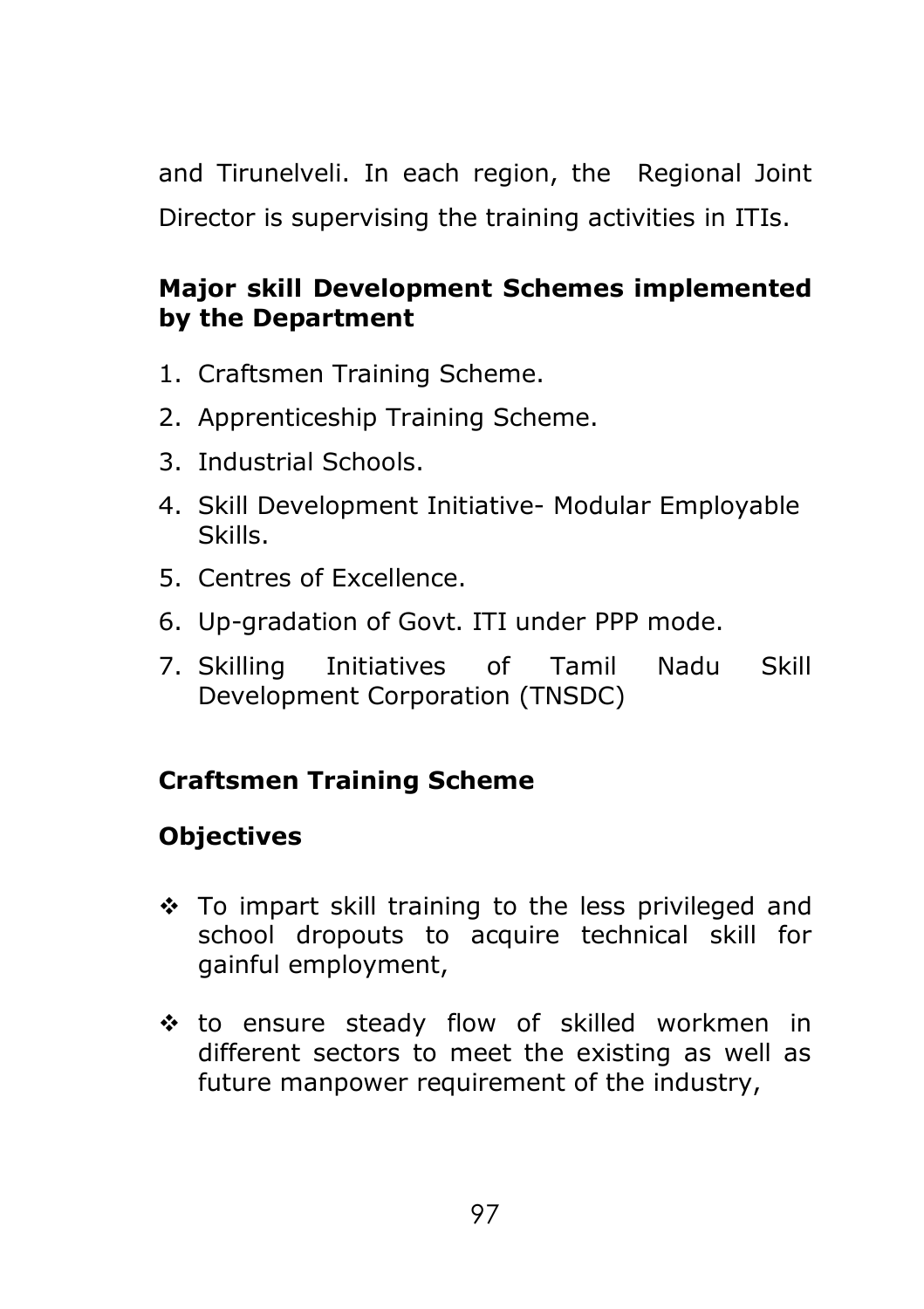and Tirunelveli. In each region, the Regional Joint Director is supervising the training activities in ITIs.

# **Major skill Development Schemes implemented by the Department**

- 1. Craftsmen Training Scheme.
- 2. Apprenticeship Training Scheme.
- 3. Industrial Schools.
- 4. Skill Development Initiative- Modular Employable Skills.
- 5. Centres of Excellence.
- 6. Up-gradation of Govt. ITI under PPP mode.
- 7. Skilling Initiatives of Tamil Nadu Skill Development Corporation (TNSDC)

# **Craftsmen Training Scheme**

# **Objectives**

- $\div$  To impart skill training to the less privileged and school dropouts to acquire technical skill for gainful employment,
- to ensure steady flow of skilled workmen in different sectors to meet the existing as well as future manpower requirement of the industry,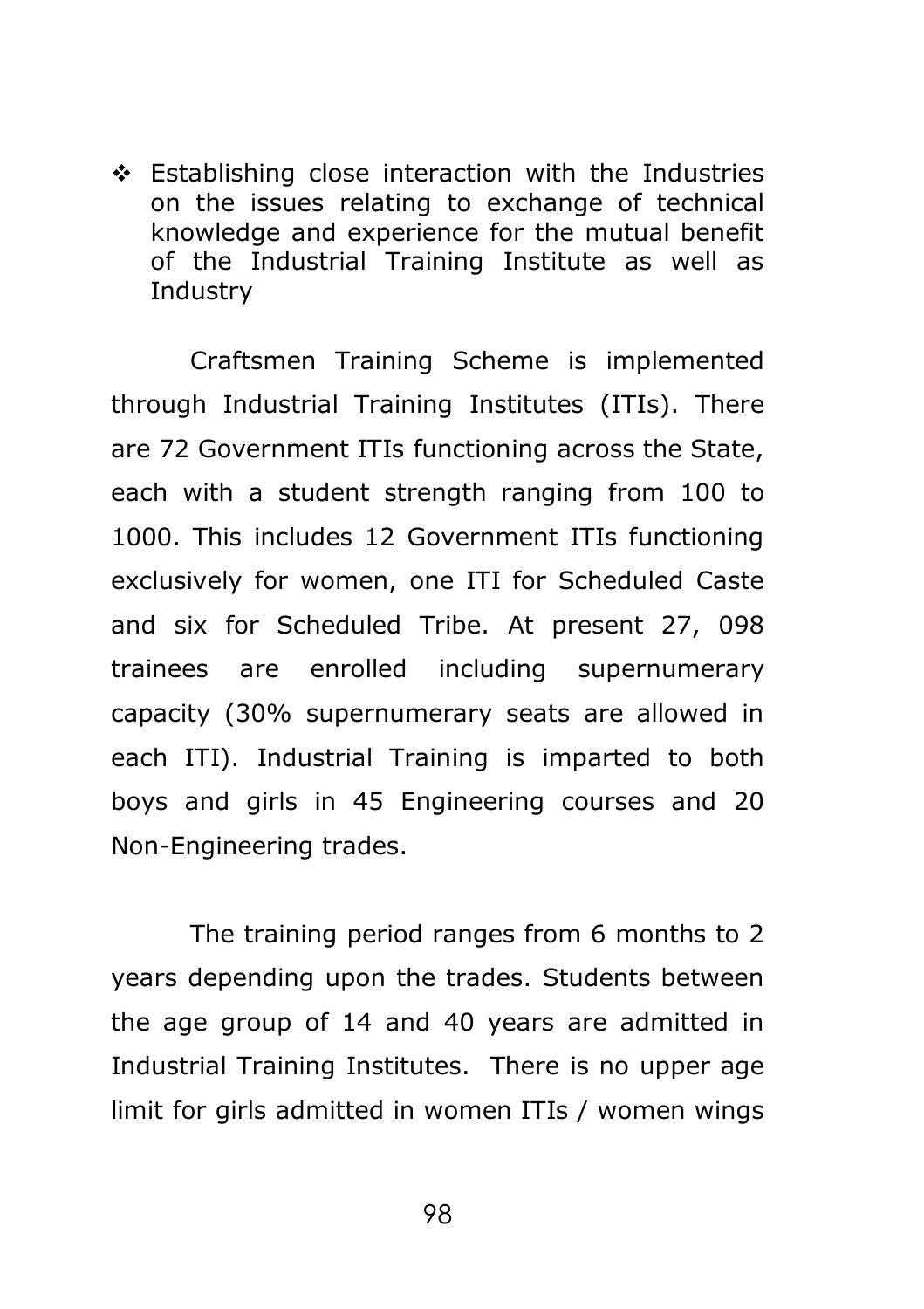Establishing close interaction with the Industries on the issues relating to exchange of technical knowledge and experience for the mutual benefit of the Industrial Training Institute as well as **Industry** 

Craftsmen Training Scheme is implemented through Industrial Training Institutes (ITIs). There are 72 Government ITIs functioning across the State, each with a student strength ranging from 100 to 1000. This includes 12 Government ITIs functioning exclusively for women, one ITI for Scheduled Caste and six for Scheduled Tribe. At present 27, 098 trainees are enrolled including supernumerary capacity (30% supernumerary seats are allowed in each ITI). Industrial Training is imparted to both boys and girls in 45 Engineering courses and 20 Non-Engineering trades.

The training period ranges from 6 months to 2 years depending upon the trades. Students between the age group of 14 and 40 years are admitted in Industrial Training Institutes. There is no upper age limit for girls admitted in women ITIs / women wings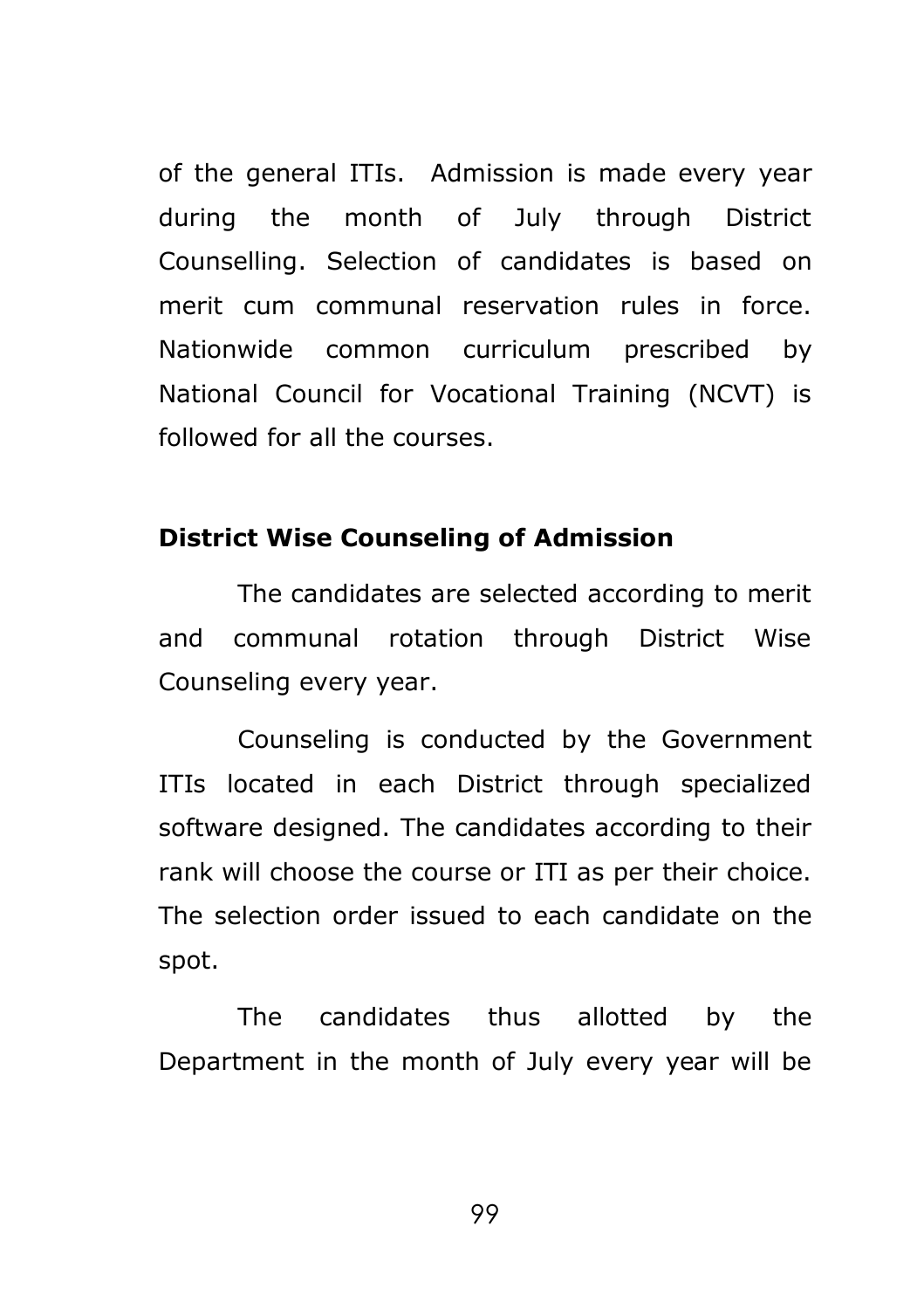of the general ITIs. Admission is made every year during the month of July through District Counselling. Selection of candidates is based on merit cum communal reservation rules in force. Nationwide common curriculum prescribed by National Council for Vocational Training (NCVT) is followed for all the courses.

### **District Wise Counseling of Admission**

The candidates are selected according to merit and communal rotation through District Wise Counseling every year.

Counseling is conducted by the Government ITIs located in each District through specialized software designed. The candidates according to their rank will choose the course or ITI as per their choice. The selection order issued to each candidate on the spot.

The candidates thus allotted by the Department in the month of July every year will be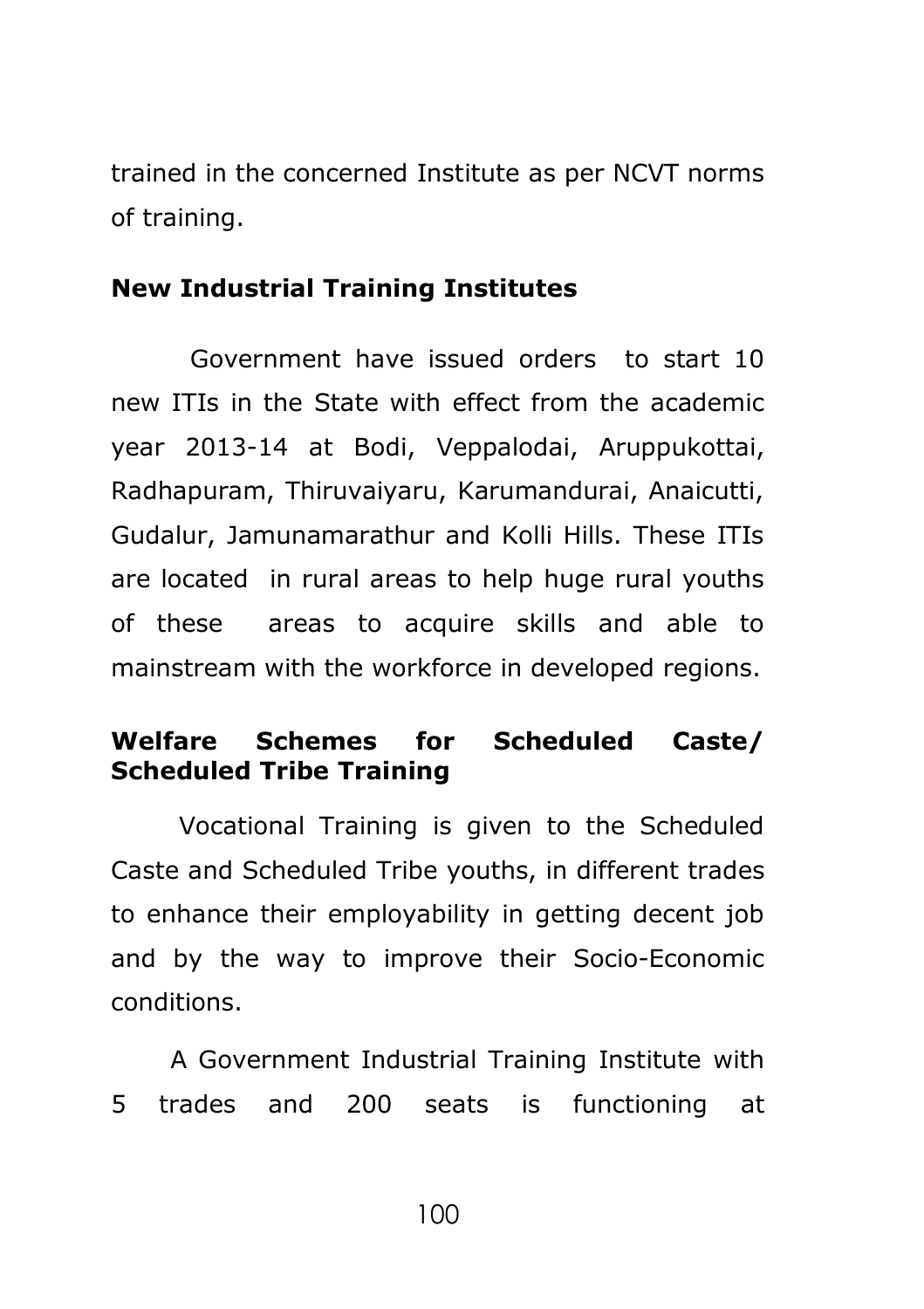trained in the concerned Institute as per NCVT norms of training.

## **New Industrial Training Institutes**

Government have issued orders to start 10 new ITIs in the State with effect from the academic year 2013-14 at Bodi, Veppalodai, Aruppukottai, Radhapuram, Thiruvaiyaru, Karumandurai, Anaicutti, Gudalur, Jamunamarathur and Kolli Hills. These ITIs are located in rural areas to help huge rural youths of these areas to acquire skills and able to mainstream with the workforce in developed regions.

# **Welfare Schemes for Scheduled Caste/ Scheduled Tribe Training**

Vocational Training is given to the Scheduled Caste and Scheduled Tribe youths, in different trades to enhance their employability in getting decent job and by the way to improve their Socio-Economic conditions.

A Government Industrial Training Institute with 5 trades and 200 seats is functioning at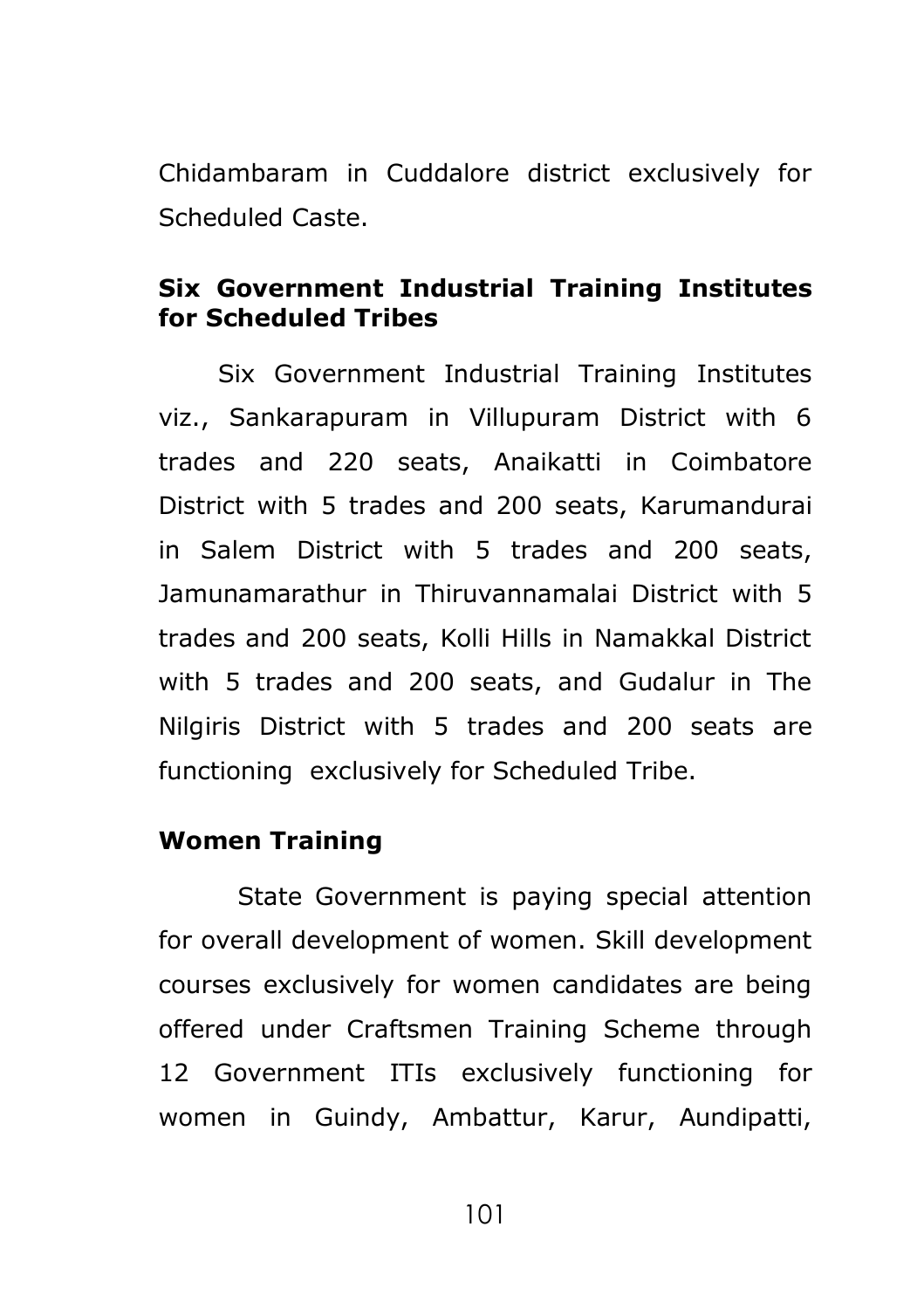Chidambaram in Cuddalore district exclusively for Scheduled Caste.

## **Six Government Industrial Training Institutes for Scheduled Tribes**

Six Government Industrial Training Institutes viz., Sankarapuram in Villupuram District with 6 trades and 220 seats, Anaikatti in Coimbatore District with 5 trades and 200 seats, Karumandurai in Salem District with 5 trades and 200 seats, Jamunamarathur in Thiruvannamalai District with 5 trades and 200 seats, Kolli Hills in Namakkal District with 5 trades and 200 seats, and Gudalur in The Nilgiris District with 5 trades and 200 seats are functioning exclusively for Scheduled Tribe.

### **Women Training**

State Government is paying special attention for overall development of women. Skill development courses exclusively for women candidates are being offered under Craftsmen Training Scheme through 12 Government ITIs exclusively functioning for women in Guindy, Ambattur, Karur, Aundipatti,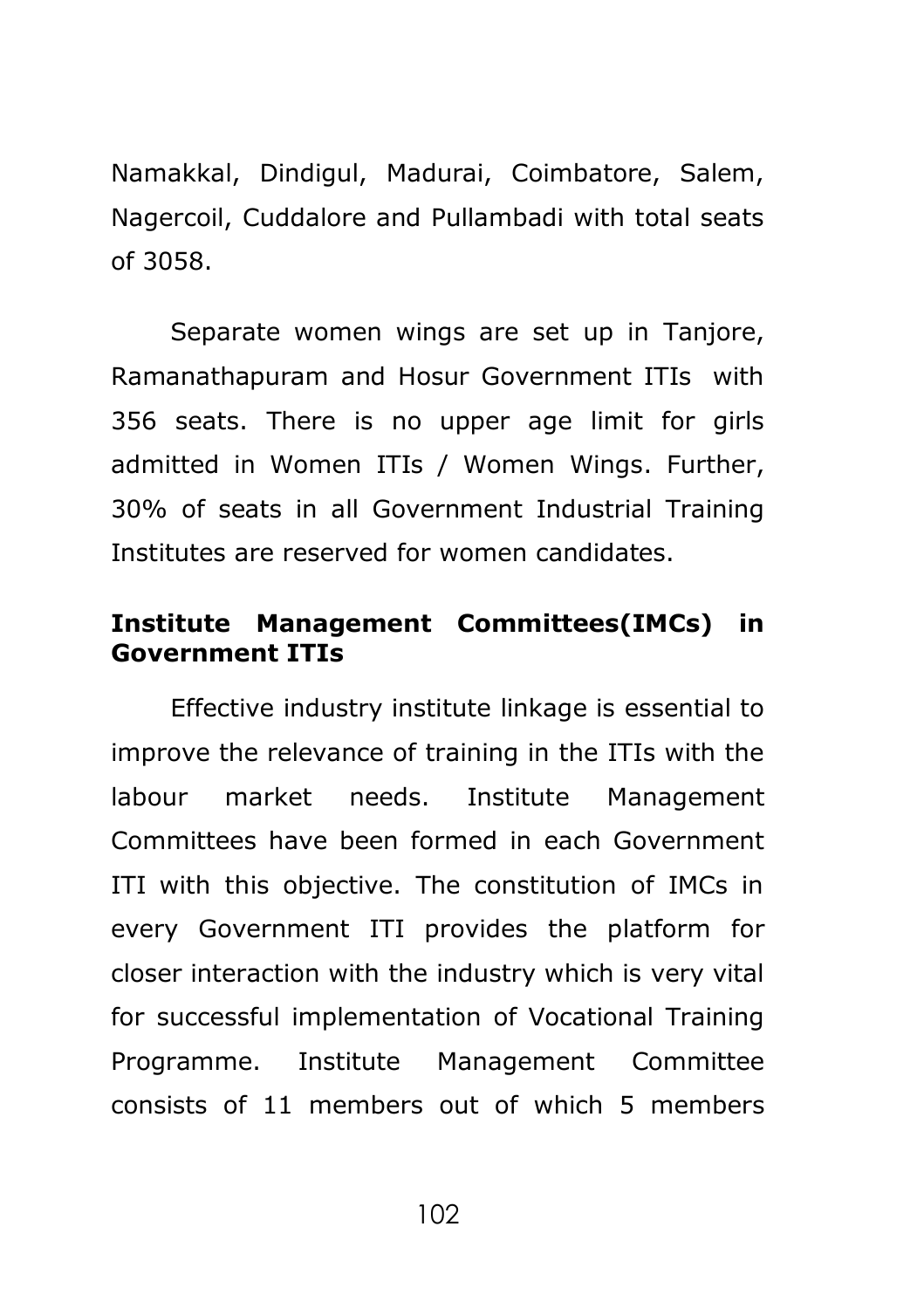Namakkal, Dindigul, Madurai, Coimbatore, Salem, Nagercoil, Cuddalore and Pullambadi with total seats of 3058.

Separate women wings are set up in Tanjore, Ramanathapuram and Hosur Government ITIs with 356 seats. There is no upper age limit for girls admitted in Women ITIs / Women Wings. Further, 30% of seats in all Government Industrial Training Institutes are reserved for women candidates.

## **Institute Management Committees(IMCs) in Government ITIs**

Effective industry institute linkage is essential to improve the relevance of training in the ITIs with the labour market needs. Institute Management Committees have been formed in each Government ITI with this objective. The constitution of IMCs in every Government ITI provides the platform for closer interaction with the industry which is very vital for successful implementation of Vocational Training Programme. Institute Management Committee consists of 11 members out of which 5 members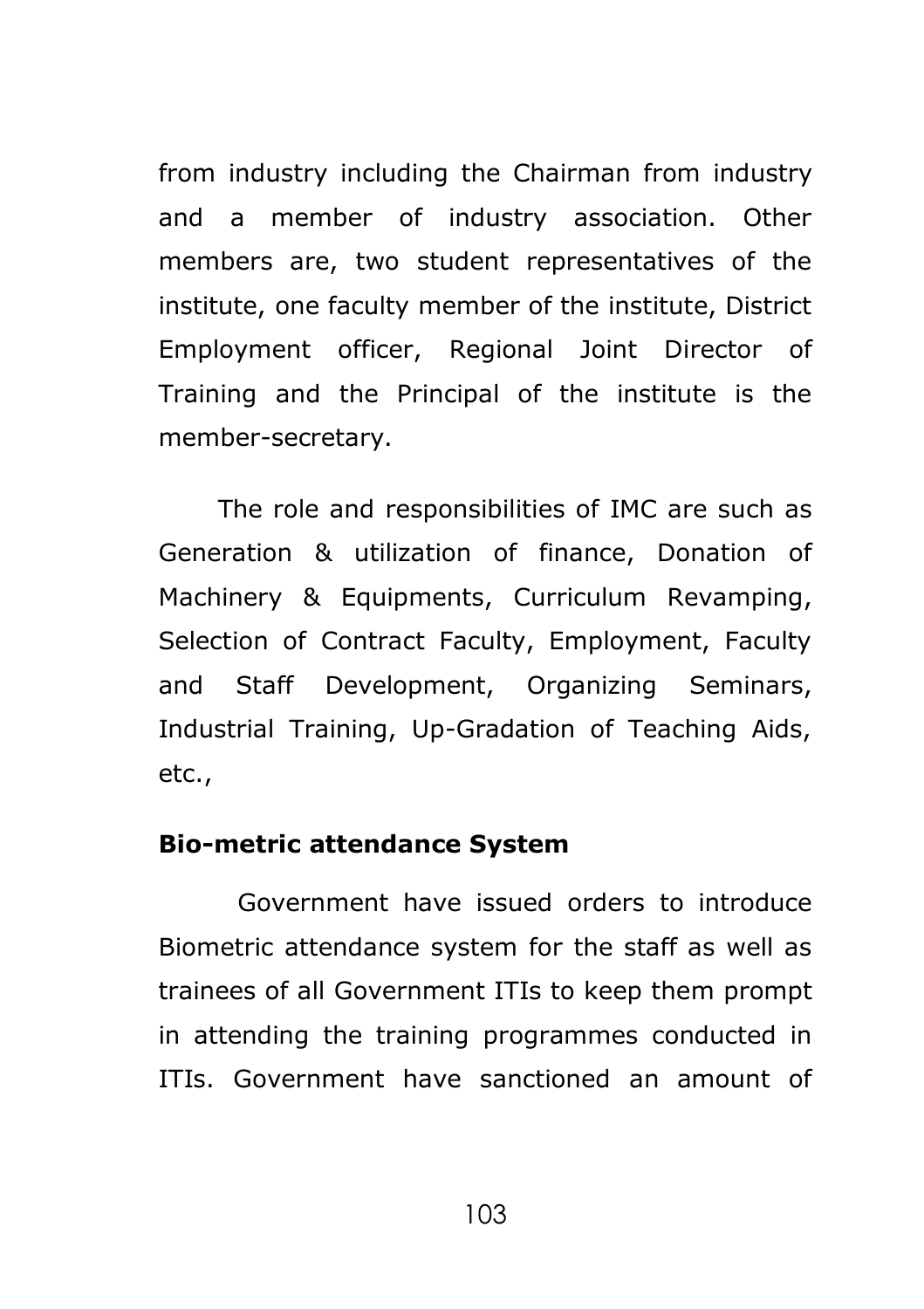from industry including the Chairman from industry and a member of industry association. Other members are, two student representatives of the institute, one faculty member of the institute, District Employment officer, Regional Joint Director of Training and the Principal of the institute is the member-secretary.

The role and responsibilities of IMC are such as Generation & utilization of finance, Donation of Machinery & Equipments, Curriculum Revamping, Selection of Contract Faculty, Employment, Faculty and Staff Development, Organizing Seminars, Industrial Training, Up-Gradation of Teaching Aids, etc.,

#### **Bio-metric attendance System**

Government have issued orders to introduce Biometric attendance system for the staff as well as trainees of all Government ITIs to keep them prompt in attending the training programmes conducted in ITIs. Government have sanctioned an amount of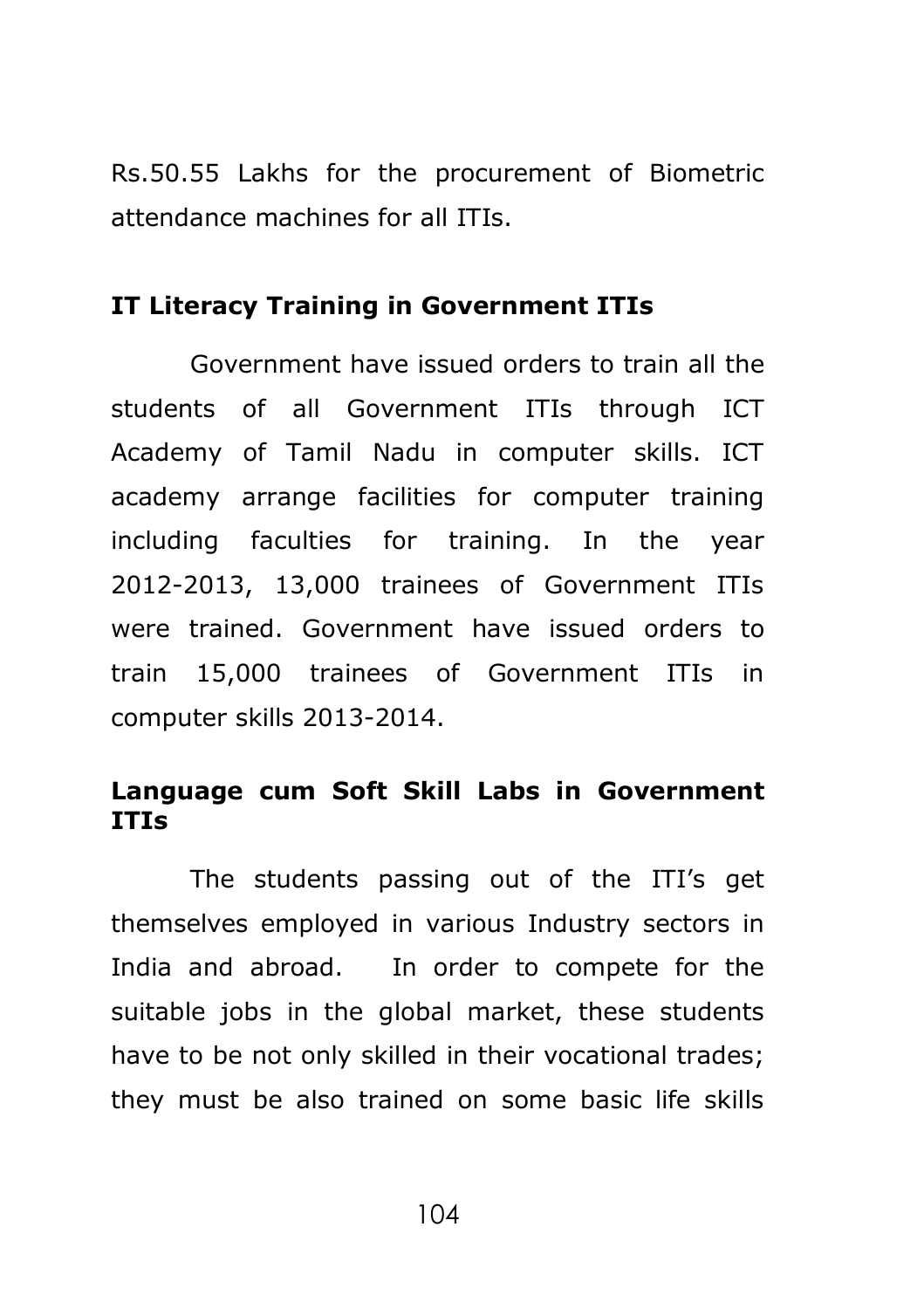Rs.50.55 Lakhs for the procurement of Biometric attendance machines for all ITIs.

#### **IT Literacy Training in Government ITIs**

Government have issued orders to train all the students of all Government ITIs through ICT Academy of Tamil Nadu in computer skills. ICT academy arrange facilities for computer training including faculties for training. In the year 2012-2013, 13,000 trainees of Government ITIs were trained. Government have issued orders to train 15,000 trainees of Government ITIs in computer skills 2013-2014.

### **Language cum Soft Skill Labs in Government ITIs**

The students passing out of the ITI's get themselves employed in various Industry sectors in India and abroad. In order to compete for the suitable jobs in the global market, these students have to be not only skilled in their vocational trades; they must be also trained on some basic life skills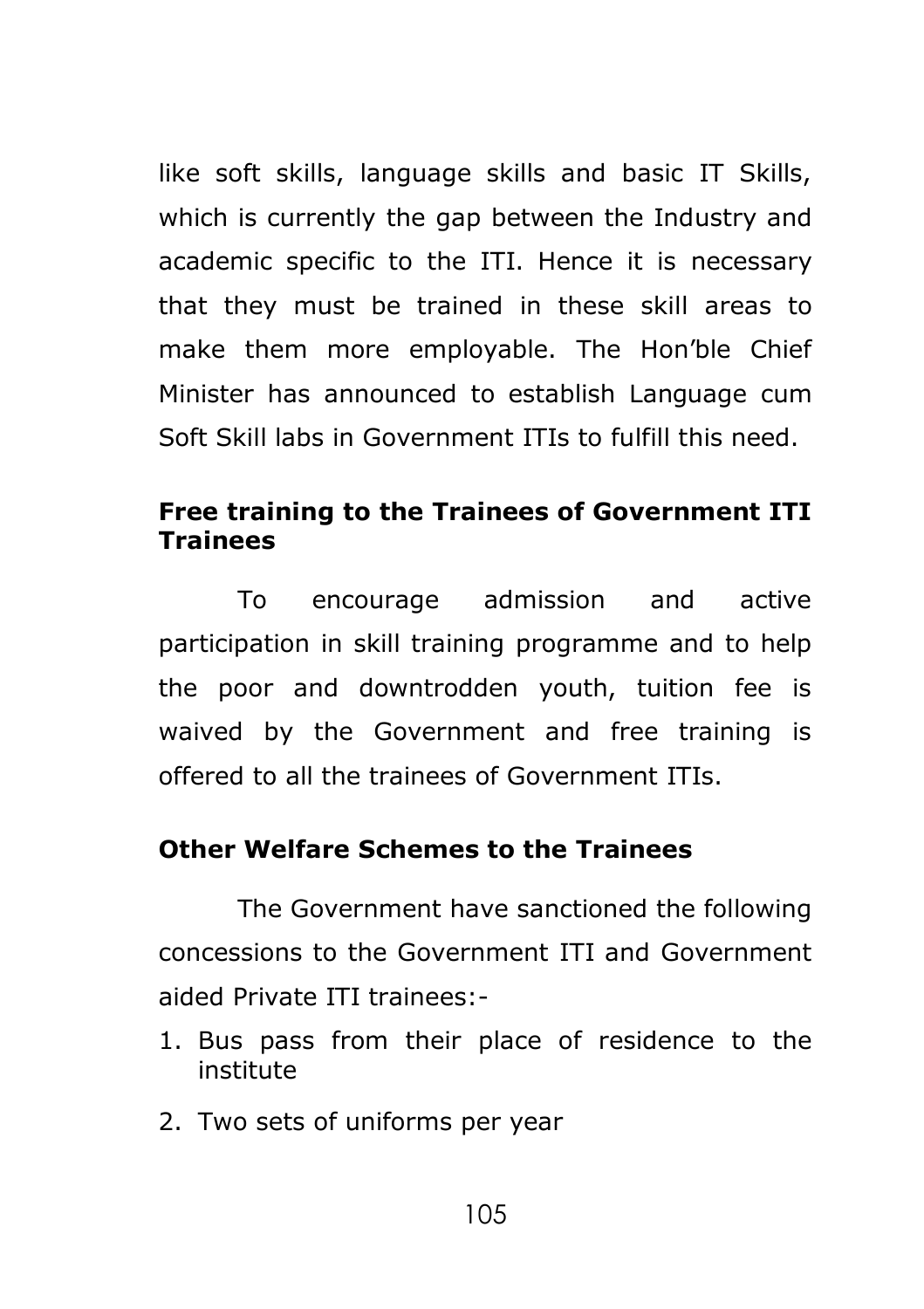like soft skills, language skills and basic IT Skills, which is currently the gap between the Industry and academic specific to the ITI. Hence it is necessary that they must be trained in these skill areas to make them more employable. The Hon'ble Chief Minister has announced to establish Language cum Soft Skill labs in Government ITIs to fulfill this need.

### **Free training to the Trainees of Government ITI Trainees**

To encourage admission and active participation in skill training programme and to help the poor and downtrodden youth, tuition fee is waived by the Government and free training is offered to all the trainees of Government ITIs.

### **Other Welfare Schemes to the Trainees**

The Government have sanctioned the following concessions to the Government ITI and Government aided Private ITI trainees:-

- 1. Bus pass from their place of residence to the institute
- 2. Two sets of uniforms per year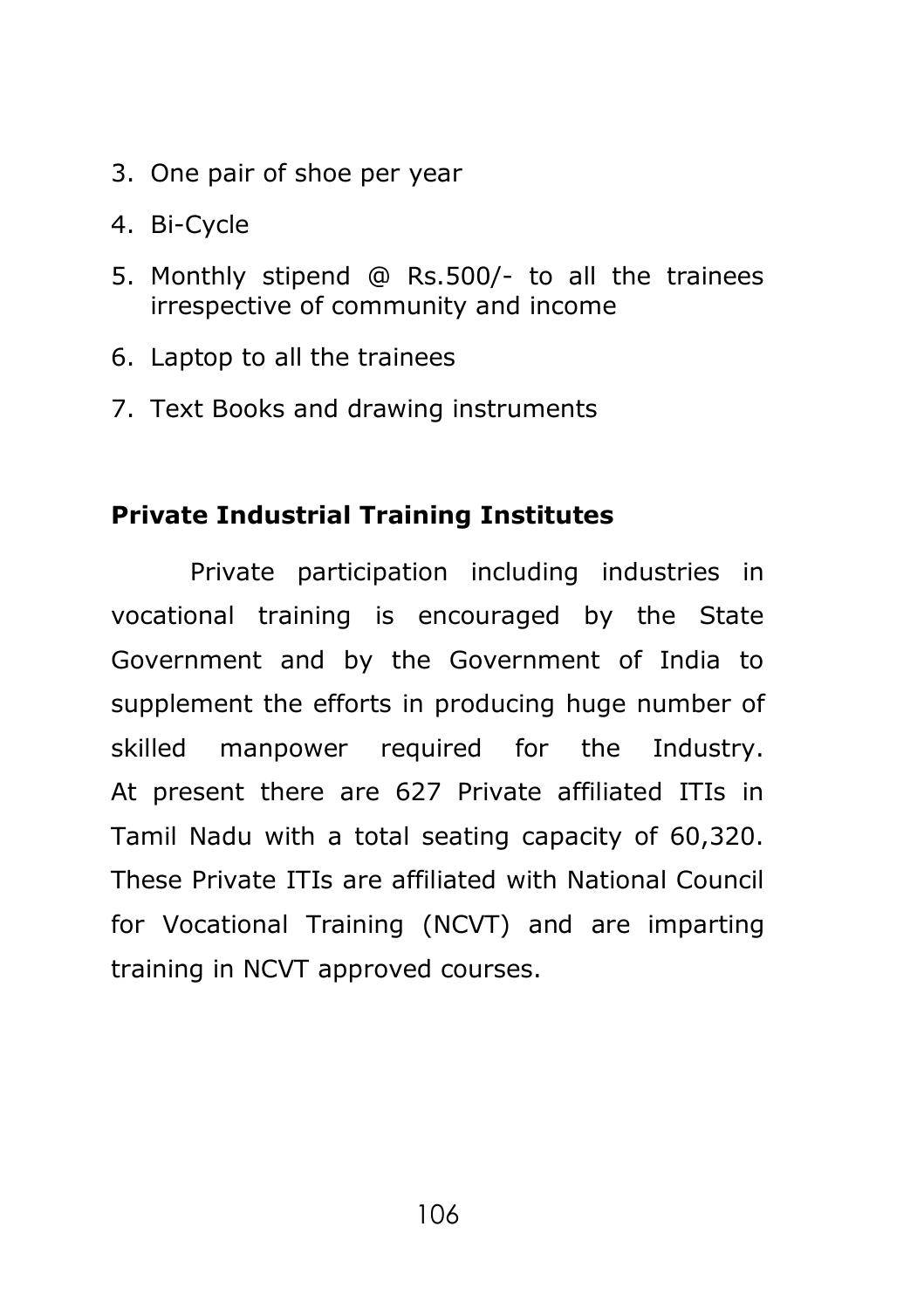- 3. One pair of shoe per year
- 4. Bi-Cycle
- 5. Monthly stipend @ Rs.500/- to all the trainees irrespective of community and income
- 6. Laptop to all the trainees
- 7. Text Books and drawing instruments

#### **Private Industrial Training Institutes**

Private participation including industries in vocational training is encouraged by the State Government and by the Government of India to supplement the efforts in producing huge number of skilled manpower required for the Industry. At present there are 627 Private affiliated ITIs in Tamil Nadu with a total seating capacity of 60,320. These Private ITIs are affiliated with National Council for Vocational Training (NCVT) and are imparting training in NCVT approved courses.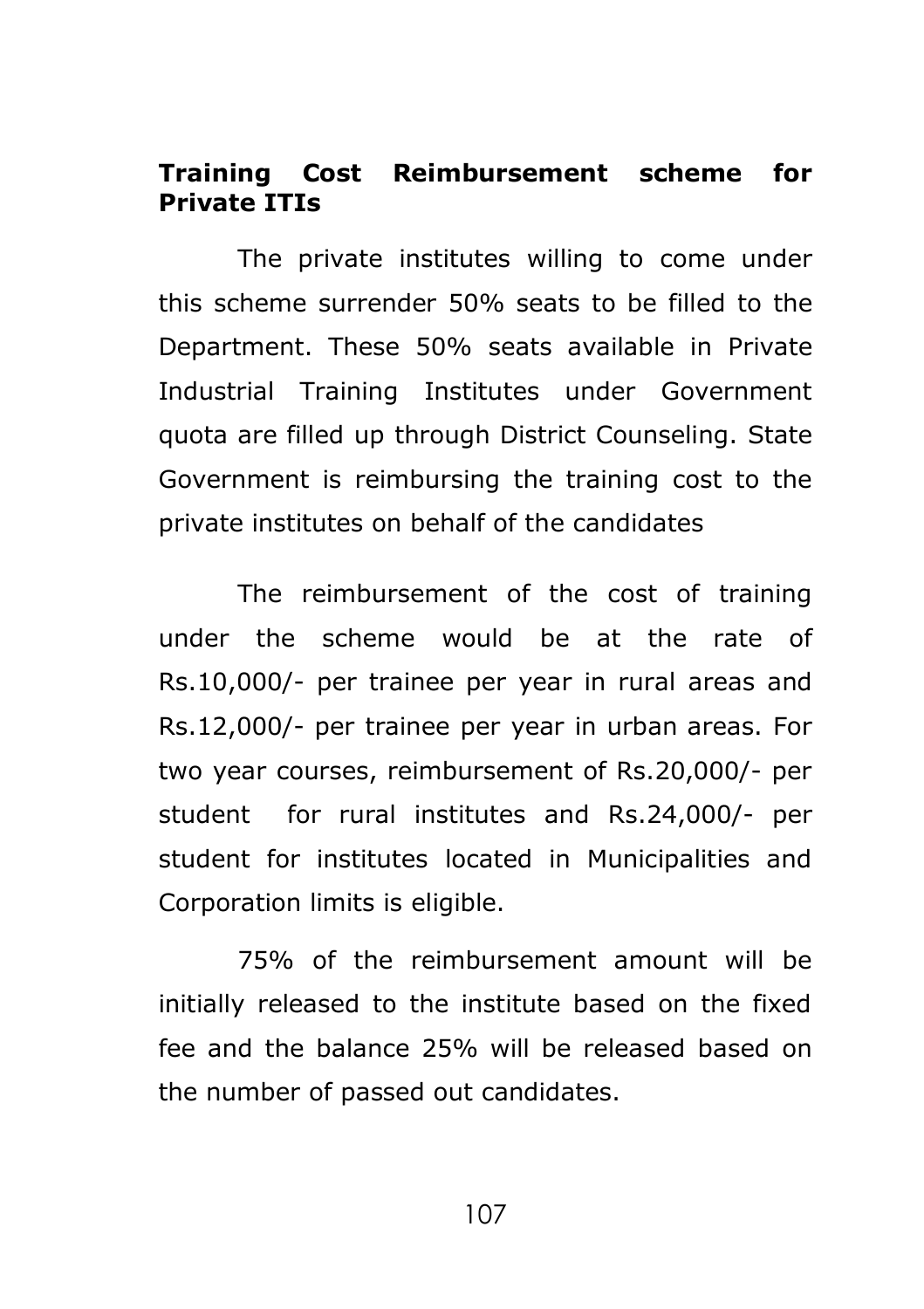### **Training Cost Reimbursement scheme for Private ITIs**

The private institutes willing to come under this scheme surrender 50% seats to be filled to the Department. These 50% seats available in Private Industrial Training Institutes under Government quota are filled up through District Counseling. State Government is reimbursing the training cost to the private institutes on behalf of the candidates

The reimbursement of the cost of training under the scheme would be at the rate of Rs.10,000/- per trainee per year in rural areas and Rs.12,000/- per trainee per year in urban areas. For two year courses, reimbursement of Rs.20,000/- per student for rural institutes and Rs.24,000/- per student for institutes located in Municipalities and Corporation limits is eligible.

75% of the reimbursement amount will be initially released to the institute based on the fixed fee and the balance 25% will be released based on the number of passed out candidates.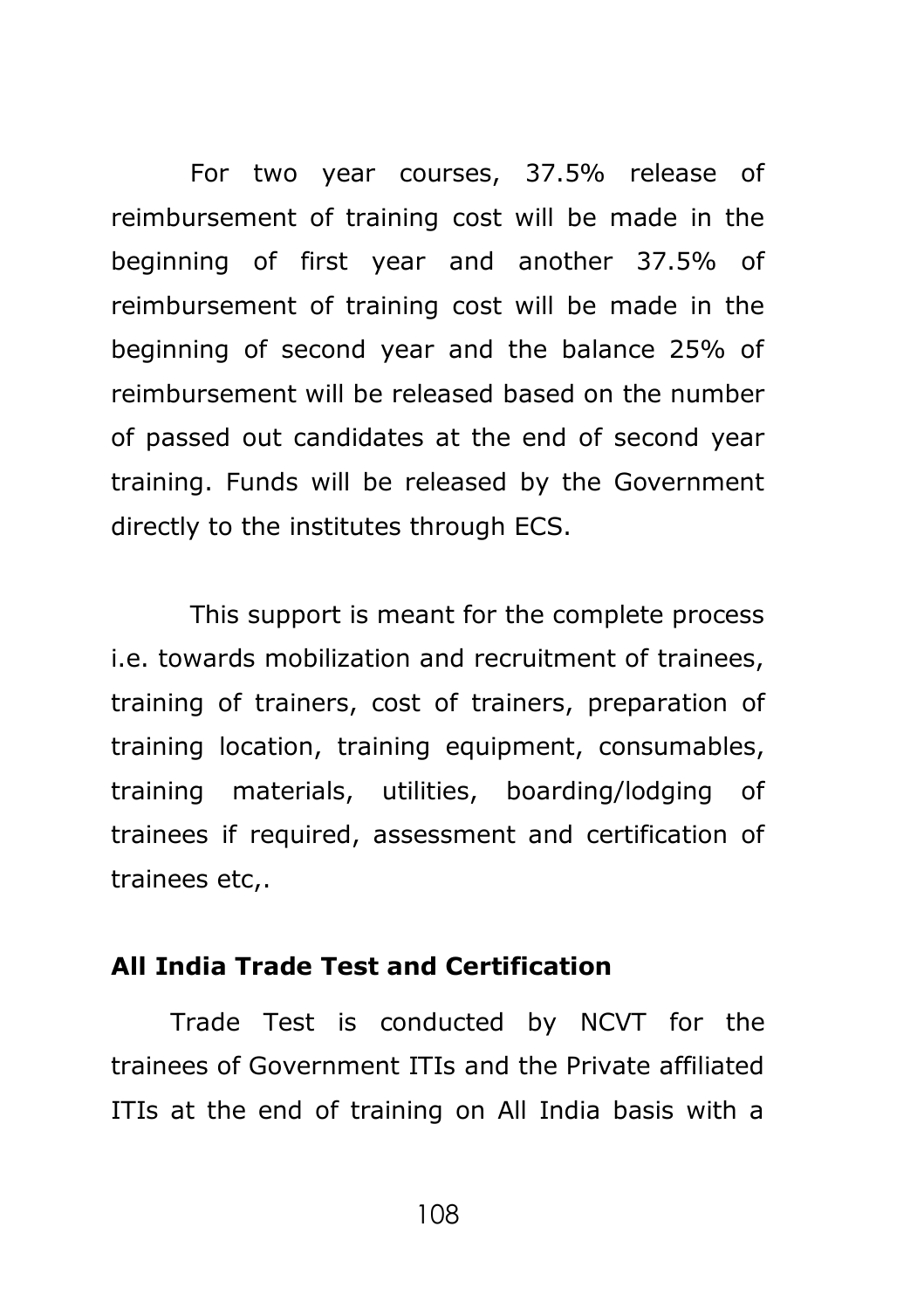For two year courses, 37.5% release of reimbursement of training cost will be made in the beginning of first year and another 37.5% of reimbursement of training cost will be made in the beginning of second year and the balance 25% of reimbursement will be released based on the number of passed out candidates at the end of second year training. Funds will be released by the Government directly to the institutes through ECS.

This support is meant for the complete process i.e. towards mobilization and recruitment of trainees, training of trainers, cost of trainers, preparation of training location, training equipment, consumables, training materials, utilities, boarding/lodging of trainees if required, assessment and certification of trainees etc,.

#### **All India Trade Test and Certification**

Trade Test is conducted by NCVT for the trainees of Government ITIs and the Private affiliated ITIs at the end of training on All India basis with a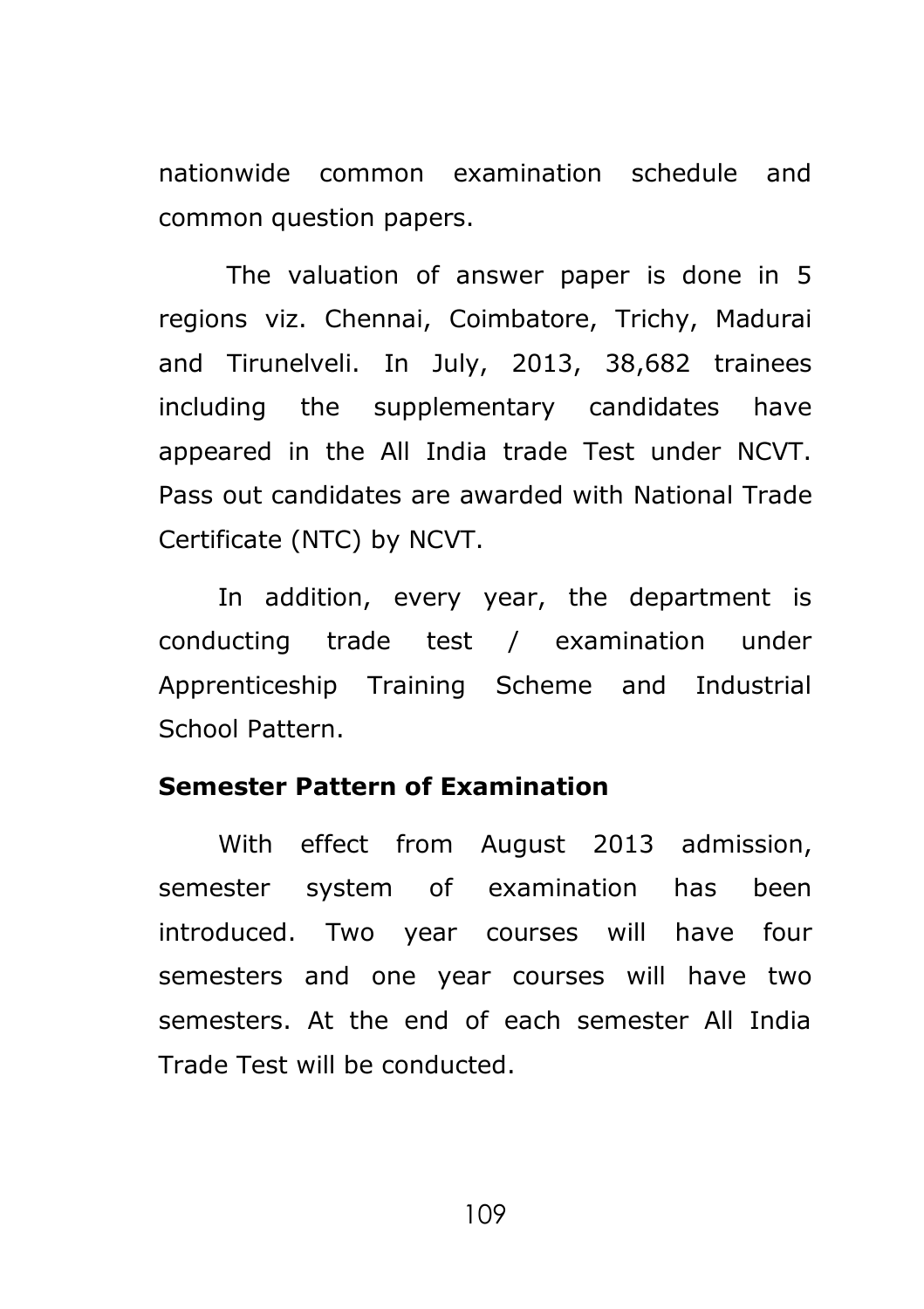nationwide common examination schedule and common question papers.

The valuation of answer paper is done in 5 regions viz. Chennai, Coimbatore, Trichy, Madurai and Tirunelveli. In July, 2013, 38,682 trainees including the supplementary candidates have appeared in the All India trade Test under NCVT. Pass out candidates are awarded with National Trade Certificate (NTC) by NCVT.

In addition, every year, the department is conducting trade test / examination under Apprenticeship Training Scheme and Industrial School Pattern.

### **Semester Pattern of Examination**

With effect from August 2013 admission, semester system of examination has been introduced. Two year courses will have four semesters and one year courses will have two semesters. At the end of each semester All India Trade Test will be conducted.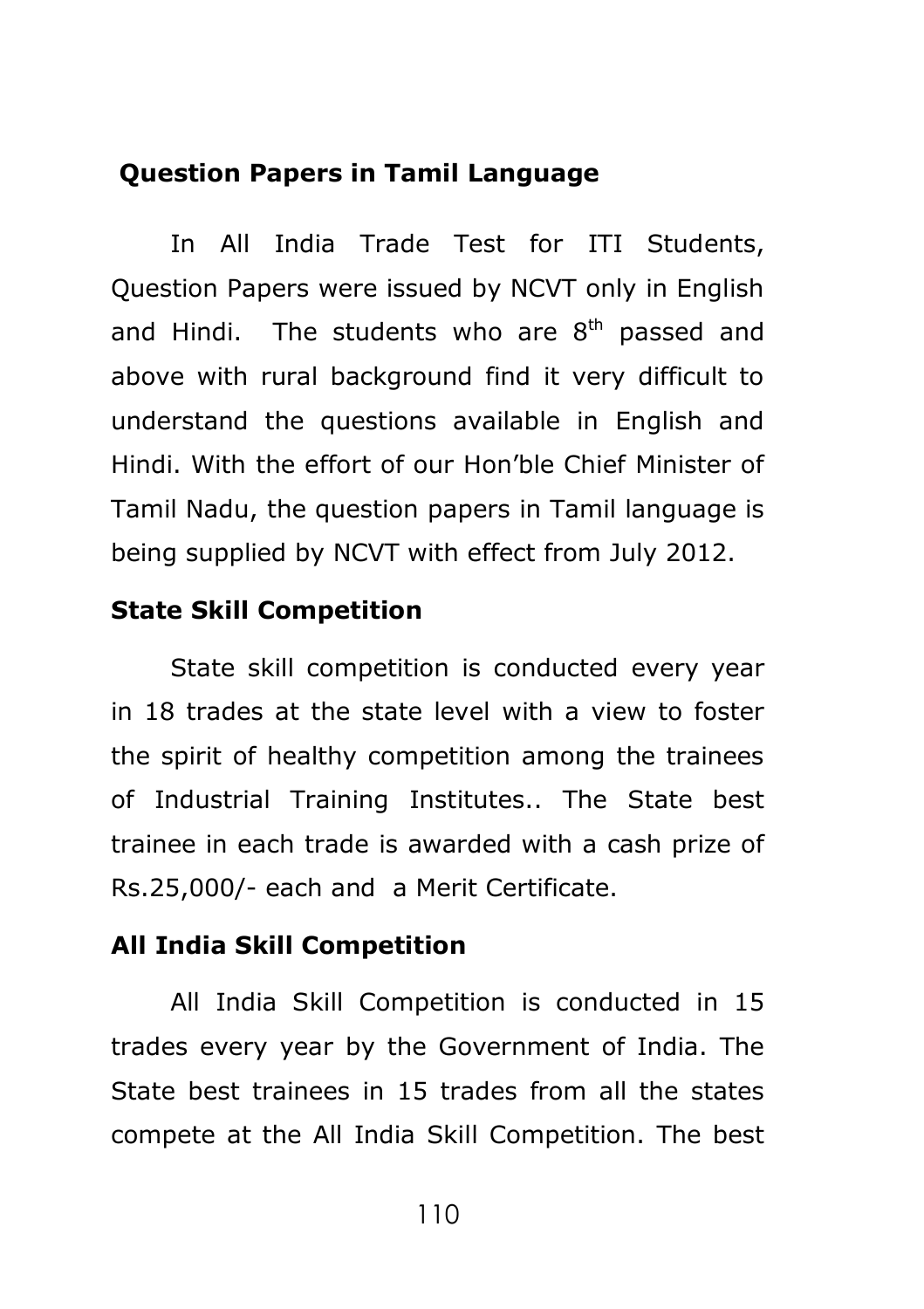#### **Question Papers in Tamil Language**

In All India Trade Test for ITI Students, Question Papers were issued by NCVT only in English and Hindi. The students who are  $8<sup>th</sup>$  passed and above with rural background find it very difficult to understand the questions available in English and Hindi. With the effort of our Hon'ble Chief Minister of Tamil Nadu, the question papers in Tamil language is being supplied by NCVT with effect from July 2012.

#### **State Skill Competition**

State skill competition is conducted every year in 18 trades at the state level with a view to foster the spirit of healthy competition among the trainees of Industrial Training Institutes.. The State best trainee in each trade is awarded with a cash prize of Rs.25,000/- each and a Merit Certificate.

#### **All India Skill Competition**

All India Skill Competition is conducted in 15 trades every year by the Government of India. The State best trainees in 15 trades from all the states compete at the All India Skill Competition. The best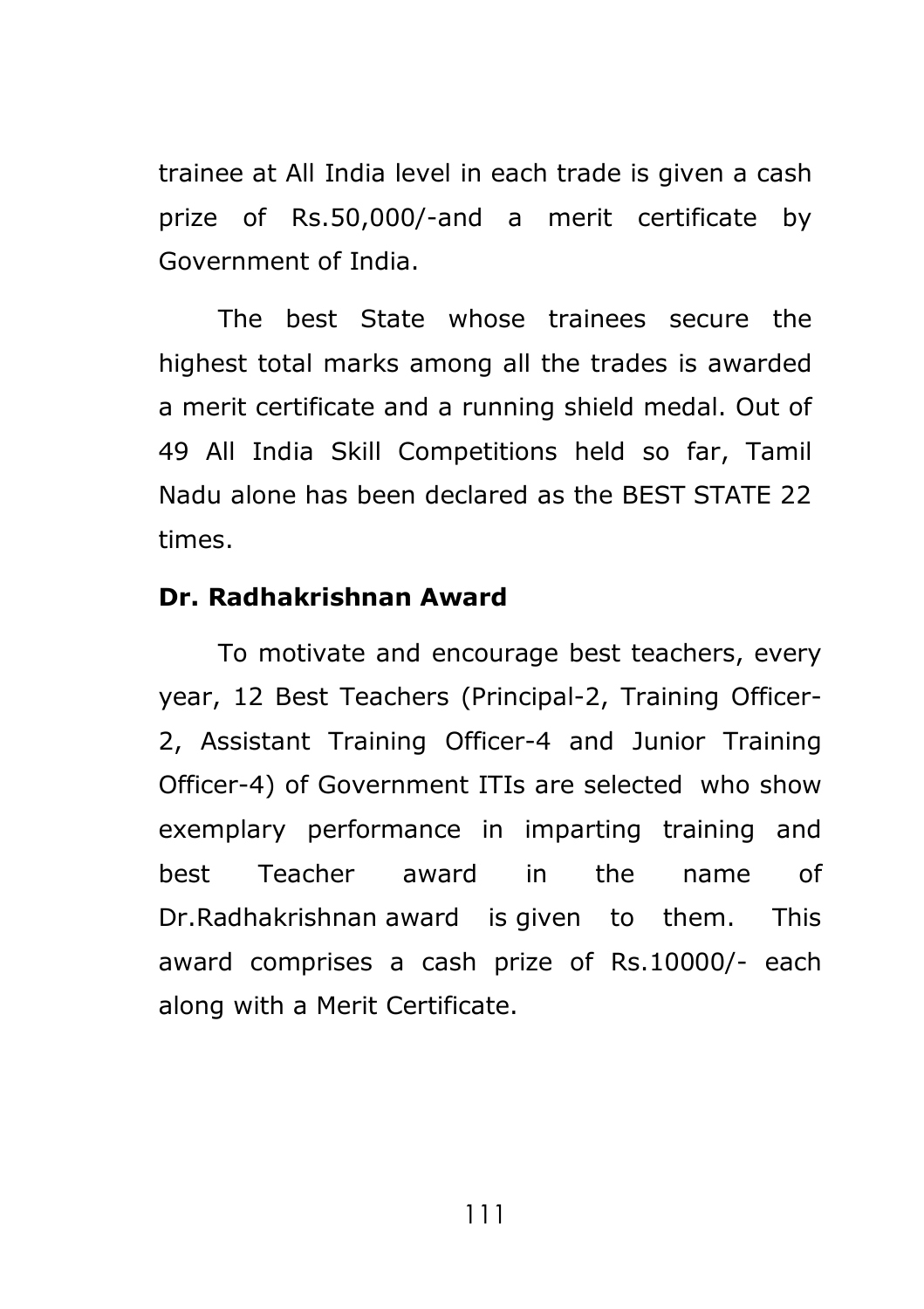trainee at All India level in each trade is given a cash prize of Rs.50,000/-and a merit certificate by Government of India.

The best State whose trainees secure the highest total marks among all the trades is awarded a merit certificate and a running shield medal. Out of 49 All India Skill Competitions held so far, Tamil Nadu alone has been declared as the BEST STATE 22 times.

#### **Dr. Radhakrishnan Award**

To motivate and encourage best teachers, every year, 12 Best Teachers (Principal-2, Training Officer-2, Assistant Training Officer-4 and Junior Training Officer-4) of Government ITIs are selected who show exemplary performance in imparting training and best Teacher award in the name of Dr.Radhakrishnan award is given to them. This award comprises a cash prize of Rs.10000/- each along with a Merit Certificate.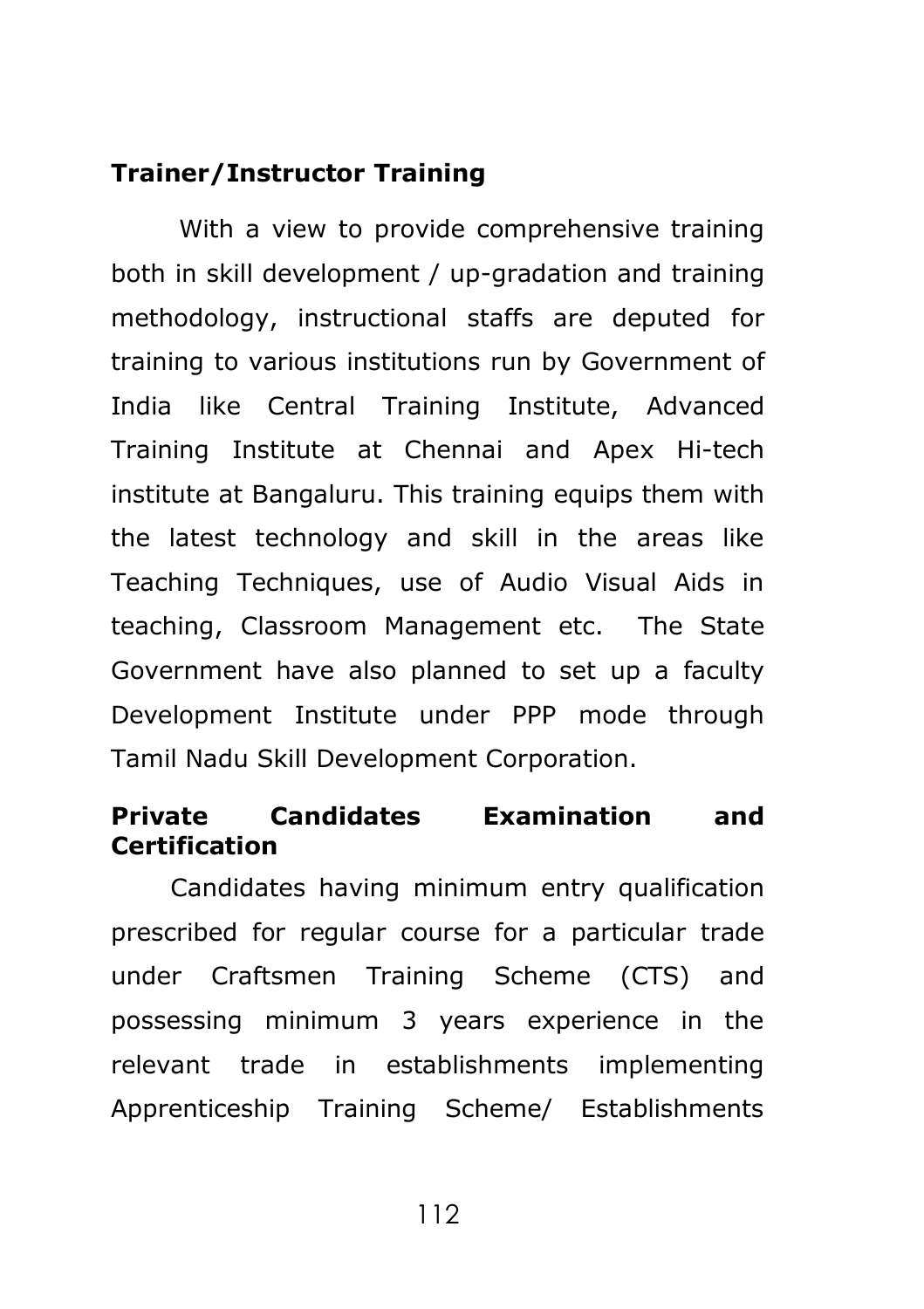### **Trainer/Instructor Training**

With a view to provide comprehensive training both in skill development / up-gradation and training methodology, instructional staffs are deputed for training to various institutions run by Government of India like Central Training Institute, Advanced Training Institute at Chennai and Apex Hi-tech institute at Bangaluru. This training equips them with the latest technology and skill in the areas like Teaching Techniques, use of Audio Visual Aids in teaching, Classroom Management etc. The State Government have also planned to set up a faculty Development Institute under PPP mode through Tamil Nadu Skill Development Corporation.

### **Private Candidates Examination and Certification**

Candidates having minimum entry qualification prescribed for regular course for a particular trade under Craftsmen Training Scheme (CTS) and possessing minimum 3 years experience in the relevant trade in establishments implementing Apprenticeship Training Scheme/ Establishments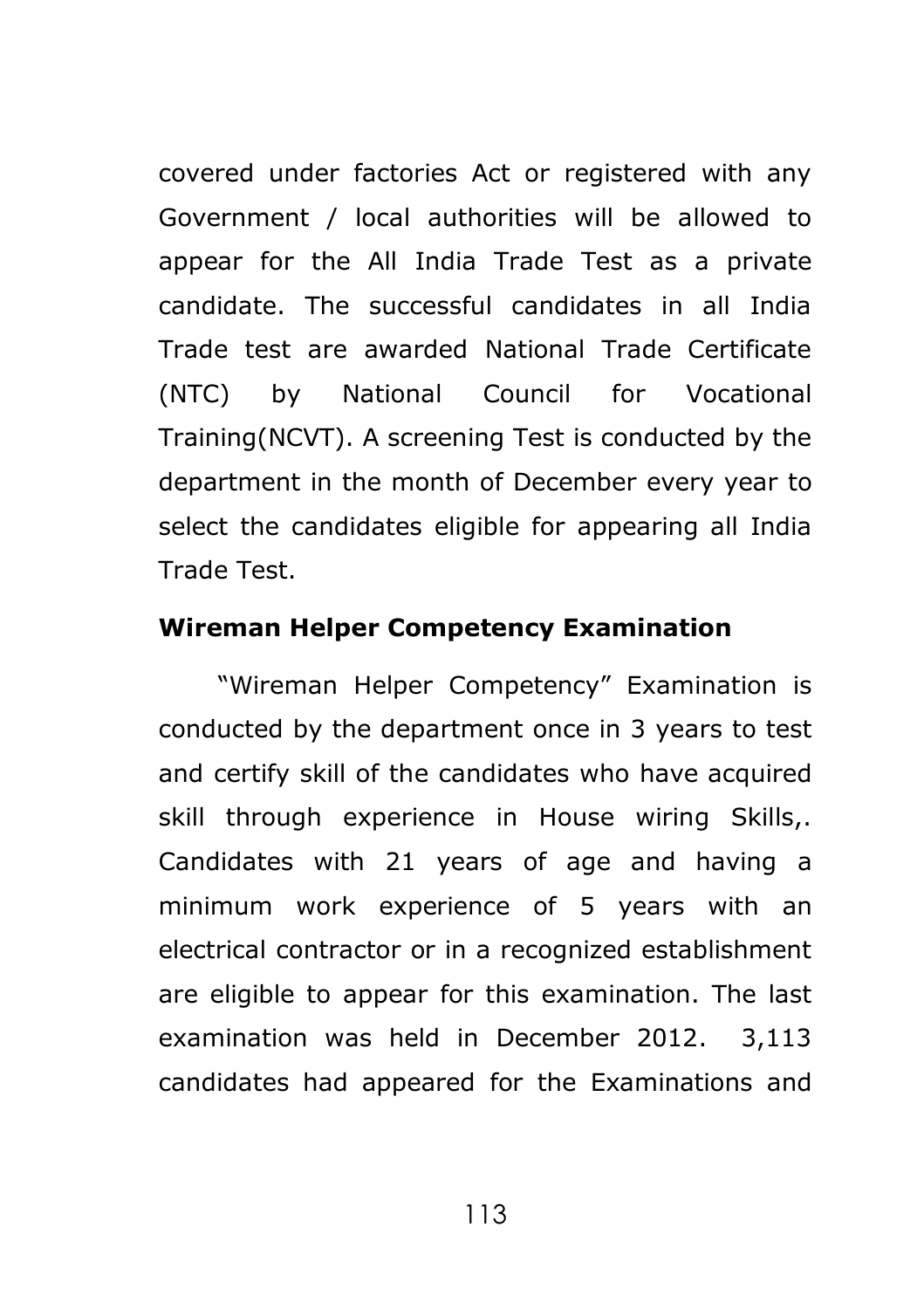covered under factories Act or registered with any Government / local authorities will be allowed to appear for the All India Trade Test as a private candidate. The successful candidates in all India Trade test are awarded National Trade Certificate (NTC) by National Council for Vocational Training(NCVT). A screening Test is conducted by the department in the month of December every year to select the candidates eligible for appearing all India Trade Test.

#### **Wireman Helper Competency Examination**

"Wireman Helper Competency" Examination is conducted by the department once in 3 years to test and certify skill of the candidates who have acquired skill through experience in House wiring Skills,. Candidates with 21 years of age and having a minimum work experience of 5 years with an electrical contractor or in a recognized establishment are eligible to appear for this examination. The last examination was held in December 2012. 3,113 candidates had appeared for the Examinations and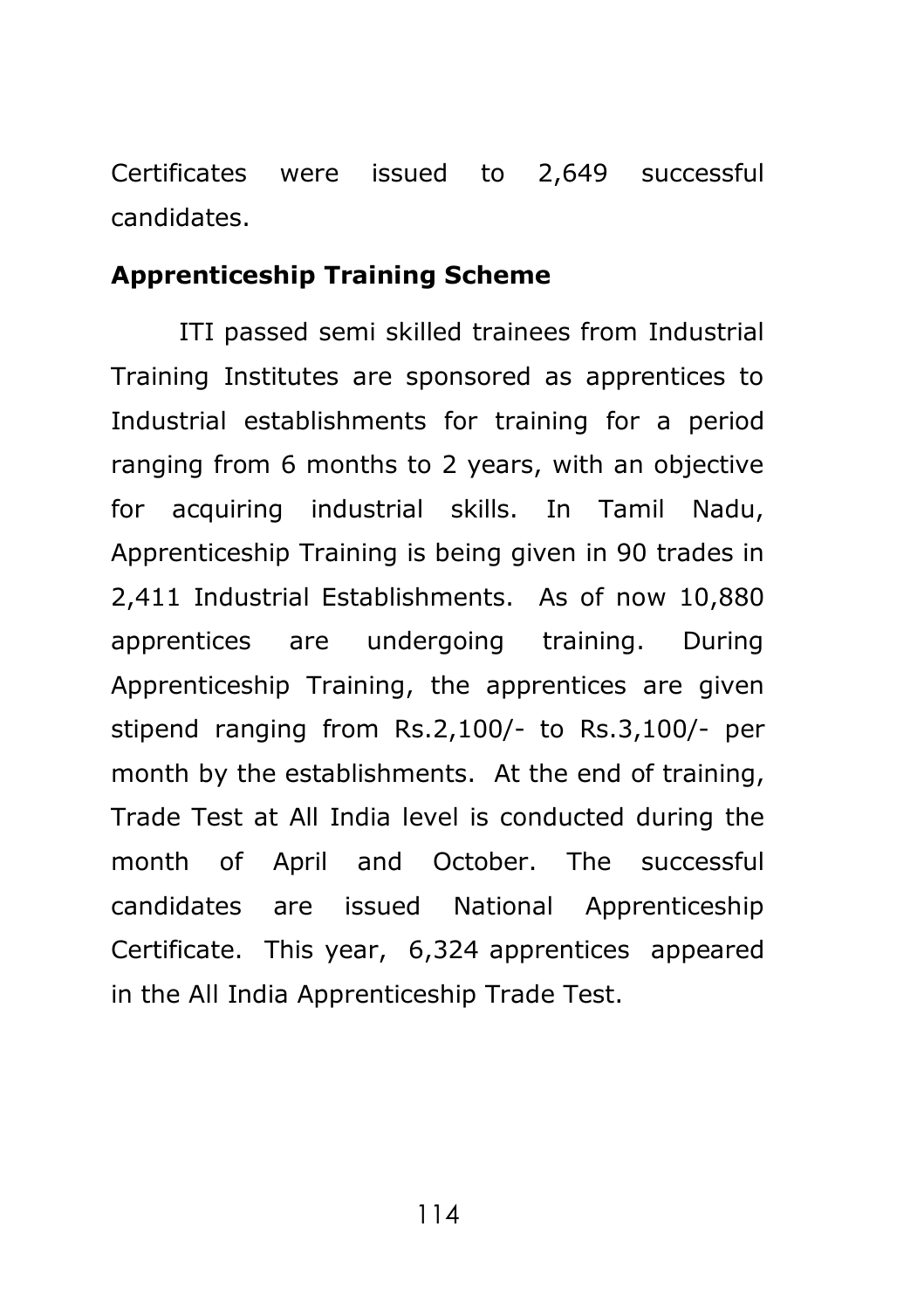Certificates were issued to 2,649 successful candidates.

#### **Apprenticeship Training Scheme**

ITI passed semi skilled trainees from Industrial Training Institutes are sponsored as apprentices to Industrial establishments for training for a period ranging from 6 months to 2 years, with an objective for acquiring industrial skills. In Tamil Nadu, Apprenticeship Training is being given in 90 trades in 2,411 Industrial Establishments. As of now 10,880 apprentices are undergoing training. During Apprenticeship Training, the apprentices are given stipend ranging from Rs.2,100/- to Rs.3,100/- per month by the establishments. At the end of training, Trade Test at All India level is conducted during the month of April and October. The successful candidates are issued National Apprenticeship Certificate. This year, 6,324 apprentices appeared in the All India Apprenticeship Trade Test.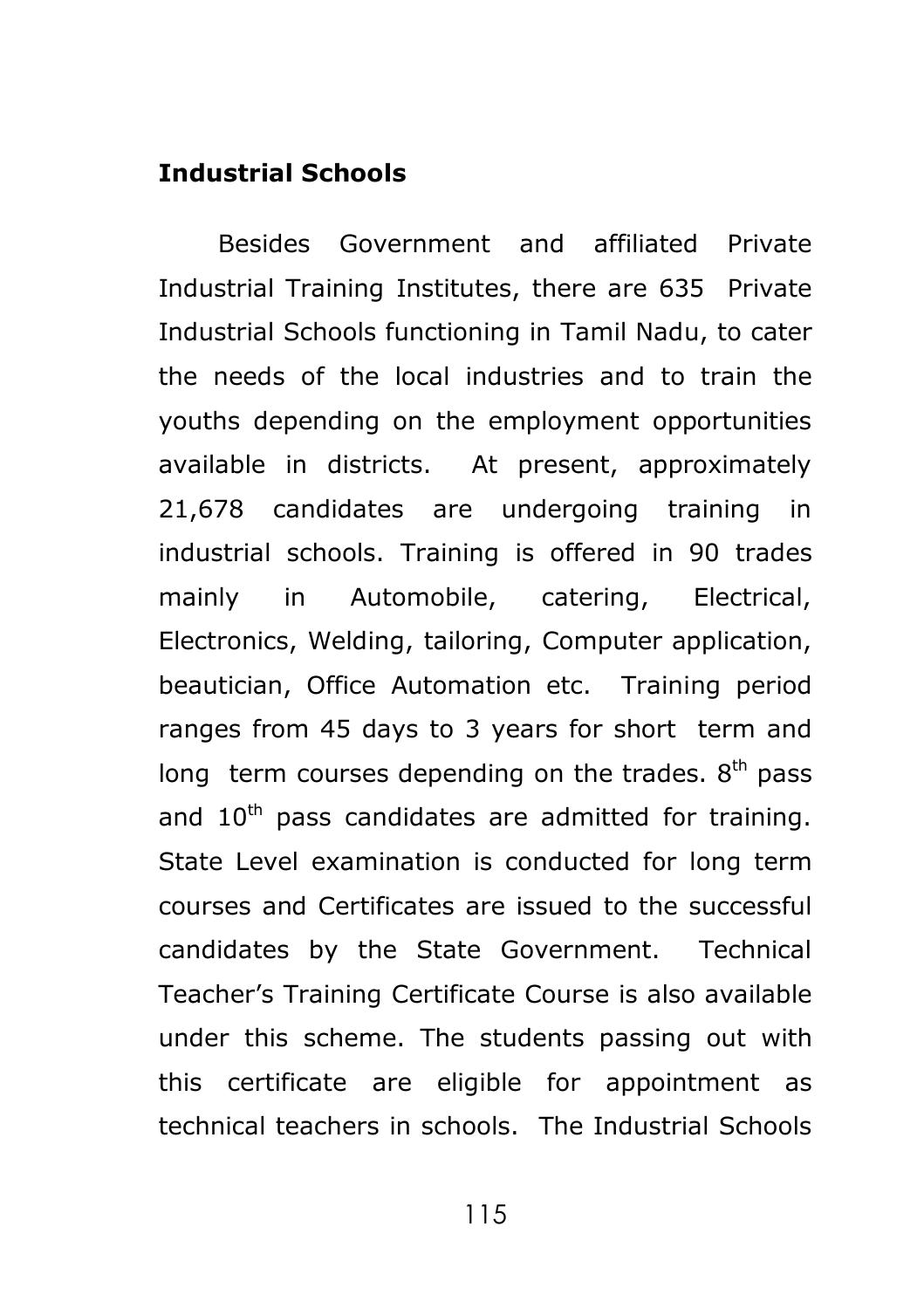#### **Industrial Schools**

Besides Government and affiliated Private Industrial Training Institutes, there are 635 Private Industrial Schools functioning in Tamil Nadu, to cater the needs of the local industries and to train the youths depending on the employment opportunities available in districts. At present, approximately 21,678 candidates are undergoing training in industrial schools. Training is offered in 90 trades mainly in Automobile, catering, Electrical, Electronics, Welding, tailoring, Computer application, beautician, Office Automation etc. Training period ranges from 45 days to 3 years for short term and long term courses depending on the trades.  $8<sup>th</sup>$  pass and  $10<sup>th</sup>$  pass candidates are admitted for training. State Level examination is conducted for long term courses and Certificates are issued to the successful candidates by the State Government. Technical Teacher's Training Certificate Course is also available under this scheme. The students passing out with this certificate are eligible for appointment as technical teachers in schools. The Industrial Schools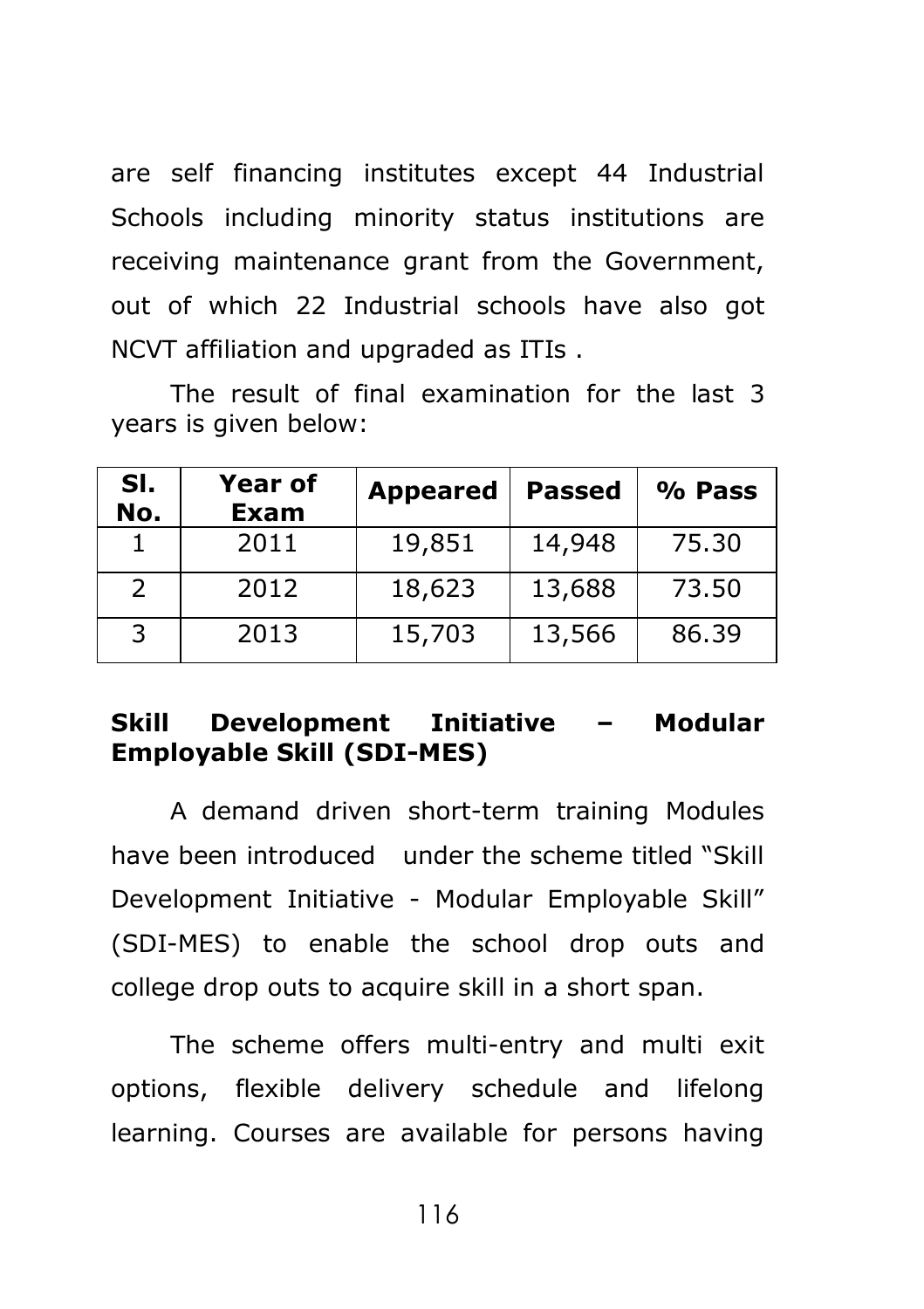are self financing institutes except 44 Industrial Schools including minority status institutions are receiving maintenance grant from the Government, out of which 22 Industrial schools have also got NCVT affiliation and upgraded as ITIs .

The result of final examination for the last 3 years is given below:

| SI.<br>No.    | <b>Year of</b><br>Exam | <b>Appeared</b> | <b>Passed</b> | % Pass |
|---------------|------------------------|-----------------|---------------|--------|
|               | 2011                   | 19,851          | 14,948        | 75.30  |
| $\mathcal{P}$ | 2012                   | 18,623          | 13,688        | 73.50  |
| 3             | 2013                   | 15,703          | 13,566        | 86.39  |

### **Skill Development Initiative – Modular Employable Skill (SDI-MES)**

A demand driven short-term training Modules have been introduced under the scheme titled "Skill Development Initiative - Modular Employable Skill" (SDI-MES) to enable the school drop outs and college drop outs to acquire skill in a short span.

The scheme offers multi-entry and multi exit options, flexible delivery schedule and lifelong learning. Courses are available for persons having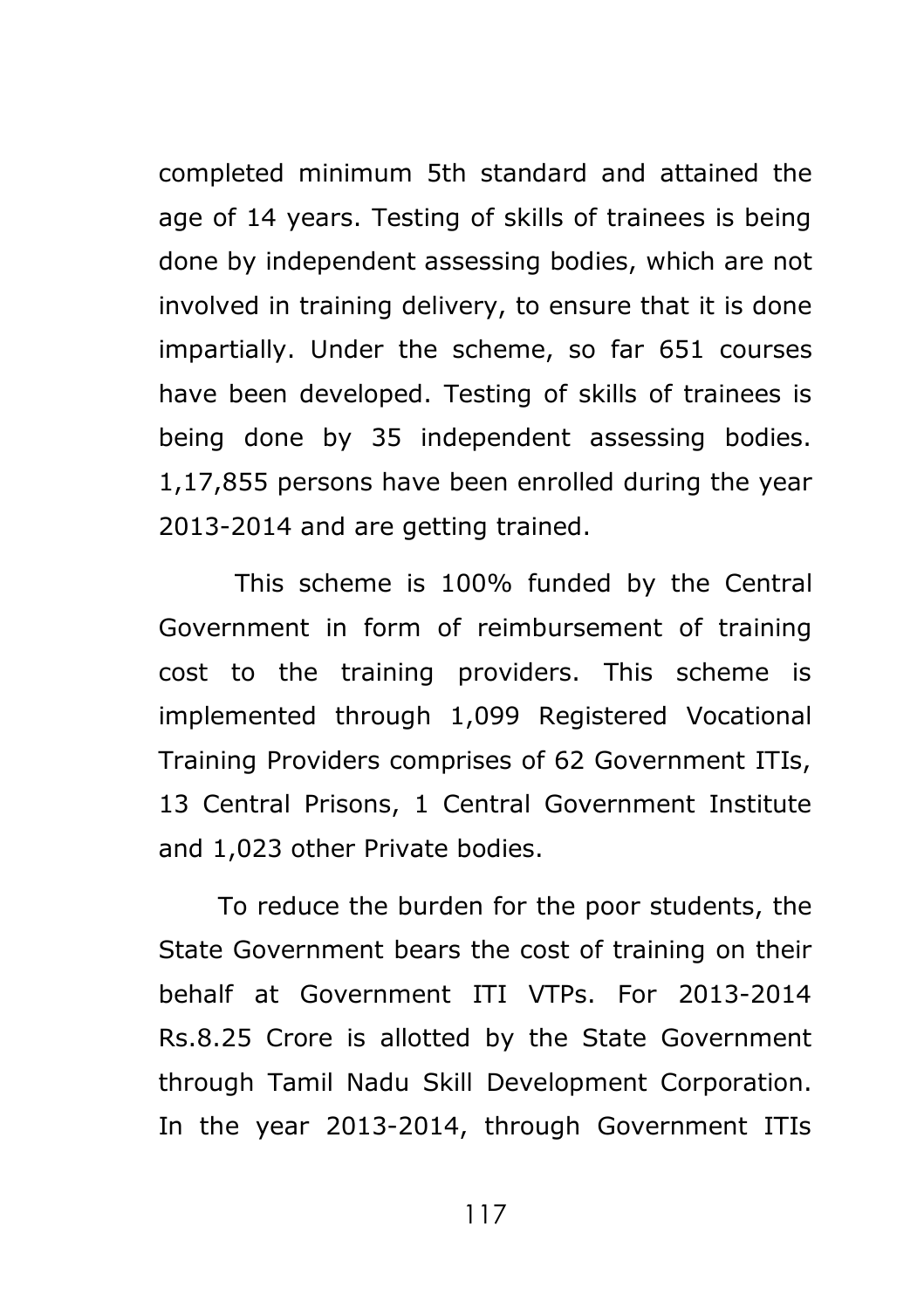completed minimum 5th standard and attained the age of 14 years. Testing of skills of trainees is being done by independent assessing bodies, which are not involved in training delivery, to ensure that it is done impartially. Under the scheme, so far 651 courses have been developed. Testing of skills of trainees is being done by 35 independent assessing bodies. 1,17,855 persons have been enrolled during the year 2013-2014 and are getting trained.

 This scheme is 100% funded by the Central Government in form of reimbursement of training cost to the training providers. This scheme is implemented through 1,099 Registered Vocational Training Providers comprises of 62 Government ITIs, 13 Central Prisons, 1 Central Government Institute and 1,023 other Private bodies.

To reduce the burden for the poor students, the State Government bears the cost of training on their behalf at Government ITI VTPs. For 2013-2014 Rs.8.25 Crore is allotted by the State Government through Tamil Nadu Skill Development Corporation. In the year 2013-2014, through Government ITIs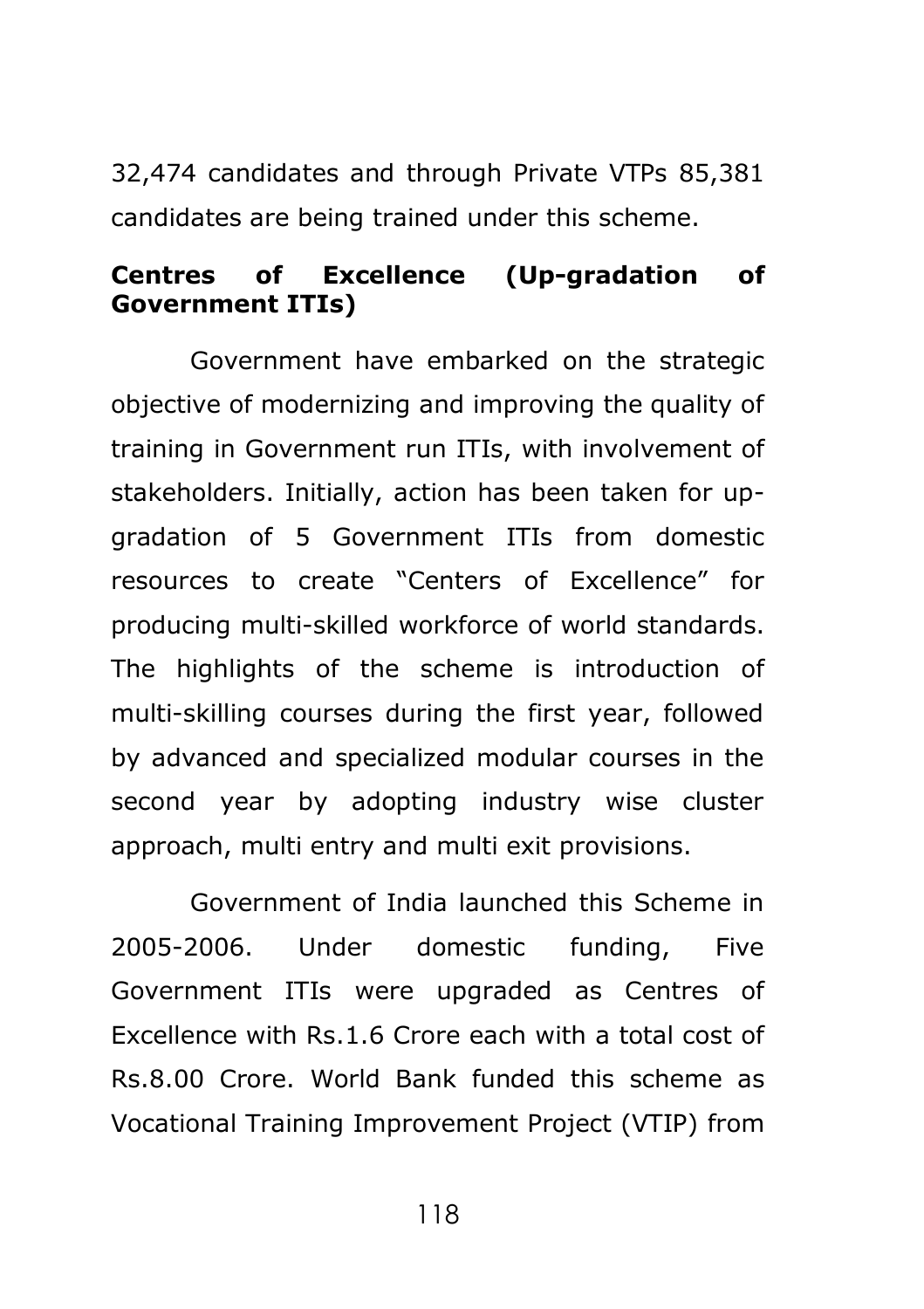32,474 candidates and through Private VTPs 85,381 candidates are being trained under this scheme.

### **Centres of Excellence (Up-gradation of Government ITIs)**

Government have embarked on the strategic objective of modernizing and improving the quality of training in Government run ITIs, with involvement of stakeholders. Initially, action has been taken for upgradation of 5 Government ITIs from domestic resources to create "Centers of Excellence" for producing multi-skilled workforce of world standards. The highlights of the scheme is introduction of multi-skilling courses during the first year, followed by advanced and specialized modular courses in the second year by adopting industry wise cluster approach, multi entry and multi exit provisions.

Government of India launched this Scheme in 2005-2006. Under domestic funding, Five Government ITIs were upgraded as Centres of Excellence with Rs.1.6 Crore each with a total cost of Rs.8.00 Crore. World Bank funded this scheme as Vocational Training Improvement Project (VTIP) from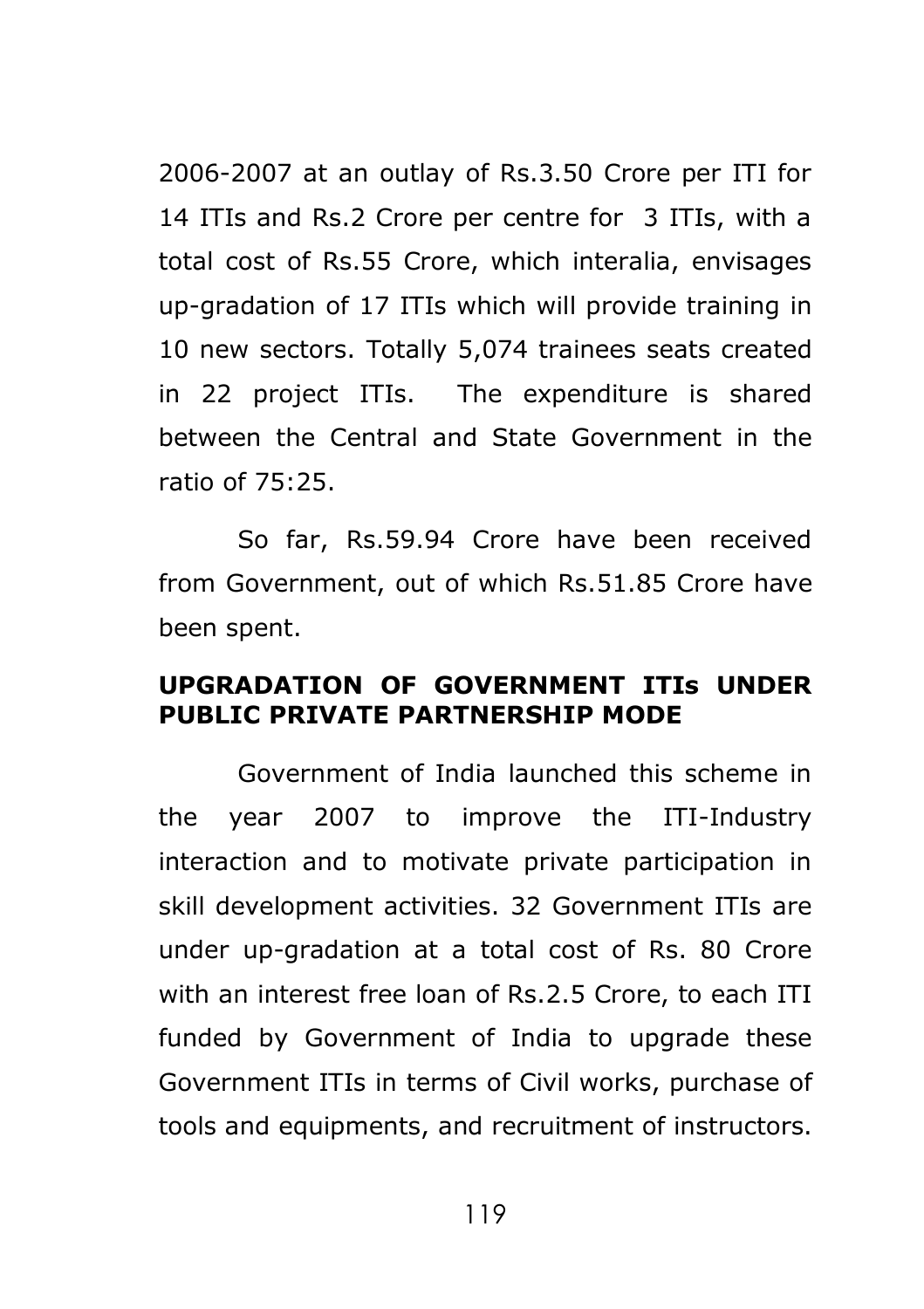2006-2007 at an outlay of Rs.3.50 Crore per ITI for 14 ITIs and Rs.2 Crore per centre for 3 ITIs, with a total cost of Rs.55 Crore, which interalia, envisages up-gradation of 17 ITIs which will provide training in 10 new sectors. Totally 5,074 trainees seats created in 22 project ITIs. The expenditure is shared between the Central and State Government in the ratio of 75:25.

So far, Rs.59.94 Crore have been received from Government, out of which Rs.51.85 Crore have been spent.

### **UPGRADATION OF GOVERNMENT ITIs UNDER PUBLIC PRIVATE PARTNERSHIP MODE**

Government of India launched this scheme in the year 2007 to improve the ITI-Industry interaction and to motivate private participation in skill development activities. 32 Government ITIs are under up-gradation at a total cost of Rs. 80 Crore with an interest free loan of Rs.2.5 Crore, to each ITI funded by Government of India to upgrade these Government ITIs in terms of Civil works, purchase of tools and equipments, and recruitment of instructors.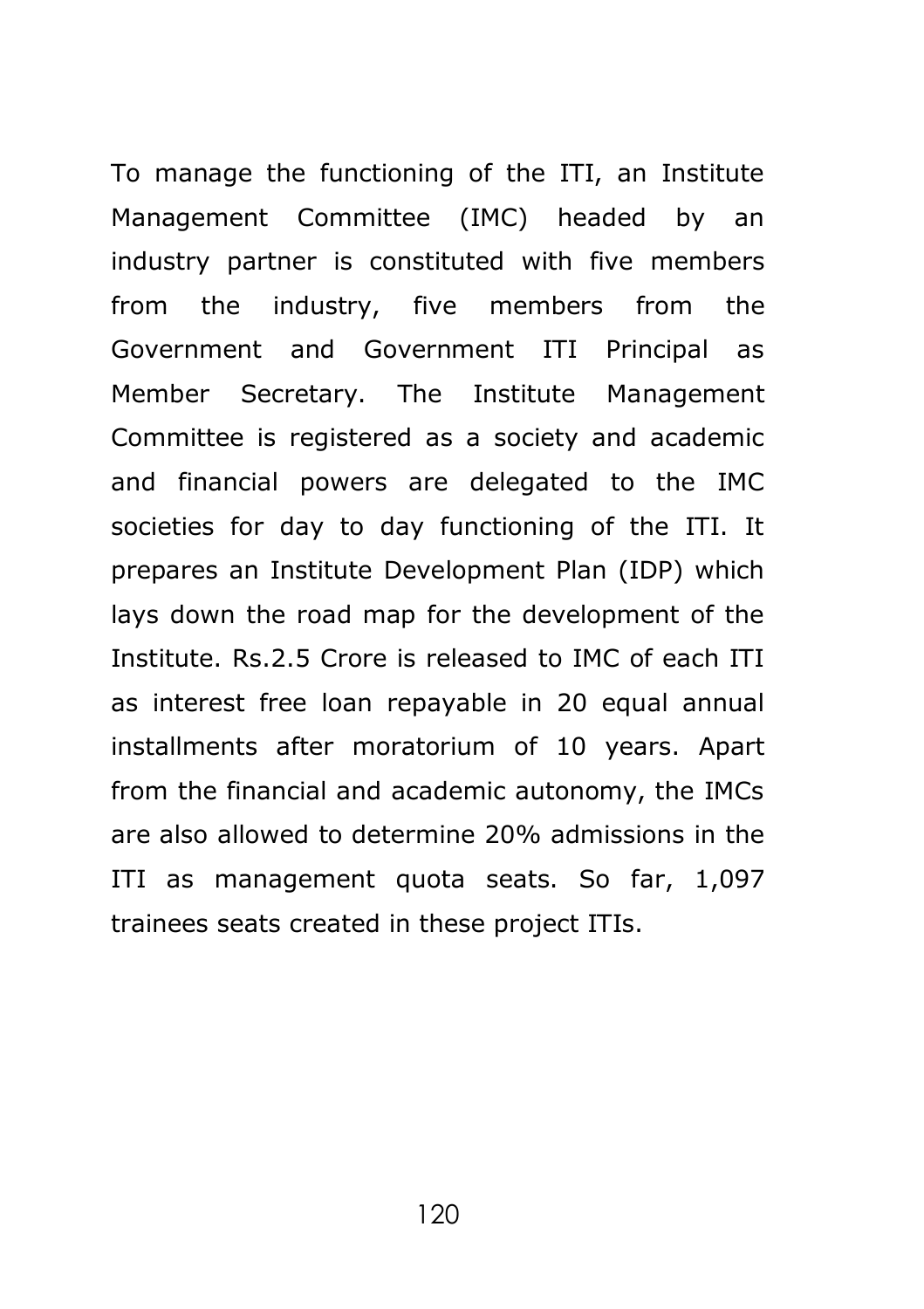To manage the functioning of the ITI, an Institute Management Committee (IMC) headed by an industry partner is constituted with five members from the industry, five members from the Government and Government ITI Principal as Member Secretary. The Institute Management Committee is registered as a society and academic and financial powers are delegated to the IMC societies for day to day functioning of the ITI. It prepares an Institute Development Plan (IDP) which lays down the road map for the development of the Institute. Rs.2.5 Crore is released to IMC of each ITI as interest free loan repayable in 20 equal annual installments after moratorium of 10 years. Apart from the financial and academic autonomy, the IMCs are also allowed to determine 20% admissions in the ITI as management quota seats. So far, 1,097 trainees seats created in these project ITIs.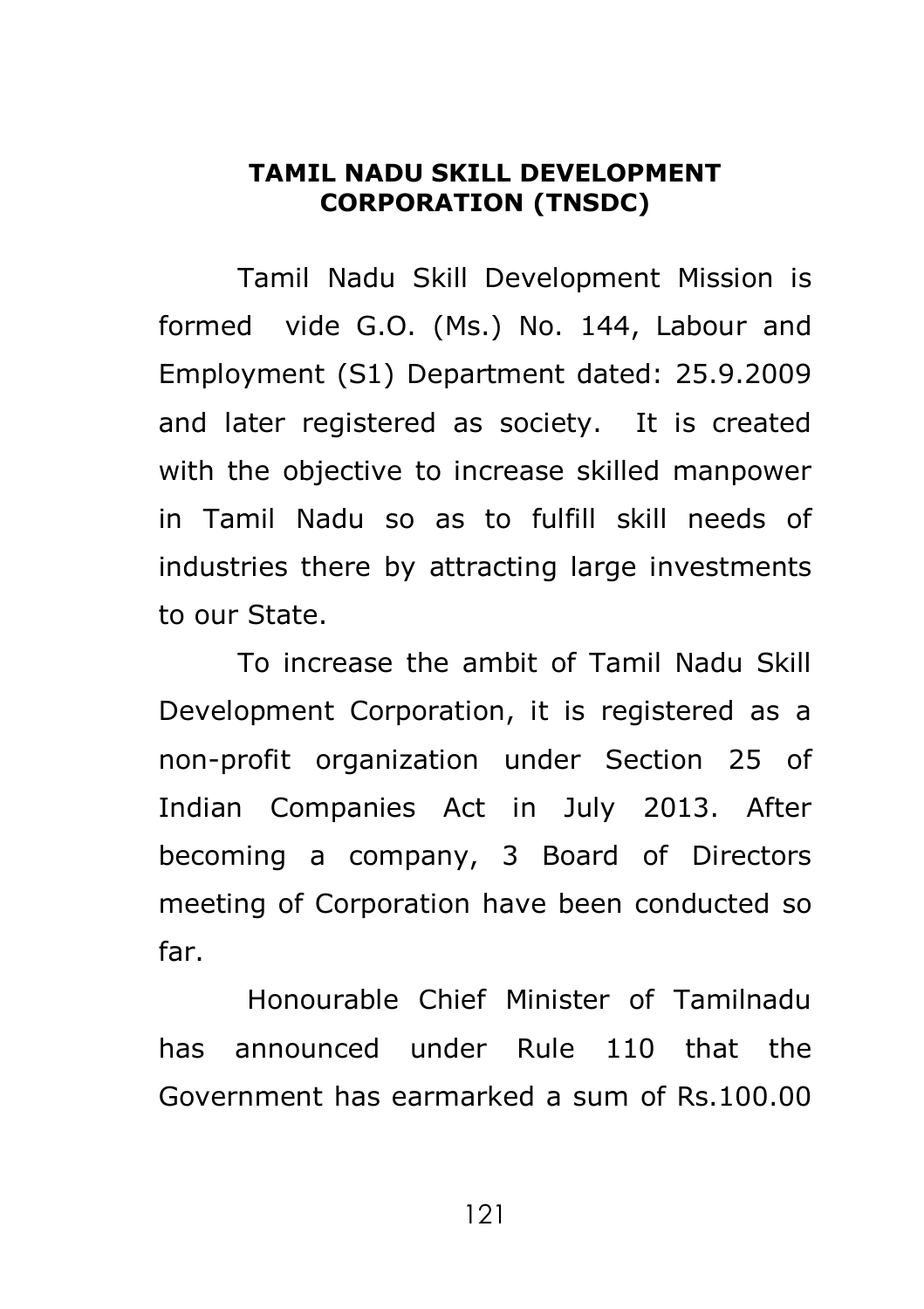#### **TAMIL NADU SKILL DEVELOPMENT CORPORATION (TNSDC)**

Tamil Nadu Skill Development Mission is formed vide G.O. (Ms.) No. 144, Labour and Employment (S1) Department dated: 25.9.2009 and later registered as society. It is created with the objective to increase skilled manpower in Tamil Nadu so as to fulfill skill needs of industries there by attracting large investments to our State.

To increase the ambit of Tamil Nadu Skill Development Corporation, it is registered as a non-profit organization under Section 25 of Indian Companies Act in July 2013. After becoming a company, 3 Board of Directors meeting of Corporation have been conducted so far.

Honourable Chief Minister of Tamilnadu has announced under Rule 110 that the Government has earmarked a sum of Rs.100.00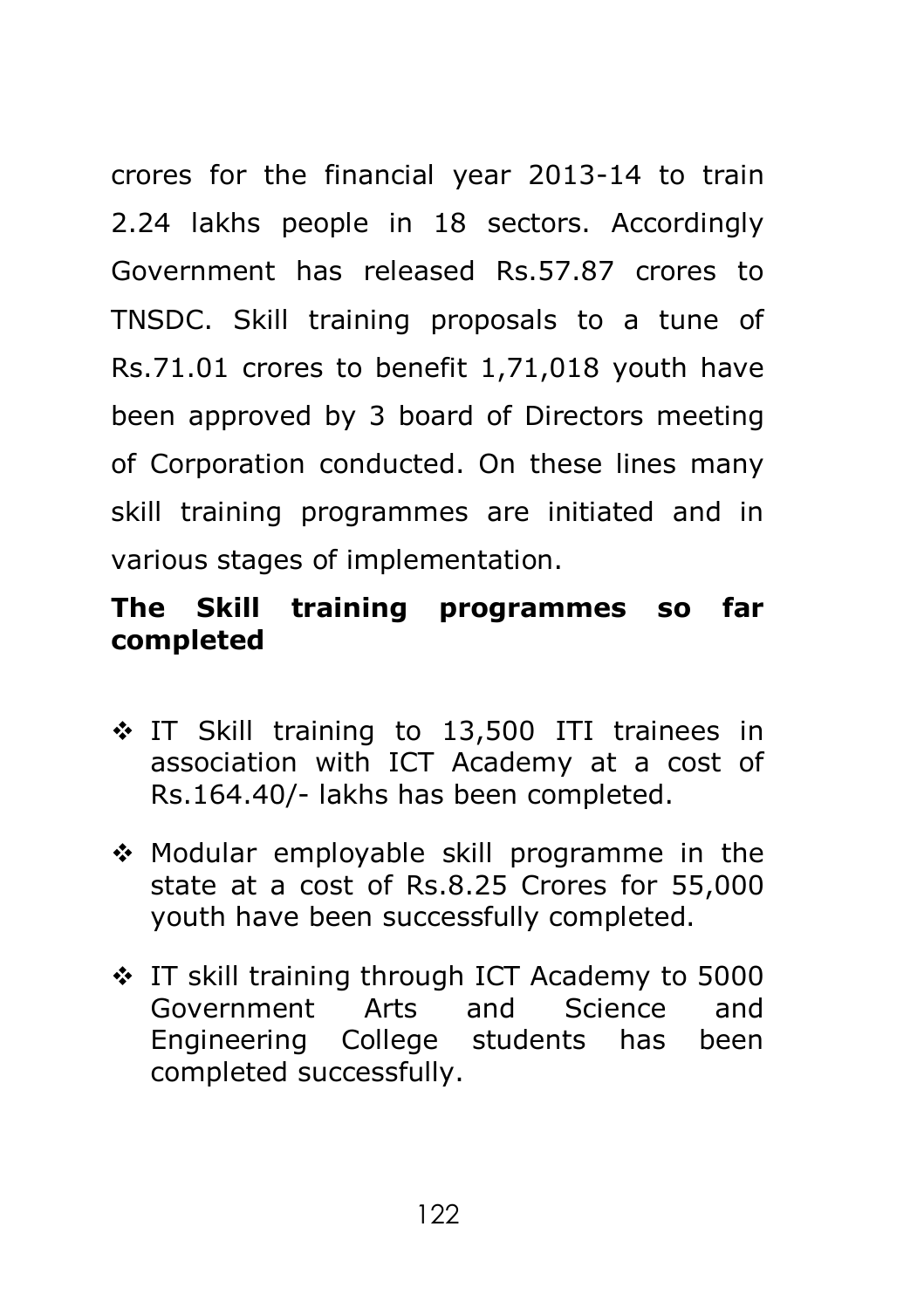crores for the financial year 2013-14 to train 2.24 lakhs people in 18 sectors. Accordingly Government has released Rs.57.87 crores to TNSDC. Skill training proposals to a tune of Rs.71.01 crores to benefit 1,71,018 youth have been approved by 3 board of Directors meeting of Corporation conducted. On these lines many skill training programmes are initiated and in various stages of implementation.

# **The Skill training programmes so far completed**

- IT Skill training to 13,500 ITI trainees in association with ICT Academy at a cost of Rs.164.40/- lakhs has been completed.
- Modular employable skill programme in the state at a cost of Rs.8.25 Crores for 55,000 youth have been successfully completed.
- IT skill training through ICT Academy to 5000 Government Arts and Science and Engineering College students has been completed successfully.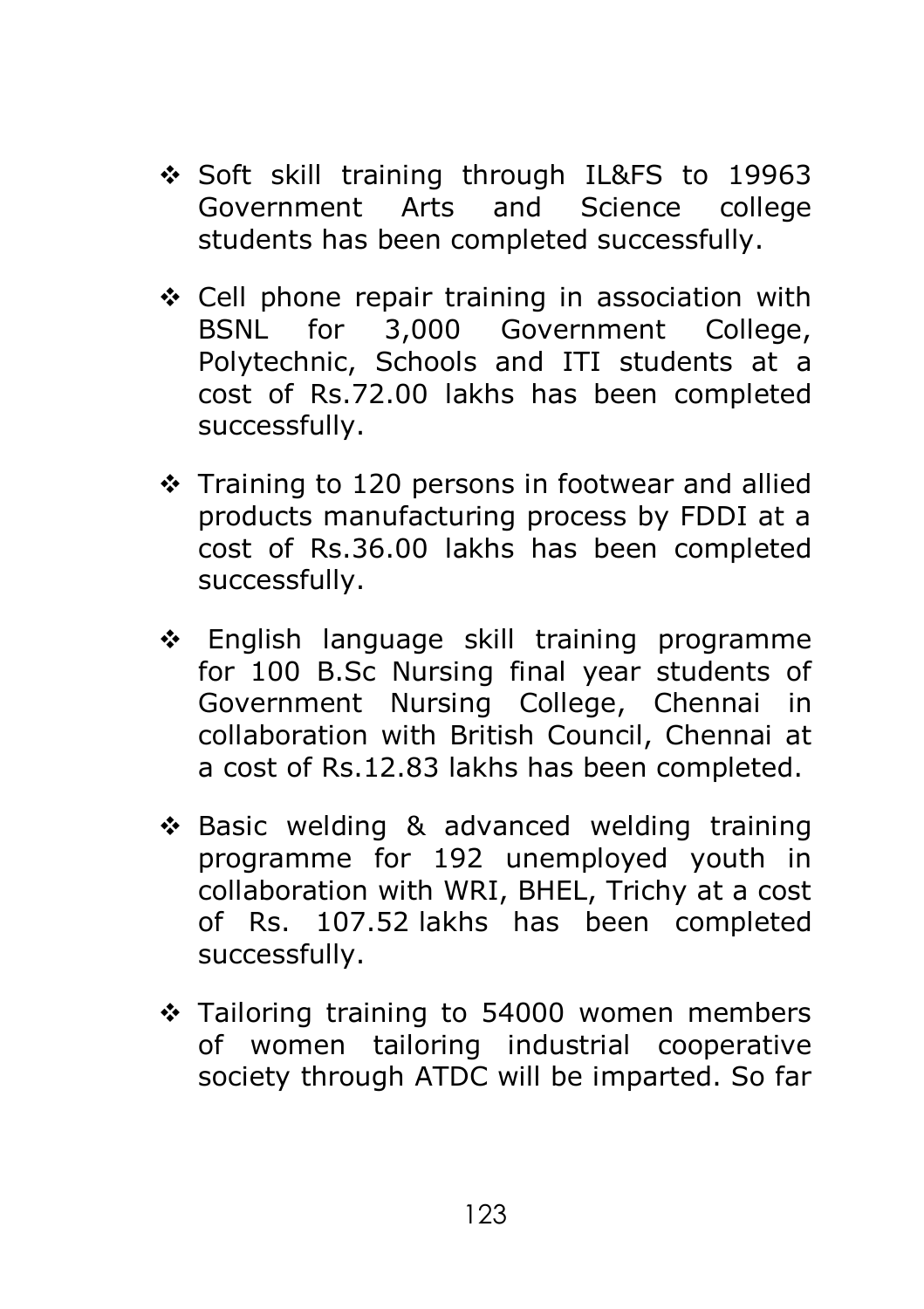- Soft skill training through IL&FS to 19963 Government Arts and Science college students has been completed successfully.
- $\div$  Cell phone repair training in association with BSNL for 3,000 Government College, Polytechnic, Schools and ITI students at a cost of Rs.72.00 lakhs has been completed successfully.
- Training to 120 persons in footwear and allied products manufacturing process by FDDI at a cost of Rs.36.00 lakhs has been completed successfully.
- \* English language skill training programme for 100 B.Sc Nursing final year students of Government Nursing College, Chennai in collaboration with British Council, Chennai at a cost of Rs.12.83 lakhs has been completed.
- ❖ Basic welding & advanced welding training programme for 192 unemployed youth in collaboration with WRI, BHEL, Trichy at a cost of Rs. 107.52 lakhs has been completed successfully.
- $\div$  Tailoring training to 54000 women members of women tailoring industrial cooperative society through ATDC will be imparted. So far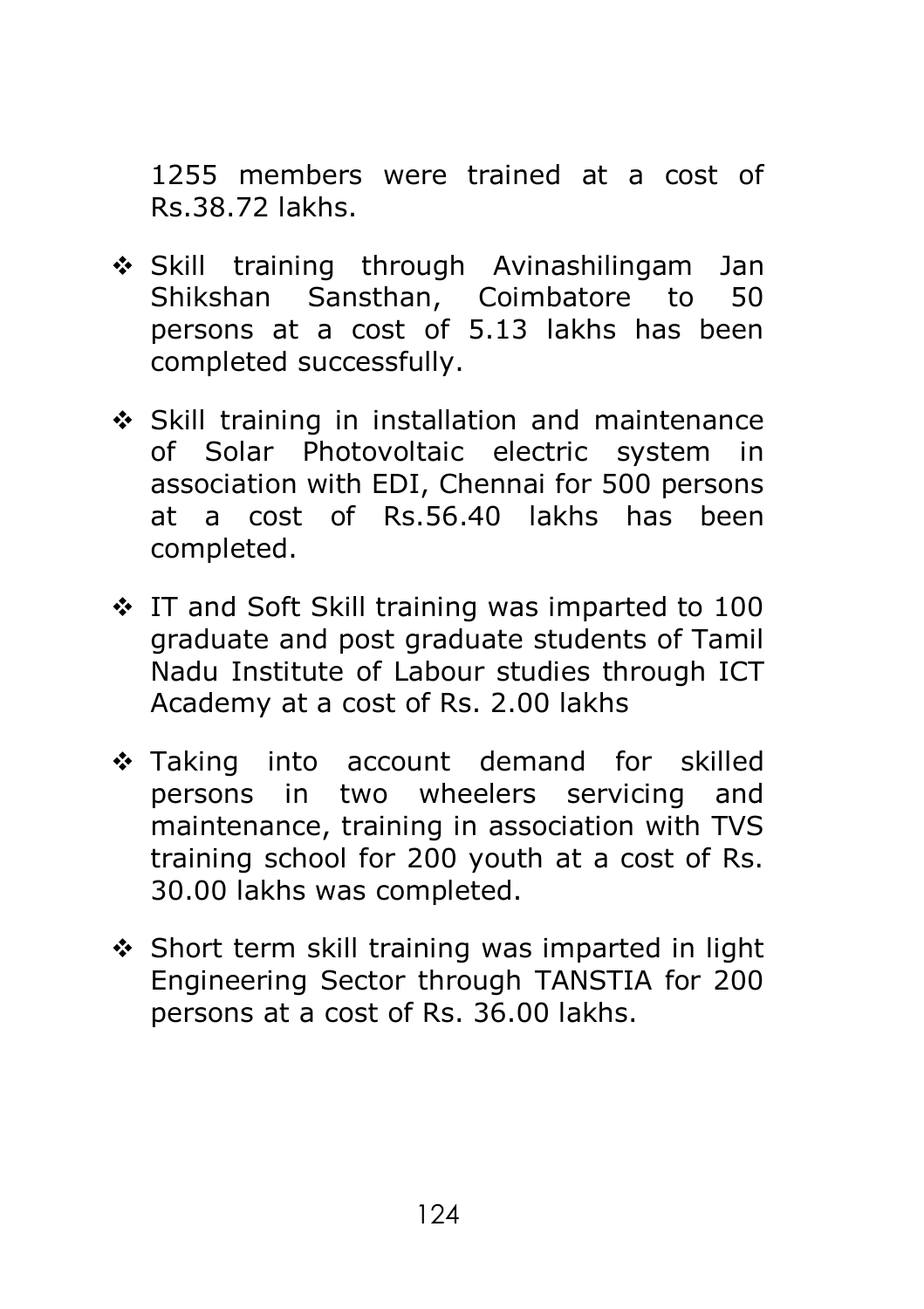1255 members were trained at a cost of Rs.38.72 lakhs.

- Skill training through Avinashilingam Jan Shikshan Sansthan, Coimbatore to 50 persons at a cost of 5.13 lakhs has been completed successfully.
- Skill training in installation and maintenance of Solar Photovoltaic electric system in association with EDI, Chennai for 500 persons at a cost of Rs.56.40 lakhs has been completed.
- $\cdot$  IT and Soft Skill training was imparted to 100 graduate and post graduate students of Tamil Nadu Institute of Labour studies through ICT Academy at a cost of Rs. 2.00 lakhs
- \* Taking into account demand for skilled persons in two wheelers servicing and maintenance, training in association with TVS training school for 200 youth at a cost of Rs. 30.00 lakhs was completed.
- $\div$  Short term skill training was imparted in light Engineering Sector through TANSTIA for 200 persons at a cost of Rs. 36.00 lakhs.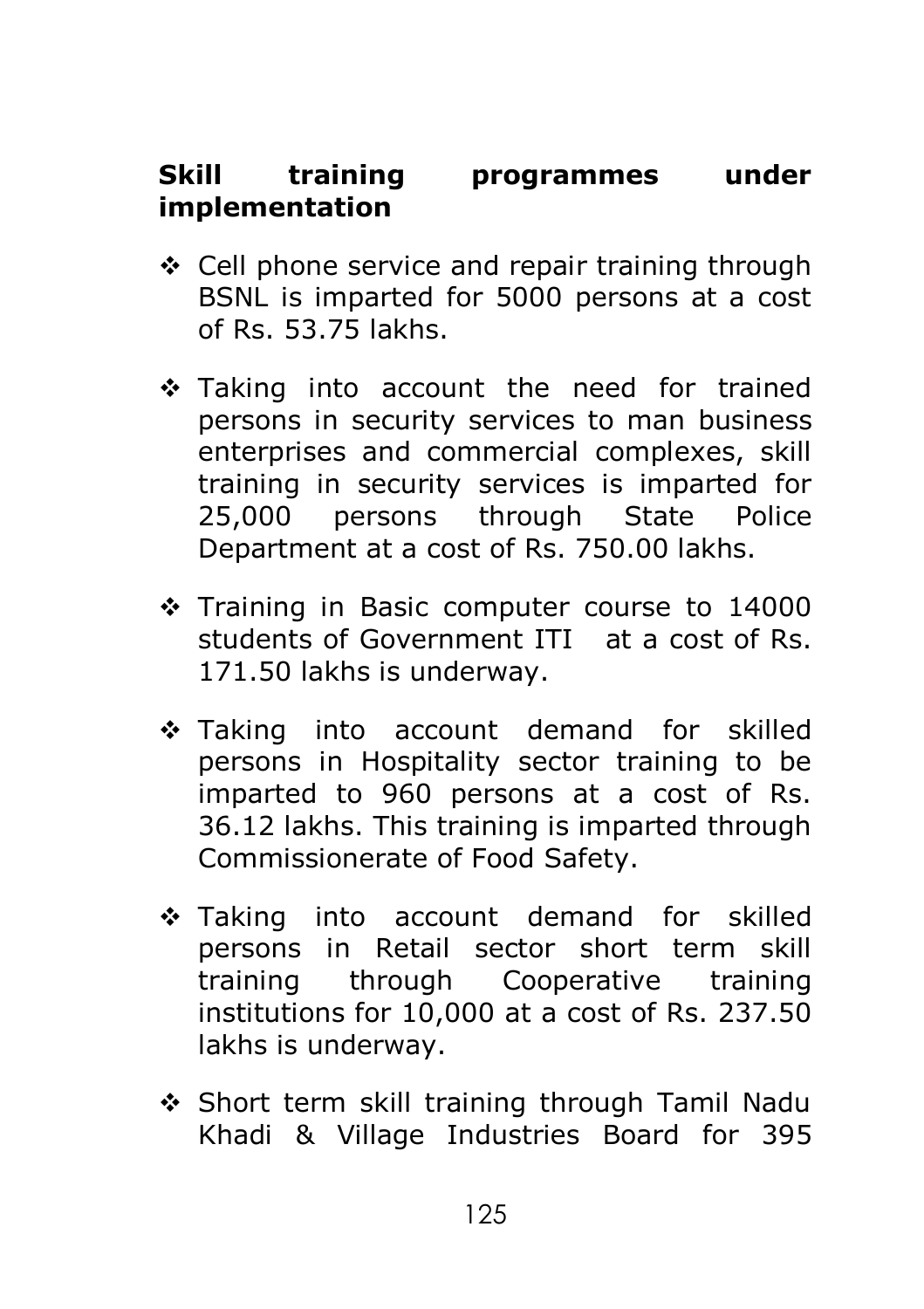# **Skill training programmes under implementation**

- ❖ Cell phone service and repair training through BSNL is imparted for 5000 persons at a cost of Rs. 53.75 lakhs.
- \* Taking into account the need for trained persons in security services to man business enterprises and commercial complexes, skill training in security services is imparted for 25,000 persons through State Police Department at a cost of Rs. 750.00 lakhs.
- Training in Basic computer course to 14000 students of Government ITI at a cost of Rs. 171.50 lakhs is underway.
- \* Taking into account demand for skilled persons in Hospitality sector training to be imparted to 960 persons at a cost of Rs. 36.12 lakhs. This training is imparted through Commissionerate of Food Safety.
- \* Taking into account demand for skilled persons in Retail sector short term skill training through Cooperative training institutions for 10,000 at a cost of Rs. 237.50 lakhs is underway.
- ◆ Short term skill training through Tamil Nadu Khadi & Village Industries Board for 395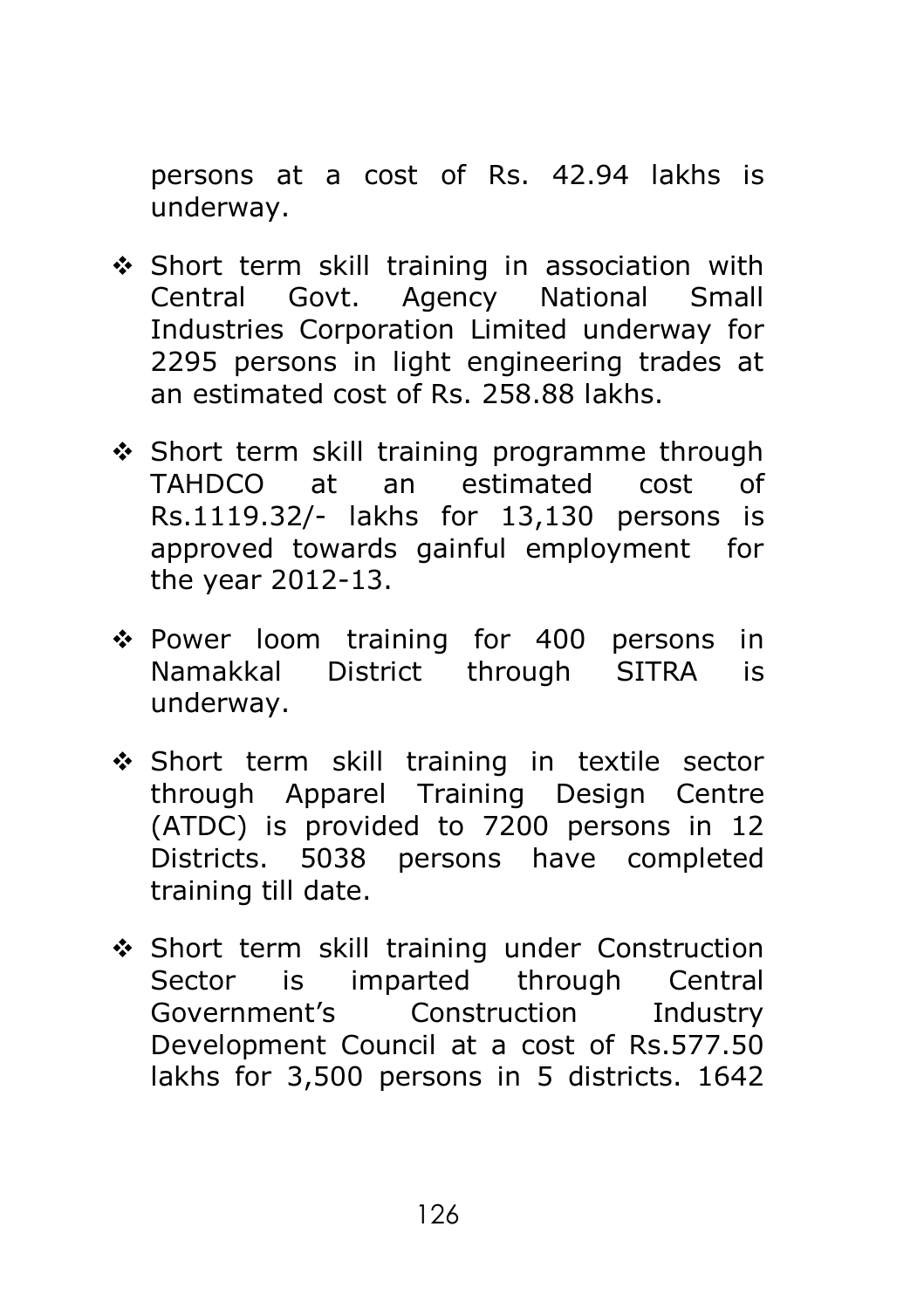persons at a cost of Rs. 42.94 lakhs is underway.

- \* Short term skill training in association with Central Govt. Agency National Small Industries Corporation Limited underway for 2295 persons in light engineering trades at an estimated cost of Rs. 258.88 lakhs.
- ❖ Short term skill training programme through TAHDCO at an estimated cost of Rs.1119.32/- lakhs for 13,130 persons is approved towards gainful employment for the year 2012-13.
- Power loom training for 400 persons in Namakkal District through SITRA is underway.
- Short term skill training in textile sector through Apparel Training Design Centre (ATDC) is provided to 7200 persons in 12 Districts. 5038 persons have completed training till date.
- ◆ Short term skill training under Construction Sector is imparted through Central Government's Construction Industry Development Council at a cost of Rs.577.50 lakhs for 3,500 persons in 5 districts. 1642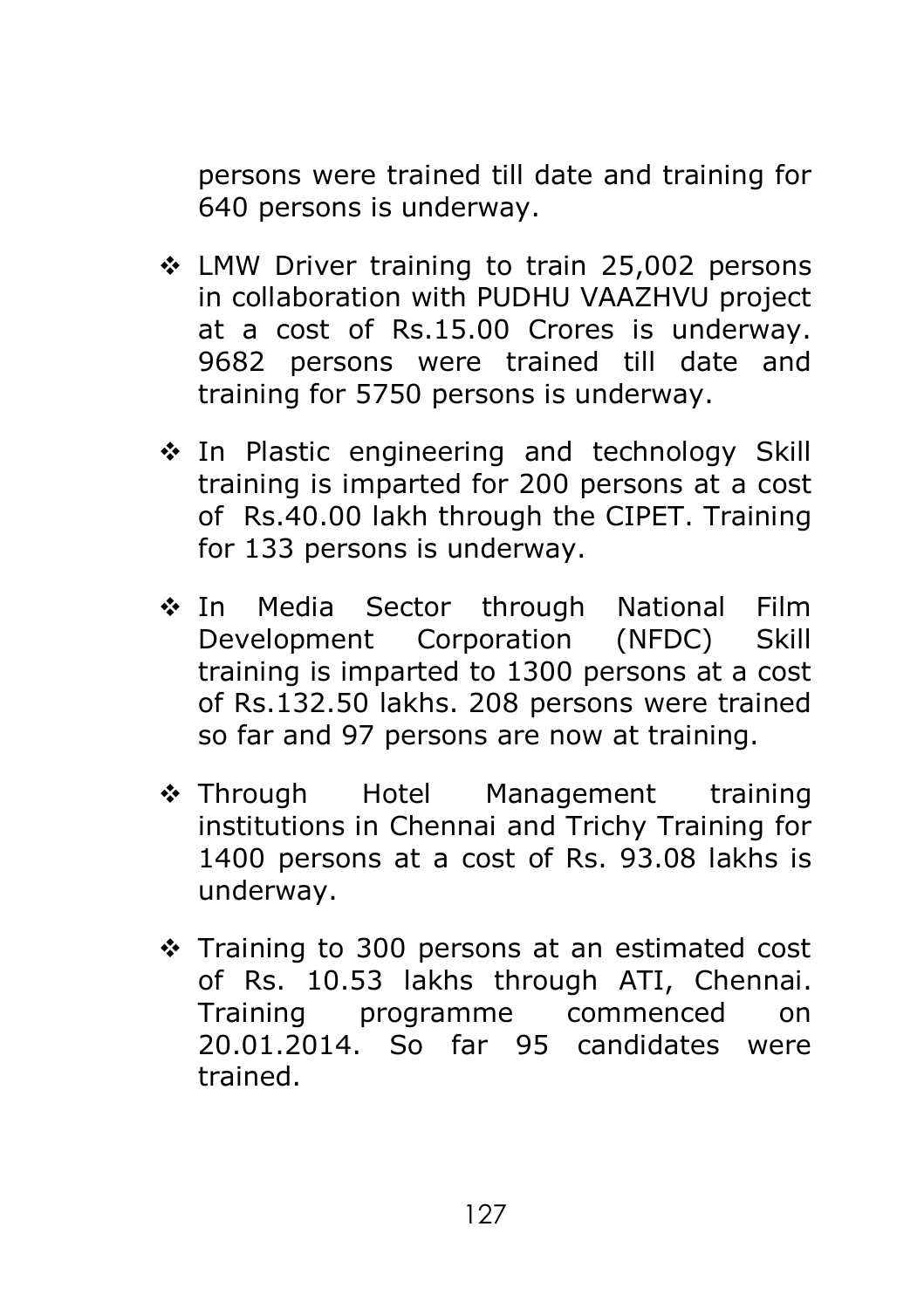persons were trained till date and training for 640 persons is underway.

- LMW Driver training to train 25,002 persons in collaboration with PUDHU VAAZHVU project at a cost of Rs.15.00 Crores is underway. 9682 persons were trained till date and training for 5750 persons is underway.
- ❖ In Plastic engineering and technology Skill training is imparted for 200 persons at a cost of Rs.40.00 lakh through the CIPET. Training for 133 persons is underway.
- \* In Media Sector through National Film Development Corporation (NFDC) Skill training is imparted to 1300 persons at a cost of Rs.132.50 lakhs. 208 persons were trained so far and 97 persons are now at training.
- ❖ Through Hotel Management training institutions in Chennai and Trichy Training for 1400 persons at a cost of Rs. 93.08 lakhs is underway.
- $\div$  Training to 300 persons at an estimated cost of Rs. 10.53 lakhs through ATI, Chennai. Training programme commenced on 20.01.2014. So far 95 candidates were trained.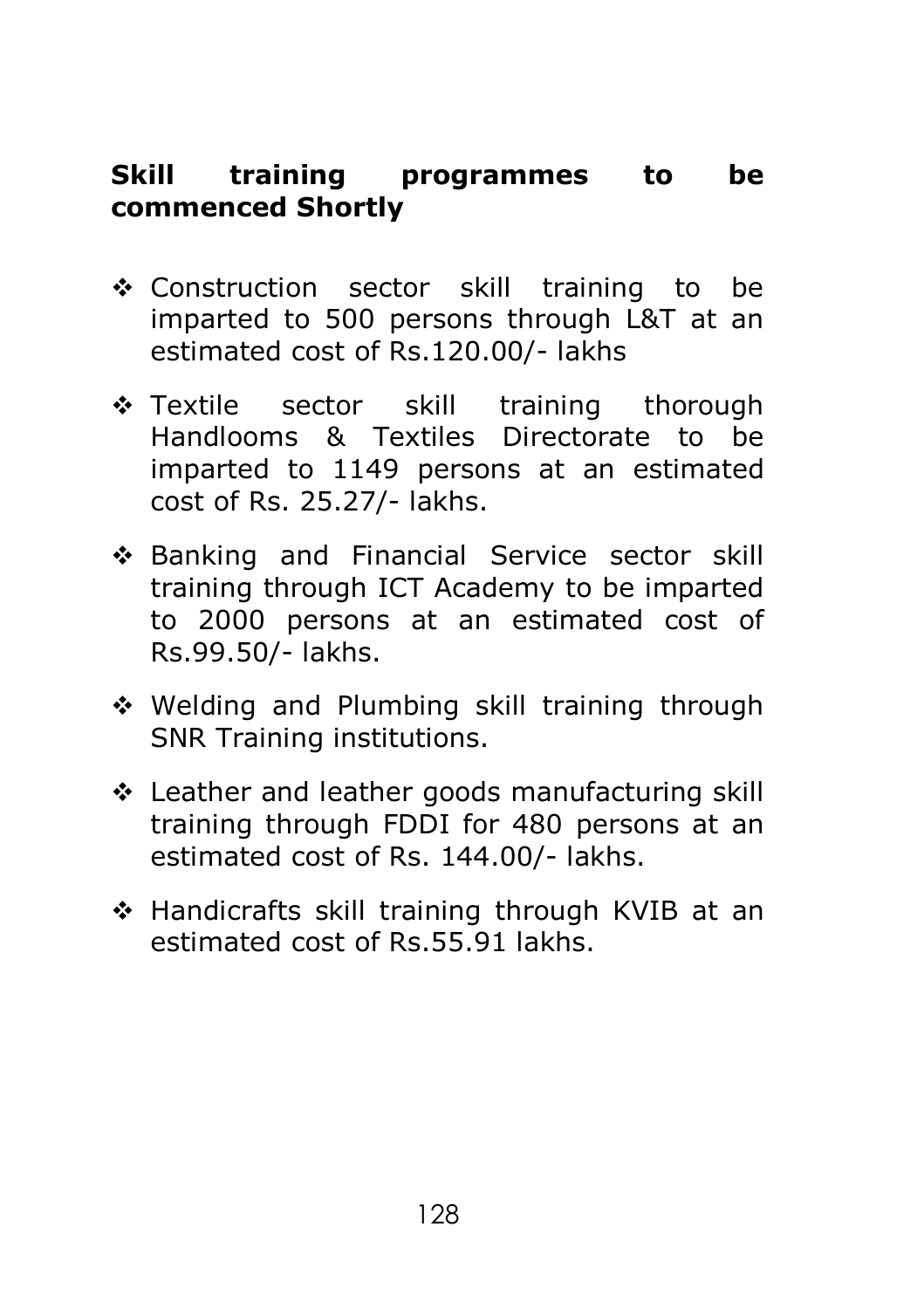# **Skill training programmes to be commenced Shortly**

- Construction sector skill training to be imparted to 500 persons through L&T at an estimated cost of Rs.120.00/- lakhs
- \* Textile sector skill training thorough Handlooms & Textiles Directorate to be imparted to 1149 persons at an estimated cost of Rs. 25.27/- lakhs.
- ◆ Banking and Financial Service sector skill training through ICT Academy to be imparted to 2000 persons at an estimated cost of Rs.99.50/- lakhs.
- ◆ Welding and Plumbing skill training through SNR Training institutions.
- Leather and leather goods manufacturing skill training through FDDI for 480 persons at an estimated cost of Rs. 144.00/- lakhs.
- Handicrafts skill training through KVIB at an estimated cost of Rs.55.91 lakhs.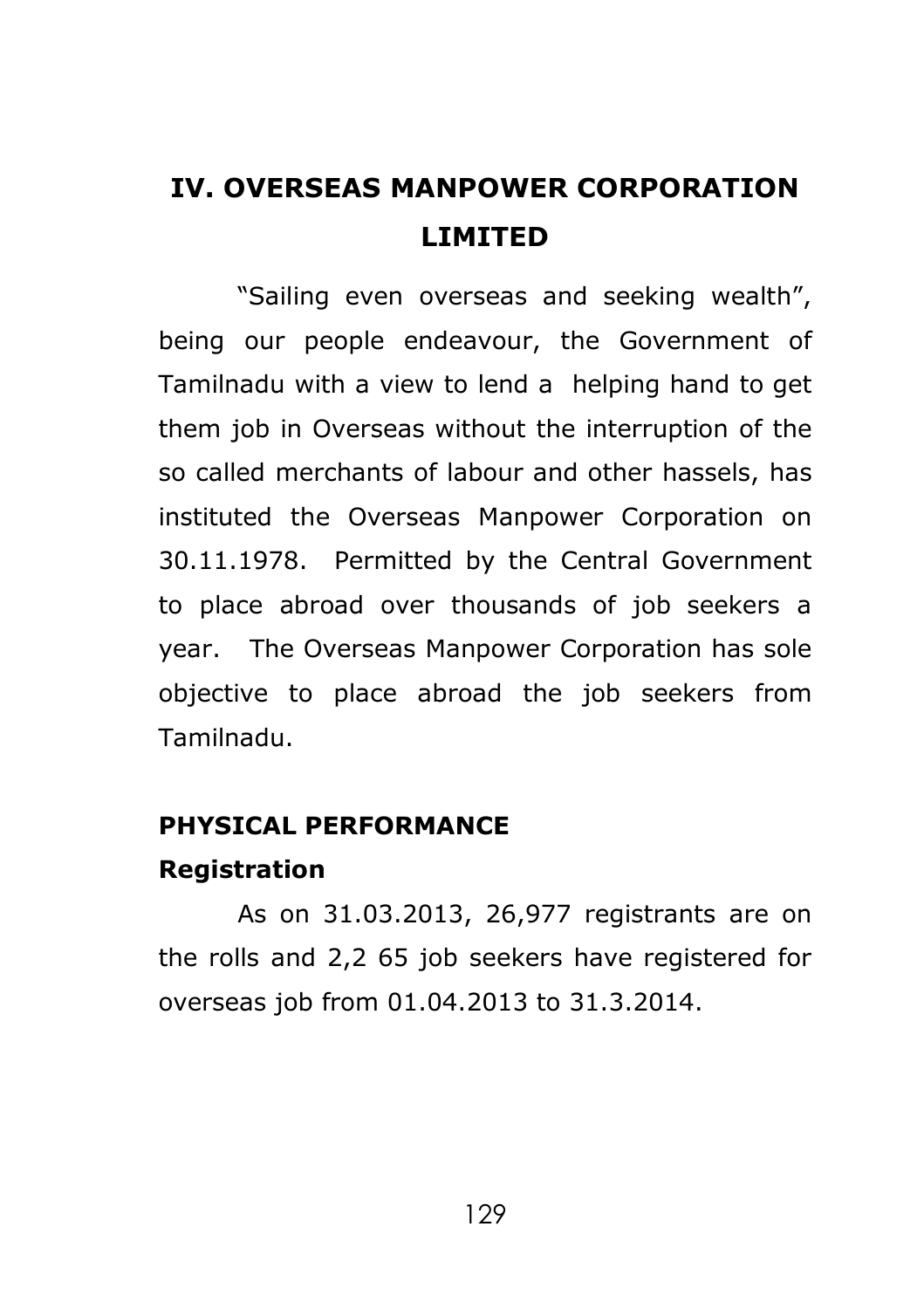# **IV. OVERSEAS MANPOWER CORPORATION LIMITED**

"Sailing even overseas and seeking wealth", being our people endeavour, the Government of Tamilnadu with a view to lend a helping hand to get them iob in Overseas without the interruption of the so called merchants of labour and other hassels, has instituted the Overseas Manpower Corporation on 30.11.1978. Permitted by the Central Government to place abroad over thousands of job seekers a year. The Overseas Manpower Corporation has sole objective to place abroad the job seekers from Tamilnadu.

#### **PHYSICAL PERFORMANCE**

#### **Registration**

As on 31.03.2013, 26,977 registrants are on the rolls and 2,2 65 job seekers have registered for overseas job from 01.04.2013 to 31.3.2014.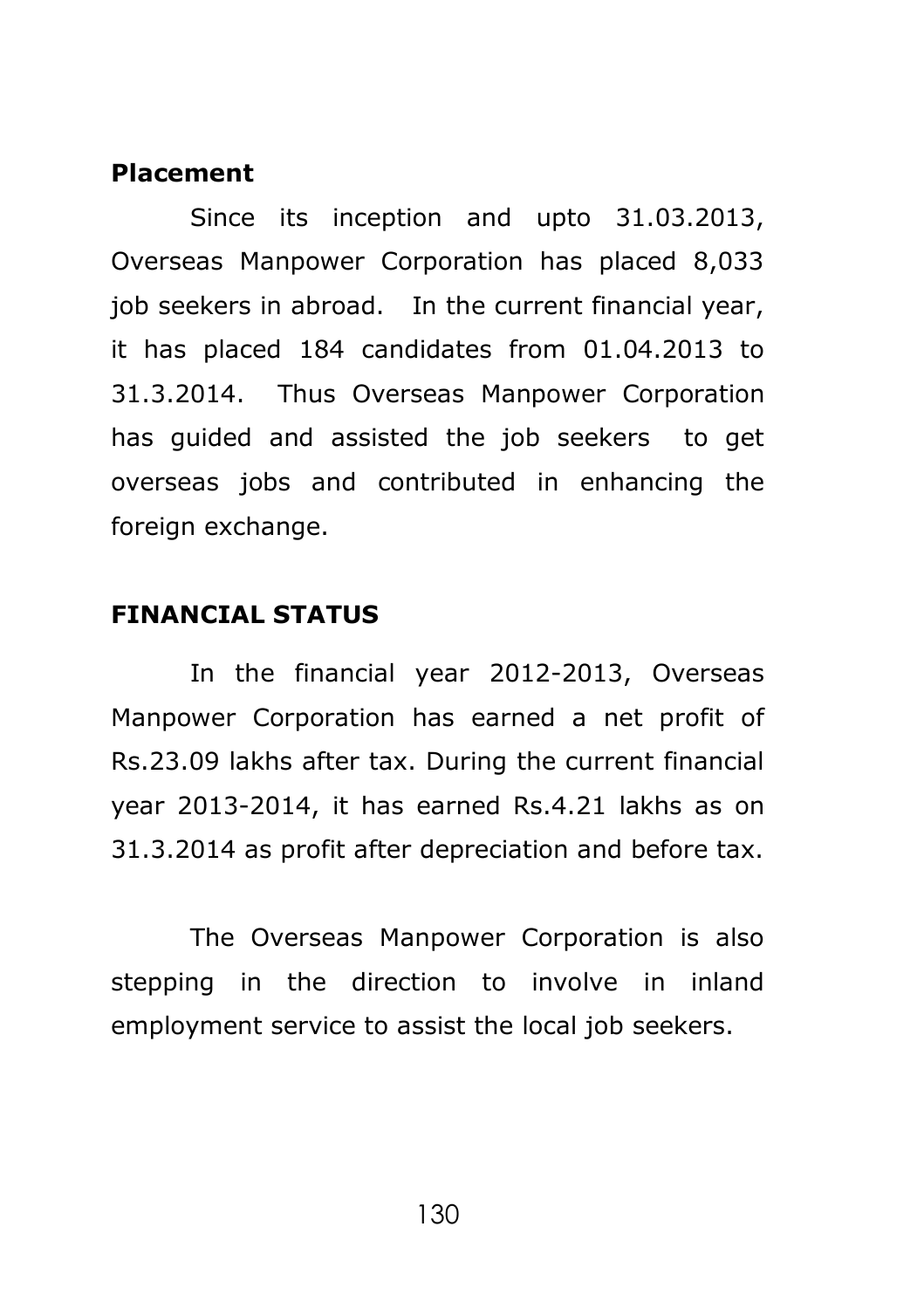#### **Placement**

Since its inception and upto 31.03.2013, Overseas Manpower Corporation has placed 8,033 iob seekers in abroad. In the current financial year, it has placed 184 candidates from 01.04.2013 to 31.3.2014. Thus Overseas Manpower Corporation has guided and assisted the job seekers to get overseas jobs and contributed in enhancing the foreign exchange.

#### **FINANCIAL STATUS**

In the financial year 2012-2013, Overseas Manpower Corporation has earned a net profit of Rs.23.09 lakhs after tax. During the current financial year 2013-2014, it has earned Rs.4.21 lakhs as on 31.3.2014 as profit after depreciation and before tax.

The Overseas Manpower Corporation is also stepping in the direction to involve in inland employment service to assist the local job seekers.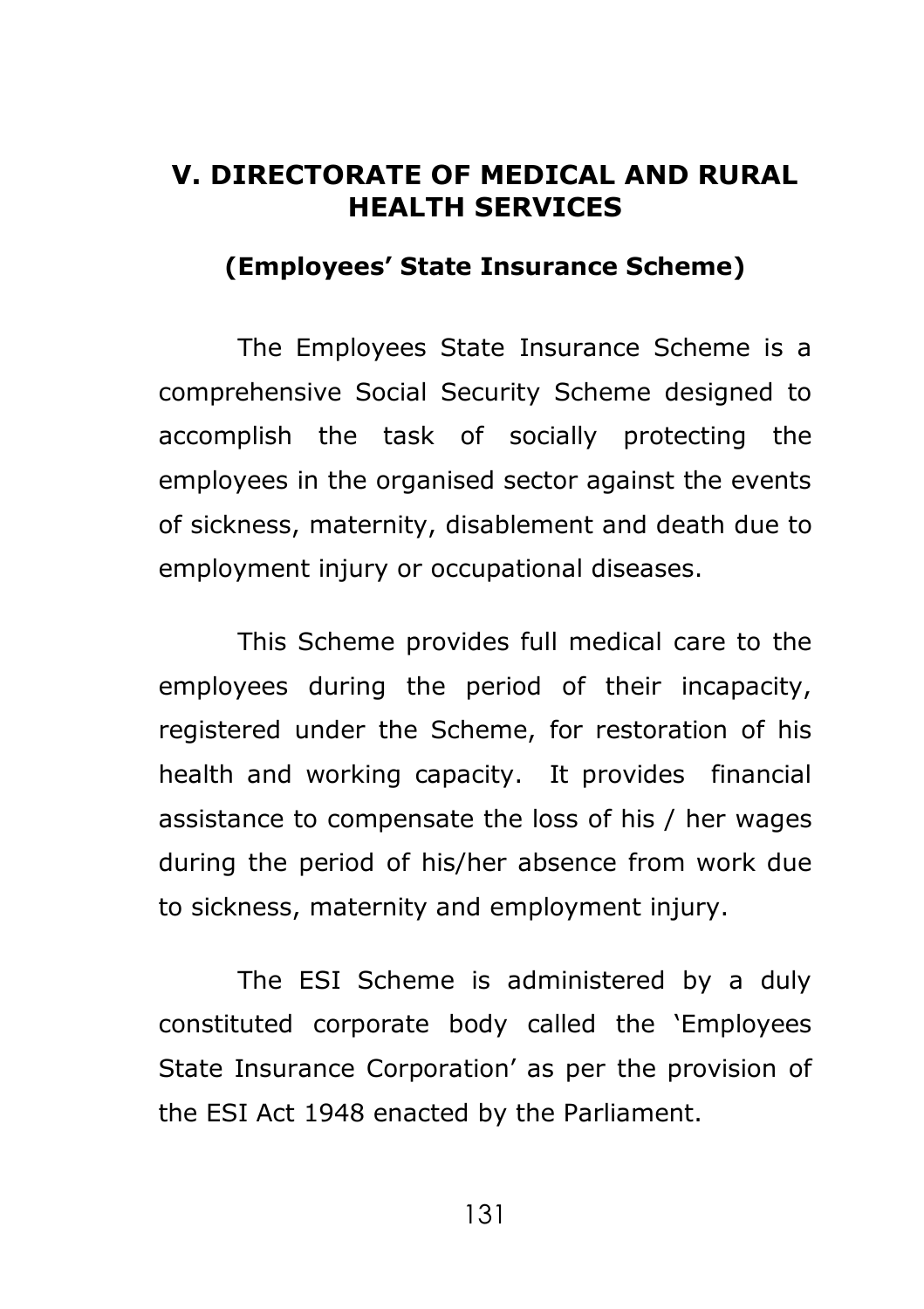### **V. DIRECTORATE OF MEDICAL AND RURAL HEALTH SERVICES**

#### **(Employees' State Insurance Scheme)**

The Employees State Insurance Scheme is a comprehensive Social Security Scheme designed to accomplish the task of socially protecting the employees in the organised sector against the events of sickness, maternity, disablement and death due to employment injury or occupational diseases.

This Scheme provides full medical care to the employees during the period of their incapacity, registered under the Scheme, for restoration of his health and working capacity. It provides financial assistance to compensate the loss of his / her wages during the period of his/her absence from work due to sickness, maternity and employment injury.

The ESI Scheme is administered by a duly constituted corporate body called the 'Employees State Insurance Corporation' as per the provision of the ESI Act 1948 enacted by the Parliament.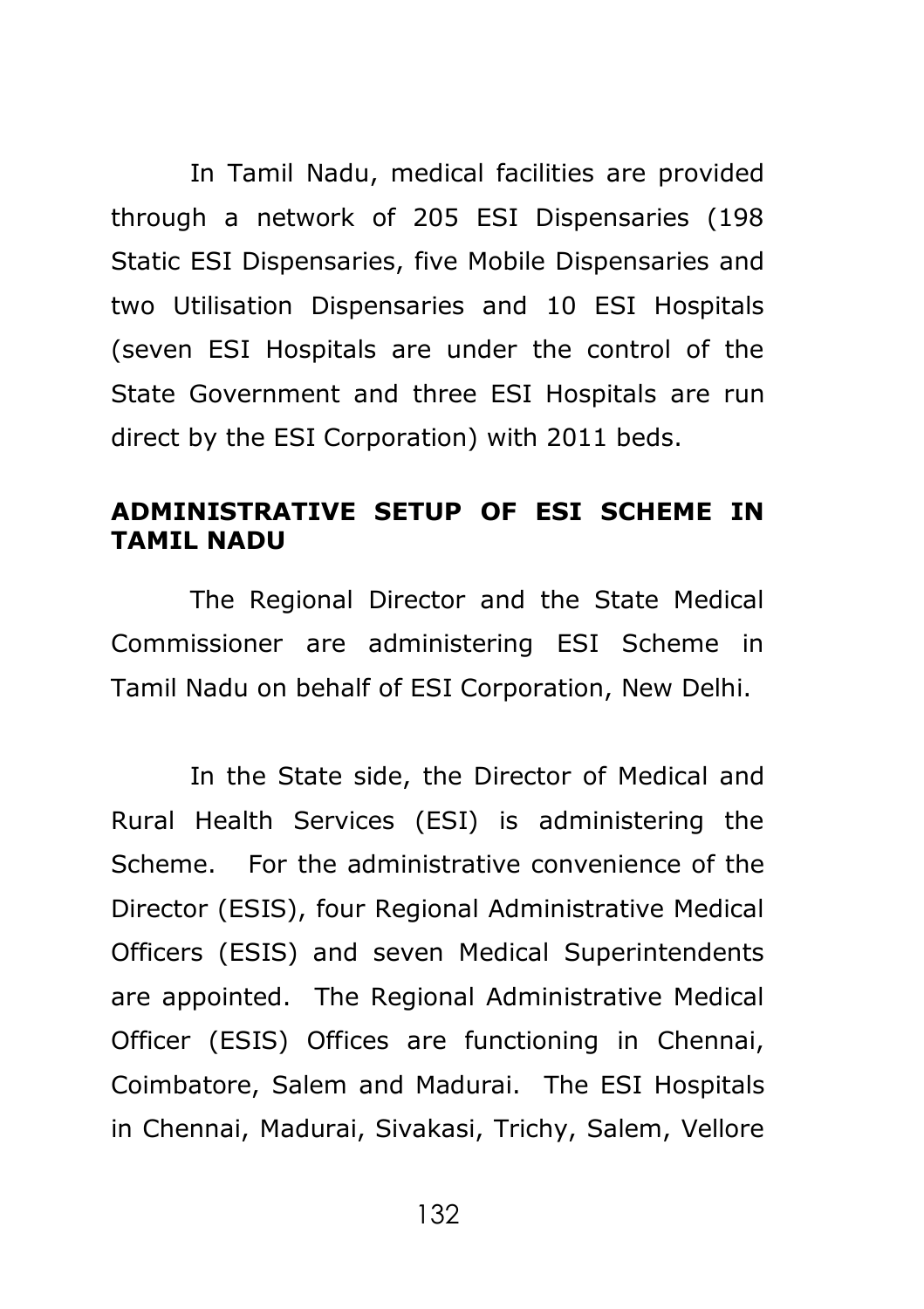In Tamil Nadu, medical facilities are provided through a network of 205 ESI Dispensaries (198 Static ESI Dispensaries, five Mobile Dispensaries and two Utilisation Dispensaries and 10 ESI Hospitals (seven ESI Hospitals are under the control of the State Government and three ESI Hospitals are run direct by the ESI Corporation) with 2011 beds.

#### **ADMINISTRATIVE SETUP OF ESI SCHEME IN TAMIL NADU**

The Regional Director and the State Medical Commissioner are administering ESI Scheme in Tamil Nadu on behalf of ESI Corporation, New Delhi.

In the State side, the Director of Medical and Rural Health Services (ESI) is administering the Scheme. For the administrative convenience of the Director (ESIS), four Regional Administrative Medical Officers (ESIS) and seven Medical Superintendents are appointed. The Regional Administrative Medical Officer (ESIS) Offices are functioning in Chennai, Coimbatore, Salem and Madurai. The ESI Hospitals in Chennai, Madurai, Sivakasi, Trichy, Salem, Vellore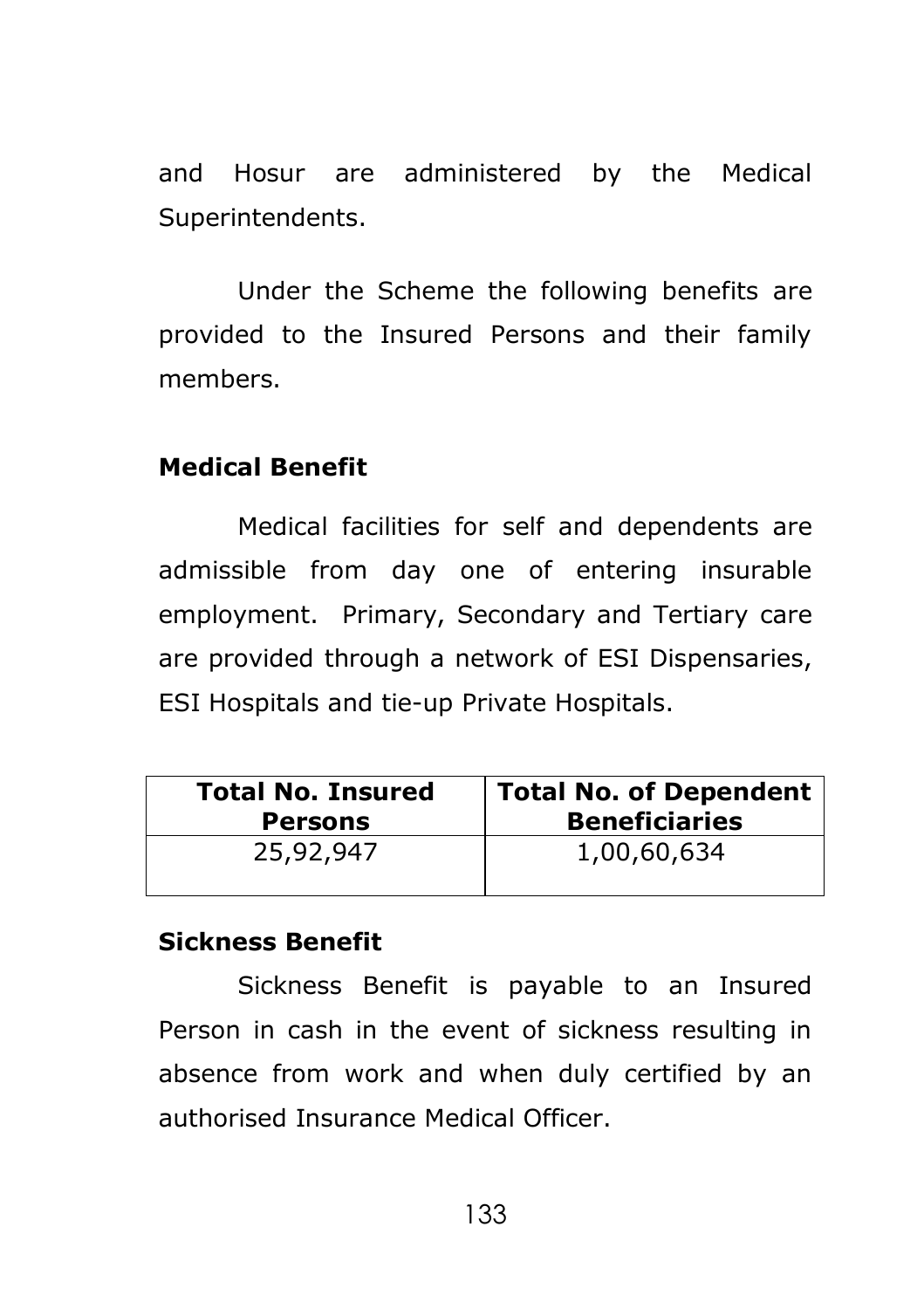and Hosur are administered by the Medical Superintendents.

Under the Scheme the following benefits are provided to the Insured Persons and their family members.

### **Medical Benefit**

Medical facilities for self and dependents are admissible from day one of entering insurable employment. Primary, Secondary and Tertiary care are provided through a network of ESI Dispensaries, ESI Hospitals and tie-up Private Hospitals.

| <b>Total No. Insured</b> | <b>Total No. of Dependent</b> |
|--------------------------|-------------------------------|
| <b>Persons</b>           | <b>Beneficiaries</b>          |
| 25,92,947                | 1,00,60,634                   |

### **Sickness Benefit**

Sickness Benefit is payable to an Insured Person in cash in the event of sickness resulting in absence from work and when duly certified by an authorised Insurance Medical Officer.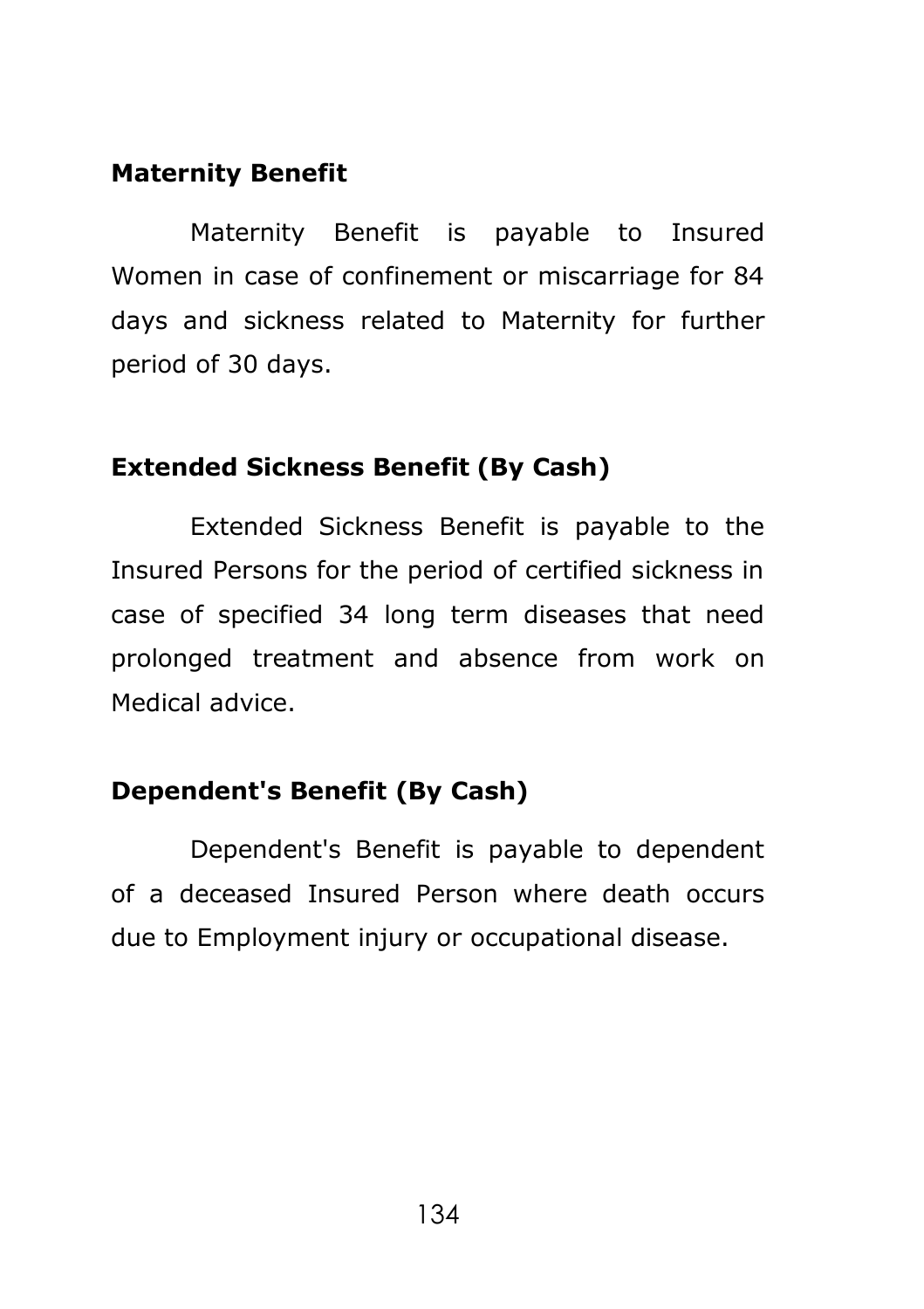### **Maternity Benefit**

Maternity Benefit is payable to Insured Women in case of confinement or miscarriage for 84 days and sickness related to Maternity for further period of 30 days.

### **Extended Sickness Benefit (By Cash)**

Extended Sickness Benefit is payable to the Insured Persons for the period of certified sickness in case of specified 34 long term diseases that need prolonged treatment and absence from work on Medical advice.

# **Dependent's Benefit (By Cash)**

Dependent's Benefit is payable to dependent of a deceased Insured Person where death occurs due to Employment injury or occupational disease.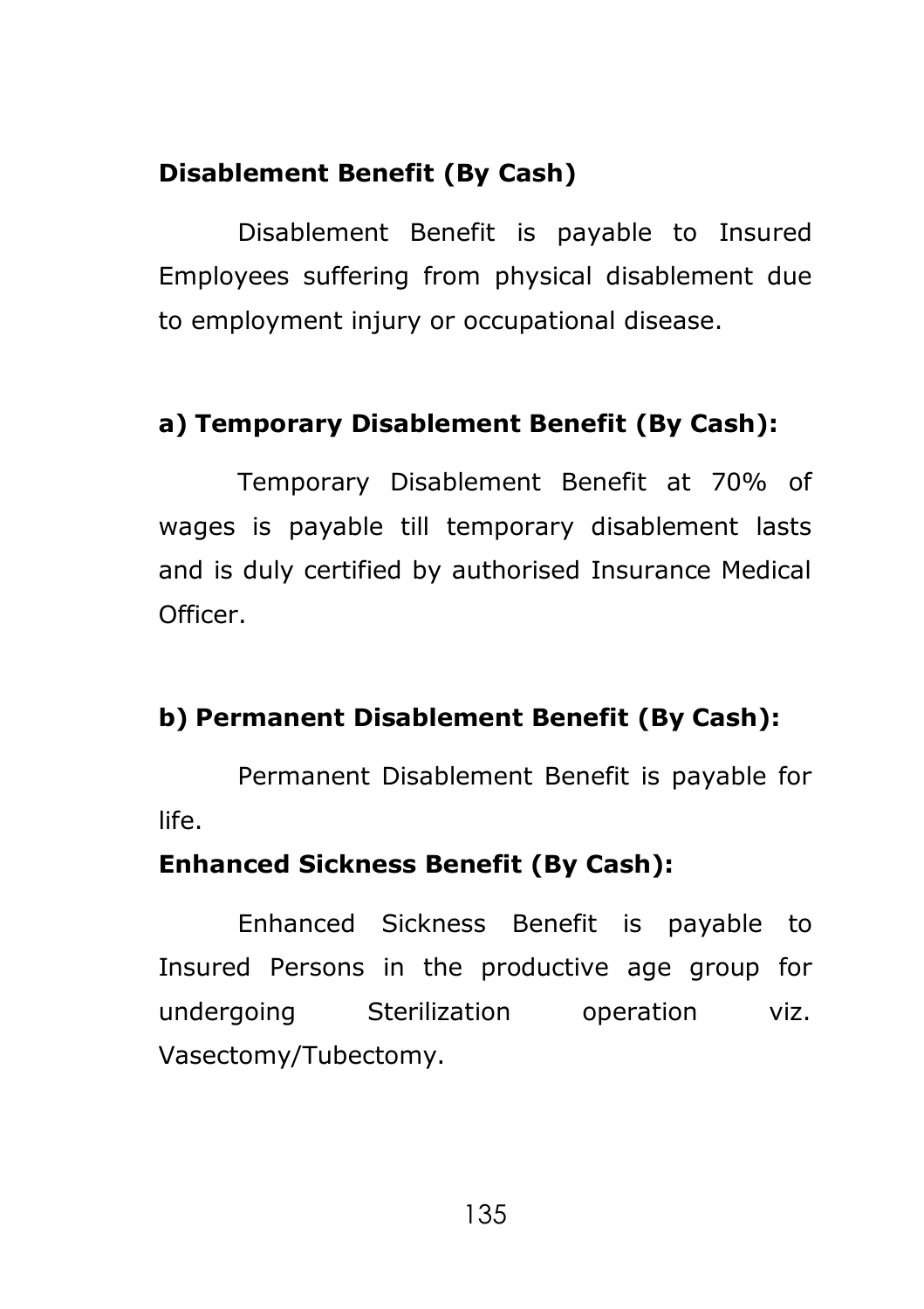# **Disablement Benefit (By Cash)**

Disablement Benefit is payable to Insured Employees suffering from physical disablement due to employment injury or occupational disease.

# **a) Temporary Disablement Benefit (By Cash):**

Temporary Disablement Benefit at 70% of wages is payable till temporary disablement lasts and is duly certified by authorised Insurance Medical Officer.

# **b) Permanent Disablement Benefit (By Cash):**

Permanent Disablement Benefit is payable for life.

# **Enhanced Sickness Benefit (By Cash):**

Enhanced Sickness Benefit is payable to Insured Persons in the productive age group for undergoing Sterilization operation viz. Vasectomy/Tubectomy.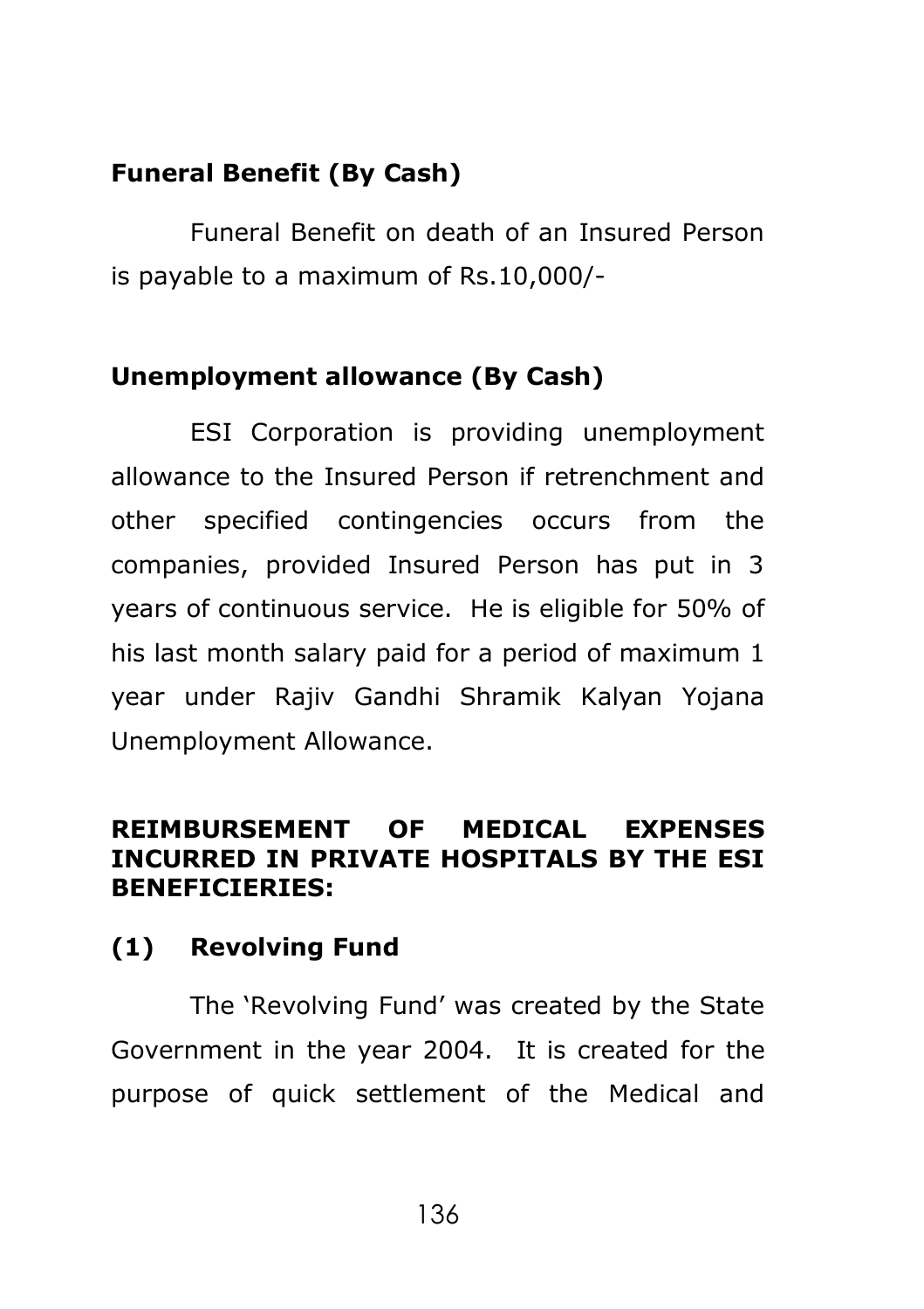## **Funeral Benefit (By Cash)**

Funeral Benefit on death of an Insured Person is payable to a maximum of Rs.10,000/-

### **Unemployment allowance (By Cash)**

ESI Corporation is providing unemployment allowance to the Insured Person if retrenchment and other specified contingencies occurs from the companies, provided Insured Person has put in 3 years of continuous service. He is eligible for 50% of his last month salary paid for a period of maximum 1 year under Rajiv Gandhi Shramik Kalyan Yojana Unemployment Allowance.

### **REIMBURSEMENT OF MEDICAL EXPENSES INCURRED IN PRIVATE HOSPITALS BY THE ESI BENEFICIERIES:**

### **(1) Revolving Fund**

The 'Revolving Fund' was created by the State Government in the year 2004. It is created for the purpose of quick settlement of the Medical and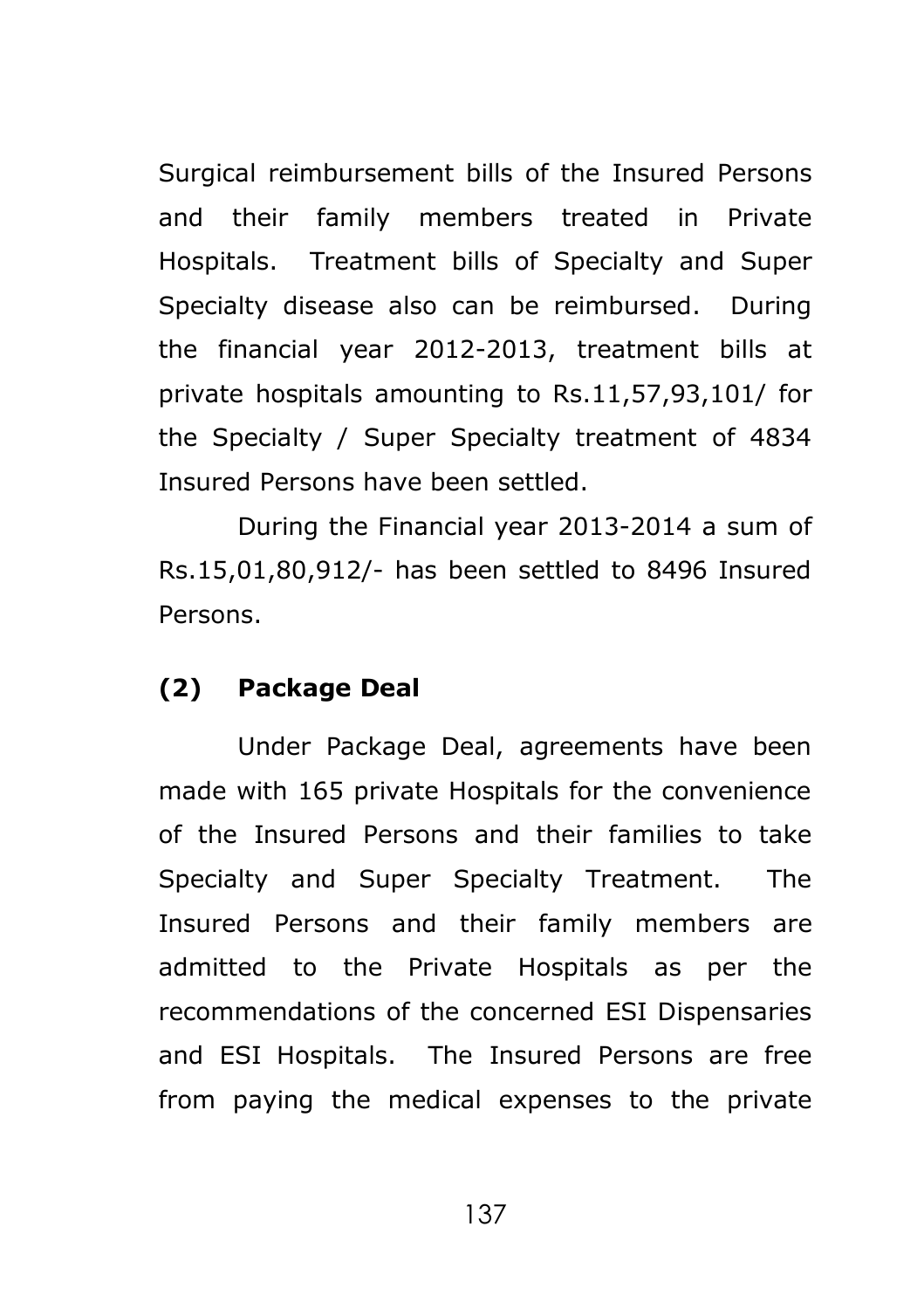Surgical reimbursement bills of the Insured Persons and their family members treated in Private Hospitals. Treatment bills of Specialty and Super Specialty disease also can be reimbursed. During the financial year 2012-2013, treatment bills at private hospitals amounting to Rs.11,57,93,101/ for the Specialty / Super Specialty treatment of 4834 Insured Persons have been settled.

During the Financial year 2013-2014 a sum of Rs.15,01,80,912/- has been settled to 8496 Insured Persons.

### **(2) Package Deal**

Under Package Deal, agreements have been made with 165 private Hospitals for the convenience of the Insured Persons and their families to take Specialty and Super Specialty Treatment. The Insured Persons and their family members are admitted to the Private Hospitals as per the recommendations of the concerned ESI Dispensaries and ESI Hospitals. The Insured Persons are free from paying the medical expenses to the private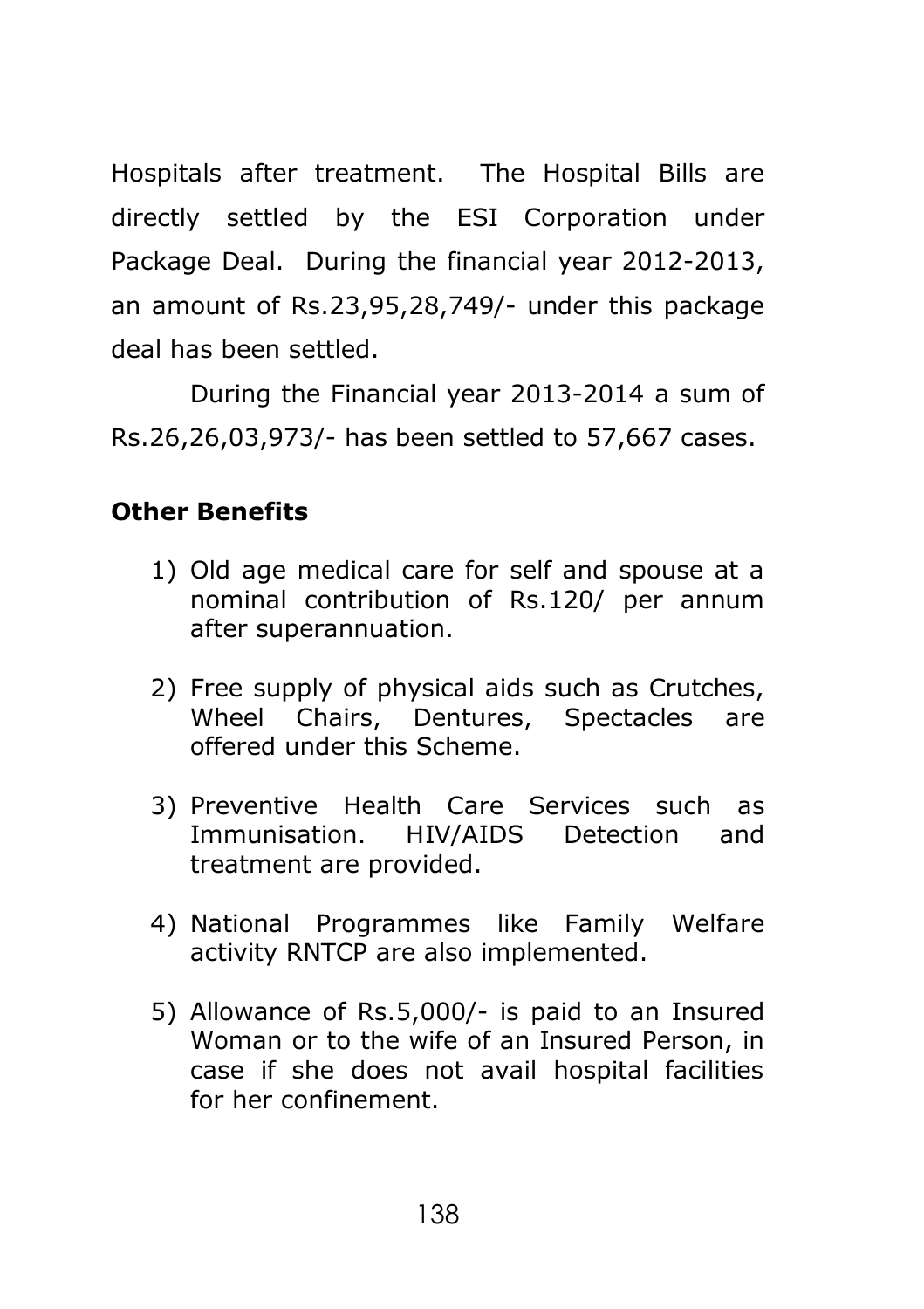Hospitals after treatment. The Hospital Bills are directly settled by the ESI Corporation under Package Deal. During the financial year 2012-2013, an amount of Rs.23,95,28,749/- under this package deal has been settled.

During the Financial year 2013-2014 a sum of Rs.26,26,03,973/- has been settled to 57,667 cases.

# **Other Benefits**

- 1) Old age medical care for self and spouse at a nominal contribution of Rs.120/ per annum after superannuation.
- 2) Free supply of physical aids such as Crutches, Wheel Chairs, Dentures, Spectacles are offered under this Scheme.
- 3) Preventive Health Care Services such as Immunisation. HIV/AIDS Detection and treatment are provided.
- 4) National Programmes like Family Welfare activity RNTCP are also implemented.
- 5) Allowance of Rs.5,000/- is paid to an Insured Woman or to the wife of an Insured Person, in case if she does not avail hospital facilities for her confinement.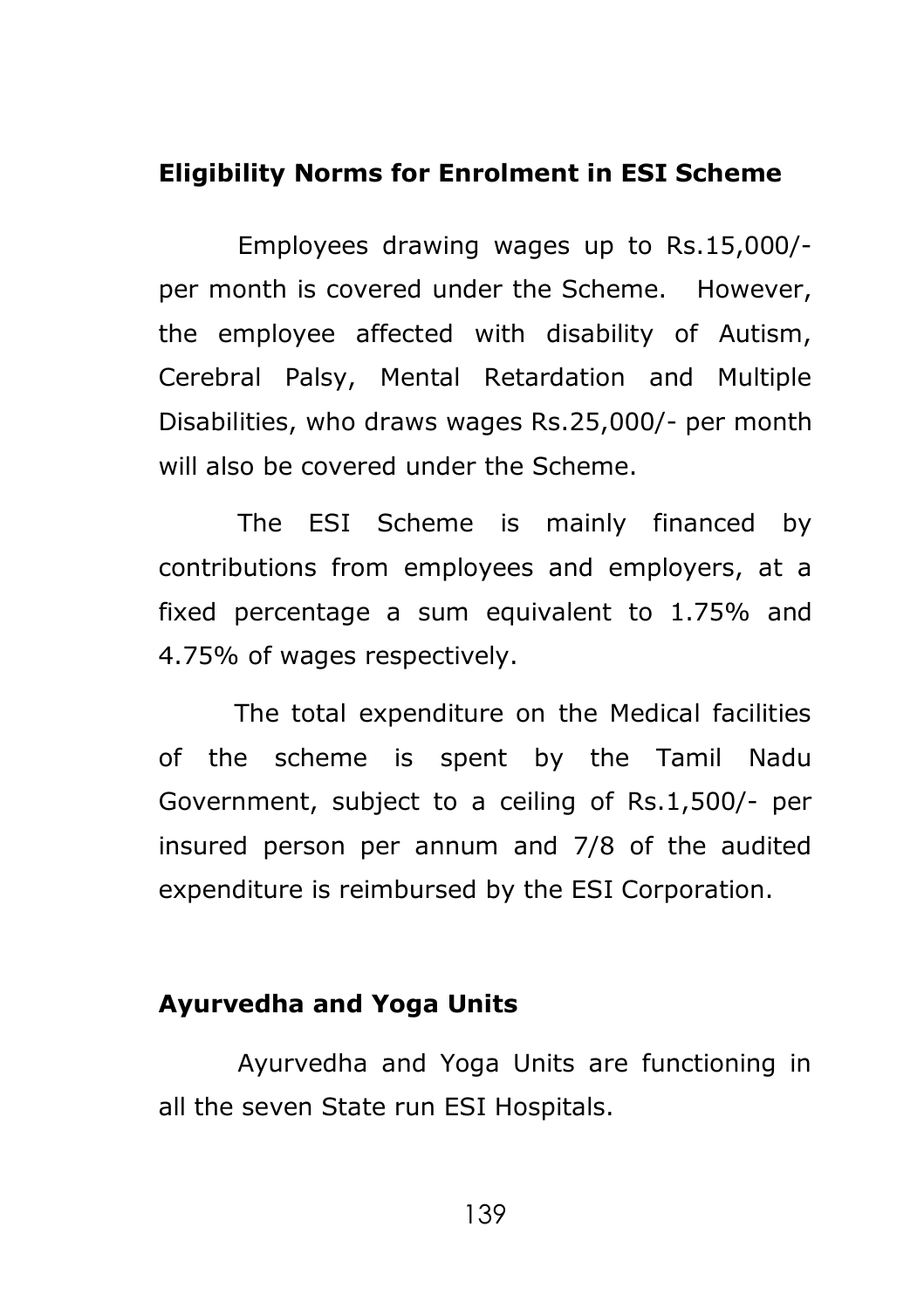#### **Eligibility Norms for Enrolment in ESI Scheme**

Employees drawing wages up to Rs.15,000/ per month is covered under the Scheme. However, the employee affected with disability of Autism, Cerebral Palsy, Mental Retardation and Multiple Disabilities, who draws wages Rs.25,000/- per month will also be covered under the Scheme.

The ESI Scheme is mainly financed by contributions from employees and employers, at a fixed percentage a sum equivalent to 1.75% and 4.75% of wages respectively.

 The total expenditure on the Medical facilities of the scheme is spent by the Tamil Nadu Government, subject to a ceiling of Rs.1,500/- per insured person per annum and 7/8 of the audited expenditure is reimbursed by the ESI Corporation.

### **Ayurvedha and Yoga Units**

Ayurvedha and Yoga Units are functioning in all the seven State run ESI Hospitals.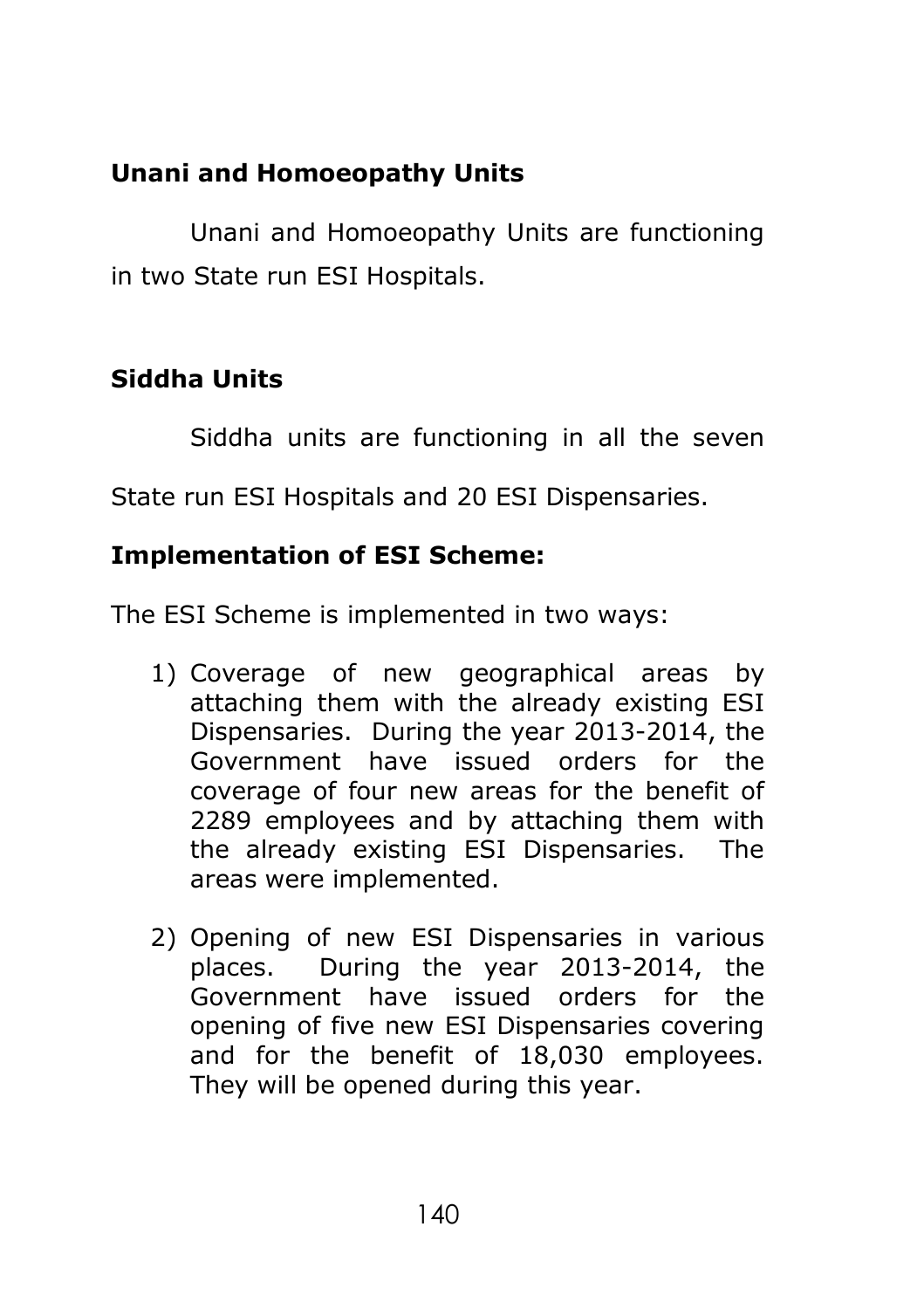# **Unani and Homoeopathy Units**

Unani and Homoeopathy Units are functioning in two State run ESI Hospitals.

# **Siddha Units**

Siddha units are functioning in all the seven

State run ESI Hospitals and 20 ESI Dispensaries.

# **Implementation of ESI Scheme:**

The ESI Scheme is implemented in two ways:

- 1) Coverage of new geographical areas by attaching them with the already existing ESI Dispensaries. During the year 2013-2014, the Government have issued orders for the coverage of four new areas for the benefit of 2289 employees and by attaching them with the already existing ESI Dispensaries. The areas were implemented.
- 2) Opening of new ESI Dispensaries in various places. During the year 2013-2014, the Government have issued orders for the opening of five new ESI Dispensaries covering and for the benefit of 18,030 employees. They will be opened during this year.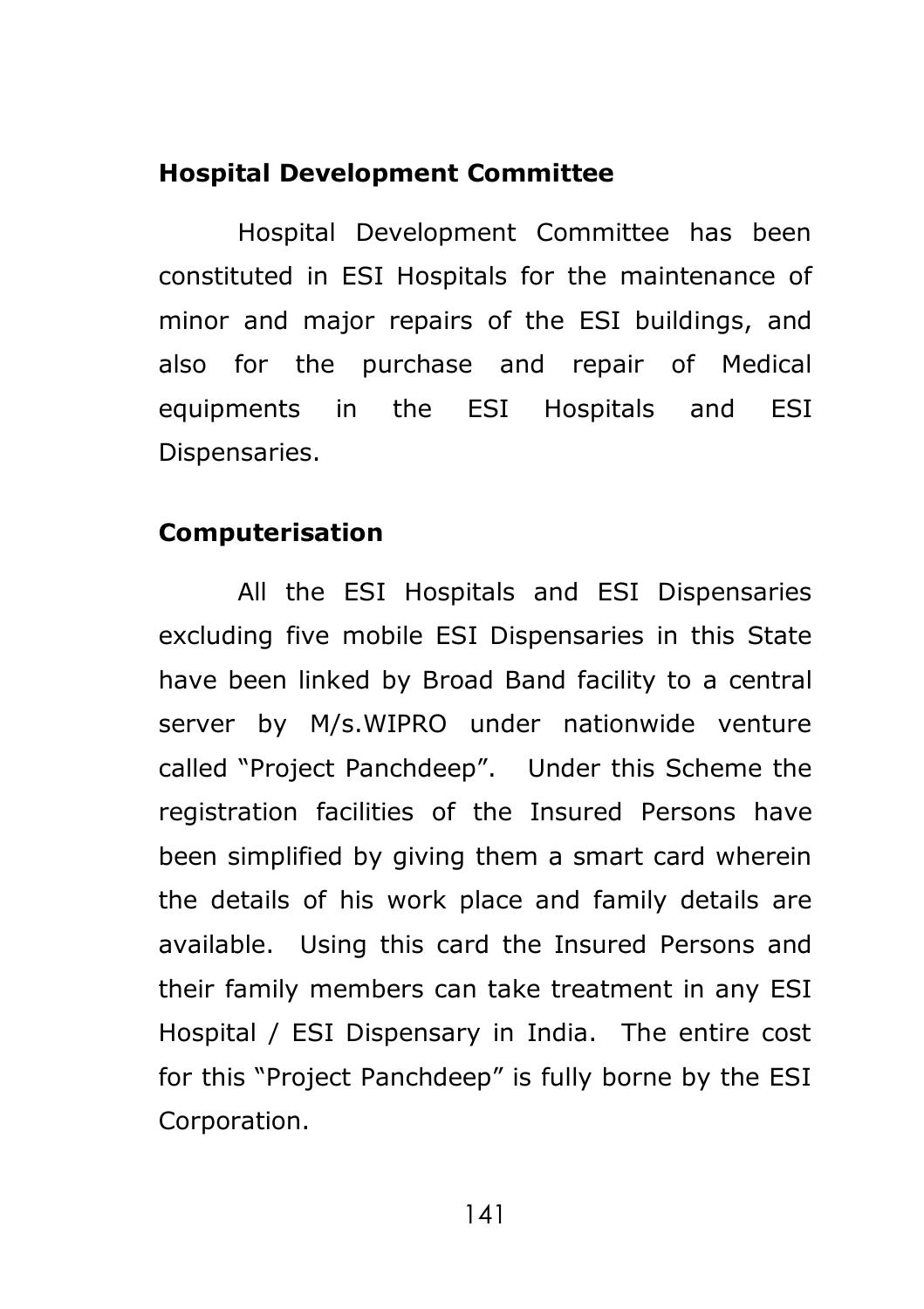#### **Hospital Development Committee**

Hospital Development Committee has been constituted in ESI Hospitals for the maintenance of minor and major repairs of the ESI buildings, and also for the purchase and repair of Medical equipments in the ESI Hospitals and ESI Dispensaries.

### **Computerisation**

All the ESI Hospitals and ESI Dispensaries excluding five mobile ESI Dispensaries in this State have been linked by Broad Band facility to a central server by M/s.WIPRO under nationwide venture called "Project Panchdeep". Under this Scheme the registration facilities of the Insured Persons have been simplified by giving them a smart card wherein the details of his work place and family details are available. Using this card the Insured Persons and their family members can take treatment in any ESI Hospital / ESI Dispensary in India. The entire cost for this "Project Panchdeep" is fully borne by the ESI Corporation.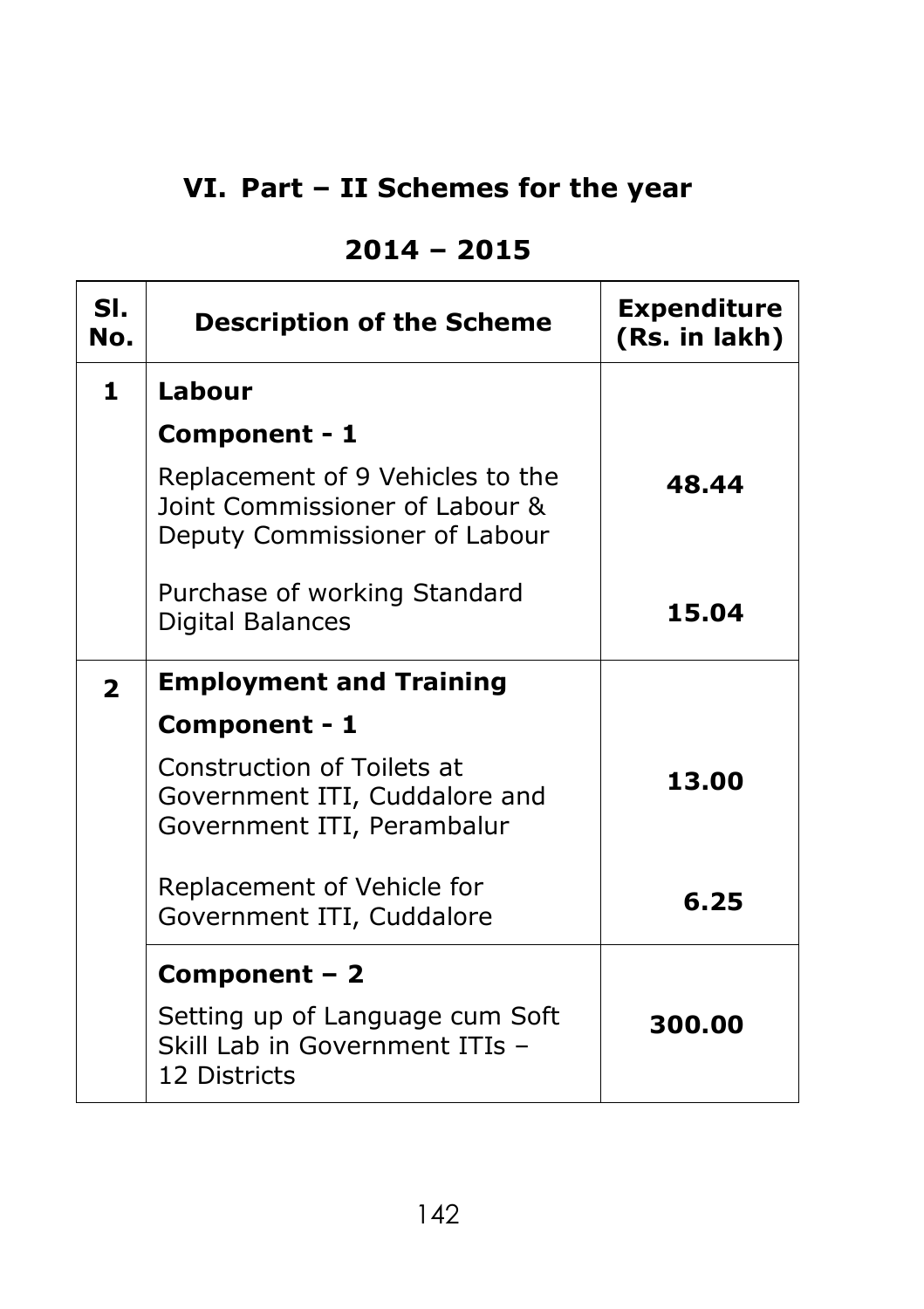# **VI. Part – II Schemes for the year**

## **2014 – 2015**

| SI.<br>No.     | <b>Description of the Scheme</b>                                                                    | <b>Expenditure</b><br>(Rs. in lakh) |
|----------------|-----------------------------------------------------------------------------------------------------|-------------------------------------|
| 1.             | Labour                                                                                              |                                     |
|                | Component - 1                                                                                       |                                     |
|                | Replacement of 9 Vehicles to the<br>Joint Commissioner of Labour &<br>Deputy Commissioner of Labour | 48.44                               |
|                | Purchase of working Standard<br>Digital Balances                                                    | 15.04                               |
| $\overline{2}$ | <b>Employment and Training</b>                                                                      |                                     |
|                | Component - 1                                                                                       |                                     |
|                | <b>Construction of Toilets at</b><br>Government ITI, Cuddalore and<br>Government ITI, Perambalur    | 13.00                               |
|                | Replacement of Vehicle for<br>Government ITI, Cuddalore                                             | 6.25                                |
|                | Component $-2$                                                                                      |                                     |
|                | Setting up of Language cum Soft<br>Skill Lab in Government ITIs -<br>12 Districts                   | 300.00                              |